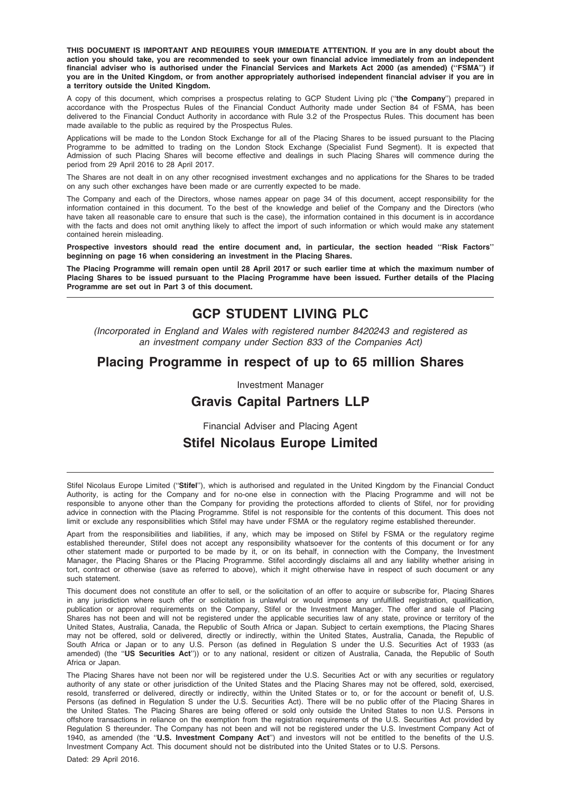THIS DOCUMENT IS IMPORTANT AND REQUIRES YOUR IMMEDIATE ATTENTION. If you are in any doubt about the action you should take, you are recommended to seek your own financial advice immediately from an independent financial adviser who is authorised under the Financial Services and Markets Act 2000 (as amended) (''FSMA'') if you are in the United Kingdom, or from another appropriately authorised independent financial adviser if you are in a territory outside the United Kingdom.

A copy of this document, which comprises a prospectus relating to GCP Student Living plc ("the Company") prepared in accordance with the Prospectus Rules of the Financial Conduct Authority made under Section 84 of FSMA, has been delivered to the Financial Conduct Authority in accordance with Rule 3.2 of the Prospectus Rules. This document has been made available to the public as required by the Prospectus Rules.

Applications will be made to the London Stock Exchange for all of the Placing Shares to be issued pursuant to the Placing Programme to be admitted to trading on the London Stock Exchange (Specialist Fund Segment). It is expected that Admission of such Placing Shares will become effective and dealings in such Placing Shares will commence during the period from 29 April 2016 to 28 April 2017.

The Shares are not dealt in on any other recognised investment exchanges and no applications for the Shares to be traded on any such other exchanges have been made or are currently expected to be made.

The Company and each of the Directors, whose names appear on page 34 of this document, accept responsibility for the information contained in this document. To the best of the knowledge and belief of the Company and the Directors (who have taken all reasonable care to ensure that such is the case), the information contained in this document is in accordance with the facts and does not omit anything likely to affect the import of such information or which would make any statement contained herein misleading.

Prospective investors should read the entire document and, in particular, the section headed ''Risk Factors'' beginning on page 16 when considering an investment in the Placing Shares.

The Placing Programme will remain open until 28 April 2017 or such earlier time at which the maximum number of Placing Shares to be issued pursuant to the Placing Programme have been issued. Further details of the Placing Programme are set out in Part 3 of this document.

# GCP STUDENT LIVING PLC

(Incorporated in England and Wales with registered number 8420243 and registered as an investment company under Section 833 of the Companies Act)

# Placing Programme in respect of up to 65 million Shares

Investment Manager

# Gravis Capital Partners LLP

Financial Adviser and Placing Agent

# Stifel Nicolaus Europe Limited

Stifel Nicolaus Europe Limited ("Stifel"), which is authorised and regulated in the United Kingdom by the Financial Conduct Authority, is acting for the Company and for no-one else in connection with the Placing Programme and will not be responsible to anyone other than the Company for providing the protections afforded to clients of Stifel, nor for providing advice in connection with the Placing Programme. Stifel is not responsible for the contents of this document. This does not limit or exclude any responsibilities which Stifel may have under FSMA or the regulatory regime established thereunder.

Apart from the responsibilities and liabilities, if any, which may be imposed on Stifel by FSMA or the regulatory regime established thereunder, Stifel does not accept any responsibility whatsoever for the contents of this document or for any other statement made or purported to be made by it, or on its behalf, in connection with the Company, the Investment Manager, the Placing Shares or the Placing Programme. Stifel accordingly disclaims all and any liability whether arising in tort, contract or otherwise (save as referred to above), which it might otherwise have in respect of such document or any such statement.

This document does not constitute an offer to sell, or the solicitation of an offer to acquire or subscribe for, Placing Shares in any jurisdiction where such offer or solicitation is unlawful or would impose any unfulfilled registration, qualification, publication or approval requirements on the Company, Stifel or the Investment Manager. The offer and sale of Placing Shares has not been and will not be registered under the applicable securities law of any state, province or territory of the United States, Australia, Canada, the Republic of South Africa or Japan. Subject to certain exemptions, the Placing Shares may not be offered, sold or delivered, directly or indirectly, within the United States, Australia, Canada, the Republic of South Africa or Japan or to any U.S. Person (as defined in Regulation S under the U.S. Securities Act of 1933 (as amended) (the ''US Securities Act'')) or to any national, resident or citizen of Australia, Canada, the Republic of South Africa or Japan.

The Placing Shares have not been nor will be registered under the U.S. Securities Act or with any securities or regulatory authority of any state or other jurisdiction of the United States and the Placing Shares may not be offered, sold, exercised, resold, transferred or delivered, directly or indirectly, within the United States or to, or for the account or benefit of, U.S. Persons (as defined in Regulation S under the U.S. Securities Act). There will be no public offer of the Placing Shares in the United States. The Placing Shares are being offered or sold only outside the United States to non U.S. Persons in offshore transactions in reliance on the exemption from the registration requirements of the U.S. Securities Act provided by Regulation S thereunder. The Company has not been and will not be registered under the U.S. Investment Company Act of 1940, as amended (the "U.S. Investment Company Act") and investors will not be entitled to the benefits of the U.S. Investment Company Act. This document should not be distributed into the United States or to U.S. Persons.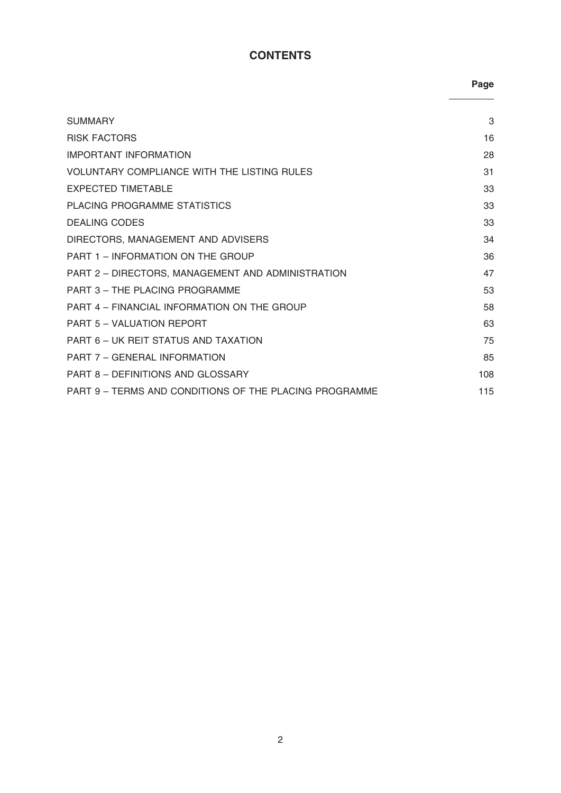# **CONTENTS**

Page

| <b>SUMMARY</b>                                         | 3   |
|--------------------------------------------------------|-----|
| <b>RISK FACTORS</b>                                    | 16  |
| <b>IMPORTANT INFORMATION</b>                           | 28  |
| VOLUNTARY COMPLIANCE WITH THE LISTING RULES            | 31  |
| EXPECTED TIMETABLE                                     | 33  |
| PLACING PROGRAMME STATISTICS                           | 33  |
| <b>DEALING CODES</b>                                   | 33  |
| DIRECTORS, MANAGEMENT AND ADVISERS                     | 34  |
| PART 1 - INFORMATION ON THE GROUP                      | 36  |
| PART 2 - DIRECTORS, MANAGEMENT AND ADMINISTRATION      | 47  |
| PART 3 - THE PLACING PROGRAMME                         | 53  |
| PART 4 - FINANCIAL INFORMATION ON THE GROUP            | 58  |
| PART 5 - VALUATION REPORT                              | 63  |
| PART 6 – UK REIT STATUS AND TAXATION                   | 75  |
| PART 7 - GENERAL INFORMATION                           | 85  |
| <b>PART 8 - DEFINITIONS AND GLOSSARY</b>               | 108 |
| PART 9 - TERMS AND CONDITIONS OF THE PLACING PROGRAMME | 115 |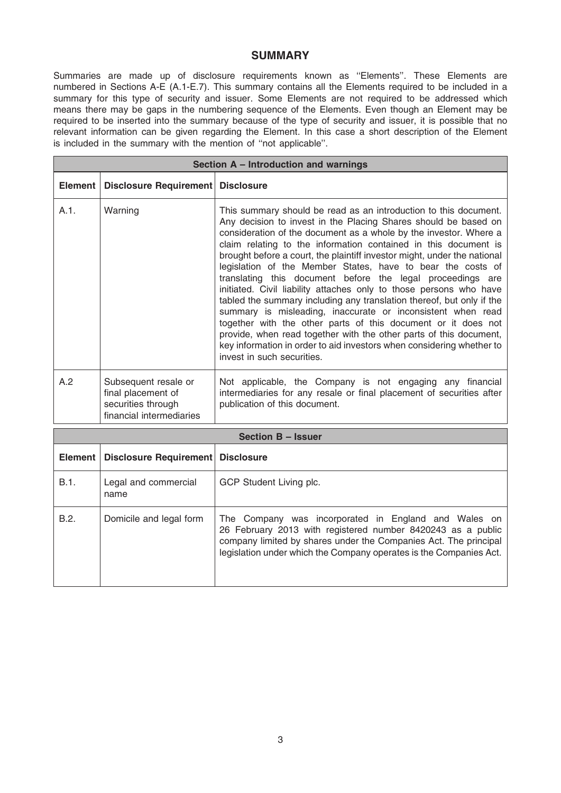### **SUMMARY**

Summaries are made up of disclosure requirements known as ''Elements''. These Elements are numbered in Sections A-E (A.1-E.7). This summary contains all the Elements required to be included in a summary for this type of security and issuer. Some Elements are not required to be addressed which means there may be gaps in the numbering sequence of the Elements. Even though an Element may be required to be inserted into the summary because of the type of security and issuer, it is possible that no relevant information can be given regarding the Element. In this case a short description of the Element is included in the summary with the mention of ''not applicable''.

| Section A - Introduction and warnings |                                                                                              |                                                                                                                                                                                                                                                                                                                                                                                                                                                                                                                                                                                                                                                                                                                                                                                                                                                                                                                                                  |  |
|---------------------------------------|----------------------------------------------------------------------------------------------|--------------------------------------------------------------------------------------------------------------------------------------------------------------------------------------------------------------------------------------------------------------------------------------------------------------------------------------------------------------------------------------------------------------------------------------------------------------------------------------------------------------------------------------------------------------------------------------------------------------------------------------------------------------------------------------------------------------------------------------------------------------------------------------------------------------------------------------------------------------------------------------------------------------------------------------------------|--|
|                                       | Element   Disclosure Requirement   Disclosure                                                |                                                                                                                                                                                                                                                                                                                                                                                                                                                                                                                                                                                                                                                                                                                                                                                                                                                                                                                                                  |  |
| A.1.                                  | Warning                                                                                      | This summary should be read as an introduction to this document.<br>Any decision to invest in the Placing Shares should be based on<br>consideration of the document as a whole by the investor. Where a<br>claim relating to the information contained in this document is<br>brought before a court, the plaintiff investor might, under the national<br>legislation of the Member States, have to bear the costs of<br>translating this document before the legal proceedings are<br>initiated. Civil liability attaches only to those persons who have<br>tabled the summary including any translation thereof, but only if the<br>summary is misleading, inaccurate or inconsistent when read<br>together with the other parts of this document or it does not<br>provide, when read together with the other parts of this document,<br>key information in order to aid investors when considering whether to<br>invest in such securities. |  |
| A.2                                   | Subsequent resale or<br>final placement of<br>securities through<br>financial intermediaries | Not applicable, the Company is not engaging any financial<br>intermediaries for any resale or final placement of securities after<br>publication of this document.                                                                                                                                                                                                                                                                                                                                                                                                                                                                                                                                                                                                                                                                                                                                                                               |  |

| Section B - Issuer |                                               |                                                                                                                                                                                                                                                               |
|--------------------|-----------------------------------------------|---------------------------------------------------------------------------------------------------------------------------------------------------------------------------------------------------------------------------------------------------------------|
|                    | Element   Disclosure Requirement   Disclosure |                                                                                                                                                                                                                                                               |
| B.1.               | Legal and commercial<br>name                  | GCP Student Living plc.                                                                                                                                                                                                                                       |
| B.2.               | Domicile and legal form                       | The Company was incorporated in England and Wales on<br>26 February 2013 with registered number 8420243 as a public<br>company limited by shares under the Companies Act. The principal<br>legislation under which the Company operates is the Companies Act. |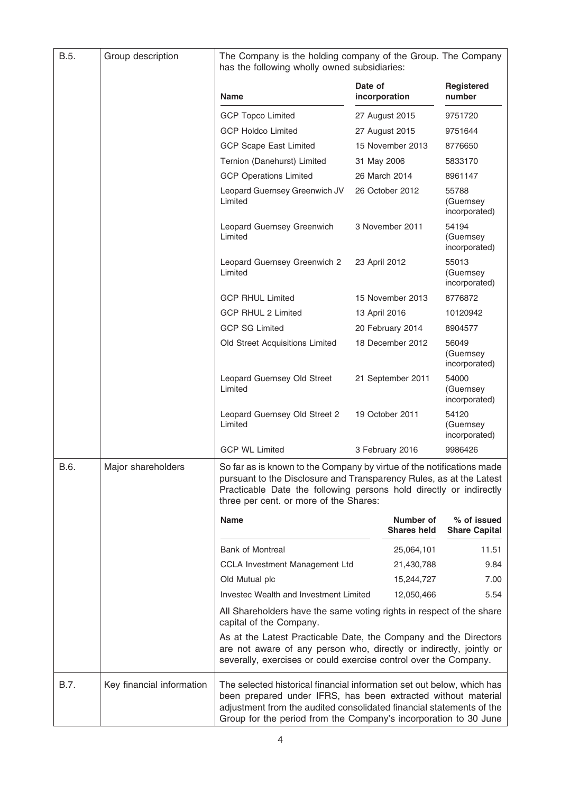| B.5. | Group description         | The Company is the holding company of the Group. The Company<br>has the following wholly owned subsidiaries:                                                                                                                                                                        |                          |                                 |                                     |
|------|---------------------------|-------------------------------------------------------------------------------------------------------------------------------------------------------------------------------------------------------------------------------------------------------------------------------------|--------------------------|---------------------------------|-------------------------------------|
|      |                           | <b>Name</b>                                                                                                                                                                                                                                                                         | Date of<br>incorporation |                                 | <b>Registered</b><br>number         |
|      |                           | <b>GCP Topco Limited</b>                                                                                                                                                                                                                                                            |                          | 27 August 2015                  | 9751720                             |
|      |                           | <b>GCP Holdco Limited</b>                                                                                                                                                                                                                                                           |                          | 27 August 2015                  | 9751644                             |
|      |                           | <b>GCP Scape East Limited</b>                                                                                                                                                                                                                                                       |                          | 15 November 2013                | 8776650                             |
|      |                           | Ternion (Danehurst) Limited                                                                                                                                                                                                                                                         | 31 May 2006              |                                 | 5833170                             |
|      |                           | <b>GCP Operations Limited</b>                                                                                                                                                                                                                                                       |                          | 26 March 2014                   | 8961147                             |
|      |                           | Leopard Guernsey Greenwich JV<br>Limited                                                                                                                                                                                                                                            |                          | 26 October 2012                 | 55788<br>(Guernsey<br>incorporated) |
|      |                           | Leopard Guernsey Greenwich<br>Limited                                                                                                                                                                                                                                               |                          | 3 November 2011                 | 54194<br>(Guernsey<br>incorporated) |
|      |                           | Leopard Guernsey Greenwich 2<br>Limited                                                                                                                                                                                                                                             | 23 April 2012            |                                 | 55013<br>(Guernsey<br>incorporated) |
|      |                           | <b>GCP RHUL Limited</b>                                                                                                                                                                                                                                                             |                          | 15 November 2013                | 8776872                             |
|      |                           | <b>GCP RHUL 2 Limited</b>                                                                                                                                                                                                                                                           | 13 April 2016            |                                 | 10120942                            |
|      |                           | <b>GCP SG Limited</b>                                                                                                                                                                                                                                                               |                          | 20 February 2014                | 8904577                             |
|      |                           | Old Street Acquisitions Limited                                                                                                                                                                                                                                                     |                          | 18 December 2012                | 56049<br>(Guernsey<br>incorporated) |
|      |                           | Leopard Guernsey Old Street<br>Limited                                                                                                                                                                                                                                              |                          | 21 September 2011               | 54000<br>(Guernsey<br>incorporated) |
|      |                           | Leopard Guernsey Old Street 2<br>Limited                                                                                                                                                                                                                                            |                          | 19 October 2011                 | 54120<br>(Guernsey<br>incorporated) |
|      |                           | <b>GCP WL Limited</b>                                                                                                                                                                                                                                                               |                          | 3 February 2016                 | 9986426                             |
| B.6. | Major shareholders        | So far as is known to the Company by virtue of the notifications made<br>pursuant to the Disclosure and Transparency Rules, as at the Latest<br>Practicable Date the following persons hold directly or indirectly<br>three per cent. or more of the Shares:                        |                          |                                 |                                     |
|      |                           | <b>Name</b>                                                                                                                                                                                                                                                                         |                          | Number of<br><b>Shares held</b> | % of issued<br><b>Share Capital</b> |
|      |                           | <b>Bank of Montreal</b>                                                                                                                                                                                                                                                             |                          | 25,064,101                      | 11.51                               |
|      |                           | CCLA Investment Management Ltd                                                                                                                                                                                                                                                      |                          | 21,430,788                      | 9.84                                |
|      |                           | Old Mutual plc                                                                                                                                                                                                                                                                      |                          | 15,244,727                      | 7.00                                |
|      |                           | Investec Wealth and Investment Limited                                                                                                                                                                                                                                              |                          | 12,050,466                      | 5.54                                |
|      |                           | All Shareholders have the same voting rights in respect of the share<br>capital of the Company.                                                                                                                                                                                     |                          |                                 |                                     |
|      |                           | As at the Latest Practicable Date, the Company and the Directors<br>are not aware of any person who, directly or indirectly, jointly or<br>severally, exercises or could exercise control over the Company.                                                                         |                          |                                 |                                     |
| B.7. | Key financial information | The selected historical financial information set out below, which has<br>been prepared under IFRS, has been extracted without material<br>adjustment from the audited consolidated financial statements of the<br>Group for the period from the Company's incorporation to 30 June |                          |                                 |                                     |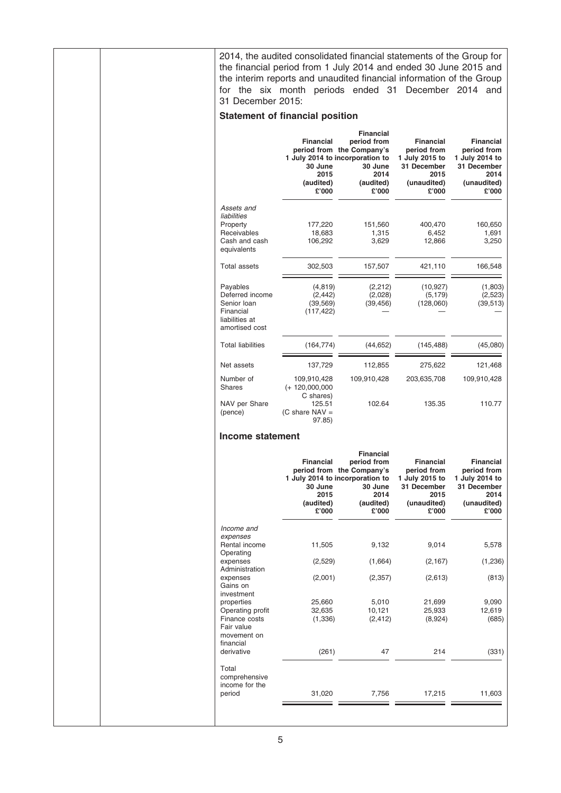| 2014, the audited consolidated financial statements of the Group for<br>the financial period from 1 July 2014 and ended 30 June 2015 and<br>the interim reports and unaudited financial information of the Group<br>for the six month periods ended 31 December 2014 and<br>31 December 2015: |                                                                        |                                                                                                                                          |                                                                                                  |                                                                                                  |
|-----------------------------------------------------------------------------------------------------------------------------------------------------------------------------------------------------------------------------------------------------------------------------------------------|------------------------------------------------------------------------|------------------------------------------------------------------------------------------------------------------------------------------|--------------------------------------------------------------------------------------------------|--------------------------------------------------------------------------------------------------|
| <b>Statement of financial position</b>                                                                                                                                                                                                                                                        |                                                                        |                                                                                                                                          |                                                                                                  |                                                                                                  |
|                                                                                                                                                                                                                                                                                               | <b>Financial</b><br>30 June<br>2015<br>(audited)<br>£'000              | <b>Financial</b><br>period from<br>period from the Company's<br>1 July 2014 to incorporation to<br>30 June<br>2014<br>(audited)<br>£'000 | <b>Financial</b><br>period from<br>1 July 2015 to<br>31 December<br>2015<br>(unaudited)<br>£'000 | <b>Financial</b><br>period from<br>1 July 2014 to<br>31 December<br>2014<br>(unaudited)<br>£'000 |
| Assets and<br>liabilities<br>Property<br>Receivables<br>Cash and cash<br>equivalents                                                                                                                                                                                                          | 177,220<br>18,683<br>106,292                                           | 151,560<br>1,315<br>3,629                                                                                                                | 400,470<br>6,452<br>12,866                                                                       | 160,650<br>1,691<br>3,250                                                                        |
| <b>Total assets</b>                                                                                                                                                                                                                                                                           | 302,503                                                                | 157,507                                                                                                                                  | 421,110                                                                                          | 166,548                                                                                          |
| Payables<br>Deferred income<br>Senior Ioan<br>Financial<br>liabilities at<br>amortised cost                                                                                                                                                                                                   | (4, 819)<br>(2, 442)<br>(39, 569)<br>(117, 422)                        | (2, 212)<br>(2,028)<br>(39, 456)                                                                                                         | (10, 927)<br>(5, 179)<br>(128,060)                                                               | (1,803)<br>(2,523)<br>(39, 513)                                                                  |
| <b>Total liabilities</b>                                                                                                                                                                                                                                                                      | (164, 774)                                                             | (44, 652)                                                                                                                                | (145, 488)                                                                                       | (45,080)                                                                                         |
| Net assets                                                                                                                                                                                                                                                                                    | 137,729                                                                | 112,855                                                                                                                                  | 275,622                                                                                          | 121,468                                                                                          |
| Number of                                                                                                                                                                                                                                                                                     | 109,910,428                                                            | 109,910,428                                                                                                                              | 203,635,708                                                                                      | 109,910,428                                                                                      |
| <b>Shares</b><br>NAV per Share<br>(pence)                                                                                                                                                                                                                                                     | $(+ 120,000,000)$<br>C shares)<br>125.51<br>(C share $NAV =$<br>97.85) | 102.64                                                                                                                                   | 135.35                                                                                           | 110.77                                                                                           |
| Income statement                                                                                                                                                                                                                                                                              |                                                                        |                                                                                                                                          |                                                                                                  |                                                                                                  |
|                                                                                                                                                                                                                                                                                               | <b>Financial</b><br>30 June<br>2015<br>(audited)<br>£'000              | <b>Financial</b><br>period from<br>period from the Company's<br>1 July 2014 to incorporation to<br>30 June<br>2014<br>(audited)<br>£'000 | <b>Financial</b><br>period from<br>1 July 2015 to<br>31 December<br>2015<br>(unaudited)<br>£'000 | <b>Financial</b><br>period from<br>1 July 2014 to<br>31 December<br>2014<br>(unaudited)<br>£'000 |
| Income and<br>expenses<br>Rental income<br>Operating                                                                                                                                                                                                                                          | 11,505                                                                 | 9,132                                                                                                                                    | 9,014                                                                                            | 5,578                                                                                            |
| expenses<br>Administration                                                                                                                                                                                                                                                                    | (2,529)                                                                | (1,664)                                                                                                                                  | (2, 167)                                                                                         | (1,236)                                                                                          |
| expenses<br>Gains on<br>investment                                                                                                                                                                                                                                                            | (2,001)                                                                | (2, 357)                                                                                                                                 | (2,613)                                                                                          | (813)                                                                                            |
| properties                                                                                                                                                                                                                                                                                    | 25,660                                                                 | 5,010                                                                                                                                    | 21,699                                                                                           | 9,090                                                                                            |
| Operating profit<br>Finance costs<br>Fair value<br>movement on<br>financial                                                                                                                                                                                                                   | 32,635<br>(1, 336)                                                     | 10,121<br>(2, 412)                                                                                                                       | 25,933<br>(8,924)                                                                                | 12,619<br>(685)                                                                                  |
| derivative                                                                                                                                                                                                                                                                                    | (261)                                                                  | 47                                                                                                                                       | 214                                                                                              | (331)                                                                                            |
| Total<br>comprehensive<br>income for the<br>period                                                                                                                                                                                                                                            | 31,020                                                                 | 7,756                                                                                                                                    | 17,215                                                                                           | 11,603                                                                                           |
|                                                                                                                                                                                                                                                                                               |                                                                        |                                                                                                                                          |                                                                                                  |                                                                                                  |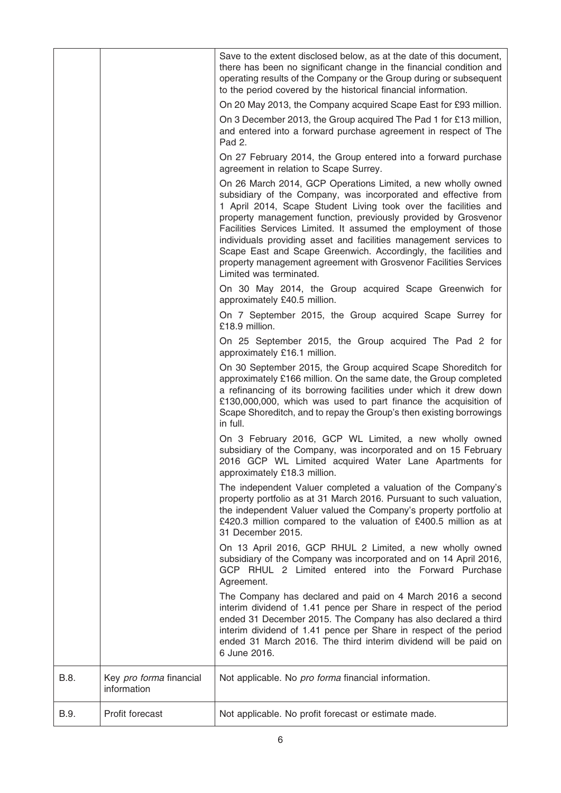|      |                                        | Save to the extent disclosed below, as at the date of this document,<br>there has been no significant change in the financial condition and<br>operating results of the Company or the Group during or subsequent<br>to the period covered by the historical financial information.                                                                                                                                                                                                                                                                                           |
|------|----------------------------------------|-------------------------------------------------------------------------------------------------------------------------------------------------------------------------------------------------------------------------------------------------------------------------------------------------------------------------------------------------------------------------------------------------------------------------------------------------------------------------------------------------------------------------------------------------------------------------------|
|      |                                        | On 20 May 2013, the Company acquired Scape East for £93 million.                                                                                                                                                                                                                                                                                                                                                                                                                                                                                                              |
|      |                                        | On 3 December 2013, the Group acquired The Pad 1 for £13 million,<br>and entered into a forward purchase agreement in respect of The<br>Pad 2.                                                                                                                                                                                                                                                                                                                                                                                                                                |
|      |                                        | On 27 February 2014, the Group entered into a forward purchase<br>agreement in relation to Scape Surrey.                                                                                                                                                                                                                                                                                                                                                                                                                                                                      |
|      |                                        | On 26 March 2014, GCP Operations Limited, a new wholly owned<br>subsidiary of the Company, was incorporated and effective from<br>1 April 2014, Scape Student Living took over the facilities and<br>property management function, previously provided by Grosvenor<br>Facilities Services Limited. It assumed the employment of those<br>individuals providing asset and facilities management services to<br>Scape East and Scape Greenwich. Accordingly, the facilities and<br>property management agreement with Grosvenor Facilities Services<br>Limited was terminated. |
|      |                                        | On 30 May 2014, the Group acquired Scape Greenwich for<br>approximately £40.5 million.                                                                                                                                                                                                                                                                                                                                                                                                                                                                                        |
|      |                                        | On 7 September 2015, the Group acquired Scape Surrey for<br>£18.9 million.                                                                                                                                                                                                                                                                                                                                                                                                                                                                                                    |
|      |                                        | On 25 September 2015, the Group acquired The Pad 2 for<br>approximately £16.1 million.                                                                                                                                                                                                                                                                                                                                                                                                                                                                                        |
|      |                                        | On 30 September 2015, the Group acquired Scape Shoreditch for<br>approximately £166 million. On the same date, the Group completed<br>a refinancing of its borrowing facilities under which it drew down<br>£130,000,000, which was used to part finance the acquisition of<br>Scape Shoreditch, and to repay the Group's then existing borrowings<br>in full.                                                                                                                                                                                                                |
|      |                                        | On 3 February 2016, GCP WL Limited, a new wholly owned<br>subsidiary of the Company, was incorporated and on 15 February<br>2016 GCP WL Limited acquired Water Lane Apartments for<br>approximately £18.3 million.                                                                                                                                                                                                                                                                                                                                                            |
|      |                                        | The independent Valuer completed a valuation of the Company's<br>property portfolio as at 31 March 2016. Pursuant to such valuation,<br>the independent Valuer valued the Company's property portfolio at<br>£420.3 million compared to the valuation of £400.5 million as at<br>31 December 2015.                                                                                                                                                                                                                                                                            |
|      |                                        | On 13 April 2016, GCP RHUL 2 Limited, a new wholly owned<br>subsidiary of the Company was incorporated and on 14 April 2016,<br>GCP RHUL 2 Limited entered into the Forward Purchase<br>Agreement.                                                                                                                                                                                                                                                                                                                                                                            |
|      |                                        | The Company has declared and paid on 4 March 2016 a second<br>interim dividend of 1.41 pence per Share in respect of the period<br>ended 31 December 2015. The Company has also declared a third<br>interim dividend of 1.41 pence per Share in respect of the period<br>ended 31 March 2016. The third interim dividend will be paid on<br>6 June 2016.                                                                                                                                                                                                                      |
| B.8. | Key pro forma financial<br>information | Not applicable. No pro forma financial information.                                                                                                                                                                                                                                                                                                                                                                                                                                                                                                                           |
| B.9. | Profit forecast                        | Not applicable. No profit forecast or estimate made.                                                                                                                                                                                                                                                                                                                                                                                                                                                                                                                          |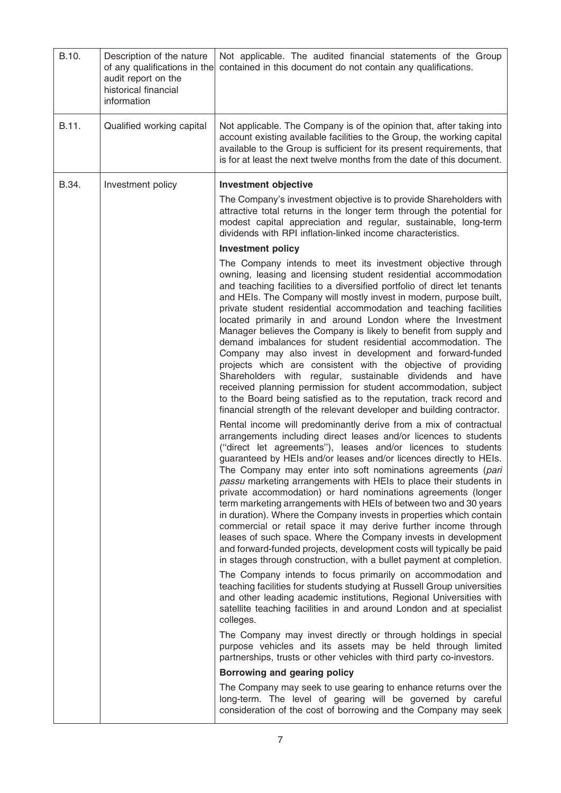| B.10. | Description of the nature<br>of any qualifications in the<br>audit report on the<br>historical financial<br>information | Not applicable. The audited financial statements of the Group<br>contained in this document do not contain any qualifications.                                                                                                                                                                                                                                                                                                                                                                                                                                                                                                                                                                                                                                                                                                                                                                                                                                           |
|-------|-------------------------------------------------------------------------------------------------------------------------|--------------------------------------------------------------------------------------------------------------------------------------------------------------------------------------------------------------------------------------------------------------------------------------------------------------------------------------------------------------------------------------------------------------------------------------------------------------------------------------------------------------------------------------------------------------------------------------------------------------------------------------------------------------------------------------------------------------------------------------------------------------------------------------------------------------------------------------------------------------------------------------------------------------------------------------------------------------------------|
| B.11. | Qualified working capital                                                                                               | Not applicable. The Company is of the opinion that, after taking into<br>account existing available facilities to the Group, the working capital<br>available to the Group is sufficient for its present requirements, that<br>is for at least the next twelve months from the date of this document.                                                                                                                                                                                                                                                                                                                                                                                                                                                                                                                                                                                                                                                                    |
| B.34. | Investment policy                                                                                                       | <b>Investment objective</b>                                                                                                                                                                                                                                                                                                                                                                                                                                                                                                                                                                                                                                                                                                                                                                                                                                                                                                                                              |
|       |                                                                                                                         | The Company's investment objective is to provide Shareholders with<br>attractive total returns in the longer term through the potential for<br>modest capital appreciation and regular, sustainable, long-term<br>dividends with RPI inflation-linked income characteristics.                                                                                                                                                                                                                                                                                                                                                                                                                                                                                                                                                                                                                                                                                            |
|       |                                                                                                                         | <b>Investment policy</b>                                                                                                                                                                                                                                                                                                                                                                                                                                                                                                                                                                                                                                                                                                                                                                                                                                                                                                                                                 |
|       |                                                                                                                         | The Company intends to meet its investment objective through<br>owning, leasing and licensing student residential accommodation<br>and teaching facilities to a diversified portfolio of direct let tenants<br>and HEIs. The Company will mostly invest in modern, purpose built,<br>private student residential accommodation and teaching facilities<br>located primarily in and around London where the Investment<br>Manager believes the Company is likely to benefit from supply and<br>demand imbalances for student residential accommodation. The<br>Company may also invest in development and forward-funded<br>projects which are consistent with the objective of providing<br>Shareholders with regular, sustainable dividends and have<br>received planning permission for student accommodation, subject<br>to the Board being satisfied as to the reputation, track record and<br>financial strength of the relevant developer and building contractor. |
|       |                                                                                                                         | Rental income will predominantly derive from a mix of contractual<br>arrangements including direct leases and/or licences to students<br>("direct let agreements"), leases and/or licences to students<br>guaranteed by HEIs and/or leases and/or licences directly to HEIs.<br>The Company may enter into soft nominations agreements (pari<br>passu marketing arrangements with HEIs to place their students in<br>private accommodation) or hard nominations agreements (longer<br>term marketing arrangements with HEIs of between two and 30 years<br>in duration). Where the Company invests in properties which contain<br>commercial or retail space it may derive further income through<br>leases of such space. Where the Company invests in development<br>and forward-funded projects, development costs will typically be paid<br>in stages through construction, with a bullet payment at completion.                                                     |
|       |                                                                                                                         | The Company intends to focus primarily on accommodation and<br>teaching facilities for students studying at Russell Group universities<br>and other leading academic institutions, Regional Universities with<br>satellite teaching facilities in and around London and at specialist<br>colleges.                                                                                                                                                                                                                                                                                                                                                                                                                                                                                                                                                                                                                                                                       |
|       |                                                                                                                         | The Company may invest directly or through holdings in special<br>purpose vehicles and its assets may be held through limited<br>partnerships, trusts or other vehicles with third party co-investors.                                                                                                                                                                                                                                                                                                                                                                                                                                                                                                                                                                                                                                                                                                                                                                   |
|       |                                                                                                                         | Borrowing and gearing policy                                                                                                                                                                                                                                                                                                                                                                                                                                                                                                                                                                                                                                                                                                                                                                                                                                                                                                                                             |
|       |                                                                                                                         | The Company may seek to use gearing to enhance returns over the<br>long-term. The level of gearing will be governed by careful<br>consideration of the cost of borrowing and the Company may seek                                                                                                                                                                                                                                                                                                                                                                                                                                                                                                                                                                                                                                                                                                                                                                        |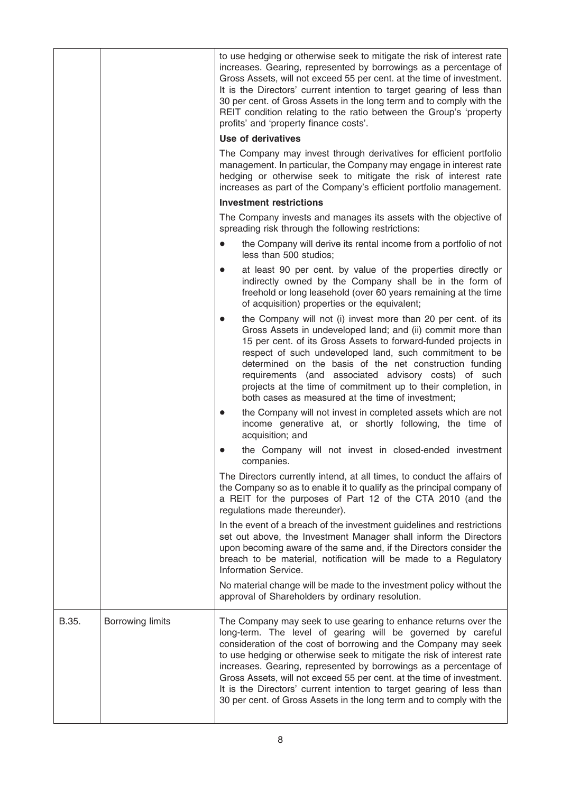|       |                         | to use hedging or otherwise seek to mitigate the risk of interest rate<br>increases. Gearing, represented by borrowings as a percentage of<br>Gross Assets, will not exceed 55 per cent. at the time of investment.<br>It is the Directors' current intention to target gearing of less than<br>30 per cent. of Gross Assets in the long term and to comply with the<br>REIT condition relating to the ratio between the Group's 'property<br>profits' and 'property finance costs'.                                                                                      |
|-------|-------------------------|---------------------------------------------------------------------------------------------------------------------------------------------------------------------------------------------------------------------------------------------------------------------------------------------------------------------------------------------------------------------------------------------------------------------------------------------------------------------------------------------------------------------------------------------------------------------------|
|       |                         | Use of derivatives                                                                                                                                                                                                                                                                                                                                                                                                                                                                                                                                                        |
|       |                         | The Company may invest through derivatives for efficient portfolio<br>management. In particular, the Company may engage in interest rate<br>hedging or otherwise seek to mitigate the risk of interest rate<br>increases as part of the Company's efficient portfolio management.                                                                                                                                                                                                                                                                                         |
|       |                         | <b>Investment restrictions</b>                                                                                                                                                                                                                                                                                                                                                                                                                                                                                                                                            |
|       |                         | The Company invests and manages its assets with the objective of<br>spreading risk through the following restrictions:                                                                                                                                                                                                                                                                                                                                                                                                                                                    |
|       |                         | the Company will derive its rental income from a portfolio of not<br>$\bullet$<br>less than 500 studios;                                                                                                                                                                                                                                                                                                                                                                                                                                                                  |
|       |                         | at least 90 per cent. by value of the properties directly or<br>$\bullet$<br>indirectly owned by the Company shall be in the form of<br>freehold or long leasehold (over 60 years remaining at the time<br>of acquisition) properties or the equivalent;                                                                                                                                                                                                                                                                                                                  |
|       |                         | the Company will not (i) invest more than 20 per cent. of its<br>Gross Assets in undeveloped land; and (ii) commit more than<br>15 per cent. of its Gross Assets to forward-funded projects in<br>respect of such undeveloped land, such commitment to be<br>determined on the basis of the net construction funding<br>requirements (and associated advisory costs) of such<br>projects at the time of commitment up to their completion, in<br>both cases as measured at the time of investment;                                                                        |
|       |                         | the Company will not invest in completed assets which are not<br>$\bullet$<br>income generative at, or shortly following, the time of<br>acquisition; and                                                                                                                                                                                                                                                                                                                                                                                                                 |
|       |                         | the Company will not invest in closed-ended investment<br>companies.                                                                                                                                                                                                                                                                                                                                                                                                                                                                                                      |
|       |                         | The Directors currently intend, at all times, to conduct the affairs of<br>the Company so as to enable it to qualify as the principal company of<br>a REIT for the purposes of Part 12 of the CTA 2010 (and the<br>regulations made thereunder).                                                                                                                                                                                                                                                                                                                          |
|       |                         | In the event of a breach of the investment guidelines and restrictions<br>set out above, the Investment Manager shall inform the Directors<br>upon becoming aware of the same and, if the Directors consider the<br>breach to be material, notification will be made to a Regulatory<br>Information Service.                                                                                                                                                                                                                                                              |
|       |                         | No material change will be made to the investment policy without the<br>approval of Shareholders by ordinary resolution.                                                                                                                                                                                                                                                                                                                                                                                                                                                  |
| B.35. | <b>Borrowing limits</b> | The Company may seek to use gearing to enhance returns over the<br>long-term. The level of gearing will be governed by careful<br>consideration of the cost of borrowing and the Company may seek<br>to use hedging or otherwise seek to mitigate the risk of interest rate<br>increases. Gearing, represented by borrowings as a percentage of<br>Gross Assets, will not exceed 55 per cent. at the time of investment.<br>It is the Directors' current intention to target gearing of less than<br>30 per cent. of Gross Assets in the long term and to comply with the |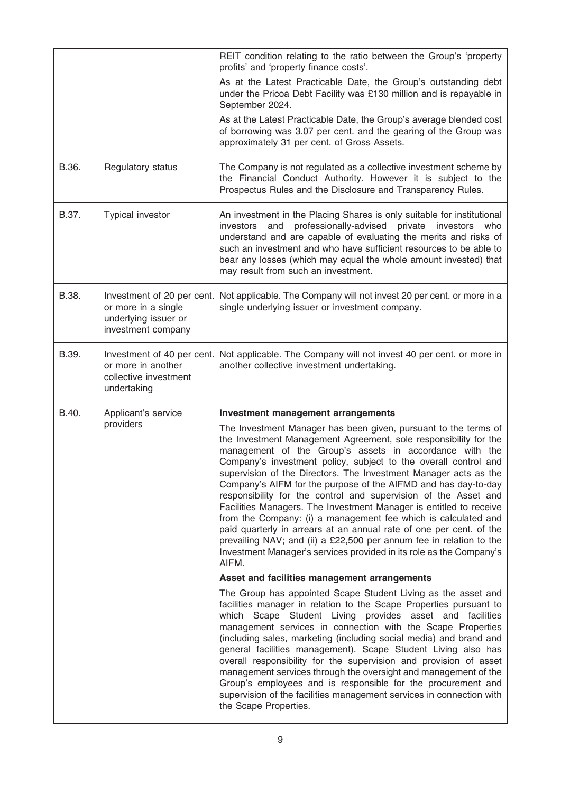|       |                                                                                                 | REIT condition relating to the ratio between the Group's 'property<br>profits' and 'property finance costs'.                                                                                                                                                                                                                                                                                                                                                                                                                                                                                                                                                                                                                                                                                                                                     |
|-------|-------------------------------------------------------------------------------------------------|--------------------------------------------------------------------------------------------------------------------------------------------------------------------------------------------------------------------------------------------------------------------------------------------------------------------------------------------------------------------------------------------------------------------------------------------------------------------------------------------------------------------------------------------------------------------------------------------------------------------------------------------------------------------------------------------------------------------------------------------------------------------------------------------------------------------------------------------------|
|       |                                                                                                 | As at the Latest Practicable Date, the Group's outstanding debt<br>under the Pricoa Debt Facility was £130 million and is repayable in<br>September 2024.                                                                                                                                                                                                                                                                                                                                                                                                                                                                                                                                                                                                                                                                                        |
|       |                                                                                                 | As at the Latest Practicable Date, the Group's average blended cost<br>of borrowing was 3.07 per cent. and the gearing of the Group was<br>approximately 31 per cent. of Gross Assets.                                                                                                                                                                                                                                                                                                                                                                                                                                                                                                                                                                                                                                                           |
| B.36. | Regulatory status                                                                               | The Company is not regulated as a collective investment scheme by<br>the Financial Conduct Authority. However it is subject to the<br>Prospectus Rules and the Disclosure and Transparency Rules.                                                                                                                                                                                                                                                                                                                                                                                                                                                                                                                                                                                                                                                |
| B.37. | Typical investor                                                                                | An investment in the Placing Shares is only suitable for institutional<br>professionally-advised private investors<br>and<br>investors<br>who<br>understand and are capable of evaluating the merits and risks of<br>such an investment and who have sufficient resources to be able to<br>bear any losses (which may equal the whole amount invested) that<br>may result from such an investment.                                                                                                                                                                                                                                                                                                                                                                                                                                               |
| B.38. | Investment of 20 per cent.<br>or more in a single<br>underlying issuer or<br>investment company | Not applicable. The Company will not invest 20 per cent. or more in a<br>single underlying issuer or investment company.                                                                                                                                                                                                                                                                                                                                                                                                                                                                                                                                                                                                                                                                                                                         |
| B.39. | Investment of 40 per cent.<br>or more in another<br>collective investment<br>undertaking        | Not applicable. The Company will not invest 40 per cent. or more in<br>another collective investment undertaking.                                                                                                                                                                                                                                                                                                                                                                                                                                                                                                                                                                                                                                                                                                                                |
| B.40. | Applicant's service                                                                             | <b>Investment management arrangements</b>                                                                                                                                                                                                                                                                                                                                                                                                                                                                                                                                                                                                                                                                                                                                                                                                        |
|       | providers                                                                                       | The Investment Manager has been given, pursuant to the terms of<br>the Investment Management Agreement, sole responsibility for the<br>management of the Group's assets in accordance with the<br>Company's investment policy, subject to the overall control and<br>supervision of the Directors. The Investment Manager acts as the<br>Company's AIFM for the purpose of the AIFMD and has day-to-day<br>responsibility for the control and supervision of the Asset and<br>Facilities Managers. The Investment Manager is entitled to receive<br>from the Company: (i) a management fee which is calculated and<br>paid quarterly in arrears at an annual rate of one per cent. of the<br>prevailing NAV; and (ii) a £22,500 per annum fee in relation to the<br>Investment Manager's services provided in its role as the Company's<br>AIFM. |
|       |                                                                                                 | Asset and facilities management arrangements                                                                                                                                                                                                                                                                                                                                                                                                                                                                                                                                                                                                                                                                                                                                                                                                     |
|       |                                                                                                 | The Group has appointed Scape Student Living as the asset and<br>facilities manager in relation to the Scape Properties pursuant to<br>which Scape Student Living provides asset and facilities<br>management services in connection with the Scape Properties<br>(including sales, marketing (including social media) and brand and<br>general facilities management). Scape Student Living also has<br>overall responsibility for the supervision and provision of asset<br>management services through the oversight and management of the<br>Group's employees and is responsible for the procurement and<br>supervision of the facilities management services in connection with<br>the Scape Properties.                                                                                                                                   |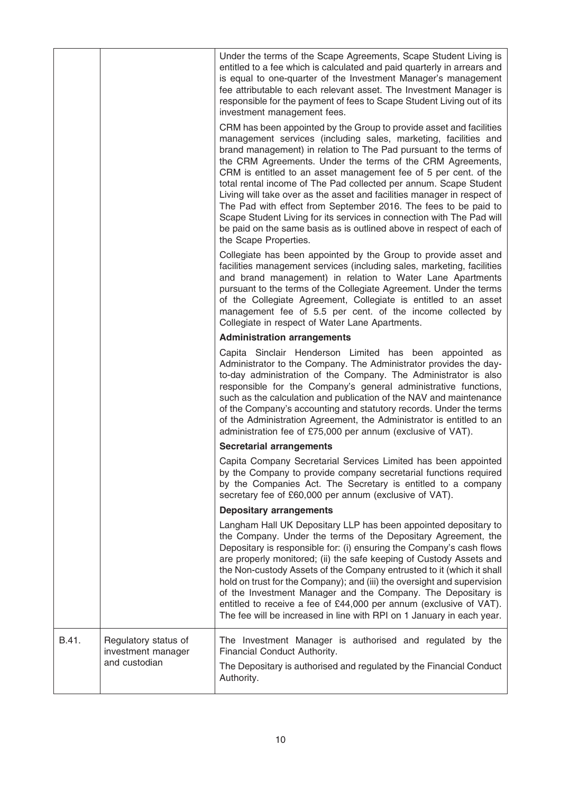|       |                                                             | Under the terms of the Scape Agreements, Scape Student Living is<br>entitled to a fee which is calculated and paid quarterly in arrears and<br>is equal to one-quarter of the Investment Manager's management<br>fee attributable to each relevant asset. The Investment Manager is<br>responsible for the payment of fees to Scape Student Living out of its<br>investment management fees.                                                                                                                                                                                                                                                                                                                                               |
|-------|-------------------------------------------------------------|--------------------------------------------------------------------------------------------------------------------------------------------------------------------------------------------------------------------------------------------------------------------------------------------------------------------------------------------------------------------------------------------------------------------------------------------------------------------------------------------------------------------------------------------------------------------------------------------------------------------------------------------------------------------------------------------------------------------------------------------|
|       |                                                             | CRM has been appointed by the Group to provide asset and facilities<br>management services (including sales, marketing, facilities and<br>brand management) in relation to The Pad pursuant to the terms of<br>the CRM Agreements. Under the terms of the CRM Agreements,<br>CRM is entitled to an asset management fee of 5 per cent. of the<br>total rental income of The Pad collected per annum. Scape Student<br>Living will take over as the asset and facilities manager in respect of<br>The Pad with effect from September 2016. The fees to be paid to<br>Scape Student Living for its services in connection with The Pad will<br>be paid on the same basis as is outlined above in respect of each of<br>the Scape Properties. |
|       |                                                             | Collegiate has been appointed by the Group to provide asset and<br>facilities management services (including sales, marketing, facilities<br>and brand management) in relation to Water Lane Apartments<br>pursuant to the terms of the Collegiate Agreement. Under the terms<br>of the Collegiate Agreement, Collegiate is entitled to an asset<br>management fee of 5.5 per cent. of the income collected by<br>Collegiate in respect of Water Lane Apartments.                                                                                                                                                                                                                                                                          |
|       |                                                             | <b>Administration arrangements</b>                                                                                                                                                                                                                                                                                                                                                                                                                                                                                                                                                                                                                                                                                                         |
|       |                                                             | Capita Sinclair Henderson Limited has been appointed as<br>Administrator to the Company. The Administrator provides the day-<br>to-day administration of the Company. The Administrator is also<br>responsible for the Company's general administrative functions,<br>such as the calculation and publication of the NAV and maintenance<br>of the Company's accounting and statutory records. Under the terms<br>of the Administration Agreement, the Administrator is entitled to an<br>administration fee of £75,000 per annum (exclusive of VAT).                                                                                                                                                                                      |
|       |                                                             | <b>Secretarial arrangements</b>                                                                                                                                                                                                                                                                                                                                                                                                                                                                                                                                                                                                                                                                                                            |
|       |                                                             | Capita Company Secretarial Services Limited has been appointed<br>by the Company to provide company secretarial functions required<br>by the Companies Act. The Secretary is entitled to a company<br>secretary fee of £60,000 per annum (exclusive of VAT).                                                                                                                                                                                                                                                                                                                                                                                                                                                                               |
|       |                                                             | <b>Depositary arrangements</b>                                                                                                                                                                                                                                                                                                                                                                                                                                                                                                                                                                                                                                                                                                             |
|       |                                                             | Langham Hall UK Depositary LLP has been appointed depositary to<br>the Company. Under the terms of the Depositary Agreement, the<br>Depositary is responsible for: (i) ensuring the Company's cash flows<br>are properly monitored; (ii) the safe keeping of Custody Assets and<br>the Non-custody Assets of the Company entrusted to it (which it shall<br>hold on trust for the Company); and (iii) the oversight and supervision<br>of the Investment Manager and the Company. The Depositary is<br>entitled to receive a fee of £44,000 per annum (exclusive of VAT).<br>The fee will be increased in line with RPI on 1 January in each year.                                                                                         |
| B.41. | Regulatory status of<br>investment manager<br>and custodian | The Investment Manager is authorised and regulated by the<br>Financial Conduct Authority.<br>The Depositary is authorised and regulated by the Financial Conduct<br>Authority.                                                                                                                                                                                                                                                                                                                                                                                                                                                                                                                                                             |
|       |                                                             |                                                                                                                                                                                                                                                                                                                                                                                                                                                                                                                                                                                                                                                                                                                                            |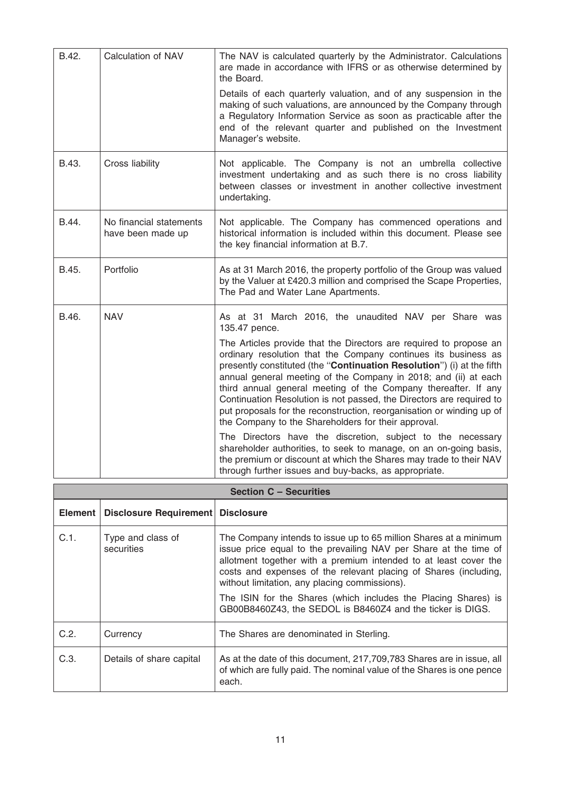| B.42. | Calculation of NAV                           | The NAV is calculated quarterly by the Administrator. Calculations<br>are made in accordance with IFRS or as otherwise determined by<br>the Board.                                                                                                                                                                                                                                                                                                                                                                                                          |
|-------|----------------------------------------------|-------------------------------------------------------------------------------------------------------------------------------------------------------------------------------------------------------------------------------------------------------------------------------------------------------------------------------------------------------------------------------------------------------------------------------------------------------------------------------------------------------------------------------------------------------------|
|       |                                              | Details of each quarterly valuation, and of any suspension in the<br>making of such valuations, are announced by the Company through<br>a Regulatory Information Service as soon as practicable after the<br>end of the relevant quarter and published on the Investment<br>Manager's website.                                                                                                                                                                                                                                                              |
| B.43. | Cross liability                              | Not applicable. The Company is not an umbrella collective<br>investment undertaking and as such there is no cross liability<br>between classes or investment in another collective investment<br>undertaking.                                                                                                                                                                                                                                                                                                                                               |
| B.44. | No financial statements<br>have been made up | Not applicable. The Company has commenced operations and<br>historical information is included within this document. Please see<br>the key financial information at B.7.                                                                                                                                                                                                                                                                                                                                                                                    |
| B.45. | Portfolio                                    | As at 31 March 2016, the property portfolio of the Group was valued<br>by the Valuer at £420.3 million and comprised the Scape Properties,<br>The Pad and Water Lane Apartments.                                                                                                                                                                                                                                                                                                                                                                            |
| B.46. | <b>NAV</b>                                   | As at 31 March 2016, the unaudited NAV per Share was<br>135.47 pence.                                                                                                                                                                                                                                                                                                                                                                                                                                                                                       |
|       |                                              | The Articles provide that the Directors are required to propose an<br>ordinary resolution that the Company continues its business as<br>presently constituted (the "Continuation Resolution") (i) at the fifth<br>annual general meeting of the Company in 2018; and (ii) at each<br>third annual general meeting of the Company thereafter. If any<br>Continuation Resolution is not passed, the Directors are required to<br>put proposals for the reconstruction, reorganisation or winding up of<br>the Company to the Shareholders for their approval. |
|       |                                              | The Directors have the discretion, subject to the necessary<br>shareholder authorities, to seek to manage, on an on-going basis,<br>the premium or discount at which the Shares may trade to their NAV<br>through further issues and buy-backs, as appropriate.                                                                                                                                                                                                                                                                                             |

| <b>Section C - Securities</b> |                                     |                                                                                                                                                                                                                                                                                                                                                                                                                                                                |  |
|-------------------------------|-------------------------------------|----------------------------------------------------------------------------------------------------------------------------------------------------------------------------------------------------------------------------------------------------------------------------------------------------------------------------------------------------------------------------------------------------------------------------------------------------------------|--|
| Element                       | Disclosure Requirement   Disclosure |                                                                                                                                                                                                                                                                                                                                                                                                                                                                |  |
| C.1.                          | Type and class of<br>securities     | The Company intends to issue up to 65 million Shares at a minimum<br>issue price equal to the prevailing NAV per Share at the time of<br>allotment together with a premium intended to at least cover the<br>costs and expenses of the relevant placing of Shares (including,<br>without limitation, any placing commissions).<br>The ISIN for the Shares (which includes the Placing Shares) is<br>GB00B8460Z43, the SEDOL is B8460Z4 and the ticker is DIGS. |  |
| C.2.                          | Currency                            | The Shares are denominated in Sterling.                                                                                                                                                                                                                                                                                                                                                                                                                        |  |
| C.3.                          | Details of share capital            | As at the date of this document, 217, 709, 783 Shares are in issue, all<br>of which are fully paid. The nominal value of the Shares is one pence<br>each.                                                                                                                                                                                                                                                                                                      |  |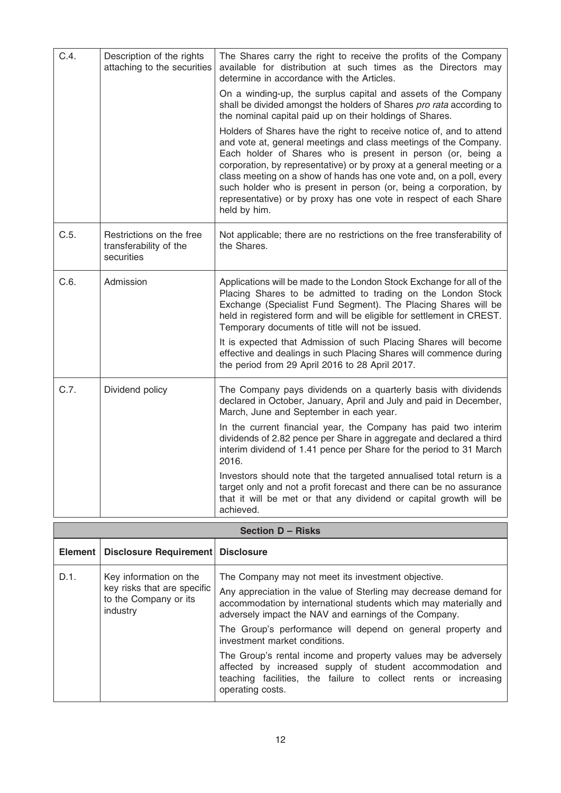| C.4. | Description of the rights<br>attaching to the securities         | The Shares carry the right to receive the profits of the Company<br>available for distribution at such times as the Directors may<br>determine in accordance with the Articles.                                                                                                                                                                                                                                                                                                                                   |
|------|------------------------------------------------------------------|-------------------------------------------------------------------------------------------------------------------------------------------------------------------------------------------------------------------------------------------------------------------------------------------------------------------------------------------------------------------------------------------------------------------------------------------------------------------------------------------------------------------|
|      |                                                                  | On a winding-up, the surplus capital and assets of the Company<br>shall be divided amongst the holders of Shares pro rata according to<br>the nominal capital paid up on their holdings of Shares.                                                                                                                                                                                                                                                                                                                |
|      |                                                                  | Holders of Shares have the right to receive notice of, and to attend<br>and vote at, general meetings and class meetings of the Company.<br>Each holder of Shares who is present in person (or, being a<br>corporation, by representative) or by proxy at a general meeting or a<br>class meeting on a show of hands has one vote and, on a poll, every<br>such holder who is present in person (or, being a corporation, by<br>representative) or by proxy has one vote in respect of each Share<br>held by him. |
| C.5. | Restrictions on the free<br>transferability of the<br>securities | Not applicable; there are no restrictions on the free transferability of<br>the Shares.                                                                                                                                                                                                                                                                                                                                                                                                                           |
| C.6. | Admission                                                        | Applications will be made to the London Stock Exchange for all of the<br>Placing Shares to be admitted to trading on the London Stock<br>Exchange (Specialist Fund Segment). The Placing Shares will be<br>held in registered form and will be eligible for settlement in CREST.<br>Temporary documents of title will not be issued.                                                                                                                                                                              |
|      |                                                                  | It is expected that Admission of such Placing Shares will become<br>effective and dealings in such Placing Shares will commence during<br>the period from 29 April 2016 to 28 April 2017.                                                                                                                                                                                                                                                                                                                         |
| C.7. | Dividend policy                                                  | The Company pays dividends on a quarterly basis with dividends<br>declared in October, January, April and July and paid in December,<br>March, June and September in each year.                                                                                                                                                                                                                                                                                                                                   |
|      |                                                                  | In the current financial year, the Company has paid two interim<br>dividends of 2.82 pence per Share in aggregate and declared a third<br>interim dividend of 1.41 pence per Share for the period to 31 March<br>2016.                                                                                                                                                                                                                                                                                            |
|      |                                                                  | Investors should note that the targeted annualised total return is a<br>target only and not a profit forecast and there can be no assurance<br>that it will be met or that any dividend or capital growth will be<br>achieved.                                                                                                                                                                                                                                                                                    |

| <b>Section D - Risks</b> |                                                                                            |                                                                                                                                                                                                                                                                                                                                                                                                                                                                                                                                                                            |
|--------------------------|--------------------------------------------------------------------------------------------|----------------------------------------------------------------------------------------------------------------------------------------------------------------------------------------------------------------------------------------------------------------------------------------------------------------------------------------------------------------------------------------------------------------------------------------------------------------------------------------------------------------------------------------------------------------------------|
|                          | Element   Disclosure Requirement   Disclosure                                              |                                                                                                                                                                                                                                                                                                                                                                                                                                                                                                                                                                            |
| D.1.                     | Key information on the<br>key risks that are specific<br>to the Company or its<br>industry | The Company may not meet its investment objective.<br>Any appreciation in the value of Sterling may decrease demand for<br>accommodation by international students which may materially and<br>adversely impact the NAV and earnings of the Company.<br>The Group's performance will depend on general property and<br>investment market conditions.<br>The Group's rental income and property values may be adversely<br>affected by increased supply of student accommodation and<br>teaching facilities, the failure to collect rents or increasing<br>operating costs. |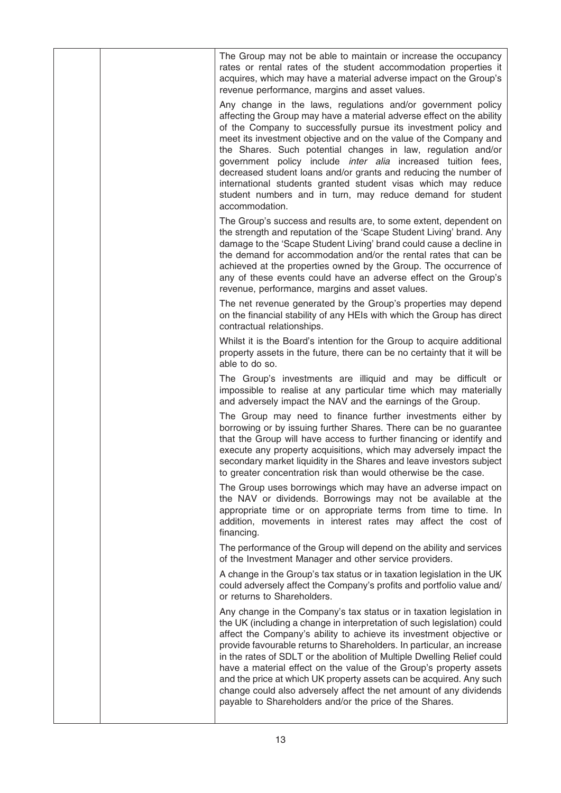|  | The Group may not be able to maintain or increase the occupancy<br>rates or rental rates of the student accommodation properties it<br>acquires, which may have a material adverse impact on the Group's<br>revenue performance, margins and asset values.                                                                                                                                                                                                                                                                                                                                                                                                |
|--|-----------------------------------------------------------------------------------------------------------------------------------------------------------------------------------------------------------------------------------------------------------------------------------------------------------------------------------------------------------------------------------------------------------------------------------------------------------------------------------------------------------------------------------------------------------------------------------------------------------------------------------------------------------|
|  | Any change in the laws, regulations and/or government policy<br>affecting the Group may have a material adverse effect on the ability<br>of the Company to successfully pursue its investment policy and<br>meet its investment objective and on the value of the Company and<br>the Shares. Such potential changes in law, regulation and/or<br>government policy include <i>inter alia</i> increased tuition fees,<br>decreased student loans and/or grants and reducing the number of<br>international students granted student visas which may reduce<br>student numbers and in turn, may reduce demand for student<br>accommodation.                 |
|  | The Group's success and results are, to some extent, dependent on<br>the strength and reputation of the 'Scape Student Living' brand. Any<br>damage to the 'Scape Student Living' brand could cause a decline in<br>the demand for accommodation and/or the rental rates that can be<br>achieved at the properties owned by the Group. The occurrence of<br>any of these events could have an adverse effect on the Group's<br>revenue, performance, margins and asset values.                                                                                                                                                                            |
|  | The net revenue generated by the Group's properties may depend<br>on the financial stability of any HEIs with which the Group has direct<br>contractual relationships.                                                                                                                                                                                                                                                                                                                                                                                                                                                                                    |
|  | Whilst it is the Board's intention for the Group to acquire additional<br>property assets in the future, there can be no certainty that it will be<br>able to do so.                                                                                                                                                                                                                                                                                                                                                                                                                                                                                      |
|  | The Group's investments are illiquid and may be difficult or<br>impossible to realise at any particular time which may materially<br>and adversely impact the NAV and the earnings of the Group.                                                                                                                                                                                                                                                                                                                                                                                                                                                          |
|  | The Group may need to finance further investments either by<br>borrowing or by issuing further Shares. There can be no guarantee<br>that the Group will have access to further financing or identify and<br>execute any property acquisitions, which may adversely impact the<br>secondary market liquidity in the Shares and leave investors subject<br>to greater concentration risk than would otherwise be the case.                                                                                                                                                                                                                                  |
|  | The Group uses borrowings which may have an adverse impact on<br>the NAV or dividends. Borrowings may not be available at the<br>appropriate time or on appropriate terms from time to time. In<br>addition, movements in interest rates may affect the cost of<br>financing.                                                                                                                                                                                                                                                                                                                                                                             |
|  | The performance of the Group will depend on the ability and services<br>of the Investment Manager and other service providers.                                                                                                                                                                                                                                                                                                                                                                                                                                                                                                                            |
|  | A change in the Group's tax status or in taxation legislation in the UK<br>could adversely affect the Company's profits and portfolio value and/<br>or returns to Shareholders.                                                                                                                                                                                                                                                                                                                                                                                                                                                                           |
|  | Any change in the Company's tax status or in taxation legislation in<br>the UK (including a change in interpretation of such legislation) could<br>affect the Company's ability to achieve its investment objective or<br>provide favourable returns to Shareholders. In particular, an increase<br>in the rates of SDLT or the abolition of Multiple Dwelling Relief could<br>have a material effect on the value of the Group's property assets<br>and the price at which UK property assets can be acquired. Any such<br>change could also adversely affect the net amount of any dividends<br>payable to Shareholders and/or the price of the Shares. |
|  |                                                                                                                                                                                                                                                                                                                                                                                                                                                                                                                                                                                                                                                           |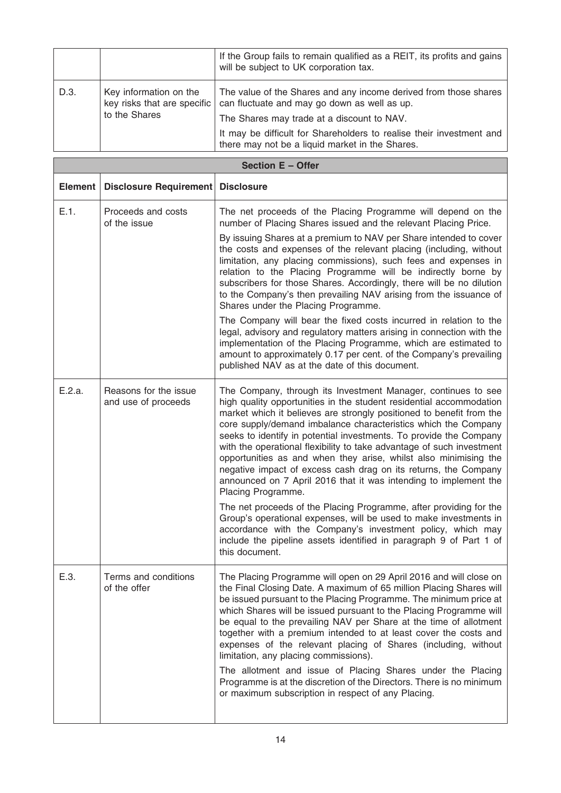|      |                                                                        | If the Group fails to remain qualified as a REIT, its profits and gains<br>will be subject to UK corporation tax.                                                                                                                                                                         |
|------|------------------------------------------------------------------------|-------------------------------------------------------------------------------------------------------------------------------------------------------------------------------------------------------------------------------------------------------------------------------------------|
| D.3. | Key information on the<br>key risks that are specific<br>to the Shares | The value of the Shares and any income derived from those shares<br>can fluctuate and may go down as well as up.<br>The Shares may trade at a discount to NAV.<br>It may be difficult for Shareholders to realise their investment and<br>there may not be a liquid market in the Shares. |

| Section E - Offer |                                              |                                                                                                                                                                                                                                                                                                                                                                                                                                                                                                                                                                                                                                                                |  |
|-------------------|----------------------------------------------|----------------------------------------------------------------------------------------------------------------------------------------------------------------------------------------------------------------------------------------------------------------------------------------------------------------------------------------------------------------------------------------------------------------------------------------------------------------------------------------------------------------------------------------------------------------------------------------------------------------------------------------------------------------|--|
| <b>Element</b>    | Disclosure Requirement                       | <b>Disclosure</b>                                                                                                                                                                                                                                                                                                                                                                                                                                                                                                                                                                                                                                              |  |
| E.1.              | Proceeds and costs<br>of the issue           | The net proceeds of the Placing Programme will depend on the<br>number of Placing Shares issued and the relevant Placing Price.                                                                                                                                                                                                                                                                                                                                                                                                                                                                                                                                |  |
|                   |                                              | By issuing Shares at a premium to NAV per Share intended to cover<br>the costs and expenses of the relevant placing (including, without<br>limitation, any placing commissions), such fees and expenses in<br>relation to the Placing Programme will be indirectly borne by<br>subscribers for those Shares. Accordingly, there will be no dilution<br>to the Company's then prevailing NAV arising from the issuance of<br>Shares under the Placing Programme.                                                                                                                                                                                                |  |
|                   |                                              | The Company will bear the fixed costs incurred in relation to the<br>legal, advisory and regulatory matters arising in connection with the<br>implementation of the Placing Programme, which are estimated to<br>amount to approximately 0.17 per cent. of the Company's prevailing<br>published NAV as at the date of this document.                                                                                                                                                                                                                                                                                                                          |  |
| E.2.a.            | Reasons for the issue<br>and use of proceeds | The Company, through its Investment Manager, continues to see<br>high quality opportunities in the student residential accommodation<br>market which it believes are strongly positioned to benefit from the<br>core supply/demand imbalance characteristics which the Company<br>seeks to identify in potential investments. To provide the Company<br>with the operational flexibility to take advantage of such investment<br>opportunities as and when they arise, whilst also minimising the<br>negative impact of excess cash drag on its returns, the Company<br>announced on 7 April 2016 that it was intending to implement the<br>Placing Programme. |  |
|                   |                                              | The net proceeds of the Placing Programme, after providing for the<br>Group's operational expenses, will be used to make investments in<br>accordance with the Company's investment policy, which may<br>include the pipeline assets identified in paragraph 9 of Part 1 of<br>this document.                                                                                                                                                                                                                                                                                                                                                                  |  |
| E.3.              | Terms and conditions<br>of the offer         | The Placing Programme will open on 29 April 2016 and will close on<br>the Final Closing Date. A maximum of 65 million Placing Shares will<br>be issued pursuant to the Placing Programme. The minimum price at<br>which Shares will be issued pursuant to the Placing Programme will<br>be equal to the prevailing NAV per Share at the time of allotment<br>together with a premium intended to at least cover the costs and<br>expenses of the relevant placing of Shares (including, without<br>limitation, any placing commissions).                                                                                                                       |  |
|                   |                                              | The allotment and issue of Placing Shares under the Placing<br>Programme is at the discretion of the Directors. There is no minimum<br>or maximum subscription in respect of any Placing.                                                                                                                                                                                                                                                                                                                                                                                                                                                                      |  |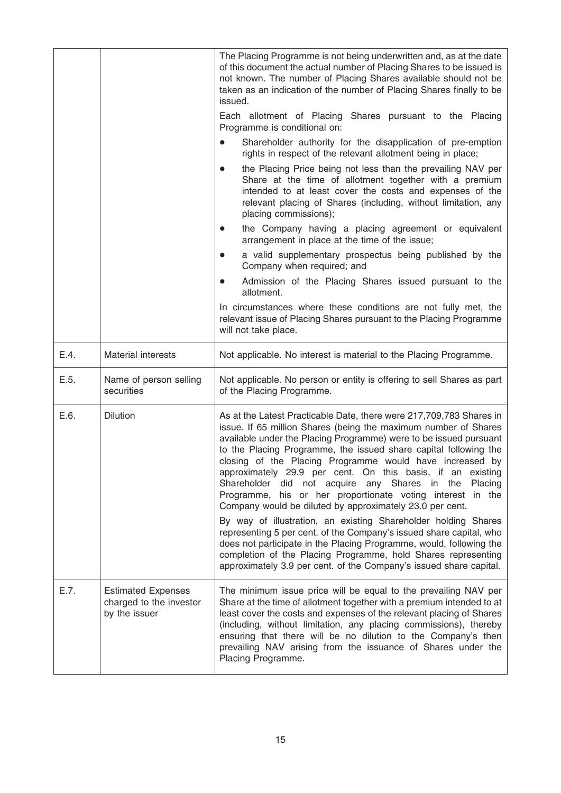|      |                                                                       | The Placing Programme is not being underwritten and, as at the date<br>of this document the actual number of Placing Shares to be issued is<br>not known. The number of Placing Shares available should not be<br>taken as an indication of the number of Placing Shares finally to be<br>issued.<br>Each allotment of Placing Shares pursuant to the Placing<br>Programme is conditional on:<br>Shareholder authority for the disapplication of pre-emption<br>$\bullet$<br>rights in respect of the relevant allotment being in place;<br>the Placing Price being not less than the prevailing NAV per<br>$\bullet$<br>Share at the time of allotment together with a premium<br>intended to at least cover the costs and expenses of the<br>relevant placing of Shares (including, without limitation, any<br>placing commissions);<br>the Company having a placing agreement or equivalent<br>arrangement in place at the time of the issue;<br>a valid supplementary prospectus being published by the<br>$\bullet$<br>Company when required; and<br>Admission of the Placing Shares issued pursuant to the<br>$\bullet$ |
|------|-----------------------------------------------------------------------|-------------------------------------------------------------------------------------------------------------------------------------------------------------------------------------------------------------------------------------------------------------------------------------------------------------------------------------------------------------------------------------------------------------------------------------------------------------------------------------------------------------------------------------------------------------------------------------------------------------------------------------------------------------------------------------------------------------------------------------------------------------------------------------------------------------------------------------------------------------------------------------------------------------------------------------------------------------------------------------------------------------------------------------------------------------------------------------------------------------------------------|
|      |                                                                       | allotment.<br>In circumstances where these conditions are not fully met, the<br>relevant issue of Placing Shares pursuant to the Placing Programme<br>will not take place.                                                                                                                                                                                                                                                                                                                                                                                                                                                                                                                                                                                                                                                                                                                                                                                                                                                                                                                                                    |
| E.4. | <b>Material interests</b>                                             | Not applicable. No interest is material to the Placing Programme.                                                                                                                                                                                                                                                                                                                                                                                                                                                                                                                                                                                                                                                                                                                                                                                                                                                                                                                                                                                                                                                             |
| E.5. | Name of person selling<br>securities                                  | Not applicable. No person or entity is offering to sell Shares as part<br>of the Placing Programme.                                                                                                                                                                                                                                                                                                                                                                                                                                                                                                                                                                                                                                                                                                                                                                                                                                                                                                                                                                                                                           |
| E.6. | <b>Dilution</b>                                                       | As at the Latest Practicable Date, there were 217,709,783 Shares in<br>issue. If 65 million Shares (being the maximum number of Shares<br>available under the Placing Programme) were to be issued pursuant<br>to the Placing Programme, the issued share capital following the<br>closing of the Placing Programme would have increased by<br>approximately 29.9 per cent. On this basis, if an existing<br>Shareholder did not acquire<br>any Shares<br>in<br>the<br>Placing<br>Programme, his or her proportionate voting interest in the<br>Company would be diluted by approximately 23.0 per cent.<br>By way of illustration, an existing Shareholder holding Shares<br>representing 5 per cent. of the Company's issued share capital, who<br>does not participate in the Placing Programme, would, following the<br>completion of the Placing Programme, hold Shares representing<br>approximately 3.9 per cent. of the Company's issued share capital.                                                                                                                                                               |
| E.7. | <b>Estimated Expenses</b><br>charged to the investor<br>by the issuer | The minimum issue price will be equal to the prevailing NAV per<br>Share at the time of allotment together with a premium intended to at<br>least cover the costs and expenses of the relevant placing of Shares<br>(including, without limitation, any placing commissions), thereby<br>ensuring that there will be no dilution to the Company's then<br>prevailing NAV arising from the issuance of Shares under the<br>Placing Programme.                                                                                                                                                                                                                                                                                                                                                                                                                                                                                                                                                                                                                                                                                  |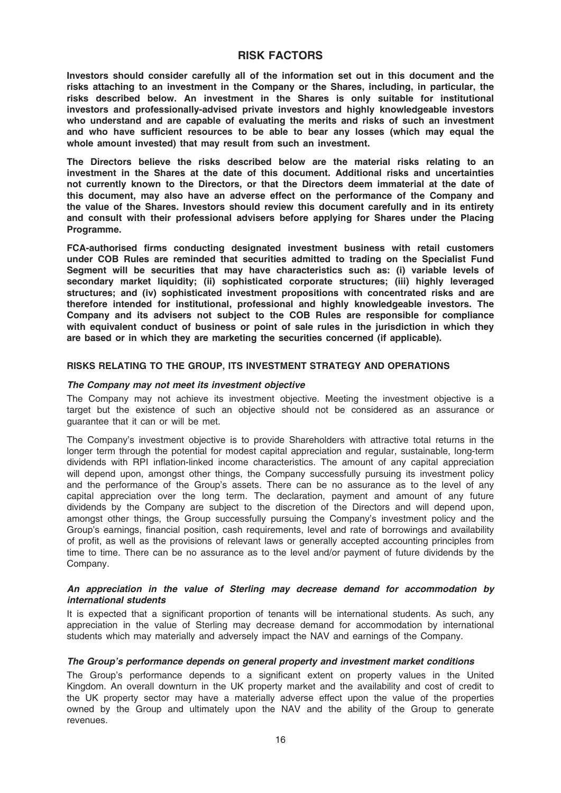### RISK FACTORS

Investors should consider carefully all of the information set out in this document and the risks attaching to an investment in the Company or the Shares, including, in particular, the risks described below. An investment in the Shares is only suitable for institutional investors and professionally-advised private investors and highly knowledgeable investors who understand and are capable of evaluating the merits and risks of such an investment and who have sufficient resources to be able to bear any losses (which may equal the whole amount invested) that may result from such an investment.

The Directors believe the risks described below are the material risks relating to an investment in the Shares at the date of this document. Additional risks and uncertainties not currently known to the Directors, or that the Directors deem immaterial at the date of this document, may also have an adverse effect on the performance of the Company and the value of the Shares. Investors should review this document carefully and in its entirety and consult with their professional advisers before applying for Shares under the Placing Programme.

FCA-authorised firms conducting designated investment business with retail customers under COB Rules are reminded that securities admitted to trading on the Specialist Fund Segment will be securities that may have characteristics such as: (i) variable levels of secondary market liquidity; (ii) sophisticated corporate structures; (iii) highly leveraged structures; and (iv) sophisticated investment propositions with concentrated risks and are therefore intended for institutional, professional and highly knowledgeable investors. The Company and its advisers not subject to the COB Rules are responsible for compliance with equivalent conduct of business or point of sale rules in the jurisdiction in which they are based or in which they are marketing the securities concerned (if applicable).

#### RISKS RELATING TO THE GROUP, ITS INVESTMENT STRATEGY AND OPERATIONS

#### The Company may not meet its investment objective

The Company may not achieve its investment objective. Meeting the investment objective is a target but the existence of such an objective should not be considered as an assurance or guarantee that it can or will be met.

The Company's investment objective is to provide Shareholders with attractive total returns in the longer term through the potential for modest capital appreciation and regular, sustainable, long-term dividends with RPI inflation-linked income characteristics. The amount of any capital appreciation will depend upon, amongst other things, the Company successfully pursuing its investment policy and the performance of the Group's assets. There can be no assurance as to the level of any capital appreciation over the long term. The declaration, payment and amount of any future dividends by the Company are subject to the discretion of the Directors and will depend upon, amongst other things, the Group successfully pursuing the Company's investment policy and the Group's earnings, financial position, cash requirements, level and rate of borrowings and availability of profit, as well as the provisions of relevant laws or generally accepted accounting principles from time to time. There can be no assurance as to the level and/or payment of future dividends by the Company.

#### An appreciation in the value of Sterling may decrease demand for accommodation by international students

It is expected that a significant proportion of tenants will be international students. As such. anv appreciation in the value of Sterling may decrease demand for accommodation by international students which may materially and adversely impact the NAV and earnings of the Company.

#### The Group's performance depends on general property and investment market conditions

The Group's performance depends to a significant extent on property values in the United Kingdom. An overall downturn in the UK property market and the availability and cost of credit to the UK property sector may have a materially adverse effect upon the value of the properties owned by the Group and ultimately upon the NAV and the ability of the Group to generate revenues.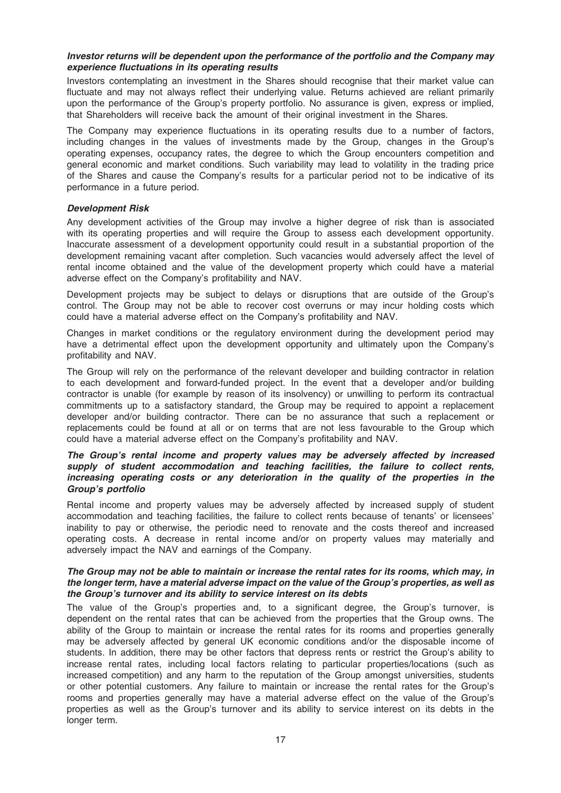#### Investor returns will be dependent upon the performance of the portfolio and the Company may experience fluctuations in its operating results

Investors contemplating an investment in the Shares should recognise that their market value can fluctuate and may not always reflect their underlying value. Returns achieved are reliant primarily upon the performance of the Group's property portfolio. No assurance is given, express or implied, that Shareholders will receive back the amount of their original investment in the Shares.

The Company may experience fluctuations in its operating results due to a number of factors, including changes in the values of investments made by the Group, changes in the Group's operating expenses, occupancy rates, the degree to which the Group encounters competition and general economic and market conditions. Such variability may lead to volatility in the trading price of the Shares and cause the Company's results for a particular period not to be indicative of its performance in a future period.

#### Development Risk

Any development activities of the Group may involve a higher degree of risk than is associated with its operating properties and will require the Group to assess each development opportunity. Inaccurate assessment of a development opportunity could result in a substantial proportion of the development remaining vacant after completion. Such vacancies would adversely affect the level of rental income obtained and the value of the development property which could have a material adverse effect on the Company's profitability and NAV.

Development projects may be subject to delays or disruptions that are outside of the Group's control. The Group may not be able to recover cost overruns or may incur holding costs which could have a material adverse effect on the Company's profitability and NAV.

Changes in market conditions or the regulatory environment during the development period may have a detrimental effect upon the development opportunity and ultimately upon the Company's profitability and NAV.

The Group will rely on the performance of the relevant developer and building contractor in relation to each development and forward-funded project. In the event that a developer and/or building contractor is unable (for example by reason of its insolvency) or unwilling to perform its contractual commitments up to a satisfactory standard, the Group may be required to appoint a replacement developer and/or building contractor. There can be no assurance that such a replacement or replacements could be found at all or on terms that are not less favourable to the Group which could have a material adverse effect on the Company's profitability and NAV.

#### The Group's rental income and property values may be adversely affected by increased supply of student accommodation and teaching facilities, the failure to collect rents, increasing operating costs or any deterioration in the quality of the properties in the Group's portfolio

Rental income and property values may be adversely affected by increased supply of student accommodation and teaching facilities, the failure to collect rents because of tenants' or licensees' inability to pay or otherwise, the periodic need to renovate and the costs thereof and increased operating costs. A decrease in rental income and/or on property values may materially and adversely impact the NAV and earnings of the Company.

#### The Group may not be able to maintain or increase the rental rates for its rooms, which may, in the longer term, have a material adverse impact on the value of the Group's properties, as well as the Group's turnover and its ability to service interest on its debts

The value of the Group's properties and, to a significant degree, the Group's turnover, is dependent on the rental rates that can be achieved from the properties that the Group owns. The ability of the Group to maintain or increase the rental rates for its rooms and properties generally may be adversely affected by general UK economic conditions and/or the disposable income of students. In addition, there may be other factors that depress rents or restrict the Group's ability to increase rental rates, including local factors relating to particular properties/locations (such as increased competition) and any harm to the reputation of the Group amongst universities, students or other potential customers. Any failure to maintain or increase the rental rates for the Group's rooms and properties generally may have a material adverse effect on the value of the Group's properties as well as the Group's turnover and its ability to service interest on its debts in the longer term.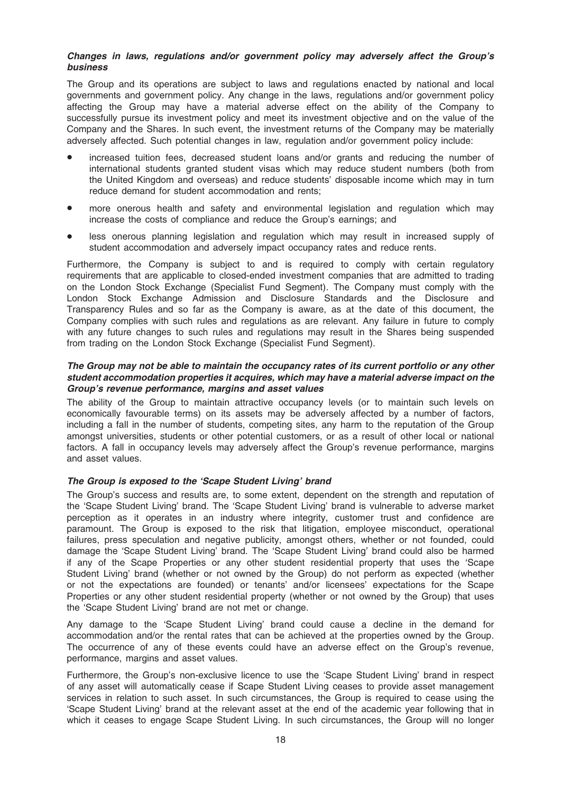#### Changes in laws, regulations and/or government policy may adversely affect the Group's business

The Group and its operations are subject to laws and regulations enacted by national and local governments and government policy. Any change in the laws, regulations and/or government policy affecting the Group may have a material adverse effect on the ability of the Company to successfully pursue its investment policy and meet its investment objective and on the value of the Company and the Shares. In such event, the investment returns of the Company may be materially adversely affected. Such potential changes in law, regulation and/or government policy include:

- increased tuition fees, decreased student loans and/or grants and reducing the number of international students granted student visas which may reduce student numbers (both from the United Kingdom and overseas) and reduce students' disposable income which may in turn reduce demand for student accommodation and rents;
- more onerous health and safety and environmental legislation and regulation which may increase the costs of compliance and reduce the Group's earnings; and
- less onerous planning legislation and regulation which may result in increased supply of student accommodation and adversely impact occupancy rates and reduce rents.

Furthermore, the Company is subject to and is required to comply with certain regulatory requirements that are applicable to closed-ended investment companies that are admitted to trading on the London Stock Exchange (Specialist Fund Segment). The Company must comply with the London Stock Exchange Admission and Disclosure Standards and the Disclosure and Transparency Rules and so far as the Company is aware, as at the date of this document, the Company complies with such rules and regulations as are relevant. Any failure in future to comply with any future changes to such rules and regulations may result in the Shares being suspended from trading on the London Stock Exchange (Specialist Fund Segment).

#### The Group may not be able to maintain the occupancy rates of its current portfolio or any other student accommodation properties it acquires, which may have a material adverse impact on the Group's revenue performance, margins and asset values

The ability of the Group to maintain attractive occupancy levels (or to maintain such levels on economically favourable terms) on its assets may be adversely affected by a number of factors, including a fall in the number of students, competing sites, any harm to the reputation of the Group amongst universities, students or other potential customers, or as a result of other local or national factors. A fall in occupancy levels may adversely affect the Group's revenue performance, margins and asset values.

#### The Group is exposed to the 'Scape Student Living' brand

The Group's success and results are, to some extent, dependent on the strength and reputation of the 'Scape Student Living' brand. The 'Scape Student Living' brand is vulnerable to adverse market perception as it operates in an industry where integrity, customer trust and confidence are paramount. The Group is exposed to the risk that litigation, employee misconduct, operational failures, press speculation and negative publicity, amongst others, whether or not founded, could damage the 'Scape Student Living' brand. The 'Scape Student Living' brand could also be harmed if any of the Scape Properties or any other student residential property that uses the 'Scape Student Living' brand (whether or not owned by the Group) do not perform as expected (whether or not the expectations are founded) or tenants' and/or licensees' expectations for the Scape Properties or any other student residential property (whether or not owned by the Group) that uses the 'Scape Student Living' brand are not met or change.

Any damage to the 'Scape Student Living' brand could cause a decline in the demand for accommodation and/or the rental rates that can be achieved at the properties owned by the Group. The occurrence of any of these events could have an adverse effect on the Group's revenue, performance, margins and asset values.

Furthermore, the Group's non-exclusive licence to use the 'Scape Student Living' brand in respect of any asset will automatically cease if Scape Student Living ceases to provide asset management services in relation to such asset. In such circumstances, the Group is required to cease using the 'Scape Student Living' brand at the relevant asset at the end of the academic year following that in which it ceases to engage Scape Student Living. In such circumstances, the Group will no longer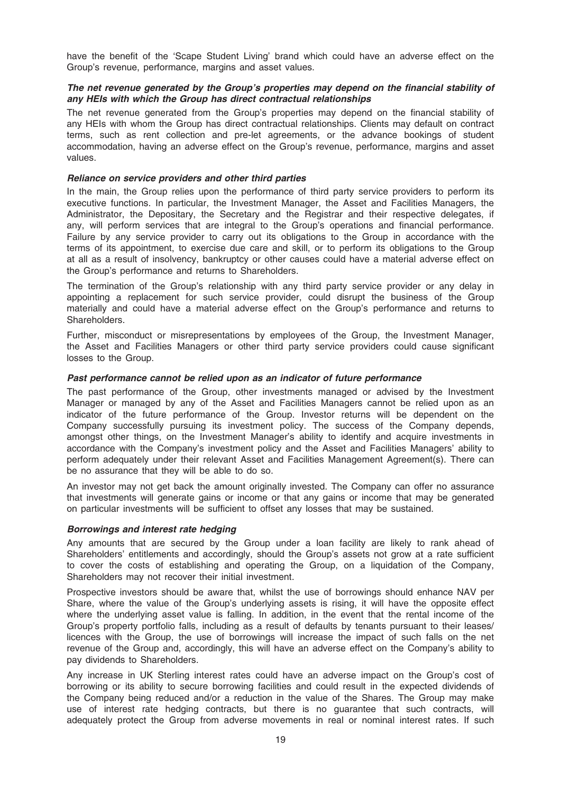have the benefit of the 'Scape Student Living' brand which could have an adverse effect on the Group's revenue, performance, margins and asset values.

#### The net revenue generated by the Group's properties may depend on the financial stability of any HEIs with which the Group has direct contractual relationships

The net revenue generated from the Group's properties may depend on the financial stability of any HEIs with whom the Group has direct contractual relationships. Clients may default on contract terms, such as rent collection and pre-let agreements, or the advance bookings of student accommodation, having an adverse effect on the Group's revenue, performance, margins and asset values.

#### Reliance on service providers and other third parties

In the main, the Group relies upon the performance of third party service providers to perform its executive functions. In particular, the Investment Manager, the Asset and Facilities Managers, the Administrator, the Depositary, the Secretary and the Registrar and their respective delegates, if any, will perform services that are integral to the Group's operations and financial performance. Failure by any service provider to carry out its obligations to the Group in accordance with the terms of its appointment, to exercise due care and skill, or to perform its obligations to the Group at all as a result of insolvency, bankruptcy or other causes could have a material adverse effect on the Group's performance and returns to Shareholders.

The termination of the Group's relationship with any third party service provider or any delay in appointing a replacement for such service provider, could disrupt the business of the Group materially and could have a material adverse effect on the Group's performance and returns to Shareholders.

Further, misconduct or misrepresentations by employees of the Group, the Investment Manager, the Asset and Facilities Managers or other third party service providers could cause significant losses to the Group.

#### Past performance cannot be relied upon as an indicator of future performance

The past performance of the Group, other investments managed or advised by the Investment Manager or managed by any of the Asset and Facilities Managers cannot be relied upon as an indicator of the future performance of the Group. Investor returns will be dependent on the Company successfully pursuing its investment policy. The success of the Company depends, amongst other things, on the Investment Manager's ability to identify and acquire investments in accordance with the Company's investment policy and the Asset and Facilities Managers' ability to perform adequately under their relevant Asset and Facilities Management Agreement(s). There can be no assurance that they will be able to do so.

An investor may not get back the amount originally invested. The Company can offer no assurance that investments will generate gains or income or that any gains or income that may be generated on particular investments will be sufficient to offset any losses that may be sustained.

#### Borrowings and interest rate hedging

Any amounts that are secured by the Group under a loan facility are likely to rank ahead of Shareholders' entitlements and accordingly, should the Group's assets not grow at a rate sufficient to cover the costs of establishing and operating the Group, on a liquidation of the Company, Shareholders may not recover their initial investment.

Prospective investors should be aware that, whilst the use of borrowings should enhance NAV per Share, where the value of the Group's underlying assets is rising, it will have the opposite effect where the underlying asset value is falling. In addition, in the event that the rental income of the Group's property portfolio falls, including as a result of defaults by tenants pursuant to their leases/ licences with the Group, the use of borrowings will increase the impact of such falls on the net revenue of the Group and, accordingly, this will have an adverse effect on the Company's ability to pay dividends to Shareholders.

Any increase in UK Sterling interest rates could have an adverse impact on the Group's cost of borrowing or its ability to secure borrowing facilities and could result in the expected dividends of the Company being reduced and/or a reduction in the value of the Shares. The Group may make use of interest rate hedging contracts, but there is no guarantee that such contracts, will adequately protect the Group from adverse movements in real or nominal interest rates. If such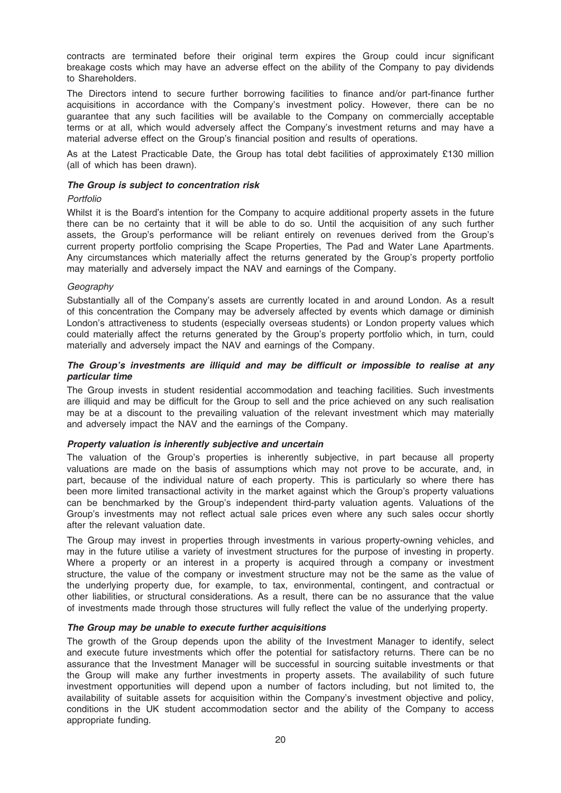contracts are terminated before their original term expires the Group could incur significant breakage costs which may have an adverse effect on the ability of the Company to pay dividends to Shareholders.

The Directors intend to secure further borrowing facilities to finance and/or part-finance further acquisitions in accordance with the Company's investment policy. However, there can be no guarantee that any such facilities will be available to the Company on commercially acceptable terms or at all, which would adversely affect the Company's investment returns and may have a material adverse effect on the Group's financial position and results of operations.

As at the Latest Practicable Date, the Group has total debt facilities of approximately £130 million (all of which has been drawn).

#### The Group is subject to concentration risk

#### Portfolio

Whilst it is the Board's intention for the Company to acquire additional property assets in the future there can be no certainty that it will be able to do so. Until the acquisition of any such further assets, the Group's performance will be reliant entirely on revenues derived from the Group's current property portfolio comprising the Scape Properties, The Pad and Water Lane Apartments. Any circumstances which materially affect the returns generated by the Group's property portfolio may materially and adversely impact the NAV and earnings of the Company.

#### **Geography**

Substantially all of the Company's assets are currently located in and around London. As a result of this concentration the Company may be adversely affected by events which damage or diminish London's attractiveness to students (especially overseas students) or London property values which could materially affect the returns generated by the Group's property portfolio which, in turn, could materially and adversely impact the NAV and earnings of the Company.

#### The Group's investments are illiquid and may be difficult or impossible to realise at any particular time

The Group invests in student residential accommodation and teaching facilities. Such investments are illiquid and may be difficult for the Group to sell and the price achieved on any such realisation may be at a discount to the prevailing valuation of the relevant investment which may materially and adversely impact the NAV and the earnings of the Company.

#### Property valuation is inherently subjective and uncertain

The valuation of the Group's properties is inherently subjective, in part because all property valuations are made on the basis of assumptions which may not prove to be accurate, and, in part, because of the individual nature of each property. This is particularly so where there has been more limited transactional activity in the market against which the Group's property valuations can be benchmarked by the Group's independent third-party valuation agents. Valuations of the Group's investments may not reflect actual sale prices even where any such sales occur shortly after the relevant valuation date.

The Group may invest in properties through investments in various property-owning vehicles, and may in the future utilise a variety of investment structures for the purpose of investing in property. Where a property or an interest in a property is acquired through a company or investment structure, the value of the company or investment structure may not be the same as the value of the underlying property due, for example, to tax, environmental, contingent, and contractual or other liabilities, or structural considerations. As a result, there can be no assurance that the value of investments made through those structures will fully reflect the value of the underlying property.

#### The Group may be unable to execute further acquisitions

The growth of the Group depends upon the ability of the Investment Manager to identify, select and execute future investments which offer the potential for satisfactory returns. There can be no assurance that the Investment Manager will be successful in sourcing suitable investments or that the Group will make any further investments in property assets. The availability of such future investment opportunities will depend upon a number of factors including, but not limited to, the availability of suitable assets for acquisition within the Company's investment objective and policy, conditions in the UK student accommodation sector and the ability of the Company to access appropriate funding.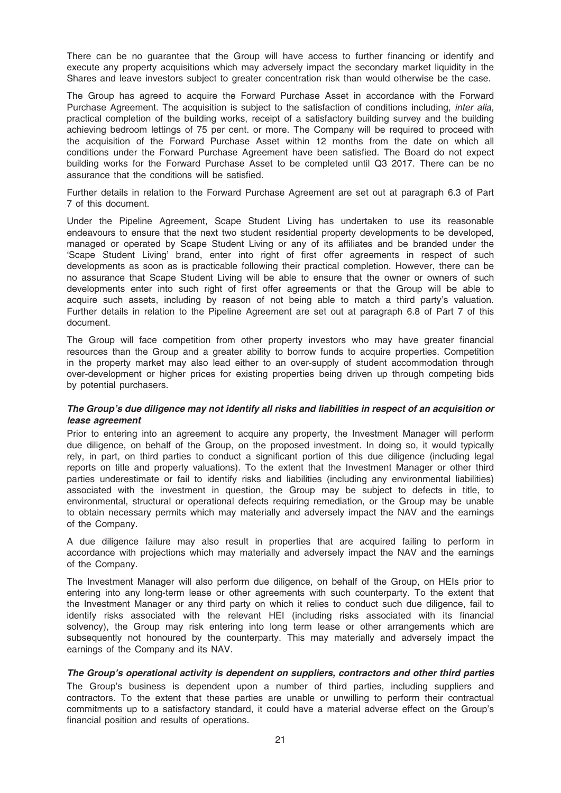There can be no guarantee that the Group will have access to further financing or identify and execute any property acquisitions which may adversely impact the secondary market liquidity in the Shares and leave investors subject to greater concentration risk than would otherwise be the case.

The Group has agreed to acquire the Forward Purchase Asset in accordance with the Forward Purchase Agreement. The acquisition is subject to the satisfaction of conditions including, inter alia, practical completion of the building works, receipt of a satisfactory building survey and the building achieving bedroom lettings of 75 per cent. or more. The Company will be required to proceed with the acquisition of the Forward Purchase Asset within 12 months from the date on which all conditions under the Forward Purchase Agreement have been satisfied. The Board do not expect building works for the Forward Purchase Asset to be completed until Q3 2017. There can be no assurance that the conditions will be satisfied.

Further details in relation to the Forward Purchase Agreement are set out at paragraph 6.3 of Part 7 of this document.

Under the Pipeline Agreement, Scape Student Living has undertaken to use its reasonable endeavours to ensure that the next two student residential property developments to be developed, managed or operated by Scape Student Living or any of its affiliates and be branded under the 'Scape Student Living' brand, enter into right of first offer agreements in respect of such developments as soon as is practicable following their practical completion. However, there can be no assurance that Scape Student Living will be able to ensure that the owner or owners of such developments enter into such right of first offer agreements or that the Group will be able to acquire such assets, including by reason of not being able to match a third party's valuation. Further details in relation to the Pipeline Agreement are set out at paragraph 6.8 of Part 7 of this document.

The Group will face competition from other property investors who may have greater financial resources than the Group and a greater ability to borrow funds to acquire properties. Competition in the property market may also lead either to an over-supply of student accommodation through over-development or higher prices for existing properties being driven up through competing bids by potential purchasers.

#### The Group's due diligence may not identify all risks and liabilities in respect of an acquisition or lease agreement

Prior to entering into an agreement to acquire any property, the Investment Manager will perform due diligence, on behalf of the Group, on the proposed investment. In doing so, it would typically rely, in part, on third parties to conduct a significant portion of this due diligence (including legal reports on title and property valuations). To the extent that the Investment Manager or other third parties underestimate or fail to identify risks and liabilities (including any environmental liabilities) associated with the investment in question, the Group may be subject to defects in title, to environmental, structural or operational defects requiring remediation, or the Group may be unable to obtain necessary permits which may materially and adversely impact the NAV and the earnings of the Company.

A due diligence failure may also result in properties that are acquired failing to perform in accordance with projections which may materially and adversely impact the NAV and the earnings of the Company.

The Investment Manager will also perform due diligence, on behalf of the Group, on HEIs prior to entering into any long-term lease or other agreements with such counterparty. To the extent that the Investment Manager or any third party on which it relies to conduct such due diligence, fail to identify risks associated with the relevant HEI (including risks associated with its financial solvency), the Group may risk entering into long term lease or other arrangements which are subsequently not honoured by the counterparty. This may materially and adversely impact the earnings of the Company and its NAV.

#### The Group's operational activity is dependent on suppliers, contractors and other third parties

The Group's business is dependent upon a number of third parties, including suppliers and contractors. To the extent that these parties are unable or unwilling to perform their contractual commitments up to a satisfactory standard, it could have a material adverse effect on the Group's financial position and results of operations.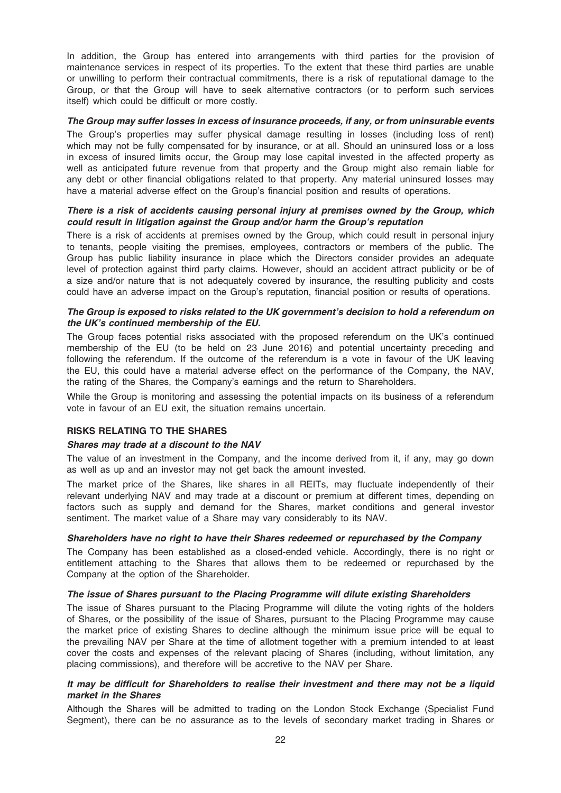In addition, the Group has entered into arrangements with third parties for the provision of maintenance services in respect of its properties. To the extent that these third parties are unable or unwilling to perform their contractual commitments, there is a risk of reputational damage to the Group, or that the Group will have to seek alternative contractors (or to perform such services itself) which could be difficult or more costly.

#### The Group may suffer losses in excess of insurance proceeds, if any, or from uninsurable events

The Group's properties may suffer physical damage resulting in losses (including loss of rent) which may not be fully compensated for by insurance, or at all. Should an uninsured loss or a loss in excess of insured limits occur, the Group may lose capital invested in the affected property as well as anticipated future revenue from that property and the Group might also remain liable for any debt or other financial obligations related to that property. Any material uninsured losses may have a material adverse effect on the Group's financial position and results of operations.

#### There is a risk of accidents causing personal injury at premises owned by the Group, which could result in litigation against the Group and/or harm the Group's reputation

There is a risk of accidents at premises owned by the Group, which could result in personal injury to tenants, people visiting the premises, employees, contractors or members of the public. The Group has public liability insurance in place which the Directors consider provides an adequate level of protection against third party claims. However, should an accident attract publicity or be of a size and/or nature that is not adequately covered by insurance, the resulting publicity and costs could have an adverse impact on the Group's reputation, financial position or results of operations.

#### The Group is exposed to risks related to the UK government's decision to hold a referendum on the UK's continued membership of the EU.

The Group faces potential risks associated with the proposed referendum on the UK's continued membership of the EU (to be held on 23 June 2016) and potential uncertainty preceding and following the referendum. If the outcome of the referendum is a vote in favour of the UK leaving the EU, this could have a material adverse effect on the performance of the Company, the NAV, the rating of the Shares, the Company's earnings and the return to Shareholders.

While the Group is monitoring and assessing the potential impacts on its business of a referendum vote in favour of an EU exit, the situation remains uncertain.

#### RISKS RELATING TO THE SHARES

#### Shares may trade at a discount to the NAV

The value of an investment in the Company, and the income derived from it, if any, may go down as well as up and an investor may not get back the amount invested.

The market price of the Shares, like shares in all REITs, may fluctuate independently of their relevant underlying NAV and may trade at a discount or premium at different times, depending on factors such as supply and demand for the Shares, market conditions and general investor sentiment. The market value of a Share may vary considerably to its NAV.

#### Shareholders have no right to have their Shares redeemed or repurchased by the Company

The Company has been established as a closed-ended vehicle. Accordingly, there is no right or entitlement attaching to the Shares that allows them to be redeemed or repurchased by the Company at the option of the Shareholder.

#### The issue of Shares pursuant to the Placing Programme will dilute existing Shareholders

The issue of Shares pursuant to the Placing Programme will dilute the voting rights of the holders of Shares, or the possibility of the issue of Shares, pursuant to the Placing Programme may cause the market price of existing Shares to decline although the minimum issue price will be equal to the prevailing NAV per Share at the time of allotment together with a premium intended to at least cover the costs and expenses of the relevant placing of Shares (including, without limitation, any placing commissions), and therefore will be accretive to the NAV per Share.

#### It may be difficult for Shareholders to realise their investment and there may not be a liquid market in the Shares

Although the Shares will be admitted to trading on the London Stock Exchange (Specialist Fund Segment), there can be no assurance as to the levels of secondary market trading in Shares or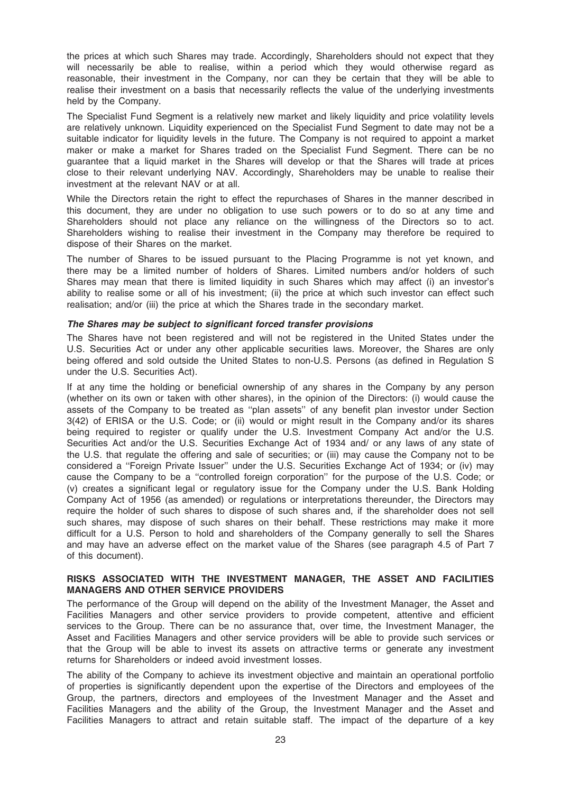the prices at which such Shares may trade. Accordingly, Shareholders should not expect that they will necessarily be able to realise, within a period which they would otherwise regard as reasonable, their investment in the Company, nor can they be certain that they will be able to realise their investment on a basis that necessarily reflects the value of the underlying investments held by the Company.

The Specialist Fund Segment is a relatively new market and likely liquidity and price volatility levels are relatively unknown. Liquidity experienced on the Specialist Fund Segment to date may not be a suitable indicator for liquidity levels in the future. The Company is not required to appoint a market maker or make a market for Shares traded on the Specialist Fund Segment. There can be no guarantee that a liquid market in the Shares will develop or that the Shares will trade at prices close to their relevant underlying NAV. Accordingly, Shareholders may be unable to realise their investment at the relevant NAV or at all.

While the Directors retain the right to effect the repurchases of Shares in the manner described in this document, they are under no obligation to use such powers or to do so at any time and Shareholders should not place any reliance on the willingness of the Directors so to act. Shareholders wishing to realise their investment in the Company may therefore be required to dispose of their Shares on the market.

The number of Shares to be issued pursuant to the Placing Programme is not yet known, and there may be a limited number of holders of Shares. Limited numbers and/or holders of such Shares may mean that there is limited liquidity in such Shares which may affect (i) an investor's ability to realise some or all of his investment; (ii) the price at which such investor can effect such realisation; and/or (iii) the price at which the Shares trade in the secondary market.

#### The Shares may be subject to significant forced transfer provisions

The Shares have not been registered and will not be registered in the United States under the U.S. Securities Act or under any other applicable securities laws. Moreover, the Shares are only being offered and sold outside the United States to non-U.S. Persons (as defined in Regulation S under the U.S. Securities Act).

If at any time the holding or beneficial ownership of any shares in the Company by any person (whether on its own or taken with other shares), in the opinion of the Directors: (i) would cause the assets of the Company to be treated as ''plan assets'' of any benefit plan investor under Section 3(42) of ERISA or the U.S. Code; or (ii) would or might result in the Company and/or its shares being required to register or qualify under the U.S. Investment Company Act and/or the U.S. Securities Act and/or the U.S. Securities Exchange Act of 1934 and/ or any laws of any state of the U.S. that regulate the offering and sale of securities; or (iii) may cause the Company not to be considered a ''Foreign Private Issuer'' under the U.S. Securities Exchange Act of 1934; or (iv) may cause the Company to be a ''controlled foreign corporation'' for the purpose of the U.S. Code; or (v) creates a significant legal or regulatory issue for the Company under the U.S. Bank Holding Company Act of 1956 (as amended) or regulations or interpretations thereunder, the Directors may require the holder of such shares to dispose of such shares and, if the shareholder does not sell such shares, may dispose of such shares on their behalf. These restrictions may make it more difficult for a U.S. Person to hold and shareholders of the Company generally to sell the Shares and may have an adverse effect on the market value of the Shares (see paragraph 4.5 of Part 7 of this document).

#### RISKS ASSOCIATED WITH THE INVESTMENT MANAGER, THE ASSET AND FACILITIES MANAGERS AND OTHER SERVICE PROVIDERS

The performance of the Group will depend on the ability of the Investment Manager, the Asset and Facilities Managers and other service providers to provide competent, attentive and efficient services to the Group. There can be no assurance that, over time, the Investment Manager, the Asset and Facilities Managers and other service providers will be able to provide such services or that the Group will be able to invest its assets on attractive terms or generate any investment returns for Shareholders or indeed avoid investment losses.

The ability of the Company to achieve its investment objective and maintain an operational portfolio of properties is significantly dependent upon the expertise of the Directors and employees of the Group, the partners, directors and employees of the Investment Manager and the Asset and Facilities Managers and the ability of the Group, the Investment Manager and the Asset and Facilities Managers to attract and retain suitable staff. The impact of the departure of a key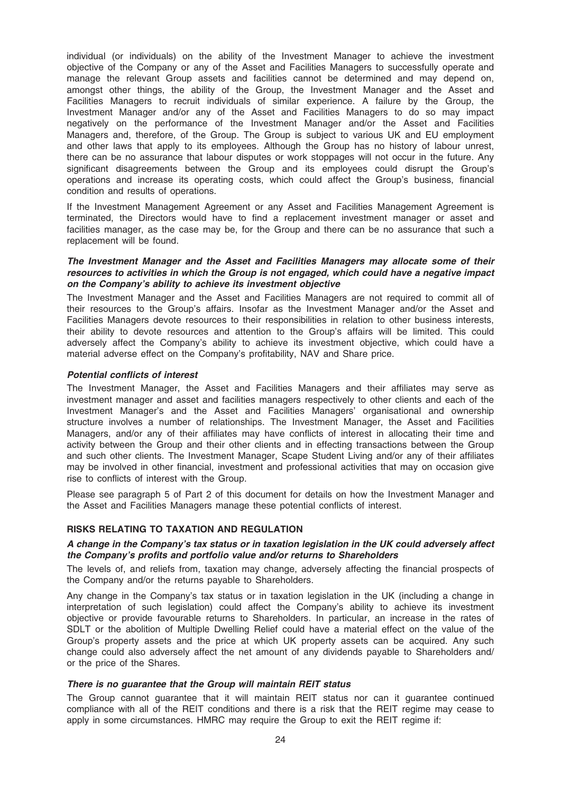individual (or individuals) on the ability of the Investment Manager to achieve the investment objective of the Company or any of the Asset and Facilities Managers to successfully operate and manage the relevant Group assets and facilities cannot be determined and may depend on, amongst other things, the ability of the Group, the Investment Manager and the Asset and Facilities Managers to recruit individuals of similar experience. A failure by the Group, the Investment Manager and/or any of the Asset and Facilities Managers to do so may impact negatively on the performance of the Investment Manager and/or the Asset and Facilities Managers and, therefore, of the Group. The Group is subject to various UK and EU employment and other laws that apply to its employees. Although the Group has no history of labour unrest, there can be no assurance that labour disputes or work stoppages will not occur in the future. Any significant disagreements between the Group and its employees could disrupt the Group's operations and increase its operating costs, which could affect the Group's business, financial condition and results of operations.

If the Investment Management Agreement or any Asset and Facilities Management Agreement is terminated, the Directors would have to find a replacement investment manager or asset and facilities manager, as the case may be, for the Group and there can be no assurance that such a replacement will be found.

#### The Investment Manager and the Asset and Facilities Managers may allocate some of their resources to activities in which the Group is not engaged, which could have a negative impact on the Company's ability to achieve its investment objective

The Investment Manager and the Asset and Facilities Managers are not required to commit all of their resources to the Group's affairs. Insofar as the Investment Manager and/or the Asset and Facilities Managers devote resources to their responsibilities in relation to other business interests, their ability to devote resources and attention to the Group's affairs will be limited. This could adversely affect the Company's ability to achieve its investment objective, which could have a material adverse effect on the Company's profitability, NAV and Share price.

#### Potential conflicts of interest

The Investment Manager, the Asset and Facilities Managers and their affiliates may serve as investment manager and asset and facilities managers respectively to other clients and each of the Investment Manager's and the Asset and Facilities Managers' organisational and ownership structure involves a number of relationships. The Investment Manager, the Asset and Facilities Managers, and/or any of their affiliates may have conflicts of interest in allocating their time and activity between the Group and their other clients and in effecting transactions between the Group and such other clients. The Investment Manager, Scape Student Living and/or any of their affiliates may be involved in other financial, investment and professional activities that may on occasion give rise to conflicts of interest with the Group.

Please see paragraph 5 of Part 2 of this document for details on how the Investment Manager and the Asset and Facilities Managers manage these potential conflicts of interest.

#### RISKS RELATING TO TAXATION AND REGULATION

#### A change in the Company's tax status or in taxation legislation in the UK could adversely affect the Company's profits and portfolio value and/or returns to Shareholders

The levels of, and reliefs from, taxation may change, adversely affecting the financial prospects of the Company and/or the returns payable to Shareholders.

Any change in the Company's tax status or in taxation legislation in the UK (including a change in interpretation of such legislation) could affect the Company's ability to achieve its investment objective or provide favourable returns to Shareholders. In particular, an increase in the rates of SDLT or the abolition of Multiple Dwelling Relief could have a material effect on the value of the Group's property assets and the price at which UK property assets can be acquired. Any such change could also adversely affect the net amount of any dividends payable to Shareholders and/ or the price of the Shares.

#### There is no guarantee that the Group will maintain REIT status

The Group cannot guarantee that it will maintain REIT status nor can it guarantee continued compliance with all of the REIT conditions and there is a risk that the REIT regime may cease to apply in some circumstances. HMRC may require the Group to exit the REIT regime if: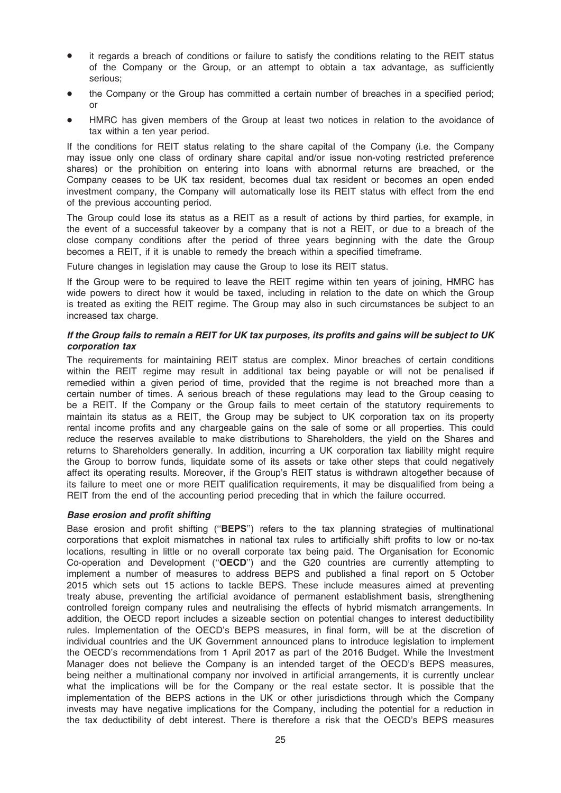- it regards a breach of conditions or failure to satisfy the conditions relating to the REIT status of the Company or the Group, or an attempt to obtain a tax advantage, as sufficiently serious;
- the Company or the Group has committed a certain number of breaches in a specified period; or
- HMRC has given members of the Group at least two notices in relation to the avoidance of tax within a ten year period.

If the conditions for REIT status relating to the share capital of the Company (i.e. the Company may issue only one class of ordinary share capital and/or issue non-voting restricted preference shares) or the prohibition on entering into loans with abnormal returns are breached, or the Company ceases to be UK tax resident, becomes dual tax resident or becomes an open ended investment company, the Company will automatically lose its REIT status with effect from the end of the previous accounting period.

The Group could lose its status as a REIT as a result of actions by third parties, for example, in the event of a successful takeover by a company that is not a REIT, or due to a breach of the close company conditions after the period of three years beginning with the date the Group becomes a REIT, if it is unable to remedy the breach within a specified timeframe.

Future changes in legislation may cause the Group to lose its REIT status.

If the Group were to be required to leave the REIT regime within ten years of joining, HMRC has wide powers to direct how it would be taxed, including in relation to the date on which the Group is treated as exiting the REIT regime. The Group may also in such circumstances be subject to an increased tax charge.

#### If the Group fails to remain a REIT for UK tax purposes, its profits and gains will be subject to UK corporation tax

The requirements for maintaining REIT status are complex. Minor breaches of certain conditions within the REIT regime may result in additional tax being payable or will not be penalised if remedied within a given period of time, provided that the regime is not breached more than a certain number of times. A serious breach of these regulations may lead to the Group ceasing to be a REIT. If the Company or the Group fails to meet certain of the statutory requirements to maintain its status as a REIT, the Group may be subject to UK corporation tax on its property rental income profits and any chargeable gains on the sale of some or all properties. This could reduce the reserves available to make distributions to Shareholders, the yield on the Shares and returns to Shareholders generally. In addition, incurring a UK corporation tax liability might require the Group to borrow funds, liquidate some of its assets or take other steps that could negatively affect its operating results. Moreover, if the Group's REIT status is withdrawn altogether because of its failure to meet one or more REIT qualification requirements, it may be disqualified from being a REIT from the end of the accounting period preceding that in which the failure occurred.

#### Base erosion and profit shifting

Base erosion and profit shifting ("BEPS") refers to the tax planning strategies of multinational corporations that exploit mismatches in national tax rules to artificially shift profits to low or no-tax locations, resulting in little or no overall corporate tax being paid. The Organisation for Economic Co-operation and Development (''OECD'') and the G20 countries are currently attempting to implement a number of measures to address BEPS and published a final report on 5 October 2015 which sets out 15 actions to tackle BEPS. These include measures aimed at preventing treaty abuse, preventing the artificial avoidance of permanent establishment basis, strengthening controlled foreign company rules and neutralising the effects of hybrid mismatch arrangements. In addition, the OECD report includes a sizeable section on potential changes to interest deductibility rules. Implementation of the OECD's BEPS measures, in final form, will be at the discretion of individual countries and the UK Government announced plans to introduce legislation to implement the OECD's recommendations from 1 April 2017 as part of the 2016 Budget. While the Investment Manager does not believe the Company is an intended target of the OECD's BEPS measures, being neither a multinational company nor involved in artificial arrangements, it is currently unclear what the implications will be for the Company or the real estate sector. It is possible that the implementation of the BEPS actions in the UK or other jurisdictions through which the Company invests may have negative implications for the Company, including the potential for a reduction in the tax deductibility of debt interest. There is therefore a risk that the OECD's BEPS measures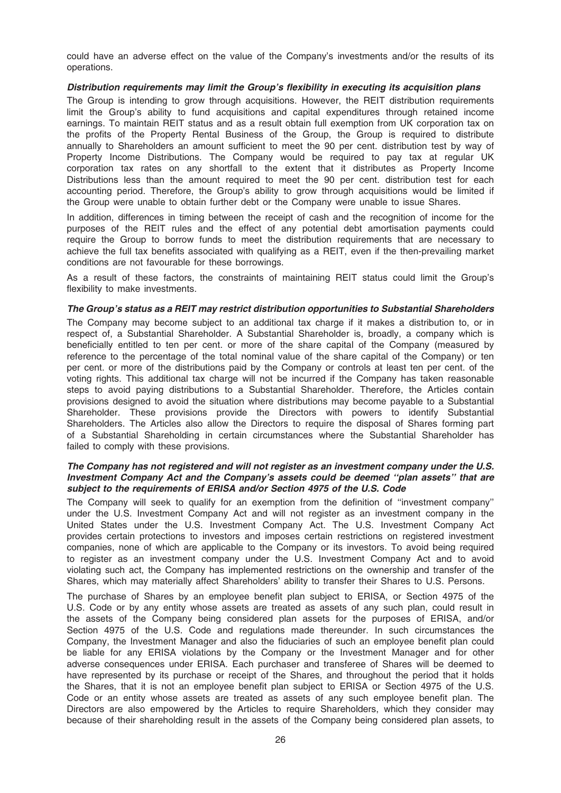could have an adverse effect on the value of the Company's investments and/or the results of its operations.

#### Distribution requirements may limit the Group's flexibility in executing its acquisition plans

The Group is intending to grow through acquisitions. However, the REIT distribution requirements limit the Group's ability to fund acquisitions and capital expenditures through retained income earnings. To maintain REIT status and as a result obtain full exemption from UK corporation tax on the profits of the Property Rental Business of the Group, the Group is required to distribute annually to Shareholders an amount sufficient to meet the 90 per cent. distribution test by way of Property Income Distributions. The Company would be required to pay tax at regular UK corporation tax rates on any shortfall to the extent that it distributes as Property Income Distributions less than the amount required to meet the 90 per cent. distribution test for each accounting period. Therefore, the Group's ability to grow through acquisitions would be limited if the Group were unable to obtain further debt or the Company were unable to issue Shares.

In addition, differences in timing between the receipt of cash and the recognition of income for the purposes of the REIT rules and the effect of any potential debt amortisation payments could require the Group to borrow funds to meet the distribution requirements that are necessary to achieve the full tax benefits associated with qualifying as a REIT, even if the then-prevailing market conditions are not favourable for these borrowings.

As a result of these factors, the constraints of maintaining REIT status could limit the Group's flexibility to make investments.

#### The Group's status as a REIT may restrict distribution opportunities to Substantial Shareholders

The Company may become subject to an additional tax charge if it makes a distribution to, or in respect of, a Substantial Shareholder. A Substantial Shareholder is, broadly, a company which is beneficially entitled to ten per cent. or more of the share capital of the Company (measured by reference to the percentage of the total nominal value of the share capital of the Company) or ten per cent. or more of the distributions paid by the Company or controls at least ten per cent. of the voting rights. This additional tax charge will not be incurred if the Company has taken reasonable steps to avoid paying distributions to a Substantial Shareholder. Therefore, the Articles contain provisions designed to avoid the situation where distributions may become payable to a Substantial Shareholder. These provisions provide the Directors with powers to identify Substantial Shareholders. The Articles also allow the Directors to require the disposal of Shares forming part of a Substantial Shareholding in certain circumstances where the Substantial Shareholder has failed to comply with these provisions.

#### The Company has not registered and will not register as an investment company under the U.S. Investment Company Act and the Company's assets could be deemed ''plan assets'' that are subject to the requirements of ERISA and/or Section 4975 of the U.S. Code

The Company will seek to qualify for an exemption from the definition of ''investment company'' under the U.S. Investment Company Act and will not register as an investment company in the United States under the U.S. Investment Company Act. The U.S. Investment Company Act provides certain protections to investors and imposes certain restrictions on registered investment companies, none of which are applicable to the Company or its investors. To avoid being required to register as an investment company under the U.S. Investment Company Act and to avoid violating such act, the Company has implemented restrictions on the ownership and transfer of the Shares, which may materially affect Shareholders' ability to transfer their Shares to U.S. Persons.

The purchase of Shares by an employee benefit plan subject to ERISA, or Section 4975 of the U.S. Code or by any entity whose assets are treated as assets of any such plan, could result in the assets of the Company being considered plan assets for the purposes of ERISA, and/or Section 4975 of the U.S. Code and regulations made thereunder. In such circumstances the Company, the Investment Manager and also the fiduciaries of such an employee benefit plan could be liable for any ERISA violations by the Company or the Investment Manager and for other adverse consequences under ERISA. Each purchaser and transferee of Shares will be deemed to have represented by its purchase or receipt of the Shares, and throughout the period that it holds the Shares, that it is not an employee benefit plan subject to ERISA or Section 4975 of the U.S. Code or an entity whose assets are treated as assets of any such employee benefit plan. The Directors are also empowered by the Articles to require Shareholders, which they consider may because of their shareholding result in the assets of the Company being considered plan assets, to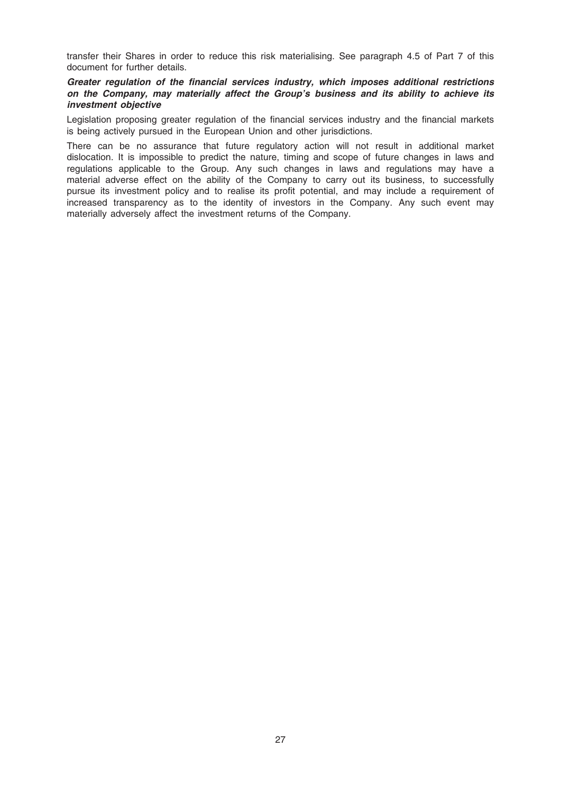transfer their Shares in order to reduce this risk materialising. See paragraph 4.5 of Part 7 of this document for further details.

#### Greater regulation of the financial services industry, which imposes additional restrictions on the Company, may materially affect the Group's business and its ability to achieve its investment objective

Legislation proposing greater regulation of the financial services industry and the financial markets is being actively pursued in the European Union and other jurisdictions.

There can be no assurance that future regulatory action will not result in additional market dislocation. It is impossible to predict the nature, timing and scope of future changes in laws and regulations applicable to the Group. Any such changes in laws and regulations may have a material adverse effect on the ability of the Company to carry out its business, to successfully pursue its investment policy and to realise its profit potential, and may include a requirement of increased transparency as to the identity of investors in the Company. Any such event may materially adversely affect the investment returns of the Company.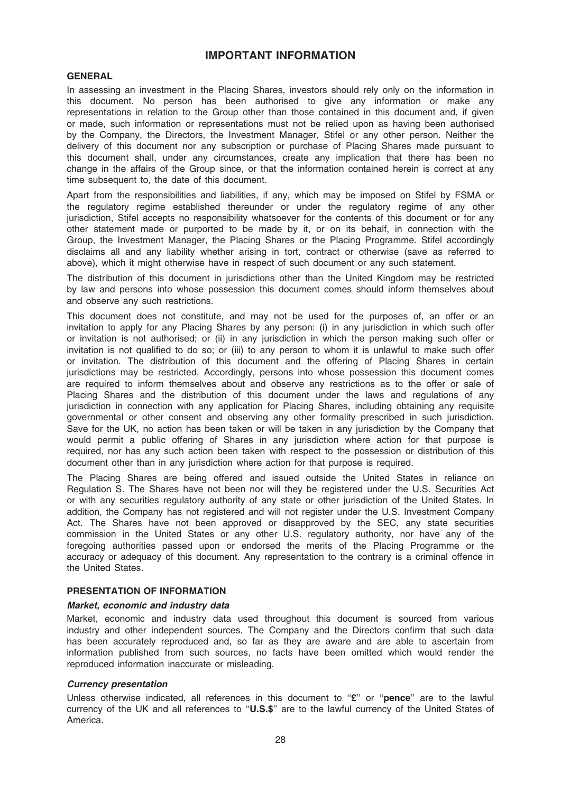### IMPORTANT INFORMATION

#### **GENERAL**

In assessing an investment in the Placing Shares, investors should rely only on the information in this document. No person has been authorised to give any information or make any representations in relation to the Group other than those contained in this document and, if given or made, such information or representations must not be relied upon as having been authorised by the Company, the Directors, the Investment Manager, Stifel or any other person. Neither the delivery of this document nor any subscription or purchase of Placing Shares made pursuant to this document shall, under any circumstances, create any implication that there has been no change in the affairs of the Group since, or that the information contained herein is correct at any time subsequent to, the date of this document.

Apart from the responsibilities and liabilities, if any, which may be imposed on Stifel by FSMA or the regulatory regime established thereunder or under the regulatory regime of any other jurisdiction, Stifel accepts no responsibility whatsoever for the contents of this document or for any other statement made or purported to be made by it, or on its behalf, in connection with the Group, the Investment Manager, the Placing Shares or the Placing Programme. Stifel accordingly disclaims all and any liability whether arising in tort, contract or otherwise (save as referred to above), which it might otherwise have in respect of such document or any such statement.

The distribution of this document in jurisdictions other than the United Kingdom may be restricted by law and persons into whose possession this document comes should inform themselves about and observe any such restrictions.

This document does not constitute, and may not be used for the purposes of, an offer or an invitation to apply for any Placing Shares by any person: (i) in any jurisdiction in which such offer or invitation is not authorised; or (ii) in any jurisdiction in which the person making such offer or invitation is not qualified to do so; or (iii) to any person to whom it is unlawful to make such offer or invitation. The distribution of this document and the offering of Placing Shares in certain jurisdictions may be restricted. Accordingly, persons into whose possession this document comes are required to inform themselves about and observe any restrictions as to the offer or sale of Placing Shares and the distribution of this document under the laws and regulations of any jurisdiction in connection with any application for Placing Shares, including obtaining any requisite governmental or other consent and observing any other formality prescribed in such jurisdiction. Save for the UK, no action has been taken or will be taken in any jurisdiction by the Company that would permit a public offering of Shares in any jurisdiction where action for that purpose is required, nor has any such action been taken with respect to the possession or distribution of this document other than in any jurisdiction where action for that purpose is required.

The Placing Shares are being offered and issued outside the United States in reliance on Regulation S. The Shares have not been nor will they be registered under the U.S. Securities Act or with any securities regulatory authority of any state or other jurisdiction of the United States. In addition, the Company has not registered and will not register under the U.S. Investment Company Act. The Shares have not been approved or disapproved by the SEC, any state securities commission in the United States or any other U.S. regulatory authority, nor have any of the foregoing authorities passed upon or endorsed the merits of the Placing Programme or the accuracy or adequacy of this document. Any representation to the contrary is a criminal offence in the United States.

#### PRESENTATION OF INFORMATION

#### Market, economic and industry data

Market, economic and industry data used throughout this document is sourced from various industry and other independent sources. The Company and the Directors confirm that such data has been accurately reproduced and, so far as they are aware and are able to ascertain from information published from such sources, no facts have been omitted which would render the reproduced information inaccurate or misleading.

#### Currency presentation

Unless otherwise indicated, all references in this document to "£" or "pence" are to the lawful currency of the UK and all references to "U.S.\$" are to the lawful currency of the United States of America.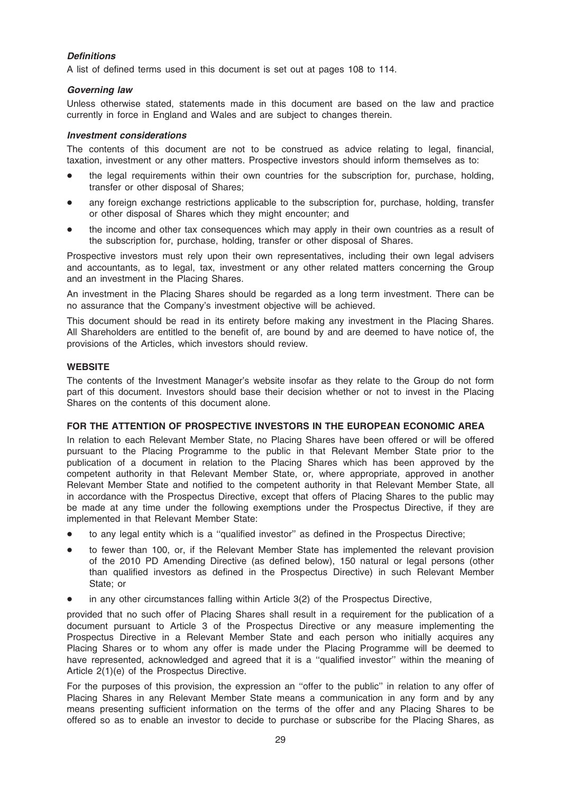### **Definitions**

A list of defined terms used in this document is set out at pages 108 to 114.

#### Governing law

Unless otherwise stated, statements made in this document are based on the law and practice currently in force in England and Wales and are subject to changes therein.

#### Investment considerations

The contents of this document are not to be construed as advice relating to legal, financial, taxation, investment or any other matters. Prospective investors should inform themselves as to:

- the legal requirements within their own countries for the subscription for, purchase, holding, transfer or other disposal of Shares;
- any foreign exchange restrictions applicable to the subscription for, purchase, holding, transfer or other disposal of Shares which they might encounter; and
- the income and other tax consequences which may apply in their own countries as a result of the subscription for, purchase, holding, transfer or other disposal of Shares.

Prospective investors must rely upon their own representatives, including their own legal advisers and accountants, as to legal, tax, investment or any other related matters concerning the Group and an investment in the Placing Shares.

An investment in the Placing Shares should be regarded as a long term investment. There can be no assurance that the Company's investment objective will be achieved.

This document should be read in its entirety before making any investment in the Placing Shares. All Shareholders are entitled to the benefit of, are bound by and are deemed to have notice of, the provisions of the Articles, which investors should review.

#### **WEBSITE**

The contents of the Investment Manager's website insofar as they relate to the Group do not form part of this document. Investors should base their decision whether or not to invest in the Placing Shares on the contents of this document alone.

#### FOR THE ATTENTION OF PROSPECTIVE INVESTORS IN THE EUROPEAN ECONOMIC AREA

In relation to each Relevant Member State, no Placing Shares have been offered or will be offered pursuant to the Placing Programme to the public in that Relevant Member State prior to the publication of a document in relation to the Placing Shares which has been approved by the competent authority in that Relevant Member State, or, where appropriate, approved in another Relevant Member State and notified to the competent authority in that Relevant Member State, all in accordance with the Prospectus Directive, except that offers of Placing Shares to the public may be made at any time under the following exemptions under the Prospectus Directive, if they are implemented in that Relevant Member State:

- to any legal entity which is a "qualified investor" as defined in the Prospectus Directive;
- to fewer than 100, or, if the Relevant Member State has implemented the relevant provision of the 2010 PD Amending Directive (as defined below), 150 natural or legal persons (other than qualified investors as defined in the Prospectus Directive) in such Relevant Member State; or
- in any other circumstances falling within Article 3(2) of the Prospectus Directive,

provided that no such offer of Placing Shares shall result in a requirement for the publication of a document pursuant to Article 3 of the Prospectus Directive or any measure implementing the Prospectus Directive in a Relevant Member State and each person who initially acquires any Placing Shares or to whom any offer is made under the Placing Programme will be deemed to have represented, acknowledged and agreed that it is a "qualified investor" within the meaning of Article 2(1)(e) of the Prospectus Directive.

For the purposes of this provision, the expression an ''offer to the public'' in relation to any offer of Placing Shares in any Relevant Member State means a communication in any form and by any means presenting sufficient information on the terms of the offer and any Placing Shares to be offered so as to enable an investor to decide to purchase or subscribe for the Placing Shares, as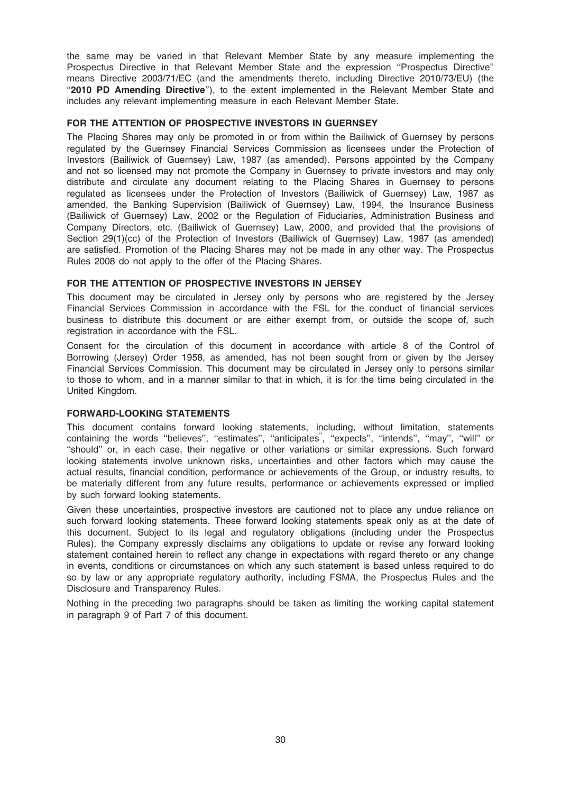the same may be varied in that Relevant Member State by any measure implementing the Prospectus Directive in that Relevant Member State and the expression ''Prospectus Directive'' means Directive 2003/71/EC (and the amendments thereto, including Directive 2010/73/EU) (the ''2010 PD Amending Directive''), to the extent implemented in the Relevant Member State and includes any relevant implementing measure in each Relevant Member State.

#### FOR THE ATTENTION OF PROSPECTIVE INVESTORS IN GUERNSEY

The Placing Shares may only be promoted in or from within the Bailiwick of Guernsey by persons regulated by the Guernsey Financial Services Commission as licensees under the Protection of Investors (Bailiwick of Guernsey) Law, 1987 (as amended). Persons appointed by the Company and not so licensed may not promote the Company in Guernsey to private investors and may only distribute and circulate any document relating to the Placing Shares in Guernsey to persons regulated as licensees under the Protection of Investors (Bailiwick of Guernsey) Law, 1987 as amended, the Banking Supervision (Bailiwick of Guernsey) Law, 1994, the Insurance Business (Bailiwick of Guernsey) Law, 2002 or the Regulation of Fiduciaries, Administration Business and Company Directors, etc. (Bailiwick of Guernsey) Law, 2000, and provided that the provisions of Section 29(1)(cc) of the Protection of Investors (Bailiwick of Guernsey) Law, 1987 (as amended) are satisfied. Promotion of the Placing Shares may not be made in any other way. The Prospectus Rules 2008 do not apply to the offer of the Placing Shares.

#### FOR THE ATTENTION OF PROSPECTIVE INVESTORS IN JERSEY

This document may be circulated in Jersey only by persons who are registered by the Jersey Financial Services Commission in accordance with the FSL for the conduct of financial services business to distribute this document or are either exempt from, or outside the scope of, such registration in accordance with the FSL.

Consent for the circulation of this document in accordance with article 8 of the Control of Borrowing (Jersey) Order 1958, as amended, has not been sought from or given by the Jersey Financial Services Commission. This document may be circulated in Jersey only to persons similar to those to whom, and in a manner similar to that in which, it is for the time being circulated in the United Kingdom.

#### FORWARD-LOOKING STATEMENTS

This document contains forward looking statements, including, without limitation, statements containing the words ''believes'', ''estimates'', ''anticipates'', ''expects'', ''intends'', ''may'', ''will'' or ''should'' or, in each case, their negative or other variations or similar expressions. Such forward looking statements involve unknown risks, uncertainties and other factors which may cause the actual results, financial condition, performance or achievements of the Group, or industry results, to be materially different from any future results, performance or achievements expressed or implied by such forward looking statements.

Given these uncertainties, prospective investors are cautioned not to place any undue reliance on such forward looking statements. These forward looking statements speak only as at the date of this document. Subject to its legal and regulatory obligations (including under the Prospectus Rules), the Company expressly disclaims any obligations to update or revise any forward looking statement contained herein to reflect any change in expectations with regard thereto or any change in events, conditions or circumstances on which any such statement is based unless required to do so by law or any appropriate regulatory authority, including FSMA, the Prospectus Rules and the Disclosure and Transparency Rules.

Nothing in the preceding two paragraphs should be taken as limiting the working capital statement in paragraph 9 of Part 7 of this document.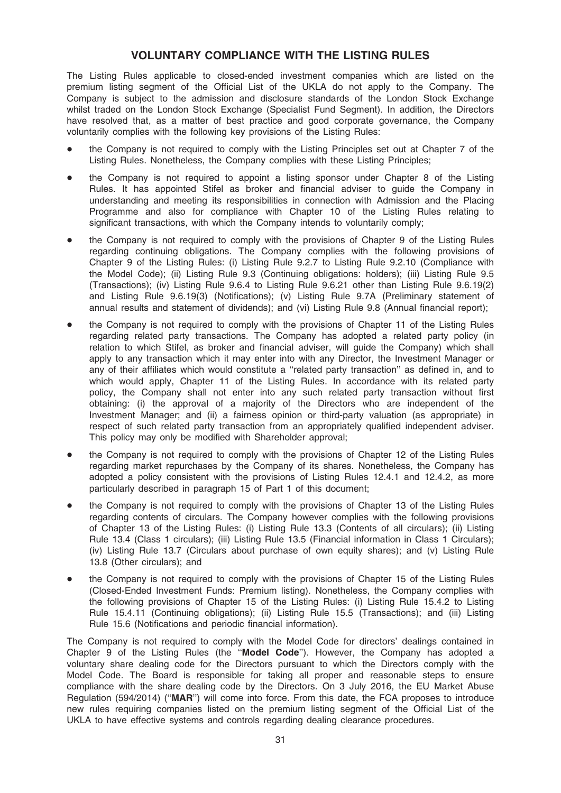### VOLUNTARY COMPLIANCE WITH THE LISTING RULES

The Listing Rules applicable to closed-ended investment companies which are listed on the premium listing segment of the Official List of the UKLA do not apply to the Company. The Company is subject to the admission and disclosure standards of the London Stock Exchange whilst traded on the London Stock Exchange (Specialist Fund Segment). In addition, the Directors have resolved that, as a matter of best practice and good corporate governance, the Company voluntarily complies with the following key provisions of the Listing Rules:

- the Company is not required to comply with the Listing Principles set out at Chapter 7 of the Listing Rules. Nonetheless, the Company complies with these Listing Principles;
- the Company is not required to appoint a listing sponsor under Chapter 8 of the Listing Rules. It has appointed Stifel as broker and financial adviser to guide the Company in understanding and meeting its responsibilities in connection with Admission and the Placing Programme and also for compliance with Chapter 10 of the Listing Rules relating to significant transactions, with which the Company intends to voluntarily comply;
- the Company is not required to comply with the provisions of Chapter 9 of the Listing Rules regarding continuing obligations. The Company complies with the following provisions of Chapter 9 of the Listing Rules: (i) Listing Rule 9.2.7 to Listing Rule 9.2.10 (Compliance with the Model Code); (ii) Listing Rule 9.3 (Continuing obligations: holders); (iii) Listing Rule 9.5 (Transactions); (iv) Listing Rule 9.6.4 to Listing Rule 9.6.21 other than Listing Rule 9.6.19(2) and Listing Rule 9.6.19(3) (Notifications); (v) Listing Rule 9.7A (Preliminary statement of annual results and statement of dividends); and (vi) Listing Rule 9.8 (Annual financial report);
- the Company is not required to comply with the provisions of Chapter 11 of the Listing Rules regarding related party transactions. The Company has adopted a related party policy (in relation to which Stifel, as broker and financial adviser, will guide the Company) which shall apply to any transaction which it may enter into with any Director, the Investment Manager or any of their affiliates which would constitute a ''related party transaction'' as defined in, and to which would apply, Chapter 11 of the Listing Rules. In accordance with its related party policy, the Company shall not enter into any such related party transaction without first obtaining: (i) the approval of a majority of the Directors who are independent of the Investment Manager; and (ii) a fairness opinion or third-party valuation (as appropriate) in respect of such related party transaction from an appropriately qualified independent adviser. This policy may only be modified with Shareholder approval;
- the Company is not required to comply with the provisions of Chapter 12 of the Listing Rules regarding market repurchases by the Company of its shares. Nonetheless, the Company has adopted a policy consistent with the provisions of Listing Rules 12.4.1 and 12.4.2, as more particularly described in paragraph 15 of Part 1 of this document;
- the Company is not required to comply with the provisions of Chapter 13 of the Listing Rules regarding contents of circulars. The Company however complies with the following provisions of Chapter 13 of the Listing Rules: (i) Listing Rule 13.3 (Contents of all circulars); (ii) Listing Rule 13.4 (Class 1 circulars); (iii) Listing Rule 13.5 (Financial information in Class 1 Circulars); (iv) Listing Rule 13.7 (Circulars about purchase of own equity shares); and (v) Listing Rule 13.8 (Other circulars); and
- the Company is not required to comply with the provisions of Chapter 15 of the Listing Rules (Closed-Ended Investment Funds: Premium listing). Nonetheless, the Company complies with the following provisions of Chapter 15 of the Listing Rules: (i) Listing Rule 15.4.2 to Listing Rule 15.4.11 (Continuing obligations); (ii) Listing Rule 15.5 (Transactions); and (iii) Listing Rule 15.6 (Notifications and periodic financial information).

The Company is not required to comply with the Model Code for directors' dealings contained in Chapter 9 of the Listing Rules (the ''Model Code''). However, the Company has adopted a voluntary share dealing code for the Directors pursuant to which the Directors comply with the Model Code. The Board is responsible for taking all proper and reasonable steps to ensure compliance with the share dealing code by the Directors. On 3 July 2016, the EU Market Abuse Regulation (594/2014) (''MAR'') will come into force. From this date, the FCA proposes to introduce new rules requiring companies listed on the premium listing segment of the Official List of the UKLA to have effective systems and controls regarding dealing clearance procedures.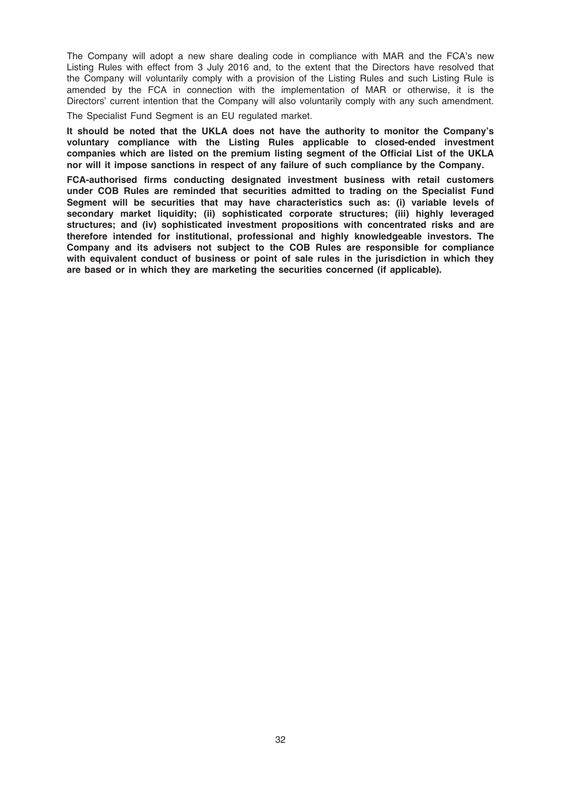The Company will adopt a new share dealing code in compliance with MAR and the FCA's new Listing Rules with effect from 3 July 2016 and, to the extent that the Directors have resolved that the Company will voluntarily comply with a provision of the Listing Rules and such Listing Rule is amended by the FCA in connection with the implementation of MAR or otherwise, it is the Directors' current intention that the Company will also voluntarily comply with any such amendment.

The Specialist Fund Segment is an EU regulated market.

It should be noted that the UKLA does not have the authority to monitor the Company's voluntary compliance with the Listing Rules applicable to closed-ended investment companies which are listed on the premium listing segment of the Official List of the UKLA nor will it impose sanctions in respect of any failure of such compliance by the Company.

FCA-authorised firms conducting designated investment business with retail customers under COB Rules are reminded that securities admitted to trading on the Specialist Fund Segment will be securities that may have characteristics such as: (i) variable levels of secondary market liquidity; (ii) sophisticated corporate structures; (iii) highly leveraged structures; and (iv) sophisticated investment propositions with concentrated risks and are therefore intended for institutional, professional and highly knowledgeable investors. The Company and its advisers not subject to the COB Rules are responsible for compliance with equivalent conduct of business or point of sale rules in the jurisdiction in which they are based or in which they are marketing the securities concerned (if applicable).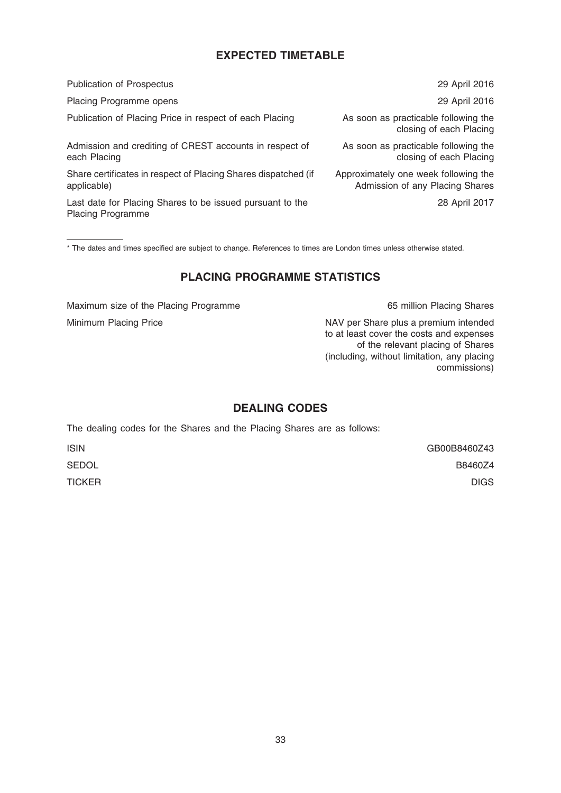# EXPECTED TIMETABLE

| <b>Publication of Prospectus</b>                                                      | 29 April 2016                                                           |
|---------------------------------------------------------------------------------------|-------------------------------------------------------------------------|
| Placing Programme opens                                                               | 29 April 2016                                                           |
| Publication of Placing Price in respect of each Placing                               | As soon as practicable following the<br>closing of each Placing         |
| Admission and crediting of CREST accounts in respect of<br>each Placing               | As soon as practicable following the<br>closing of each Placing         |
| Share certificates in respect of Placing Shares dispatched (if<br>applicable)         | Approximately one week following the<br>Admission of any Placing Shares |
| Last date for Placing Shares to be issued pursuant to the<br><b>Placing Programme</b> | 28 April 2017                                                           |

\* The dates and times specified are subject to change. References to times are London times unless otherwise stated.

## PLACING PROGRAMME STATISTICS

Maximum size of the Placing Programme 65 million Placing Shares

Minimum Placing Price NAV per Share plus a premium intended to at least cover the costs and expenses of the relevant placing of Shares (including, without limitation, any placing commissions)

# DEALING CODES

The dealing codes for the Shares and the Placing Shares are as follows:

ISIN GB00B8460Z43 SEDOL B8460Z4 TICKER DIGS AND THE RESERVE ENGINEERING ON THE RESERVE ENGINEERING ON THE RESERVE ENGINEERING ON THE RESERVE E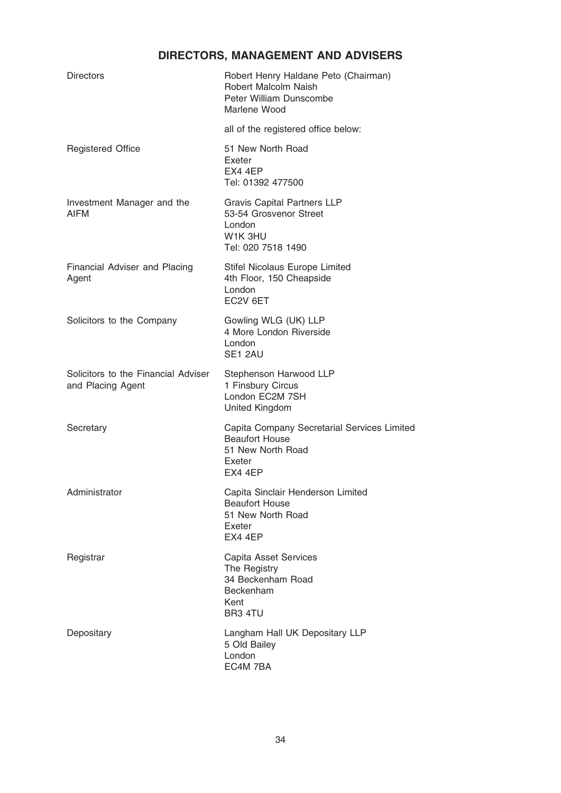# DIRECTORS, MANAGEMENT AND ADVISERS

| <b>Directors</b>                                         | Robert Henry Haldane Peto (Chairman)<br>Robert Malcolm Naish<br>Peter William Dunscombe<br>Marlene Wood        |
|----------------------------------------------------------|----------------------------------------------------------------------------------------------------------------|
|                                                          | all of the registered office below:                                                                            |
| <b>Registered Office</b>                                 | 51 New North Road<br>Exeter<br>EX4 4EP<br>Tel: 01392 477500                                                    |
| Investment Manager and the<br>AIFM                       | <b>Gravis Capital Partners LLP</b><br>53-54 Grosvenor Street<br>London<br>W1K 3HU<br>Tel: 020 7518 1490        |
| Financial Adviser and Placing<br>Agent                   | Stifel Nicolaus Europe Limited<br>4th Floor, 150 Cheapside<br>London<br>EC2V 6ET                               |
| Solicitors to the Company                                | Gowling WLG (UK) LLP<br>4 More London Riverside<br>London<br>SE1 2AU                                           |
| Solicitors to the Financial Adviser<br>and Placing Agent | Stephenson Harwood LLP<br>1 Finsbury Circus<br>London EC2M 7SH<br><b>United Kingdom</b>                        |
| Secretary                                                | Capita Company Secretarial Services Limited<br><b>Beaufort House</b><br>51 New North Road<br>Exeter<br>EX4 4EP |
| Administrator                                            | Capita Sinclair Henderson Limited<br><b>Beaufort House</b><br>51 New North Road<br>Exeter<br>EX4 4EP           |
| Registrar                                                | Capita Asset Services<br>The Registry<br>34 Beckenham Road<br>Beckenham<br>Kent<br>BR3 4TU                     |
| Depositary                                               | Langham Hall UK Depositary LLP<br>5 Old Bailey<br>London<br>EC4M 7BA                                           |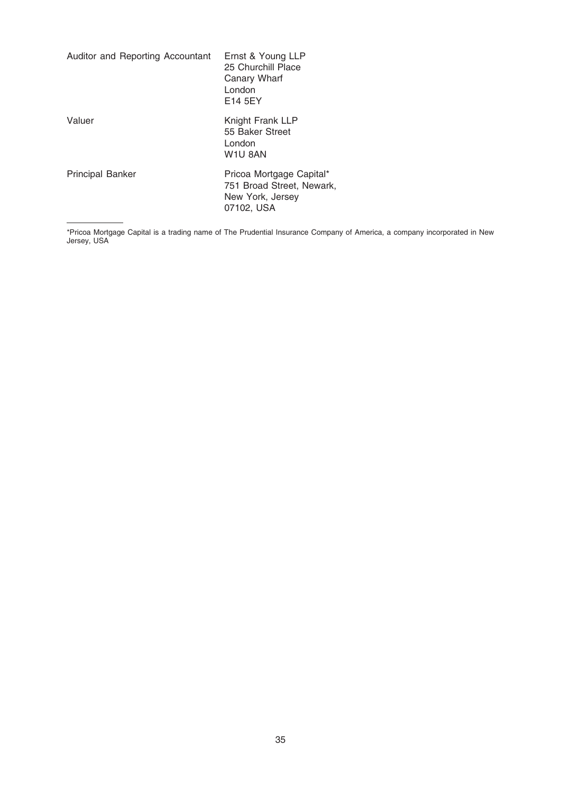| Auditor and Reporting Accountant | Ernst & Young LLP<br>25 Churchill Place<br>Canary Wharf<br>London<br>E14 5EY            |
|----------------------------------|-----------------------------------------------------------------------------------------|
| Valuer                           | Knight Frank LLP<br>55 Baker Street<br>London<br>W <sub>1</sub> U 8AN                   |
| <b>Principal Banker</b>          | Pricoa Mortgage Capital*<br>751 Broad Street, Newark,<br>New York, Jersey<br>07102, USA |

<sup>\*</sup>Pricoa Mortgage Capital is a trading name of The Prudential Insurance Company of America, a company incorporated in New Jersey, USA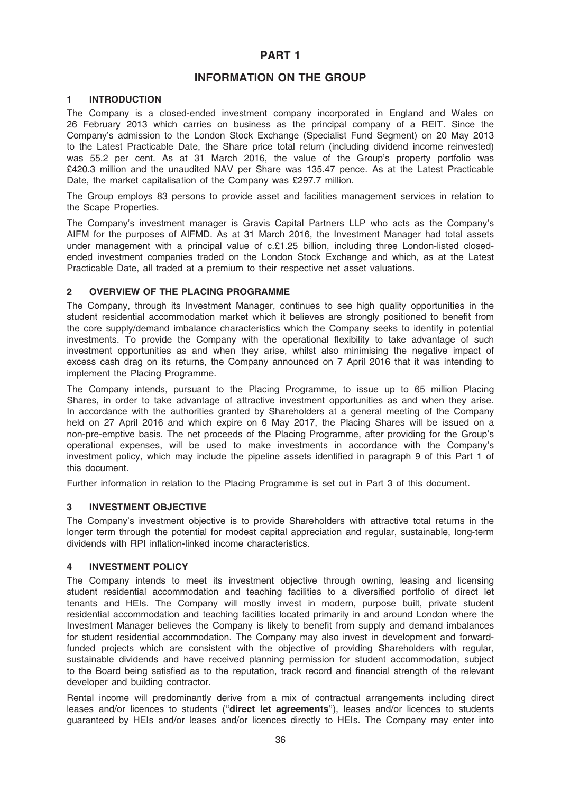### PART 1

### INFORMATION ON THE GROUP

#### 1 INTRODUCTION

The Company is a closed-ended investment company incorporated in England and Wales on 26 February 2013 which carries on business as the principal company of a REIT. Since the Company's admission to the London Stock Exchange (Specialist Fund Segment) on 20 May 2013 to the Latest Practicable Date, the Share price total return (including dividend income reinvested) was 55.2 per cent. As at 31 March 2016, the value of the Group's property portfolio was £420.3 million and the unaudited NAV per Share was 135.47 pence. As at the Latest Practicable Date, the market capitalisation of the Company was £297.7 million.

The Group employs 83 persons to provide asset and facilities management services in relation to the Scape Properties.

The Company's investment manager is Gravis Capital Partners LLP who acts as the Company's AIFM for the purposes of AIFMD. As at 31 March 2016, the Investment Manager had total assets under management with a principal value of c.£1.25 billion, including three London-listed closedended investment companies traded on the London Stock Exchange and which, as at the Latest Practicable Date, all traded at a premium to their respective net asset valuations.

#### 2 OVERVIEW OF THE PLACING PROGRAMME

The Company, through its Investment Manager, continues to see high quality opportunities in the student residential accommodation market which it believes are strongly positioned to benefit from the core supply/demand imbalance characteristics which the Company seeks to identify in potential investments. To provide the Company with the operational flexibility to take advantage of such investment opportunities as and when they arise, whilst also minimising the negative impact of excess cash drag on its returns, the Company announced on 7 April 2016 that it was intending to implement the Placing Programme.

The Company intends, pursuant to the Placing Programme, to issue up to 65 million Placing Shares, in order to take advantage of attractive investment opportunities as and when they arise. In accordance with the authorities granted by Shareholders at a general meeting of the Company held on 27 April 2016 and which expire on 6 May 2017, the Placing Shares will be issued on a non-pre-emptive basis. The net proceeds of the Placing Programme, after providing for the Group's operational expenses, will be used to make investments in accordance with the Company's investment policy, which may include the pipeline assets identified in paragraph 9 of this Part 1 of this document.

Further information in relation to the Placing Programme is set out in Part 3 of this document.

#### 3 INVESTMENT OBJECTIVE

The Company's investment objective is to provide Shareholders with attractive total returns in the longer term through the potential for modest capital appreciation and regular, sustainable, long-term dividends with RPI inflation-linked income characteristics.

#### 4 INVESTMENT POLICY

The Company intends to meet its investment objective through owning, leasing and licensing student residential accommodation and teaching facilities to a diversified portfolio of direct let tenants and HEIs. The Company will mostly invest in modern, purpose built, private student residential accommodation and teaching facilities located primarily in and around London where the Investment Manager believes the Company is likely to benefit from supply and demand imbalances for student residential accommodation. The Company may also invest in development and forwardfunded projects which are consistent with the objective of providing Shareholders with regular, sustainable dividends and have received planning permission for student accommodation, subject to the Board being satisfied as to the reputation, track record and financial strength of the relevant developer and building contractor.

Rental income will predominantly derive from a mix of contractual arrangements including direct leases and/or licences to students ("direct let agreements"), leases and/or licences to students guaranteed by HEIs and/or leases and/or licences directly to HEIs. The Company may enter into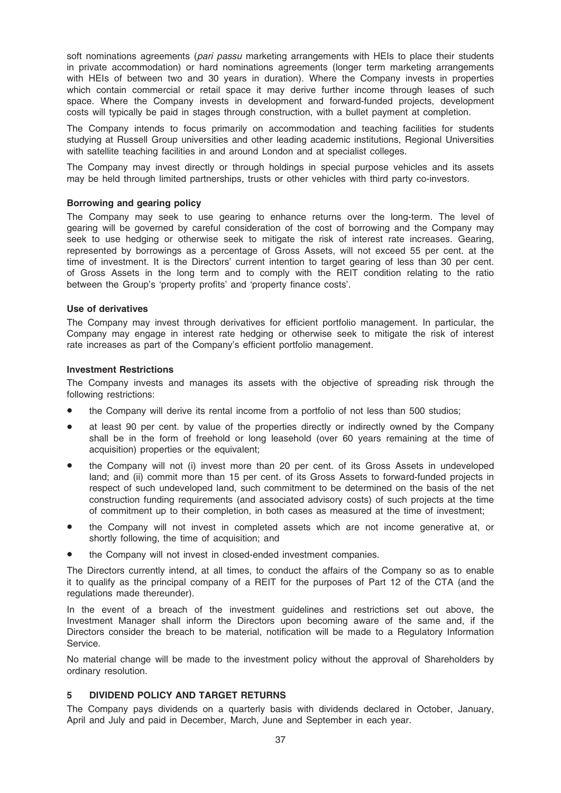soft nominations agreements (pari passu marketing arrangements with HEIs to place their students in private accommodation) or hard nominations agreements (longer term marketing arrangements with HEIs of between two and 30 years in duration). Where the Company invests in properties which contain commercial or retail space it may derive further income through leases of such space. Where the Company invests in development and forward-funded projects, development costs will typically be paid in stages through construction, with a bullet payment at completion.

The Company intends to focus primarily on accommodation and teaching facilities for students studying at Russell Group universities and other leading academic institutions, Regional Universities with satellite teaching facilities in and around London and at specialist colleges.

The Company may invest directly or through holdings in special purpose vehicles and its assets may be held through limited partnerships, trusts or other vehicles with third party co-investors.

#### Borrowing and gearing policy

The Company may seek to use gearing to enhance returns over the long-term. The level of gearing will be governed by careful consideration of the cost of borrowing and the Company may seek to use hedging or otherwise seek to mitigate the risk of interest rate increases. Gearing, represented by borrowings as a percentage of Gross Assets, will not exceed 55 per cent. at the time of investment. It is the Directors' current intention to target gearing of less than 30 per cent. of Gross Assets in the long term and to comply with the REIT condition relating to the ratio between the Group's 'property profits' and 'property finance costs'.

#### Use of derivatives

The Company may invest through derivatives for efficient portfolio management. In particular, the Company may engage in interest rate hedging or otherwise seek to mitigate the risk of interest rate increases as part of the Company's efficient portfolio management.

#### Investment Restrictions

The Company invests and manages its assets with the objective of spreading risk through the following restrictions:

- the Company will derive its rental income from a portfolio of not less than 500 studios;
- at least 90 per cent. by value of the properties directly or indirectly owned by the Company shall be in the form of freehold or long leasehold (over 60 years remaining at the time of acquisition) properties or the equivalent:
- the Company will not (i) invest more than 20 per cent. of its Gross Assets in undeveloped land; and (ii) commit more than 15 per cent. of its Gross Assets to forward-funded projects in respect of such undeveloped land, such commitment to be determined on the basis of the net construction funding requirements (and associated advisory costs) of such projects at the time of commitment up to their completion, in both cases as measured at the time of investment;
- the Company will not invest in completed assets which are not income generative at, or shortly following, the time of acquisition; and
- the Company will not invest in closed-ended investment companies.

The Directors currently intend, at all times, to conduct the affairs of the Company so as to enable it to qualify as the principal company of a REIT for the purposes of Part 12 of the CTA (and the regulations made thereunder).

In the event of a breach of the investment guidelines and restrictions set out above, the Investment Manager shall inform the Directors upon becoming aware of the same and, if the Directors consider the breach to be material, notification will be made to a Regulatory Information Service.

No material change will be made to the investment policy without the approval of Shareholders by ordinary resolution.

## 5 DIVIDEND POLICY AND TARGET RETURNS

The Company pays dividends on a quarterly basis with dividends declared in October, January, April and July and paid in December, March, June and September in each year.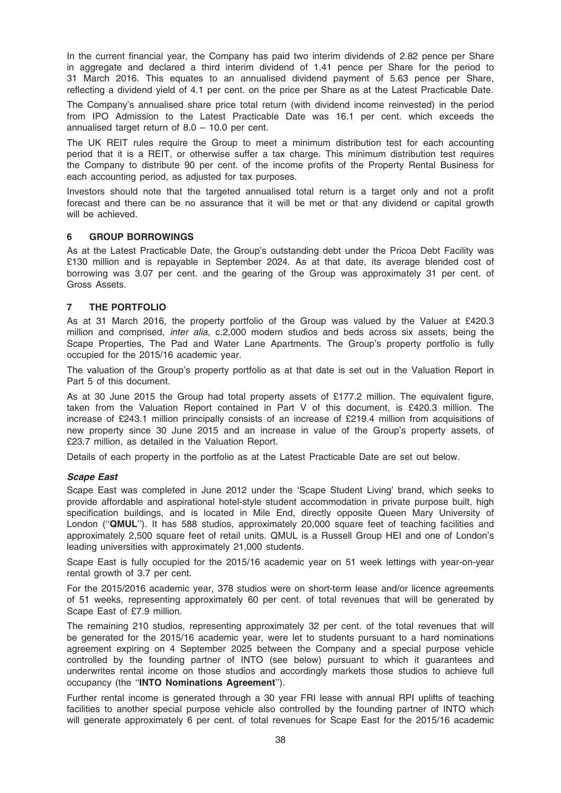In the current financial year, the Company has paid two interim dividends of 2.82 pence per Share in aggregate and declared a third interim dividend of 1.41 pence per Share for the period to 31 March 2016. This equates to an annualised dividend payment of 5.63 pence per Share, reflecting a dividend yield of 4.1 per cent. on the price per Share as at the Latest Practicable Date.

The Company's annualised share price total return (with dividend income reinvested) in the period from IPO Admission to the Latest Practicable Date was 16.1 per cent. which exceeds the annualised target return of 8.0 – 10.0 per cent.

The UK REIT rules require the Group to meet a minimum distribution test for each accounting period that it is a REIT, or otherwise suffer a tax charge. This minimum distribution test requires the Company to distribute 90 per cent. of the income profits of the Property Rental Business for each accounting period, as adjusted for tax purposes.

Investors should note that the targeted annualised total return is a target only and not a profit forecast and there can be no assurance that it will be met or that any dividend or capital growth will be achieved.

#### 6 GROUP BORROWINGS

As at the Latest Practicable Date, the Group's outstanding debt under the Pricoa Debt Facility was £130 million and is repayable in September 2024. As at that date, its average blended cost of borrowing was 3.07 per cent. and the gearing of the Group was approximately 31 per cent. of Gross Assets.

## 7 THE PORTFOLIO

As at 31 March 2016, the property portfolio of the Group was valued by the Valuer at £420.3 million and comprised, inter alia, c.2,000 modern studios and beds across six assets, being the Scape Properties, The Pad and Water Lane Apartments. The Group's property portfolio is fully occupied for the 2015/16 academic year.

The valuation of the Group's property portfolio as at that date is set out in the Valuation Report in Part 5 of this document.

As at 30 June 2015 the Group had total property assets of £177.2 million. The equivalent figure, taken from the Valuation Report contained in Part V of this document, is £420.3 million. The increase of £243.1 million principally consists of an increase of £219.4 million from acquisitions of new property since 30 June 2015 and an increase in value of the Group's property assets, of £23.7 million, as detailed in the Valuation Report.

Details of each property in the portfolio as at the Latest Practicable Date are set out below.

#### Scape East

Scape East was completed in June 2012 under the 'Scape Student Living' brand, which seeks to provide affordable and aspirational hotel-style student accommodation in private purpose built, high specification buildings, and is located in Mile End, directly opposite Queen Mary University of London ("QMUL"). It has 588 studios, approximately 20,000 square feet of teaching facilities and approximately 2,500 square feet of retail units. QMUL is a Russell Group HEI and one of London's leading universities with approximately 21,000 students.

Scape East is fully occupied for the 2015/16 academic year on 51 week lettings with year-on-year rental growth of 3.7 per cent.

For the 2015/2016 academic year, 378 studios were on short-term lease and/or licence agreements of 51 weeks, representing approximately 60 per cent. of total revenues that will be generated by Scape East of £7.9 million.

The remaining 210 studios, representing approximately 32 per cent. of the total revenues that will be generated for the 2015/16 academic year, were let to students pursuant to a hard nominations agreement expiring on 4 September 2025 between the Company and a special purpose vehicle controlled by the founding partner of INTO (see below) pursuant to which it guarantees and underwrites rental income on those studios and accordingly markets those studios to achieve full occupancy (the ''INTO Nominations Agreement'').

Further rental income is generated through a 30 year FRI lease with annual RPI uplifts of teaching facilities to another special purpose vehicle also controlled by the founding partner of INTO which will generate approximately 6 per cent. of total revenues for Scape East for the 2015/16 academic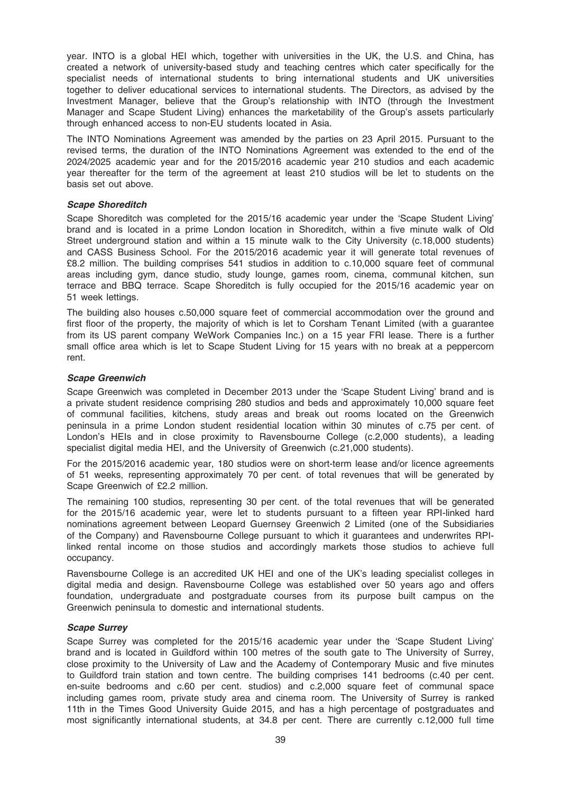year. INTO is a global HEI which, together with universities in the UK, the U.S. and China, has created a network of university-based study and teaching centres which cater specifically for the specialist needs of international students to bring international students and UK universities together to deliver educational services to international students. The Directors, as advised by the Investment Manager, believe that the Group's relationship with INTO (through the Investment Manager and Scape Student Living) enhances the marketability of the Group's assets particularly through enhanced access to non-EU students located in Asia.

The INTO Nominations Agreement was amended by the parties on 23 April 2015. Pursuant to the revised terms, the duration of the INTO Nominations Agreement was extended to the end of the 2024/2025 academic year and for the 2015/2016 academic year 210 studios and each academic year thereafter for the term of the agreement at least 210 studios will be let to students on the basis set out above.

#### Scape Shoreditch

Scape Shoreditch was completed for the 2015/16 academic year under the 'Scape Student Living' brand and is located in a prime London location in Shoreditch, within a five minute walk of Old Street underground station and within a 15 minute walk to the City University (c.18,000 students) and CASS Business School. For the 2015/2016 academic year it will generate total revenues of £8.2 million. The building comprises 541 studios in addition to c.10,000 square feet of communal areas including gym, dance studio, study lounge, games room, cinema, communal kitchen, sun terrace and BBQ terrace. Scape Shoreditch is fully occupied for the 2015/16 academic year on 51 week lettings.

The building also houses c.50,000 square feet of commercial accommodation over the ground and first floor of the property, the majority of which is let to Corsham Tenant Limited (with a guarantee from its US parent company WeWork Companies Inc.) on a 15 year FRI lease. There is a further small office area which is let to Scape Student Living for 15 years with no break at a peppercorn rent.

#### Scape Greenwich

Scape Greenwich was completed in December 2013 under the 'Scape Student Living' brand and is a private student residence comprising 280 studios and beds and approximately 10,000 square feet of communal facilities, kitchens, study areas and break out rooms located on the Greenwich peninsula in a prime London student residential location within 30 minutes of c.75 per cent. of London's HEIs and in close proximity to Ravensbourne College (c.2,000 students), a leading specialist digital media HEI, and the University of Greenwich (c.21,000 students).

For the 2015/2016 academic year, 180 studios were on short-term lease and/or licence agreements of 51 weeks, representing approximately 70 per cent. of total revenues that will be generated by Scape Greenwich of £2.2 million.

The remaining 100 studios, representing 30 per cent. of the total revenues that will be generated for the 2015/16 academic year, were let to students pursuant to a fifteen year RPI-linked hard nominations agreement between Leopard Guernsey Greenwich 2 Limited (one of the Subsidiaries of the Company) and Ravensbourne College pursuant to which it guarantees and underwrites RPIlinked rental income on those studios and accordingly markets those studios to achieve full occupancy.

Ravensbourne College is an accredited UK HEI and one of the UK's leading specialist colleges in digital media and design. Ravensbourne College was established over 50 years ago and offers foundation, undergraduate and postgraduate courses from its purpose built campus on the Greenwich peninsula to domestic and international students.

#### Scape Surrey

Scape Surrey was completed for the 2015/16 academic year under the 'Scape Student Living' brand and is located in Guildford within 100 metres of the south gate to The University of Surrey, close proximity to the University of Law and the Academy of Contemporary Music and five minutes to Guildford train station and town centre. The building comprises 141 bedrooms (c.40 per cent. en-suite bedrooms and c.60 per cent. studios) and c.2,000 square feet of communal space including games room, private study area and cinema room. The University of Surrey is ranked 11th in the Times Good University Guide 2015, and has a high percentage of postgraduates and most significantly international students, at 34.8 per cent. There are currently c.12,000 full time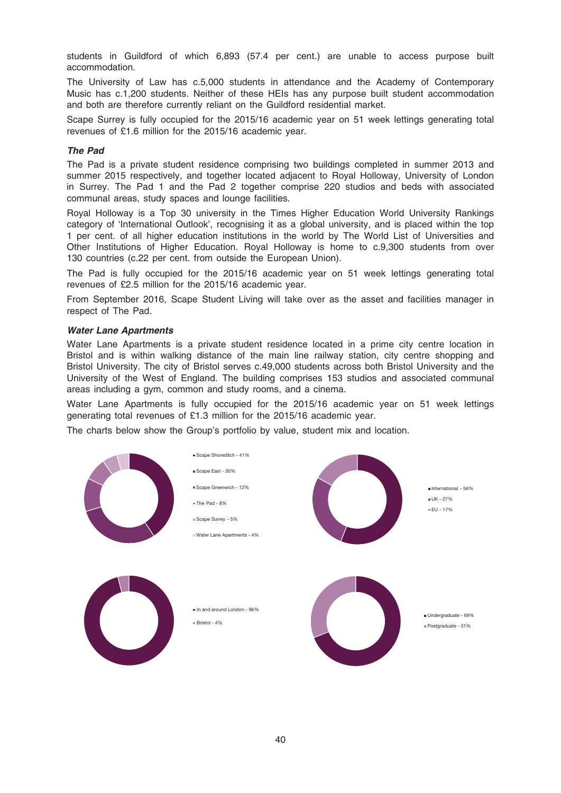students in Guildford of which 6,893 (57.4 per cent.) are unable to access purpose built accommodation.

The University of Law has c.5,000 students in attendance and the Academy of Contemporary Music has c.1,200 students. Neither of these HEIs has any purpose built student accommodation and both are therefore currently reliant on the Guildford residential market.

Scape Surrey is fully occupied for the 2015/16 academic year on 51 week lettings generating total revenues of £1.6 million for the 2015/16 academic year.

#### The Pad

The Pad is a private student residence comprising two buildings completed in summer 2013 and summer 2015 respectively, and together located adjacent to Royal Holloway, University of London in Surrey. The Pad 1 and the Pad 2 together comprise 220 studios and beds with associated communal areas, study spaces and lounge facilities.

Royal Holloway is a Top 30 university in the Times Higher Education World University Rankings category of 'International Outlook', recognising it as a global university, and is placed within the top 1 per cent. of all higher education institutions in the world by The World List of Universities and Other Institutions of Higher Education. Royal Holloway is home to c.9,300 students from over 130 countries (c.22 per cent. from outside the European Union).

The Pad is fully occupied for the 2015/16 academic year on 51 week lettings generating total revenues of £2.5 million for the 2015/16 academic year.

From September 2016, Scape Student Living will take over as the asset and facilities manager in respect of The Pad.

#### Water Lane Apartments

Water Lane Apartments is a private student residence located in a prime city centre location in Bristol and is within walking distance of the main line railway station, city centre shopping and Bristol University. The city of Bristol serves c.49,000 students across both Bristol University and the University of the West of England. The building comprises 153 studios and associated communal areas including a gym, common and study rooms, and a cinema.

Water Lane Apartments is fully occupied for the 2015/16 academic year on 51 week lettings generating total revenues of £1.3 million for the 2015/16 academic year.

The charts below show the Group's portfolio by value, student mix and location.

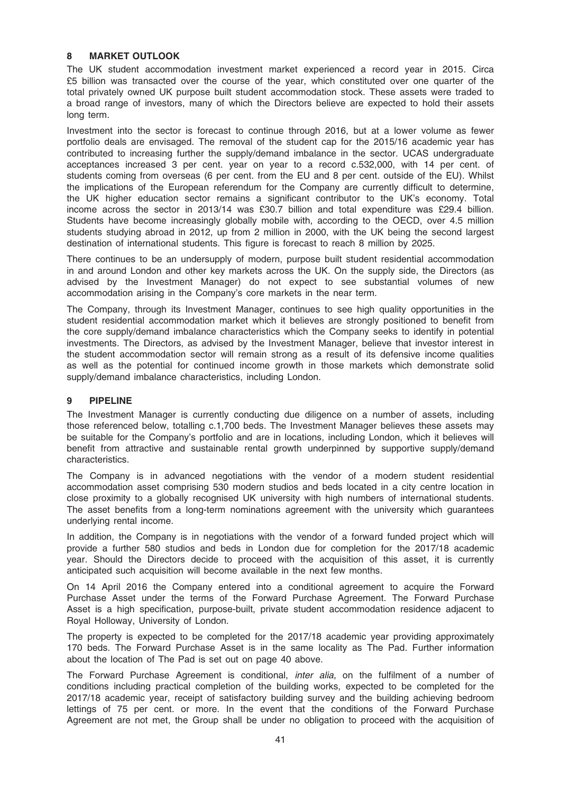## 8 MARKET OUTLOOK

The UK student accommodation investment market experienced a record year in 2015. Circa £5 billion was transacted over the course of the year, which constituted over one quarter of the total privately owned UK purpose built student accommodation stock. These assets were traded to a broad range of investors, many of which the Directors believe are expected to hold their assets long term.

Investment into the sector is forecast to continue through 2016, but at a lower volume as fewer portfolio deals are envisaged. The removal of the student cap for the 2015/16 academic year has contributed to increasing further the supply/demand imbalance in the sector. UCAS undergraduate acceptances increased 3 per cent. year on year to a record c.532,000, with 14 per cent. of students coming from overseas (6 per cent. from the EU and 8 per cent. outside of the EU). Whilst the implications of the European referendum for the Company are currently difficult to determine, the UK higher education sector remains a significant contributor to the UK's economy. Total income across the sector in 2013/14 was £30.7 billion and total expenditure was £29.4 billion. Students have become increasingly globally mobile with, according to the OECD, over 4.5 million students studying abroad in 2012, up from 2 million in 2000, with the UK being the second largest destination of international students. This figure is forecast to reach 8 million by 2025.

There continues to be an undersupply of modern, purpose built student residential accommodation in and around London and other key markets across the UK. On the supply side, the Directors (as advised by the Investment Manager) do not expect to see substantial volumes of new accommodation arising in the Company's core markets in the near term.

The Company, through its Investment Manager, continues to see high quality opportunities in the student residential accommodation market which it believes are strongly positioned to benefit from the core supply/demand imbalance characteristics which the Company seeks to identify in potential investments. The Directors, as advised by the Investment Manager, believe that investor interest in the student accommodation sector will remain strong as a result of its defensive income qualities as well as the potential for continued income growth in those markets which demonstrate solid supply/demand imbalance characteristics, including London.

#### 9 PIPELINE

The Investment Manager is currently conducting due diligence on a number of assets, including those referenced below, totalling c.1,700 beds. The Investment Manager believes these assets may be suitable for the Company's portfolio and are in locations, including London, which it believes will benefit from attractive and sustainable rental growth underpinned by supportive supply/demand characteristics.

The Company is in advanced negotiations with the vendor of a modern student residential accommodation asset comprising 530 modern studios and beds located in a city centre location in close proximity to a globally recognised UK university with high numbers of international students. The asset benefits from a long-term nominations agreement with the university which guarantees underlying rental income.

In addition, the Company is in negotiations with the vendor of a forward funded project which will provide a further 580 studios and beds in London due for completion for the 2017/18 academic year. Should the Directors decide to proceed with the acquisition of this asset, it is currently anticipated such acquisition will become available in the next few months.

On 14 April 2016 the Company entered into a conditional agreement to acquire the Forward Purchase Asset under the terms of the Forward Purchase Agreement. The Forward Purchase Asset is a high specification, purpose-built, private student accommodation residence adjacent to Royal Holloway, University of London.

The property is expected to be completed for the 2017/18 academic year providing approximately 170 beds. The Forward Purchase Asset is in the same locality as The Pad. Further information about the location of The Pad is set out on page 40 above.

The Forward Purchase Agreement is conditional, *inter alia*, on the fulfilment of a number of conditions including practical completion of the building works, expected to be completed for the 2017/18 academic year, receipt of satisfactory building survey and the building achieving bedroom lettings of 75 per cent. or more. In the event that the conditions of the Forward Purchase Agreement are not met, the Group shall be under no obligation to proceed with the acquisition of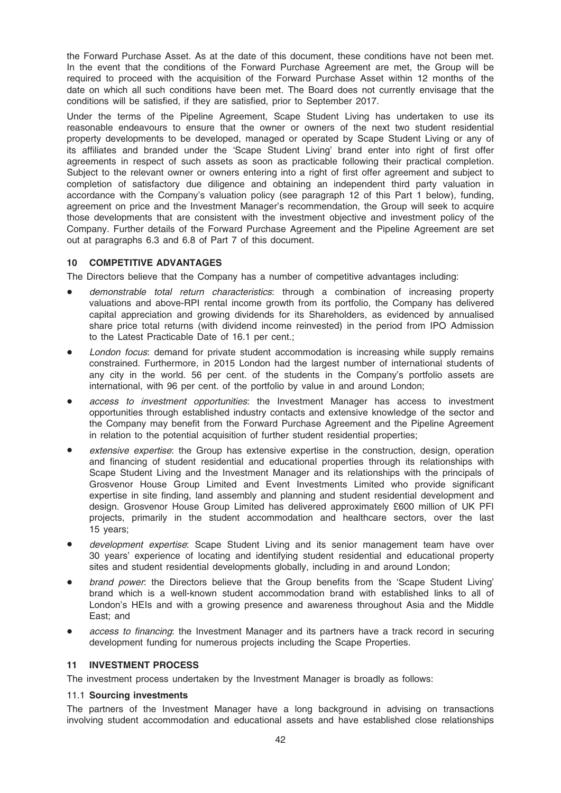the Forward Purchase Asset. As at the date of this document, these conditions have not been met. In the event that the conditions of the Forward Purchase Agreement are met, the Group will be required to proceed with the acquisition of the Forward Purchase Asset within 12 months of the date on which all such conditions have been met. The Board does not currently envisage that the conditions will be satisfied, if they are satisfied, prior to September 2017.

Under the terms of the Pipeline Agreement, Scape Student Living has undertaken to use its reasonable endeavours to ensure that the owner or owners of the next two student residential property developments to be developed, managed or operated by Scape Student Living or any of its affiliates and branded under the 'Scape Student Living' brand enter into right of first offer agreements in respect of such assets as soon as practicable following their practical completion. Subject to the relevant owner or owners entering into a right of first offer agreement and subject to completion of satisfactory due diligence and obtaining an independent third party valuation in accordance with the Company's valuation policy (see paragraph 12 of this Part 1 below), funding, agreement on price and the Investment Manager's recommendation, the Group will seek to acquire those developments that are consistent with the investment objective and investment policy of the Company. Further details of the Forward Purchase Agreement and the Pipeline Agreement are set out at paragraphs 6.3 and 6.8 of Part 7 of this document.

## 10 COMPETITIVE ADVANTAGES

The Directors believe that the Company has a number of competitive advantages including:

- demonstrable total return characteristics: through a combination of increasing property valuations and above-RPI rental income growth from its portfolio, the Company has delivered capital appreciation and growing dividends for its Shareholders, as evidenced by annualised share price total returns (with dividend income reinvested) in the period from IPO Admission to the Latest Practicable Date of 16.1 per cent.;
- London focus: demand for private student accommodation is increasing while supply remains constrained. Furthermore, in 2015 London had the largest number of international students of any city in the world. 56 per cent. of the students in the Company's portfolio assets are international, with 96 per cent. of the portfolio by value in and around London;
- access to investment opportunities: the Investment Manager has access to investment opportunities through established industry contacts and extensive knowledge of the sector and the Company may benefit from the Forward Purchase Agreement and the Pipeline Agreement in relation to the potential acquisition of further student residential properties;
- extensive expertise: the Group has extensive expertise in the construction, design, operation and financing of student residential and educational properties through its relationships with Scape Student Living and the Investment Manager and its relationships with the principals of Grosvenor House Group Limited and Event Investments Limited who provide significant expertise in site finding, land assembly and planning and student residential development and design. Grosvenor House Group Limited has delivered approximately £600 million of UK PFI projects, primarily in the student accommodation and healthcare sectors, over the last 15 years;
- development expertise: Scape Student Living and its senior management team have over 30 years' experience of locating and identifying student residential and educational property sites and student residential developments globally, including in and around London;
- brand power: the Directors believe that the Group benefits from the 'Scape Student Living' brand which is a well-known student accommodation brand with established links to all of London's HEIs and with a growing presence and awareness throughout Asia and the Middle East; and
- access to financing: the Investment Manager and its partners have a track record in securing development funding for numerous projects including the Scape Properties.

#### 11 INVESTMENT PROCESS

The investment process undertaken by the Investment Manager is broadly as follows:

#### 11.1 Sourcing investments

The partners of the Investment Manager have a long background in advising on transactions involving student accommodation and educational assets and have established close relationships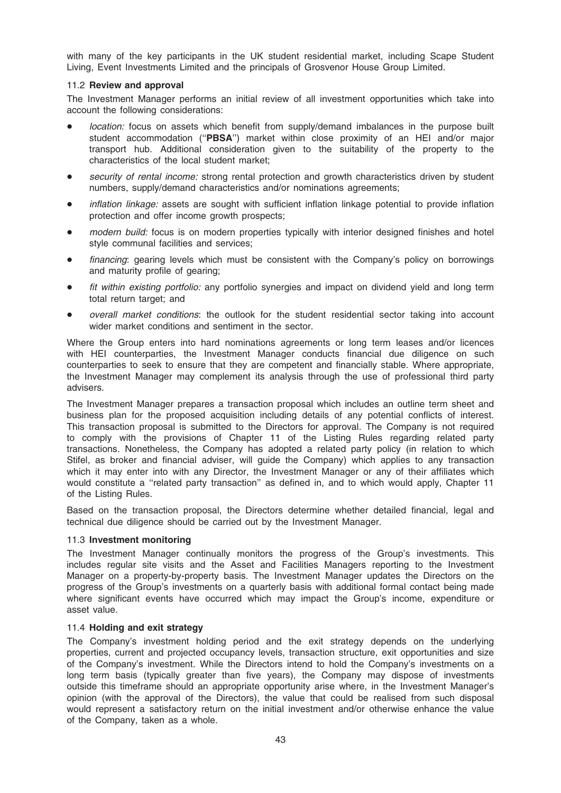with many of the key participants in the UK student residential market, including Scape Student Living, Event Investments Limited and the principals of Grosvenor House Group Limited.

## 11.2 Review and approval

The Investment Manager performs an initial review of all investment opportunities which take into account the following considerations:

- location: focus on assets which benefit from supply/demand imbalances in the purpose built student accommodation ("PBSA") market within close proximity of an HEI and/or major transport hub. Additional consideration given to the suitability of the property to the characteristics of the local student market;
- security of rental income: strong rental protection and growth characteristics driven by student numbers, supply/demand characteristics and/or nominations agreements;
- *inflation linkage:* assets are sought with sufficient inflation linkage potential to provide inflation protection and offer income growth prospects;
- modern build: focus is on modern properties typically with interior designed finishes and hotel style communal facilities and services;
- financing: gearing levels which must be consistent with the Company's policy on borrowings and maturity profile of gearing;
- fit within existing portfolio: any portfolio synergies and impact on dividend yield and long term total return target; and
- overall market conditions: the outlook for the student residential sector taking into account wider market conditions and sentiment in the sector.

Where the Group enters into hard nominations agreements or long term leases and/or licences with HEI counterparties, the Investment Manager conducts financial due diligence on such counterparties to seek to ensure that they are competent and financially stable. Where appropriate, the Investment Manager may complement its analysis through the use of professional third party advisers.

The Investment Manager prepares a transaction proposal which includes an outline term sheet and business plan for the proposed acquisition including details of any potential conflicts of interest. This transaction proposal is submitted to the Directors for approval. The Company is not required to comply with the provisions of Chapter 11 of the Listing Rules regarding related party transactions. Nonetheless, the Company has adopted a related party policy (in relation to which Stifel, as broker and financial adviser, will guide the Company) which applies to any transaction which it may enter into with any Director, the Investment Manager or any of their affiliates which would constitute a ''related party transaction'' as defined in, and to which would apply, Chapter 11 of the Listing Rules.

Based on the transaction proposal, the Directors determine whether detailed financial, legal and technical due diligence should be carried out by the Investment Manager.

#### 11.3 Investment monitoring

The Investment Manager continually monitors the progress of the Group's investments. This includes regular site visits and the Asset and Facilities Managers reporting to the Investment Manager on a property-by-property basis. The Investment Manager updates the Directors on the progress of the Group's investments on a quarterly basis with additional formal contact being made where significant events have occurred which may impact the Group's income, expenditure or asset value.

#### 11.4 Holding and exit strategy

The Company's investment holding period and the exit strategy depends on the underlying properties, current and projected occupancy levels, transaction structure, exit opportunities and size of the Company's investment. While the Directors intend to hold the Company's investments on a long term basis (typically greater than five years), the Company may dispose of investments outside this timeframe should an appropriate opportunity arise where, in the Investment Manager's opinion (with the approval of the Directors), the value that could be realised from such disposal would represent a satisfactory return on the initial investment and/or otherwise enhance the value of the Company, taken as a whole.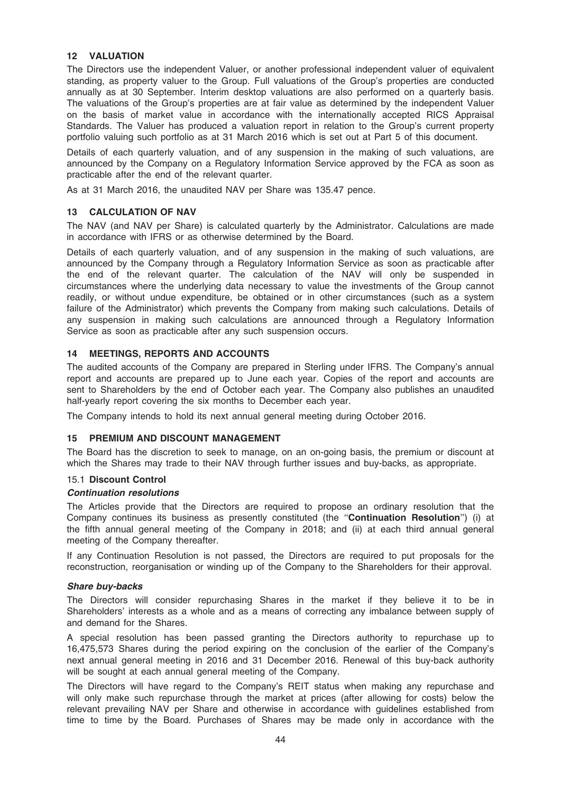## 12 VALUATION

The Directors use the independent Valuer, or another professional independent valuer of equivalent standing, as property valuer to the Group. Full valuations of the Group's properties are conducted annually as at 30 September. Interim desktop valuations are also performed on a quarterly basis. The valuations of the Group's properties are at fair value as determined by the independent Valuer on the basis of market value in accordance with the internationally accepted RICS Appraisal Standards. The Valuer has produced a valuation report in relation to the Group's current property portfolio valuing such portfolio as at 31 March 2016 which is set out at Part 5 of this document.

Details of each quarterly valuation, and of any suspension in the making of such valuations, are announced by the Company on a Regulatory Information Service approved by the FCA as soon as practicable after the end of the relevant quarter.

As at 31 March 2016, the unaudited NAV per Share was 135.47 pence.

## 13 CALCULATION OF NAV

The NAV (and NAV per Share) is calculated quarterly by the Administrator. Calculations are made in accordance with IFRS or as otherwise determined by the Board.

Details of each quarterly valuation, and of any suspension in the making of such valuations, are announced by the Company through a Regulatory Information Service as soon as practicable after the end of the relevant quarter. The calculation of the NAV will only be suspended in circumstances where the underlying data necessary to value the investments of the Group cannot readily, or without undue expenditure, be obtained or in other circumstances (such as a system failure of the Administrator) which prevents the Company from making such calculations. Details of any suspension in making such calculations are announced through a Regulatory Information Service as soon as practicable after any such suspension occurs.

#### 14 MEETINGS, REPORTS AND ACCOUNTS

The audited accounts of the Company are prepared in Sterling under IFRS. The Company's annual report and accounts are prepared up to June each year. Copies of the report and accounts are sent to Shareholders by the end of October each year. The Company also publishes an unaudited half-yearly report covering the six months to December each year.

The Company intends to hold its next annual general meeting during October 2016.

#### 15 PREMIUM AND DISCOUNT MANAGEMENT

The Board has the discretion to seek to manage, on an on-going basis, the premium or discount at which the Shares may trade to their NAV through further issues and buy-backs, as appropriate.

#### 15.1 Discount Control

#### Continuation resolutions

The Articles provide that the Directors are required to propose an ordinary resolution that the Company continues its business as presently constituted (the ''Continuation Resolution'') (i) at the fifth annual general meeting of the Company in 2018; and (ii) at each third annual general meeting of the Company thereafter.

If any Continuation Resolution is not passed, the Directors are required to put proposals for the reconstruction, reorganisation or winding up of the Company to the Shareholders for their approval.

#### Share buy-backs

The Directors will consider repurchasing Shares in the market if they believe it to be in Shareholders' interests as a whole and as a means of correcting any imbalance between supply of and demand for the Shares.

A special resolution has been passed granting the Directors authority to repurchase up to 16,475,573 Shares during the period expiring on the conclusion of the earlier of the Company's next annual general meeting in 2016 and 31 December 2016. Renewal of this buy-back authority will be sought at each annual general meeting of the Company.

The Directors will have regard to the Company's REIT status when making any repurchase and will only make such repurchase through the market at prices (after allowing for costs) below the relevant prevailing NAV per Share and otherwise in accordance with guidelines established from time to time by the Board. Purchases of Shares may be made only in accordance with the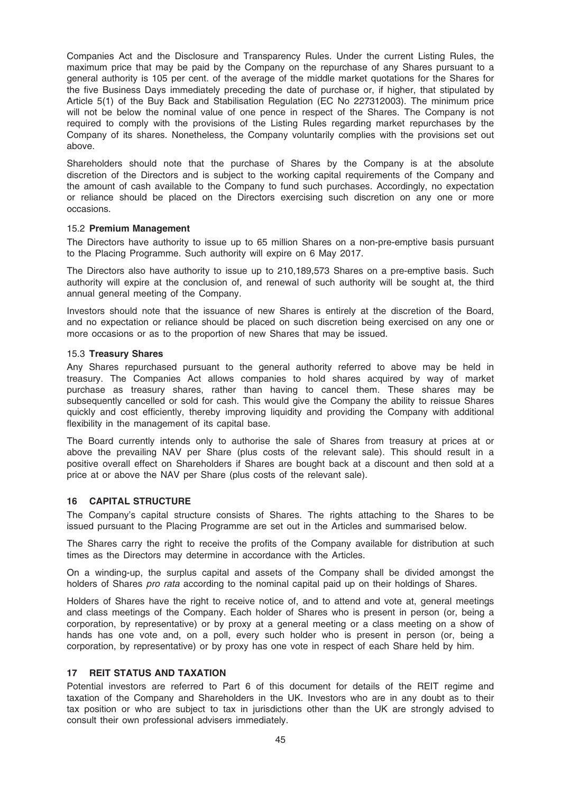Companies Act and the Disclosure and Transparency Rules. Under the current Listing Rules, the maximum price that may be paid by the Company on the repurchase of any Shares pursuant to a general authority is 105 per cent. of the average of the middle market quotations for the Shares for the five Business Days immediately preceding the date of purchase or, if higher, that stipulated by Article 5(1) of the Buy Back and Stabilisation Regulation (EC No 227312003). The minimum price will not be below the nominal value of one pence in respect of the Shares. The Company is not required to comply with the provisions of the Listing Rules regarding market repurchases by the Company of its shares. Nonetheless, the Company voluntarily complies with the provisions set out above.

Shareholders should note that the purchase of Shares by the Company is at the absolute discretion of the Directors and is subject to the working capital requirements of the Company and the amount of cash available to the Company to fund such purchases. Accordingly, no expectation or reliance should be placed on the Directors exercising such discretion on any one or more occasions.

#### 15.2 Premium Management

The Directors have authority to issue up to 65 million Shares on a non-pre-emptive basis pursuant to the Placing Programme. Such authority will expire on 6 May 2017.

The Directors also have authority to issue up to 210,189,573 Shares on a pre-emptive basis. Such authority will expire at the conclusion of, and renewal of such authority will be sought at, the third annual general meeting of the Company.

Investors should note that the issuance of new Shares is entirely at the discretion of the Board, and no expectation or reliance should be placed on such discretion being exercised on any one or more occasions or as to the proportion of new Shares that may be issued.

#### 15.3 Treasury Shares

Any Shares repurchased pursuant to the general authority referred to above may be held in treasury. The Companies Act allows companies to hold shares acquired by way of market purchase as treasury shares, rather than having to cancel them. These shares may be subsequently cancelled or sold for cash. This would give the Company the ability to reissue Shares quickly and cost efficiently, thereby improving liquidity and providing the Company with additional flexibility in the management of its capital base.

The Board currently intends only to authorise the sale of Shares from treasury at prices at or above the prevailing NAV per Share (plus costs of the relevant sale). This should result in a positive overall effect on Shareholders if Shares are bought back at a discount and then sold at a price at or above the NAV per Share (plus costs of the relevant sale).

## 16 CAPITAL STRUCTURE

The Company's capital structure consists of Shares. The rights attaching to the Shares to be issued pursuant to the Placing Programme are set out in the Articles and summarised below.

The Shares carry the right to receive the profits of the Company available for distribution at such times as the Directors may determine in accordance with the Articles.

On a winding-up, the surplus capital and assets of the Company shall be divided amongst the holders of Shares *pro rata* according to the nominal capital paid up on their holdings of Shares.

Holders of Shares have the right to receive notice of, and to attend and vote at, general meetings and class meetings of the Company. Each holder of Shares who is present in person (or, being a corporation, by representative) or by proxy at a general meeting or a class meeting on a show of hands has one vote and, on a poll, every such holder who is present in person (or, being a corporation, by representative) or by proxy has one vote in respect of each Share held by him.

## 17 REIT STATUS AND TAXATION

Potential investors are referred to Part 6 of this document for details of the REIT regime and taxation of the Company and Shareholders in the UK. Investors who are in any doubt as to their tax position or who are subject to tax in jurisdictions other than the UK are strongly advised to consult their own professional advisers immediately.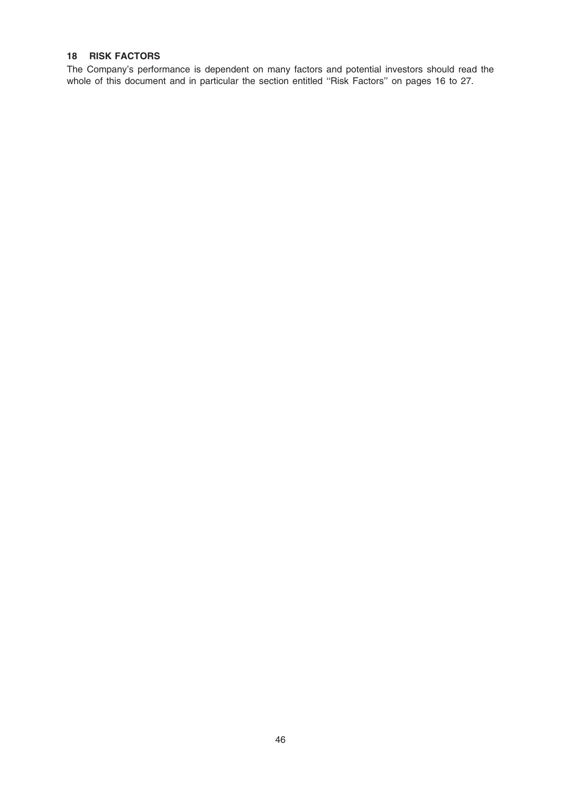## 18 RISK FACTORS

The Company's performance is dependent on many factors and potential investors should read the whole of this document and in particular the section entitled ''Risk Factors'' on pages 16 to 27.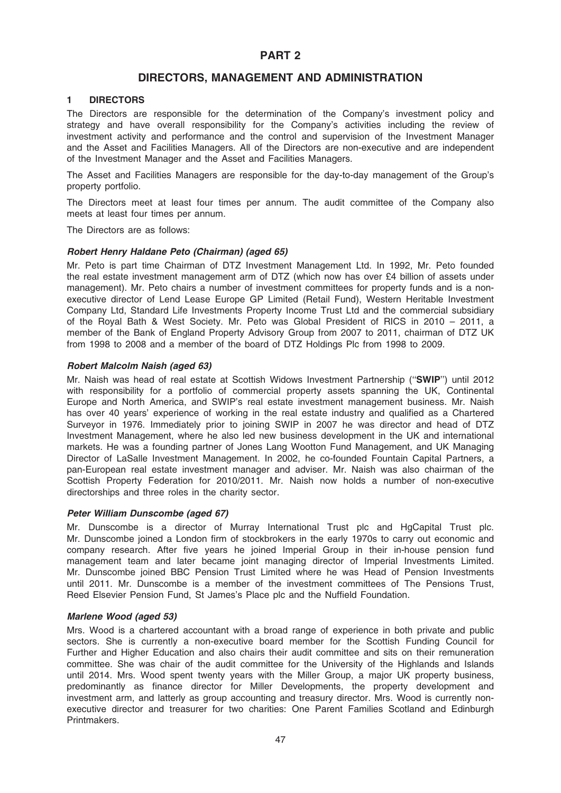# PART 2

# DIRECTORS, MANAGEMENT AND ADMINISTRATION

## 1 DIRECTORS

The Directors are responsible for the determination of the Company's investment policy and strategy and have overall responsibility for the Company's activities including the review of investment activity and performance and the control and supervision of the Investment Manager and the Asset and Facilities Managers. All of the Directors are non-executive and are independent of the Investment Manager and the Asset and Facilities Managers.

The Asset and Facilities Managers are responsible for the day-to-day management of the Group's property portfolio.

The Directors meet at least four times per annum. The audit committee of the Company also meets at least four times per annum.

The Directors are as follows:

#### Robert Henry Haldane Peto (Chairman) (aged 65)

Mr. Peto is part time Chairman of DTZ Investment Management Ltd. In 1992, Mr. Peto founded the real estate investment management arm of DTZ (which now has over £4 billion of assets under management). Mr. Peto chairs a number of investment committees for property funds and is a nonexecutive director of Lend Lease Europe GP Limited (Retail Fund), Western Heritable Investment Company Ltd, Standard Life Investments Property Income Trust Ltd and the commercial subsidiary of the Royal Bath & West Society. Mr. Peto was Global President of RICS in 2010 – 2011, a member of the Bank of England Property Advisory Group from 2007 to 2011, chairman of DTZ UK from 1998 to 2008 and a member of the board of DTZ Holdings Plc from 1998 to 2009.

#### Robert Malcolm Naish (aged 63)

Mr. Naish was head of real estate at Scottish Widows Investment Partnership (''SWIP'') until 2012 with responsibility for a portfolio of commercial property assets spanning the UK, Continental Europe and North America, and SWIP's real estate investment management business. Mr. Naish has over 40 years' experience of working in the real estate industry and qualified as a Chartered Surveyor in 1976. Immediately prior to joining SWIP in 2007 he was director and head of DTZ Investment Management, where he also led new business development in the UK and international markets. He was a founding partner of Jones Lang Wootton Fund Management, and UK Managing Director of LaSalle Investment Management. In 2002, he co-founded Fountain Capital Partners, a pan-European real estate investment manager and adviser. Mr. Naish was also chairman of the Scottish Property Federation for 2010/2011. Mr. Naish now holds a number of non-executive directorships and three roles in the charity sector.

#### Peter William Dunscombe (aged 67)

Mr. Dunscombe is a director of Murray International Trust plc and HgCapital Trust plc. Mr. Dunscombe joined a London firm of stockbrokers in the early 1970s to carry out economic and company research. After five years he joined Imperial Group in their in-house pension fund management team and later became joint managing director of Imperial Investments Limited. Mr. Dunscombe joined BBC Pension Trust Limited where he was Head of Pension Investments until 2011. Mr. Dunscombe is a member of the investment committees of The Pensions Trust, Reed Elsevier Pension Fund, St James's Place plc and the Nuffield Foundation.

#### Marlene Wood (aged 53)

Mrs. Wood is a chartered accountant with a broad range of experience in both private and public sectors. She is currently a non-executive board member for the Scottish Funding Council for Further and Higher Education and also chairs their audit committee and sits on their remuneration committee. She was chair of the audit committee for the University of the Highlands and Islands until 2014. Mrs. Wood spent twenty years with the Miller Group, a major UK property business, predominantly as finance director for Miller Developments, the property development and investment arm, and latterly as group accounting and treasury director. Mrs. Wood is currently nonexecutive director and treasurer for two charities: One Parent Families Scotland and Edinburgh Printmakers.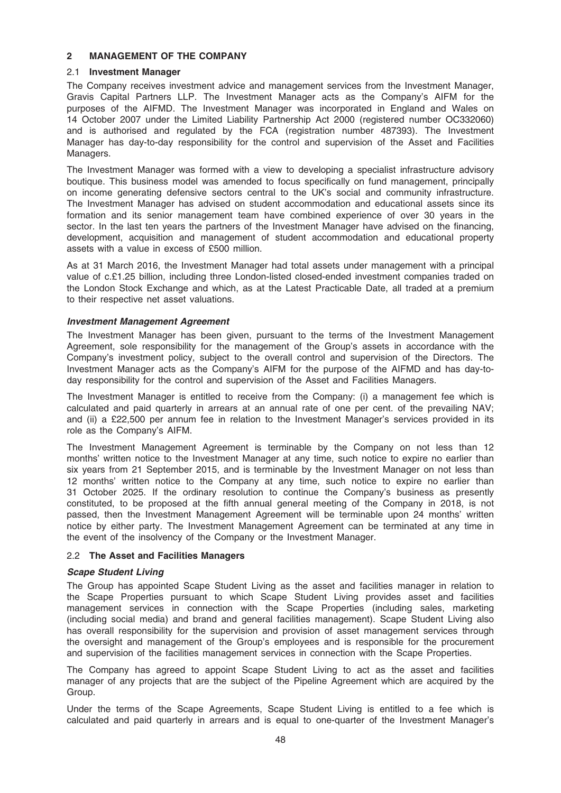#### 2 MANAGEMENT OF THE COMPANY

#### 2.1 Investment Manager

The Company receives investment advice and management services from the Investment Manager, Gravis Capital Partners LLP. The Investment Manager acts as the Company's AIFM for the purposes of the AIFMD. The Investment Manager was incorporated in England and Wales on 14 October 2007 under the Limited Liability Partnership Act 2000 (registered number OC332060) and is authorised and regulated by the FCA (registration number 487393). The Investment Manager has day-to-day responsibility for the control and supervision of the Asset and Facilities Managers.

The Investment Manager was formed with a view to developing a specialist infrastructure advisory boutique. This business model was amended to focus specifically on fund management, principally on income generating defensive sectors central to the UK's social and community infrastructure. The Investment Manager has advised on student accommodation and educational assets since its formation and its senior management team have combined experience of over 30 years in the sector. In the last ten years the partners of the Investment Manager have advised on the financing, development, acquisition and management of student accommodation and educational property assets with a value in excess of £500 million.

As at 31 March 2016, the Investment Manager had total assets under management with a principal value of c.£1.25 billion, including three London-listed closed-ended investment companies traded on the London Stock Exchange and which, as at the Latest Practicable Date, all traded at a premium to their respective net asset valuations.

#### Investment Management Agreement

The Investment Manager has been given, pursuant to the terms of the Investment Management Agreement, sole responsibility for the management of the Group's assets in accordance with the Company's investment policy, subject to the overall control and supervision of the Directors. The Investment Manager acts as the Company's AIFM for the purpose of the AIFMD and has day-today responsibility for the control and supervision of the Asset and Facilities Managers.

The Investment Manager is entitled to receive from the Company: (i) a management fee which is calculated and paid quarterly in arrears at an annual rate of one per cent. of the prevailing NAV; and (ii) a £22,500 per annum fee in relation to the Investment Manager's services provided in its role as the Company's AIFM.

The Investment Management Agreement is terminable by the Company on not less than 12 months' written notice to the Investment Manager at any time, such notice to expire no earlier than six years from 21 September 2015, and is terminable by the Investment Manager on not less than 12 months' written notice to the Company at any time, such notice to expire no earlier than 31 October 2025. If the ordinary resolution to continue the Company's business as presently constituted, to be proposed at the fifth annual general meeting of the Company in 2018, is not passed, then the Investment Management Agreement will be terminable upon 24 months' written notice by either party. The Investment Management Agreement can be terminated at any time in the event of the insolvency of the Company or the Investment Manager.

#### 2.2 The Asset and Facilities Managers

#### Scape Student Living

The Group has appointed Scape Student Living as the asset and facilities manager in relation to the Scape Properties pursuant to which Scape Student Living provides asset and facilities management services in connection with the Scape Properties (including sales, marketing (including social media) and brand and general facilities management). Scape Student Living also has overall responsibility for the supervision and provision of asset management services through the oversight and management of the Group's employees and is responsible for the procurement and supervision of the facilities management services in connection with the Scape Properties.

The Company has agreed to appoint Scape Student Living to act as the asset and facilities manager of any projects that are the subject of the Pipeline Agreement which are acquired by the Group.

Under the terms of the Scape Agreements, Scape Student Living is entitled to a fee which is calculated and paid quarterly in arrears and is equal to one-quarter of the Investment Manager's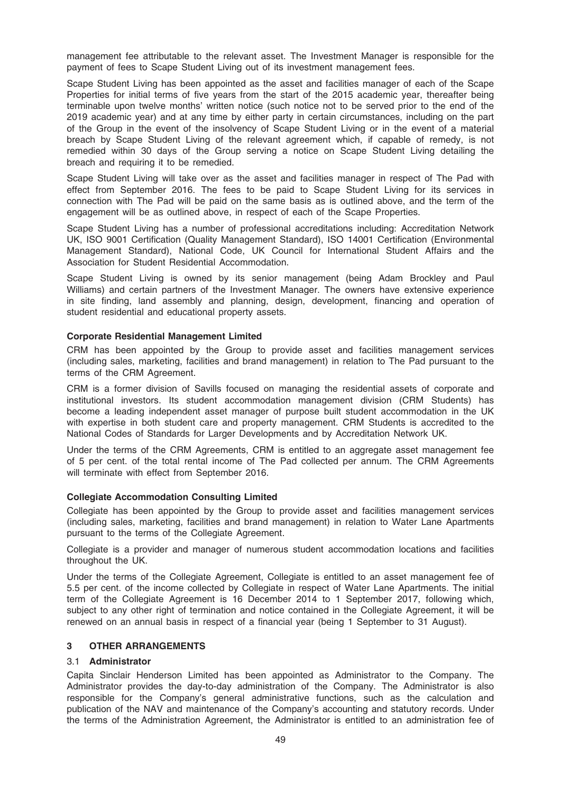management fee attributable to the relevant asset. The Investment Manager is responsible for the payment of fees to Scape Student Living out of its investment management fees.

Scape Student Living has been appointed as the asset and facilities manager of each of the Scape Properties for initial terms of five years from the start of the 2015 academic year, thereafter being terminable upon twelve months' written notice (such notice not to be served prior to the end of the 2019 academic year) and at any time by either party in certain circumstances, including on the part of the Group in the event of the insolvency of Scape Student Living or in the event of a material breach by Scape Student Living of the relevant agreement which, if capable of remedy, is not remedied within 30 days of the Group serving a notice on Scape Student Living detailing the breach and requiring it to be remedied.

Scape Student Living will take over as the asset and facilities manager in respect of The Pad with effect from September 2016. The fees to be paid to Scape Student Living for its services in connection with The Pad will be paid on the same basis as is outlined above, and the term of the engagement will be as outlined above, in respect of each of the Scape Properties.

Scape Student Living has a number of professional accreditations including: Accreditation Network UK, ISO 9001 Certification (Quality Management Standard), ISO 14001 Certification (Environmental Management Standard), National Code, UK Council for International Student Affairs and the Association for Student Residential Accommodation.

Scape Student Living is owned by its senior management (being Adam Brockley and Paul Williams) and certain partners of the Investment Manager. The owners have extensive experience in site finding, land assembly and planning, design, development, financing and operation of student residential and educational property assets.

#### Corporate Residential Management Limited

CRM has been appointed by the Group to provide asset and facilities management services (including sales, marketing, facilities and brand management) in relation to The Pad pursuant to the terms of the CRM Agreement.

CRM is a former division of Savills focused on managing the residential assets of corporate and institutional investors. Its student accommodation management division (CRM Students) has become a leading independent asset manager of purpose built student accommodation in the UK with expertise in both student care and property management. CRM Students is accredited to the National Codes of Standards for Larger Developments and by Accreditation Network UK.

Under the terms of the CRM Agreements, CRM is entitled to an aggregate asset management fee of 5 per cent. of the total rental income of The Pad collected per annum. The CRM Agreements will terminate with effect from September 2016.

#### Collegiate Accommodation Consulting Limited

Collegiate has been appointed by the Group to provide asset and facilities management services (including sales, marketing, facilities and brand management) in relation to Water Lane Apartments pursuant to the terms of the Collegiate Agreement.

Collegiate is a provider and manager of numerous student accommodation locations and facilities throughout the UK.

Under the terms of the Collegiate Agreement, Collegiate is entitled to an asset management fee of 5.5 per cent. of the income collected by Collegiate in respect of Water Lane Apartments. The initial term of the Collegiate Agreement is 16 December 2014 to 1 September 2017, following which, subject to any other right of termination and notice contained in the Collegiate Agreement, it will be renewed on an annual basis in respect of a financial year (being 1 September to 31 August).

#### 3 OTHER ARRANGEMENTS

## 3.1 Administrator

Capita Sinclair Henderson Limited has been appointed as Administrator to the Company. The Administrator provides the day-to-day administration of the Company. The Administrator is also responsible for the Company's general administrative functions, such as the calculation and publication of the NAV and maintenance of the Company's accounting and statutory records. Under the terms of the Administration Agreement, the Administrator is entitled to an administration fee of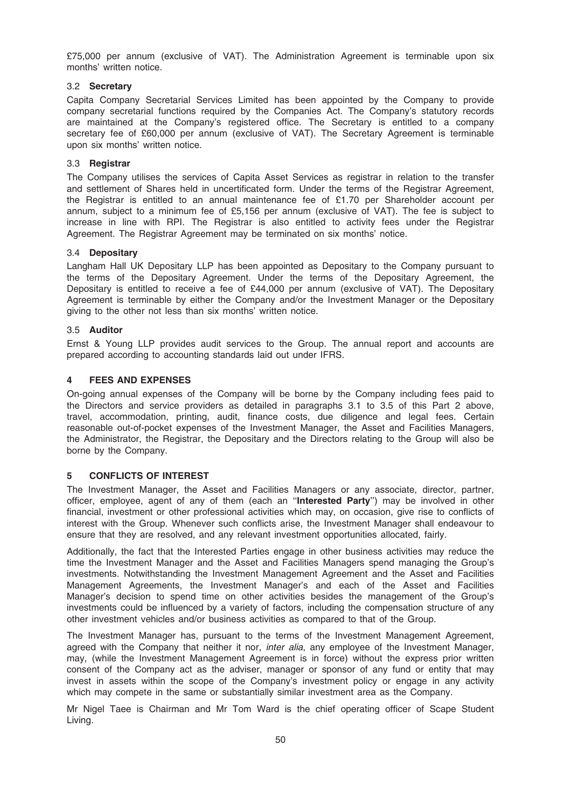£75,000 per annum (exclusive of VAT). The Administration Agreement is terminable upon six months' written notice.

## 3.2 Secretary

Capita Company Secretarial Services Limited has been appointed by the Company to provide company secretarial functions required by the Companies Act. The Company's statutory records are maintained at the Company's registered office. The Secretary is entitled to a company secretary fee of £60,000 per annum (exclusive of VAT). The Secretary Agreement is terminable upon six months' written notice.

#### 3.3 Registrar

The Company utilises the services of Capita Asset Services as registrar in relation to the transfer and settlement of Shares held in uncertificated form. Under the terms of the Registrar Agreement, the Registrar is entitled to an annual maintenance fee of £1.70 per Shareholder account per annum, subject to a minimum fee of £5,156 per annum (exclusive of VAT). The fee is subject to increase in line with RPI. The Registrar is also entitled to activity fees under the Registrar Agreement. The Registrar Agreement may be terminated on six months' notice.

#### 3.4 Depositary

Langham Hall UK Depositary LLP has been appointed as Depositary to the Company pursuant to the terms of the Depositary Agreement. Under the terms of the Depositary Agreement, the Depositary is entitled to receive a fee of £44,000 per annum (exclusive of VAT). The Depositary Agreement is terminable by either the Company and/or the Investment Manager or the Depositary giving to the other not less than six months' written notice.

#### 3.5 Auditor

Ernst & Young LLP provides audit services to the Group. The annual report and accounts are prepared according to accounting standards laid out under IFRS.

## **FEES AND EXPENSES**

On-going annual expenses of the Company will be borne by the Company including fees paid to the Directors and service providers as detailed in paragraphs 3.1 to 3.5 of this Part 2 above, travel, accommodation, printing, audit, finance costs, due diligence and legal fees. Certain reasonable out-of-pocket expenses of the Investment Manager, the Asset and Facilities Managers, the Administrator, the Registrar, the Depositary and the Directors relating to the Group will also be borne by the Company.

#### 5 CONFLICTS OF INTEREST

The Investment Manager, the Asset and Facilities Managers or any associate, director, partner, officer, employee, agent of any of them (each an "Interested Party") may be involved in other financial, investment or other professional activities which may, on occasion, give rise to conflicts of interest with the Group. Whenever such conflicts arise, the Investment Manager shall endeavour to ensure that they are resolved, and any relevant investment opportunities allocated, fairly.

Additionally, the fact that the Interested Parties engage in other business activities may reduce the time the Investment Manager and the Asset and Facilities Managers spend managing the Group's investments. Notwithstanding the Investment Management Agreement and the Asset and Facilities Management Agreements, the Investment Manager's and each of the Asset and Facilities Manager's decision to spend time on other activities besides the management of the Group's investments could be influenced by a variety of factors, including the compensation structure of any other investment vehicles and/or business activities as compared to that of the Group.

The Investment Manager has, pursuant to the terms of the Investment Management Agreement, agreed with the Company that neither it nor, inter alia, any employee of the Investment Manager, may, (while the Investment Management Agreement is in force) without the express prior written consent of the Company act as the adviser, manager or sponsor of any fund or entity that may invest in assets within the scope of the Company's investment policy or engage in any activity which may compete in the same or substantially similar investment area as the Company.

Mr Nigel Taee is Chairman and Mr Tom Ward is the chief operating officer of Scape Student Living.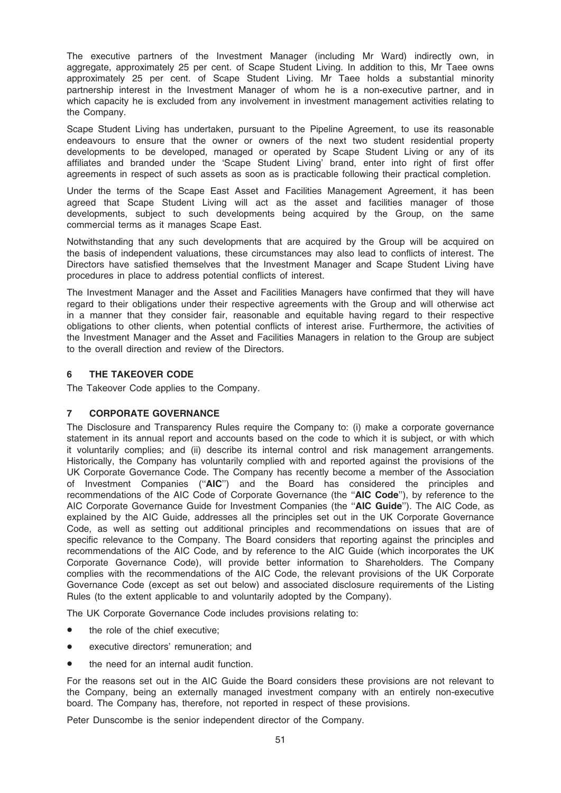The executive partners of the Investment Manager (including Mr Ward) indirectly own, in aggregate, approximately 25 per cent. of Scape Student Living. In addition to this, Mr Taee owns approximately 25 per cent. of Scape Student Living. Mr Taee holds a substantial minority partnership interest in the Investment Manager of whom he is a non-executive partner, and in which capacity he is excluded from any involvement in investment management activities relating to the Company.

Scape Student Living has undertaken, pursuant to the Pipeline Agreement, to use its reasonable endeavours to ensure that the owner or owners of the next two student residential property developments to be developed, managed or operated by Scape Student Living or any of its affiliates and branded under the 'Scape Student Living' brand, enter into right of first offer agreements in respect of such assets as soon as is practicable following their practical completion.

Under the terms of the Scape East Asset and Facilities Management Agreement, it has been agreed that Scape Student Living will act as the asset and facilities manager of those developments, subject to such developments being acquired by the Group, on the same commercial terms as it manages Scape East.

Notwithstanding that any such developments that are acquired by the Group will be acquired on the basis of independent valuations, these circumstances may also lead to conflicts of interest. The Directors have satisfied themselves that the Investment Manager and Scape Student Living have procedures in place to address potential conflicts of interest.

The Investment Manager and the Asset and Facilities Managers have confirmed that they will have regard to their obligations under their respective agreements with the Group and will otherwise act in a manner that they consider fair, reasonable and equitable having regard to their respective obligations to other clients, when potential conflicts of interest arise. Furthermore, the activities of the Investment Manager and the Asset and Facilities Managers in relation to the Group are subject to the overall direction and review of the Directors.

## 6 THE TAKEOVER CODE

The Takeover Code applies to the Company.

## 7 CORPORATE GOVERNANCE

The Disclosure and Transparency Rules require the Company to: (i) make a corporate governance statement in its annual report and accounts based on the code to which it is subject, or with which it voluntarily complies; and (ii) describe its internal control and risk management arrangements. Historically, the Company has voluntarily complied with and reported against the provisions of the UK Corporate Governance Code. The Company has recently become a member of the Association of Investment Companies (''AIC'') and the Board has considered the principles and recommendations of the AIC Code of Corporate Governance (the "AIC Code"), by reference to the AIC Corporate Governance Guide for Investment Companies (the "AIC Guide"). The AIC Code, as explained by the AIC Guide, addresses all the principles set out in the UK Corporate Governance Code, as well as setting out additional principles and recommendations on issues that are of specific relevance to the Company. The Board considers that reporting against the principles and recommendations of the AIC Code, and by reference to the AIC Guide (which incorporates the UK Corporate Governance Code), will provide better information to Shareholders. The Company complies with the recommendations of the AIC Code, the relevant provisions of the UK Corporate Governance Code (except as set out below) and associated disclosure requirements of the Listing Rules (to the extent applicable to and voluntarily adopted by the Company).

The UK Corporate Governance Code includes provisions relating to:

- the role of the chief executive;
- executive directors' remuneration; and
- the need for an internal audit function.

For the reasons set out in the AIC Guide the Board considers these provisions are not relevant to the Company, being an externally managed investment company with an entirely non-executive board. The Company has, therefore, not reported in respect of these provisions.

Peter Dunscombe is the senior independent director of the Company.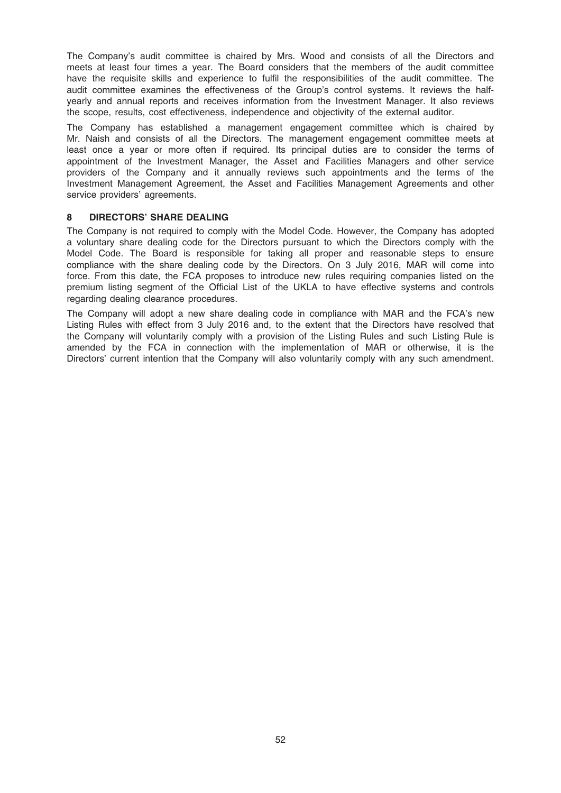The Company's audit committee is chaired by Mrs. Wood and consists of all the Directors and meets at least four times a year. The Board considers that the members of the audit committee have the requisite skills and experience to fulfil the responsibilities of the audit committee. The audit committee examines the effectiveness of the Group's control systems. It reviews the halfyearly and annual reports and receives information from the Investment Manager. It also reviews the scope, results, cost effectiveness, independence and objectivity of the external auditor.

The Company has established a management engagement committee which is chaired by Mr. Naish and consists of all the Directors. The management engagement committee meets at least once a year or more often if required. Its principal duties are to consider the terms of appointment of the Investment Manager, the Asset and Facilities Managers and other service providers of the Company and it annually reviews such appointments and the terms of the Investment Management Agreement, the Asset and Facilities Management Agreements and other service providers' agreements.

#### 8 DIRECTORS' SHARE DEALING

The Company is not required to comply with the Model Code. However, the Company has adopted a voluntary share dealing code for the Directors pursuant to which the Directors comply with the Model Code. The Board is responsible for taking all proper and reasonable steps to ensure compliance with the share dealing code by the Directors. On 3 July 2016, MAR will come into force. From this date, the FCA proposes to introduce new rules requiring companies listed on the premium listing segment of the Official List of the UKLA to have effective systems and controls regarding dealing clearance procedures.

The Company will adopt a new share dealing code in compliance with MAR and the FCA's new Listing Rules with effect from 3 July 2016 and, to the extent that the Directors have resolved that the Company will voluntarily comply with a provision of the Listing Rules and such Listing Rule is amended by the FCA in connection with the implementation of MAR or otherwise, it is the Directors' current intention that the Company will also voluntarily comply with any such amendment.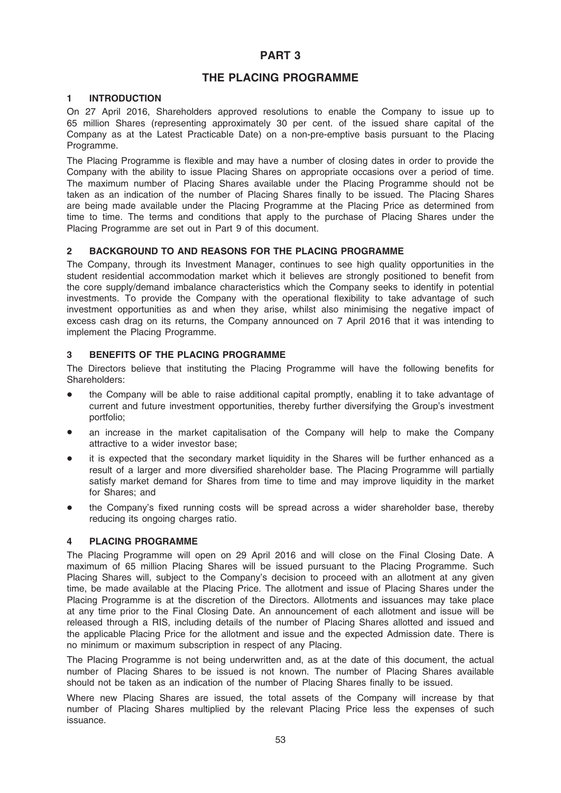# PART 3

# THE PLACING PROGRAMME

## 1 INTRODUCTION

On 27 April 2016, Shareholders approved resolutions to enable the Company to issue up to 65 million Shares (representing approximately 30 per cent. of the issued share capital of the Company as at the Latest Practicable Date) on a non-pre-emptive basis pursuant to the Placing Programme.

The Placing Programme is flexible and may have a number of closing dates in order to provide the Company with the ability to issue Placing Shares on appropriate occasions over a period of time. The maximum number of Placing Shares available under the Placing Programme should not be taken as an indication of the number of Placing Shares finally to be issued. The Placing Shares are being made available under the Placing Programme at the Placing Price as determined from time to time. The terms and conditions that apply to the purchase of Placing Shares under the Placing Programme are set out in Part 9 of this document.

#### 2 BACKGROUND TO AND REASONS FOR THE PLACING PROGRAMME

The Company, through its Investment Manager, continues to see high quality opportunities in the student residential accommodation market which it believes are strongly positioned to benefit from the core supply/demand imbalance characteristics which the Company seeks to identify in potential investments. To provide the Company with the operational flexibility to take advantage of such investment opportunities as and when they arise, whilst also minimising the negative impact of excess cash drag on its returns, the Company announced on 7 April 2016 that it was intending to implement the Placing Programme.

## 3 BENEFITS OF THE PLACING PROGRAMME

The Directors believe that instituting the Placing Programme will have the following benefits for Shareholders:

- the Company will be able to raise additional capital promptly, enabling it to take advantage of current and future investment opportunities, thereby further diversifying the Group's investment portfolio;
- an increase in the market capitalisation of the Company will help to make the Company attractive to a wider investor base;
- it is expected that the secondary market liquidity in the Shares will be further enhanced as a result of a larger and more diversified shareholder base. The Placing Programme will partially satisfy market demand for Shares from time to time and may improve liquidity in the market for Shares; and
- the Company's fixed running costs will be spread across a wider shareholder base, thereby reducing its ongoing charges ratio.

#### 4 PLACING PROGRAMME

The Placing Programme will open on 29 April 2016 and will close on the Final Closing Date. A maximum of 65 million Placing Shares will be issued pursuant to the Placing Programme. Such Placing Shares will, subject to the Company's decision to proceed with an allotment at any given time, be made available at the Placing Price. The allotment and issue of Placing Shares under the Placing Programme is at the discretion of the Directors. Allotments and issuances may take place at any time prior to the Final Closing Date. An announcement of each allotment and issue will be released through a RIS, including details of the number of Placing Shares allotted and issued and the applicable Placing Price for the allotment and issue and the expected Admission date. There is no minimum or maximum subscription in respect of any Placing.

The Placing Programme is not being underwritten and, as at the date of this document, the actual number of Placing Shares to be issued is not known. The number of Placing Shares available should not be taken as an indication of the number of Placing Shares finally to be issued.

Where new Placing Shares are issued, the total assets of the Company will increase by that number of Placing Shares multiplied by the relevant Placing Price less the expenses of such issuance.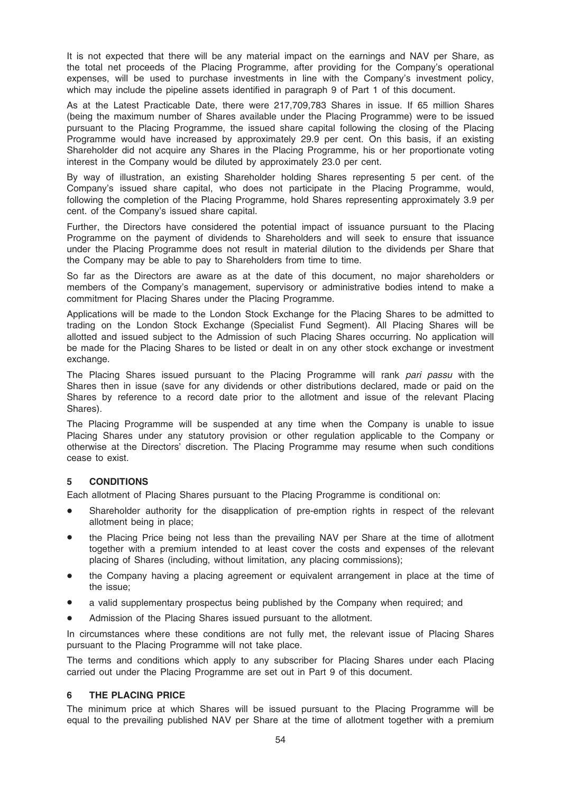It is not expected that there will be any material impact on the earnings and NAV per Share, as the total net proceeds of the Placing Programme, after providing for the Company's operational expenses, will be used to purchase investments in line with the Company's investment policy, which may include the pipeline assets identified in paragraph 9 of Part 1 of this document.

As at the Latest Practicable Date, there were 217,709,783 Shares in issue. If 65 million Shares (being the maximum number of Shares available under the Placing Programme) were to be issued pursuant to the Placing Programme, the issued share capital following the closing of the Placing Programme would have increased by approximately 29.9 per cent. On this basis, if an existing Shareholder did not acquire any Shares in the Placing Programme, his or her proportionate voting interest in the Company would be diluted by approximately 23.0 per cent.

By way of illustration, an existing Shareholder holding Shares representing 5 per cent. of the Company's issued share capital, who does not participate in the Placing Programme, would, following the completion of the Placing Programme, hold Shares representing approximately 3.9 per cent. of the Company's issued share capital.

Further, the Directors have considered the potential impact of issuance pursuant to the Placing Programme on the payment of dividends to Shareholders and will seek to ensure that issuance under the Placing Programme does not result in material dilution to the dividends per Share that the Company may be able to pay to Shareholders from time to time.

So far as the Directors are aware as at the date of this document, no major shareholders or members of the Company's management, supervisory or administrative bodies intend to make a commitment for Placing Shares under the Placing Programme.

Applications will be made to the London Stock Exchange for the Placing Shares to be admitted to trading on the London Stock Exchange (Specialist Fund Segment). All Placing Shares will be allotted and issued subject to the Admission of such Placing Shares occurring. No application will be made for the Placing Shares to be listed or dealt in on any other stock exchange or investment exchange.

The Placing Shares issued pursuant to the Placing Programme will rank pari passu with the Shares then in issue (save for any dividends or other distributions declared, made or paid on the Shares by reference to a record date prior to the allotment and issue of the relevant Placing Shares).

The Placing Programme will be suspended at any time when the Company is unable to issue Placing Shares under any statutory provision or other regulation applicable to the Company or otherwise at the Directors' discretion. The Placing Programme may resume when such conditions cease to exist.

## 5 CONDITIONS

Each allotment of Placing Shares pursuant to the Placing Programme is conditional on:

- Shareholder authority for the disapplication of pre-emption rights in respect of the relevant allotment being in place;
- the Placing Price being not less than the prevailing NAV per Share at the time of allotment together with a premium intended to at least cover the costs and expenses of the relevant placing of Shares (including, without limitation, any placing commissions);
- the Company having a placing agreement or equivalent arrangement in place at the time of the issue;
- a valid supplementary prospectus being published by the Company when required; and
- Admission of the Placing Shares issued pursuant to the allotment.

In circumstances where these conditions are not fully met, the relevant issue of Placing Shares pursuant to the Placing Programme will not take place.

The terms and conditions which apply to any subscriber for Placing Shares under each Placing carried out under the Placing Programme are set out in Part 9 of this document.

## 6 THE PLACING PRICE

The minimum price at which Shares will be issued pursuant to the Placing Programme will be equal to the prevailing published NAV per Share at the time of allotment together with a premium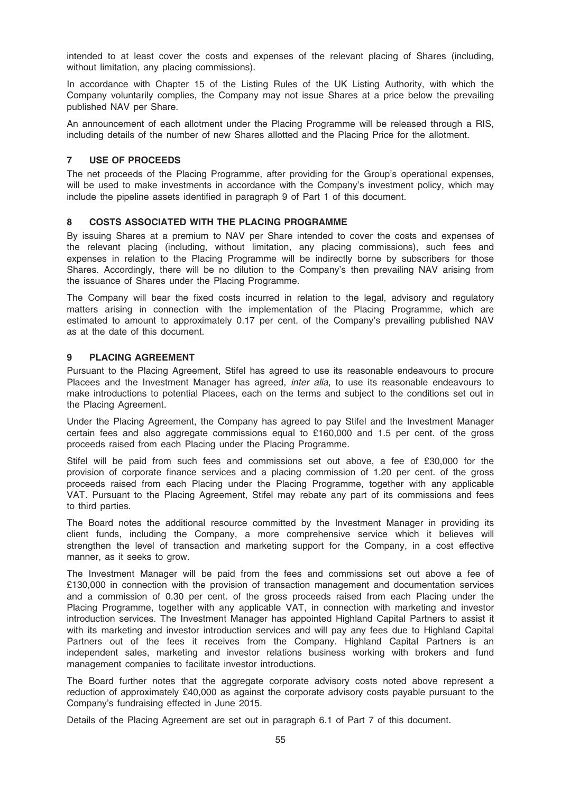intended to at least cover the costs and expenses of the relevant placing of Shares (including, without limitation, any placing commissions).

In accordance with Chapter 15 of the Listing Rules of the UK Listing Authority, with which the Company voluntarily complies, the Company may not issue Shares at a price below the prevailing published NAV per Share.

An announcement of each allotment under the Placing Programme will be released through a RIS, including details of the number of new Shares allotted and the Placing Price for the allotment.

## 7 USE OF PROCEEDS

The net proceeds of the Placing Programme, after providing for the Group's operational expenses, will be used to make investments in accordance with the Company's investment policy, which may include the pipeline assets identified in paragraph 9 of Part 1 of this document.

## 8 COSTS ASSOCIATED WITH THE PLACING PROGRAMME

By issuing Shares at a premium to NAV per Share intended to cover the costs and expenses of the relevant placing (including, without limitation, any placing commissions), such fees and expenses in relation to the Placing Programme will be indirectly borne by subscribers for those Shares. Accordingly, there will be no dilution to the Company's then prevailing NAV arising from the issuance of Shares under the Placing Programme.

The Company will bear the fixed costs incurred in relation to the legal, advisory and regulatory matters arising in connection with the implementation of the Placing Programme, which are estimated to amount to approximately 0.17 per cent. of the Company's prevailing published NAV as at the date of this document.

#### 9 PLACING AGREEMENT

Pursuant to the Placing Agreement, Stifel has agreed to use its reasonable endeavours to procure Placees and the Investment Manager has agreed, *inter alia*, to use its reasonable endeavours to make introductions to potential Placees, each on the terms and subject to the conditions set out in the Placing Agreement.

Under the Placing Agreement, the Company has agreed to pay Stifel and the Investment Manager certain fees and also aggregate commissions equal to £160,000 and 1.5 per cent. of the gross proceeds raised from each Placing under the Placing Programme.

Stifel will be paid from such fees and commissions set out above, a fee of £30,000 for the provision of corporate finance services and a placing commission of 1.20 per cent. of the gross proceeds raised from each Placing under the Placing Programme, together with any applicable VAT. Pursuant to the Placing Agreement, Stifel may rebate any part of its commissions and fees to third parties.

The Board notes the additional resource committed by the Investment Manager in providing its client funds, including the Company, a more comprehensive service which it believes will strengthen the level of transaction and marketing support for the Company, in a cost effective manner, as it seeks to grow.

The Investment Manager will be paid from the fees and commissions set out above a fee of £130,000 in connection with the provision of transaction management and documentation services and a commission of 0.30 per cent. of the gross proceeds raised from each Placing under the Placing Programme, together with any applicable VAT, in connection with marketing and investor introduction services. The Investment Manager has appointed Highland Capital Partners to assist it with its marketing and investor introduction services and will pay any fees due to Highland Capital Partners out of the fees it receives from the Company. Highland Capital Partners is an independent sales, marketing and investor relations business working with brokers and fund management companies to facilitate investor introductions.

The Board further notes that the aggregate corporate advisory costs noted above represent a reduction of approximately £40,000 as against the corporate advisory costs payable pursuant to the Company's fundraising effected in June 2015.

Details of the Placing Agreement are set out in paragraph 6.1 of Part 7 of this document.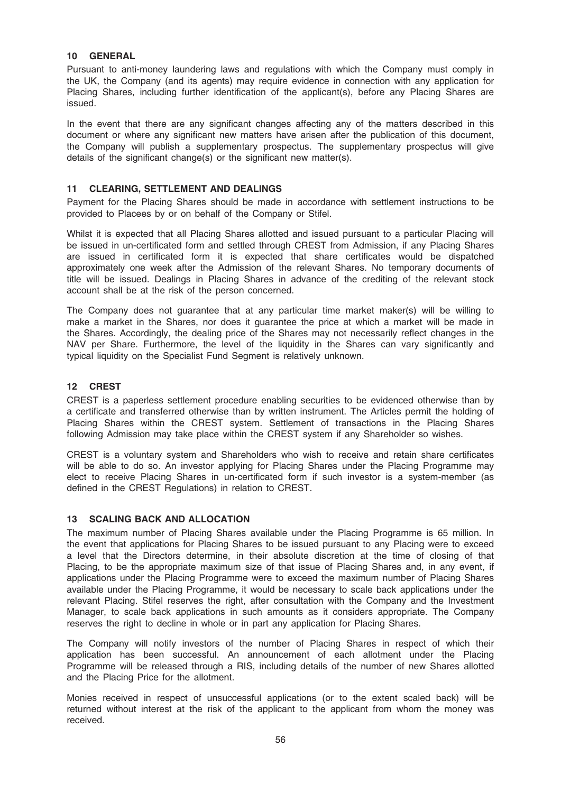## 10 GENERAL

Pursuant to anti-money laundering laws and regulations with which the Company must comply in the UK, the Company (and its agents) may require evidence in connection with any application for Placing Shares, including further identification of the applicant(s), before any Placing Shares are issued.

In the event that there are any significant changes affecting any of the matters described in this document or where any significant new matters have arisen after the publication of this document, the Company will publish a supplementary prospectus. The supplementary prospectus will give details of the significant change(s) or the significant new matter(s).

## 11 CLEARING, SETTLEMENT AND DEALINGS

Payment for the Placing Shares should be made in accordance with settlement instructions to be provided to Placees by or on behalf of the Company or Stifel.

Whilst it is expected that all Placing Shares allotted and issued pursuant to a particular Placing will be issued in un-certificated form and settled through CREST from Admission, if any Placing Shares are issued in certificated form it is expected that share certificates would be dispatched approximately one week after the Admission of the relevant Shares. No temporary documents of title will be issued. Dealings in Placing Shares in advance of the crediting of the relevant stock account shall be at the risk of the person concerned.

The Company does not guarantee that at any particular time market maker(s) will be willing to make a market in the Shares, nor does it guarantee the price at which a market will be made in the Shares. Accordingly, the dealing price of the Shares may not necessarily reflect changes in the NAV per Share. Furthermore, the level of the liquidity in the Shares can vary significantly and typical liquidity on the Specialist Fund Segment is relatively unknown.

#### 12 CREST

CREST is a paperless settlement procedure enabling securities to be evidenced otherwise than by a certificate and transferred otherwise than by written instrument. The Articles permit the holding of Placing Shares within the CREST system. Settlement of transactions in the Placing Shares following Admission may take place within the CREST system if any Shareholder so wishes.

CREST is a voluntary system and Shareholders who wish to receive and retain share certificates will be able to do so. An investor applying for Placing Shares under the Placing Programme may elect to receive Placing Shares in un-certificated form if such investor is a system-member (as defined in the CREST Regulations) in relation to CREST.

#### 13 SCALING BACK AND ALLOCATION

The maximum number of Placing Shares available under the Placing Programme is 65 million. In the event that applications for Placing Shares to be issued pursuant to any Placing were to exceed a level that the Directors determine, in their absolute discretion at the time of closing of that Placing, to be the appropriate maximum size of that issue of Placing Shares and, in any event, if applications under the Placing Programme were to exceed the maximum number of Placing Shares available under the Placing Programme, it would be necessary to scale back applications under the relevant Placing. Stifel reserves the right, after consultation with the Company and the Investment Manager, to scale back applications in such amounts as it considers appropriate. The Company reserves the right to decline in whole or in part any application for Placing Shares.

The Company will notify investors of the number of Placing Shares in respect of which their application has been successful. An announcement of each allotment under the Placing Programme will be released through a RIS, including details of the number of new Shares allotted and the Placing Price for the allotment.

Monies received in respect of unsuccessful applications (or to the extent scaled back) will be returned without interest at the risk of the applicant to the applicant from whom the money was received.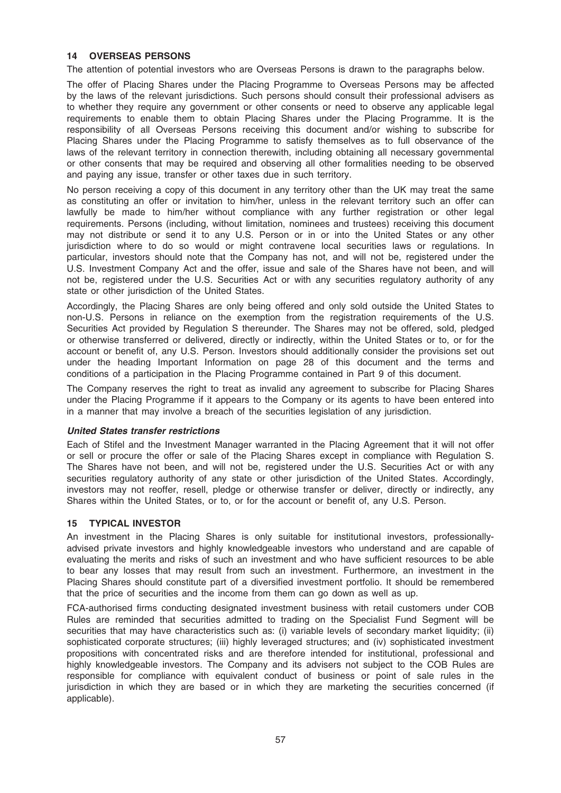## 14 OVERSEAS PERSONS

The attention of potential investors who are Overseas Persons is drawn to the paragraphs below.

The offer of Placing Shares under the Placing Programme to Overseas Persons may be affected by the laws of the relevant jurisdictions. Such persons should consult their professional advisers as to whether they require any government or other consents or need to observe any applicable legal requirements to enable them to obtain Placing Shares under the Placing Programme. It is the responsibility of all Overseas Persons receiving this document and/or wishing to subscribe for Placing Shares under the Placing Programme to satisfy themselves as to full observance of the laws of the relevant territory in connection therewith, including obtaining all necessary governmental or other consents that may be required and observing all other formalities needing to be observed and paying any issue, transfer or other taxes due in such territory.

No person receiving a copy of this document in any territory other than the UK may treat the same as constituting an offer or invitation to him/her, unless in the relevant territory such an offer can lawfully be made to him/her without compliance with any further registration or other legal requirements. Persons (including, without limitation, nominees and trustees) receiving this document may not distribute or send it to any U.S. Person or in or into the United States or any other jurisdiction where to do so would or might contravene local securities laws or regulations. In particular, investors should note that the Company has not, and will not be, registered under the U.S. Investment Company Act and the offer, issue and sale of the Shares have not been, and will not be, registered under the U.S. Securities Act or with any securities regulatory authority of any state or other jurisdiction of the United States.

Accordingly, the Placing Shares are only being offered and only sold outside the United States to non-U.S. Persons in reliance on the exemption from the registration requirements of the U.S. Securities Act provided by Regulation S thereunder. The Shares may not be offered, sold, pledged or otherwise transferred or delivered, directly or indirectly, within the United States or to, or for the account or benefit of, any U.S. Person. Investors should additionally consider the provisions set out under the heading Important Information on page 28 of this document and the terms and conditions of a participation in the Placing Programme contained in Part 9 of this document.

The Company reserves the right to treat as invalid any agreement to subscribe for Placing Shares under the Placing Programme if it appears to the Company or its agents to have been entered into in a manner that may involve a breach of the securities legislation of any jurisdiction.

#### United States transfer restrictions

Each of Stifel and the Investment Manager warranted in the Placing Agreement that it will not offer or sell or procure the offer or sale of the Placing Shares except in compliance with Regulation S. The Shares have not been, and will not be, registered under the U.S. Securities Act or with any securities regulatory authority of any state or other jurisdiction of the United States. Accordingly, investors may not reoffer, resell, pledge or otherwise transfer or deliver, directly or indirectly, any Shares within the United States, or to, or for the account or benefit of, any U.S. Person.

## 15 TYPICAL INVESTOR

An investment in the Placing Shares is only suitable for institutional investors, professionallyadvised private investors and highly knowledgeable investors who understand and are capable of evaluating the merits and risks of such an investment and who have sufficient resources to be able to bear any losses that may result from such an investment. Furthermore, an investment in the Placing Shares should constitute part of a diversified investment portfolio. It should be remembered that the price of securities and the income from them can go down as well as up.

FCA-authorised firms conducting designated investment business with retail customers under COB Rules are reminded that securities admitted to trading on the Specialist Fund Segment will be securities that may have characteristics such as: (i) variable levels of secondary market liquidity; (ii) sophisticated corporate structures; (iii) highly leveraged structures; and (iv) sophisticated investment propositions with concentrated risks and are therefore intended for institutional, professional and highly knowledgeable investors. The Company and its advisers not subject to the COB Rules are responsible for compliance with equivalent conduct of business or point of sale rules in the jurisdiction in which they are based or in which they are marketing the securities concerned (if applicable).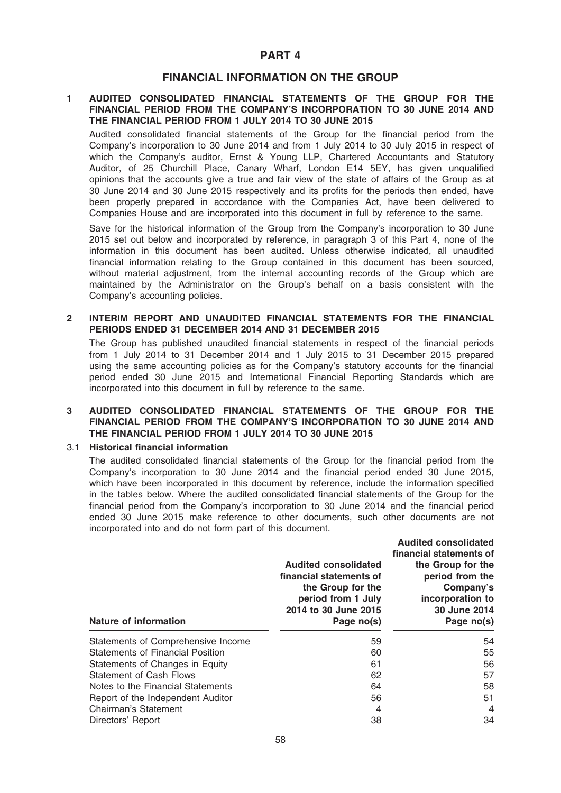## PART 4

## FINANCIAL INFORMATION ON THE GROUP

#### 1 AUDITED CONSOLIDATED FINANCIAL STATEMENTS OF THE GROUP FOR THE FINANCIAL PERIOD FROM THE COMPANY'S INCORPORATION TO 30 JUNE 2014 AND THE FINANCIAL PERIOD FROM 1 JULY 2014 TO 30 JUNE 2015

Audited consolidated financial statements of the Group for the financial period from the Company's incorporation to 30 June 2014 and from 1 July 2014 to 30 July 2015 in respect of which the Company's auditor, Ernst & Young LLP, Chartered Accountants and Statutory Auditor, of 25 Churchill Place, Canary Wharf, London E14 5EY, has given unqualified opinions that the accounts give a true and fair view of the state of affairs of the Group as at 30 June 2014 and 30 June 2015 respectively and its profits for the periods then ended, have been properly prepared in accordance with the Companies Act, have been delivered to Companies House and are incorporated into this document in full by reference to the same.

Save for the historical information of the Group from the Company's incorporation to 30 June 2015 set out below and incorporated by reference, in paragraph 3 of this Part 4, none of the information in this document has been audited. Unless otherwise indicated, all unaudited financial information relating to the Group contained in this document has been sourced, without material adjustment, from the internal accounting records of the Group which are maintained by the Administrator on the Group's behalf on a basis consistent with the Company's accounting policies.

## 2 INTERIM REPORT AND UNAUDITED FINANCIAL STATEMENTS FOR THE FINANCIAL PERIODS ENDED 31 DECEMBER 2014 AND 31 DECEMBER 2015

The Group has published unaudited financial statements in respect of the financial periods from 1 July 2014 to 31 December 2014 and 1 July 2015 to 31 December 2015 prepared using the same accounting policies as for the Company's statutory accounts for the financial period ended 30 June 2015 and International Financial Reporting Standards which are incorporated into this document in full by reference to the same.

#### 3 AUDITED CONSOLIDATED FINANCIAL STATEMENTS OF THE GROUP FOR THE FINANCIAL PERIOD FROM THE COMPANY'S INCORPORATION TO 30 JUNE 2014 AND THE FINANCIAL PERIOD FROM 1 JULY 2014 TO 30 JUNE 2015

#### 3.1 Historical financial information

The audited consolidated financial statements of the Group for the financial period from the Company's incorporation to 30 June 2014 and the financial period ended 30 June 2015, which have been incorporated in this document by reference, include the information specified in the tables below. Where the audited consolidated financial statements of the Group for the financial period from the Company's incorporation to 30 June 2014 and the financial period ended 30 June 2015 make reference to other documents, such other documents are not incorporated into and do not form part of this document.

| <b>Nature of information</b>            | <b>Audited consolidated</b><br>financial statements of<br>the Group for the<br>period from 1 July<br>2014 to 30 June 2015<br>Page no(s) | <b>Audited consolidated</b><br>financial statements of<br>the Group for the<br>period from the<br>Company's<br>incorporation to<br>30 June 2014<br>Page no(s) |  |
|-----------------------------------------|-----------------------------------------------------------------------------------------------------------------------------------------|---------------------------------------------------------------------------------------------------------------------------------------------------------------|--|
| Statements of Comprehensive Income      | 59                                                                                                                                      | 54                                                                                                                                                            |  |
| <b>Statements of Financial Position</b> | 60                                                                                                                                      | 55                                                                                                                                                            |  |
| Statements of Changes in Equity         | 61                                                                                                                                      | 56                                                                                                                                                            |  |
| <b>Statement of Cash Flows</b>          | 62                                                                                                                                      | 57                                                                                                                                                            |  |
| Notes to the Financial Statements       | 64                                                                                                                                      | 58                                                                                                                                                            |  |
| Report of the Independent Auditor       | 56                                                                                                                                      | 51                                                                                                                                                            |  |
| <b>Chairman's Statement</b>             | 4                                                                                                                                       | $\overline{4}$                                                                                                                                                |  |
| Directors' Report                       | 38                                                                                                                                      | 34                                                                                                                                                            |  |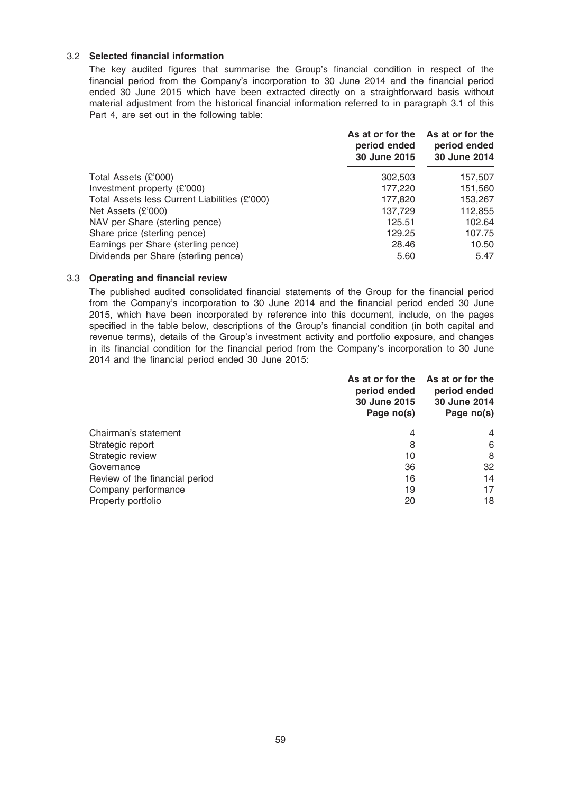## 3.2 Selected financial information

The key audited figures that summarise the Group's financial condition in respect of the financial period from the Company's incorporation to 30 June 2014 and the financial period ended 30 June 2015 which have been extracted directly on a straightforward basis without material adjustment from the historical financial information referred to in paragraph 3.1 of this Part 4, are set out in the following table:

| As at or for the<br>period ended<br>30 June 2015 | As at or for the<br>period ended<br>30 June 2014 |
|--------------------------------------------------|--------------------------------------------------|
| 302,503                                          | 157,507                                          |
| 177,220                                          | 151,560                                          |
| 177,820                                          | 153,267                                          |
| 137,729                                          | 112,855                                          |
| 125.51                                           | 102.64                                           |
| 129.25                                           | 107.75                                           |
| 28.46                                            | 10.50                                            |
| 5.60                                             | 5.47                                             |
|                                                  |                                                  |

#### 3.3 Operating and financial review

The published audited consolidated financial statements of the Group for the financial period from the Company's incorporation to 30 June 2014 and the financial period ended 30 June 2015, which have been incorporated by reference into this document, include, on the pages specified in the table below, descriptions of the Group's financial condition (in both capital and revenue terms), details of the Group's investment activity and portfolio exposure, and changes in its financial condition for the financial period from the Company's incorporation to 30 June 2014 and the financial period ended 30 June 2015:

|                                | As at or for the<br>period ended<br>30 June 2015<br>Page no(s) | As at or for the<br>period ended<br>30 June 2014<br>Page no(s) |
|--------------------------------|----------------------------------------------------------------|----------------------------------------------------------------|
| Chairman's statement           | 4                                                              | 4                                                              |
| Strategic report               | 8                                                              | 6                                                              |
| Strategic review               | 10                                                             | 8                                                              |
| Governance                     | 36                                                             | 32                                                             |
| Review of the financial period | 16                                                             | 14                                                             |
| Company performance            | 19                                                             | 17                                                             |
| Property portfolio             | 20                                                             | 18                                                             |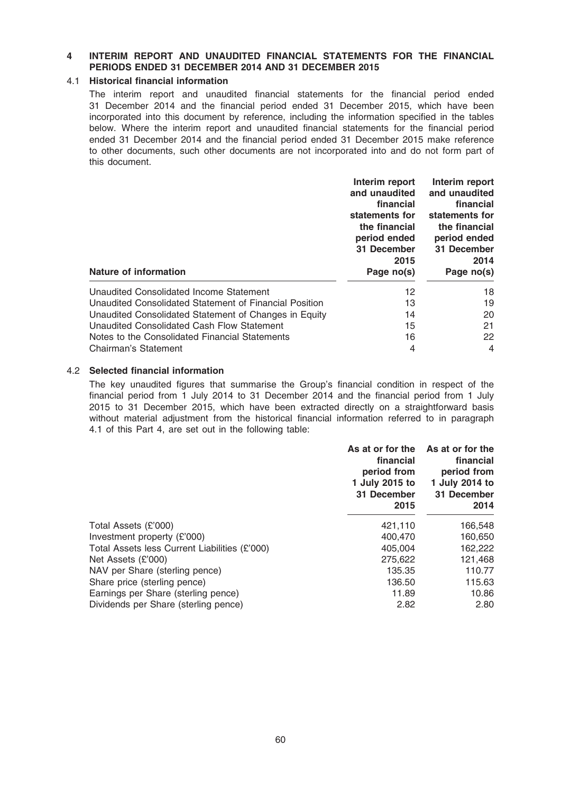## 4 INTERIM REPORT AND UNAUDITED FINANCIAL STATEMENTS FOR THE FINANCIAL PERIODS ENDED 31 DECEMBER 2014 AND 31 DECEMBER 2015

## 4.1 Historical financial information

The interim report and unaudited financial statements for the financial period ended 31 December 2014 and the financial period ended 31 December 2015, which have been incorporated into this document by reference, including the information specified in the tables below. Where the interim report and unaudited financial statements for the financial period ended 31 December 2014 and the financial period ended 31 December 2015 make reference to other documents, such other documents are not incorporated into and do not form part of this document.

|                                                        | Interim report | Interim report |
|--------------------------------------------------------|----------------|----------------|
|                                                        | and unaudited  | and unaudited  |
|                                                        | financial      | financial      |
|                                                        | statements for | statements for |
|                                                        | the financial  | the financial  |
|                                                        | period ended   | period ended   |
|                                                        | 31 December    | 31 December    |
|                                                        | 2015           | 2014           |
| Nature of information                                  | Page no(s)     | Page no(s)     |
| Unaudited Consolidated Income Statement                | 12             | 18             |
| Unaudited Consolidated Statement of Financial Position | 13             | 19             |
| Unaudited Consolidated Statement of Changes in Equity  | 14             | 20             |
| Unaudited Consolidated Cash Flow Statement             | 15             | 21             |
| Notes to the Consolidated Financial Statements         | 16             | 22             |
| Chairman's Statement                                   | 4              | 4              |

## 4.2 Selected financial information

The key unaudited figures that summarise the Group's financial condition in respect of the financial period from 1 July 2014 to 31 December 2014 and the financial period from 1 July 2015 to 31 December 2015, which have been extracted directly on a straightforward basis without material adjustment from the historical financial information referred to in paragraph 4.1 of this Part 4, are set out in the following table:

|                                               | As at or for the<br>financial<br>period from<br>1 July 2015 to<br>31 December<br>2015 | As at or for the<br>financial<br>period from<br>1 July 2014 to<br>31 December<br>2014 |
|-----------------------------------------------|---------------------------------------------------------------------------------------|---------------------------------------------------------------------------------------|
| Total Assets (£'000)                          | 421,110                                                                               | 166,548                                                                               |
| Investment property $(E'000)$                 | 400.470                                                                               | 160,650                                                                               |
| Total Assets less Current Liabilities (£'000) | 405.004                                                                               | 162,222                                                                               |
| Net Assets (£'000)                            | 275,622                                                                               | 121,468                                                                               |
| NAV per Share (sterling pence)                | 135.35                                                                                | 110.77                                                                                |
| Share price (sterling pence)                  | 136.50                                                                                | 115.63                                                                                |
| Earnings per Share (sterling pence)           | 11.89                                                                                 | 10.86                                                                                 |
| Dividends per Share (sterling pence)          | 2.82                                                                                  | 2.80                                                                                  |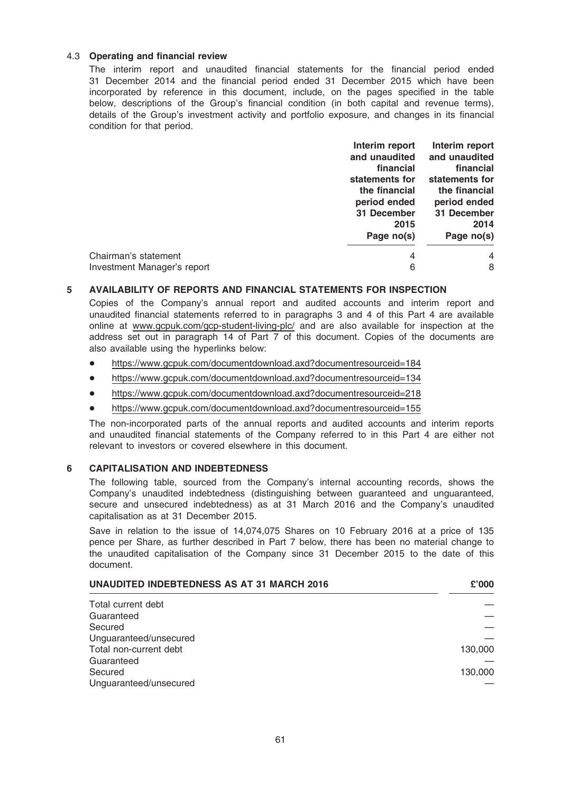## 4.3 Operating and financial review

The interim report and unaudited financial statements for the financial period ended 31 December 2014 and the financial period ended 31 December 2015 which have been incorporated by reference in this document, include, on the pages specified in the table below, descriptions of the Group's financial condition (in both capital and revenue terms), details of the Group's investment activity and portfolio exposure, and changes in its financial condition for that period.

|                             | Interim report | Interim report |
|-----------------------------|----------------|----------------|
|                             | and unaudited  | and unaudited  |
|                             | financial      | financial      |
|                             | statements for | statements for |
|                             | the financial  | the financial  |
|                             | period ended   | period ended   |
|                             | 31 December    | 31 December    |
|                             | 2015           | 2014           |
|                             | Page no(s)     | Page no(s)     |
| Chairman's statement        | 4              | 4              |
| Investment Manager's report | 6              | 8              |
|                             |                |                |

#### 5 AVAILABILITY OF REPORTS AND FINANCIAL STATEMENTS FOR INSPECTION

Copies of the Company's annual report and audited accounts and interim report and unaudited financial statements referred to in paragraphs 3 and 4 of this Part 4 are available online at www.gcpuk.com/gcp-student-living-plc/ and are also available for inspection at the address set out in paragraph 14 of Part 7 of this document. Copies of the documents are also available using the hyperlinks below:

- \* https://www.gcpuk.com/documentdownload.axd?documentresourceid=184
- \* https://www.gcpuk.com/documentdownload.axd?documentresourceid=134
- https://www.gcpuk.com/documentdownload.axd?documentresourceid=218
- \* https://www.gcpuk.com/documentdownload.axd?documentresourceid=155

The non-incorporated parts of the annual reports and audited accounts and interim reports and unaudited financial statements of the Company referred to in this Part 4 are either not relevant to investors or covered elsewhere in this document.

## 6 CAPITALISATION AND INDEBTEDNESS

The following table, sourced from the Company's internal accounting records, shows the Company's unaudited indebtedness (distinguishing between guaranteed and unguaranteed, secure and unsecured indebtedness) as at 31 March 2016 and the Company's unaudited capitalisation as at 31 December 2015.

Save in relation to the issue of 14,074,075 Shares on 10 February 2016 at a price of 135 pence per Share, as further described in Part 7 below, there has been no material change to the unaudited capitalisation of the Company since 31 December 2015 to the date of this document.

| <b>UNAUDITED INDEBTEDNESS AS AT 31 MARCH 2016</b> |         |
|---------------------------------------------------|---------|
| Total current debt                                |         |
| Guaranteed                                        |         |
| Secured                                           |         |
| Unguaranteed/unsecured                            |         |
| Total non-current debt                            | 130,000 |
| Guaranteed                                        |         |
| Secured                                           | 130,000 |
| Unguaranteed/unsecured                            |         |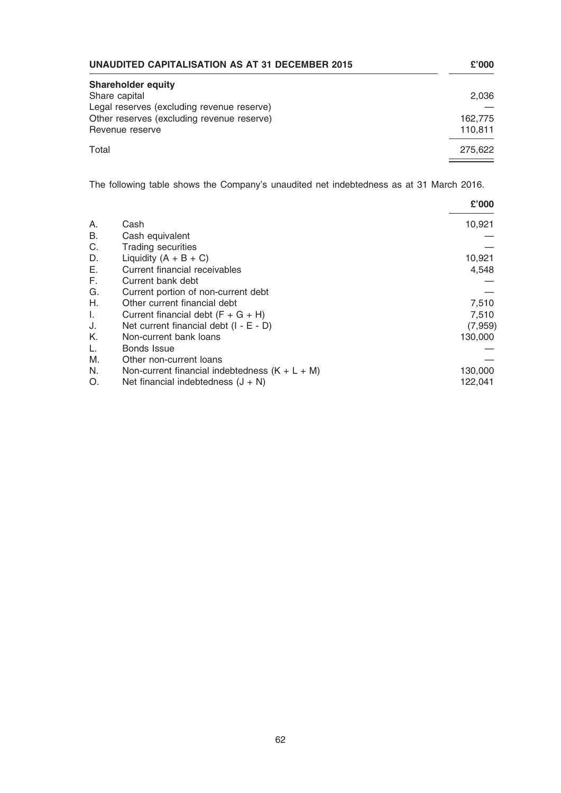| <b>UNAUDITED CAPITALISATION AS AT 31 DECEMBER 2015</b> |         |
|--------------------------------------------------------|---------|
| <b>Shareholder equity</b>                              |         |
| Share capital                                          | 2,036   |
| Legal reserves (excluding revenue reserve)             |         |
| Other reserves (excluding revenue reserve)             | 162,775 |
| Revenue reserve                                        | 110,811 |
| Total                                                  | 275.622 |

The following table shows the Company's unaudited net indebtedness as at 31 March 2016.

|    |                                                  | £'000    |
|----|--------------------------------------------------|----------|
| Α. | Cash                                             | 10,921   |
| В. | Cash equivalent                                  |          |
| C. | <b>Trading securities</b>                        |          |
| D. | Liquidity $(A + B + C)$                          | 10,921   |
| Е. | Current financial receivables                    | 4,548    |
| F. | Current bank debt                                |          |
| G. | Current portion of non-current debt              |          |
| Η. | Other current financial debt                     | 7,510    |
| Ι. | Current financial debt $(F + G + H)$             | 7,510    |
| J. | Net current financial debt $(I - E - D)$         | (7, 959) |
| Κ. | Non-current bank loans                           | 130,000  |
| L. | <b>Bonds Issue</b>                               |          |
| М. | Other non-current loans                          |          |
| N. | Non-current financial indebtedness $(K + L + M)$ | 130,000  |
| O. | Net financial indebtedness $(J + N)$             | 122,041  |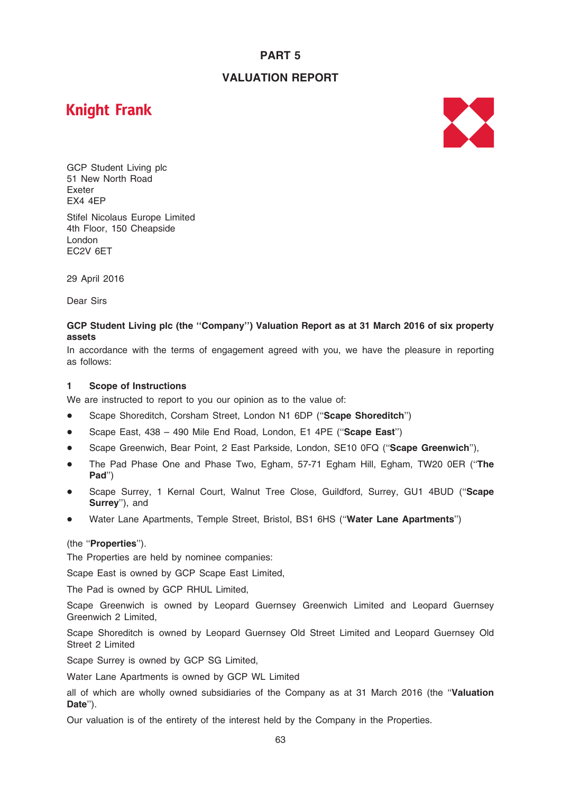# PART 5

# VALUATION REPORT

# **Knight Frank**



GCP Student Living plc 51 New North Road Exeter EX4 4EP Stifel Nicolaus Europe Limited 4th Floor, 150 Cheapside London

29 April 2016

Dear Sirs

EC2V 6ET

## GCP Student Living plc (the ''Company'') Valuation Report as at 31 March 2016 of six property assets

In accordance with the terms of engagement agreed with you, we have the pleasure in reporting as follows:

#### 1 Scope of Instructions

We are instructed to report to you our opinion as to the value of:

- Scape Shoreditch, Corsham Street, London N1 6DP ("Scape Shoreditch")
- \* Scape East, 438 490 Mile End Road, London, E1 4PE (''Scape East'')
- Scape Greenwich, Bear Point, 2 East Parkside, London, SE10 0FQ ("Scape Greenwich"),
- The Pad Phase One and Phase Two, Egham, 57-71 Egham Hill, Egham, TW20 0ER ("The Pad'')
- Scape Surrey, 1 Kernal Court, Walnut Tree Close, Guildford, Surrey, GU1 4BUD ("Scape Surrey''), and
- Water Lane Apartments, Temple Street, Bristol, BS1 6HS ("Water Lane Apartments")

## (the ''Properties'').

The Properties are held by nominee companies:

Scape East is owned by GCP Scape East Limited,

The Pad is owned by GCP RHUL Limited,

Scape Greenwich is owned by Leopard Guernsey Greenwich Limited and Leopard Guernsey Greenwich 2 Limited,

Scape Shoreditch is owned by Leopard Guernsey Old Street Limited and Leopard Guernsey Old Street 2 Limited

Scape Surrey is owned by GCP SG Limited,

Water Lane Apartments is owned by GCP WL Limited

all of which are wholly owned subsidiaries of the Company as at 31 March 2016 (the "Valuation Date").

Our valuation is of the entirety of the interest held by the Company in the Properties.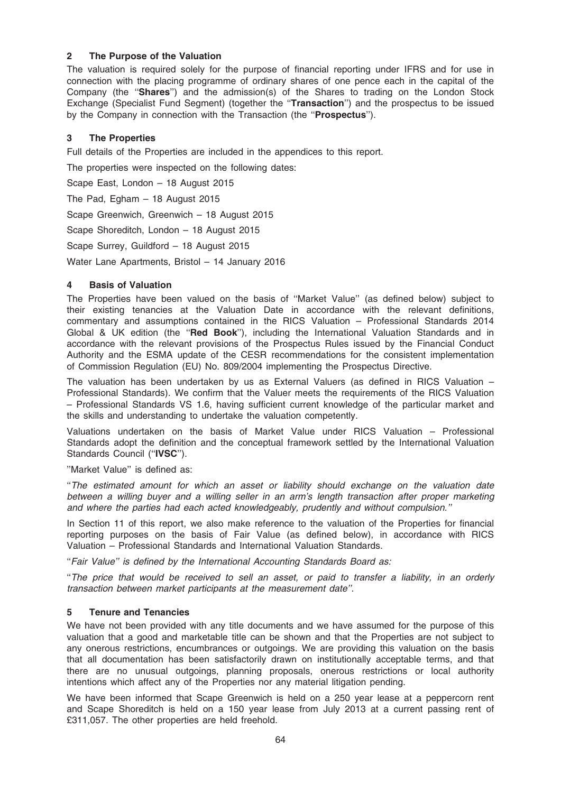## 2 The Purpose of the Valuation

The valuation is required solely for the purpose of financial reporting under IFRS and for use in connection with the placing programme of ordinary shares of one pence each in the capital of the Company (the "Shares") and the admission(s) of the Shares to trading on the London Stock Exchange (Specialist Fund Segment) (together the "**Transaction**") and the prospectus to be issued by the Company in connection with the Transaction (the ''Prospectus'').

## 3 The Properties

Full details of the Properties are included in the appendices to this report.

The properties were inspected on the following dates:

Scape East, London – 18 August 2015

The Pad, Egham – 18 August 2015

Scape Greenwich, Greenwich – 18 August 2015

Scape Shoreditch, London – 18 August 2015

Scape Surrey, Guildford – 18 August 2015

Water Lane Apartments, Bristol – 14 January 2016

## 4 Basis of Valuation

The Properties have been valued on the basis of ''Market Value'' (as defined below) subject to their existing tenancies at the Valuation Date in accordance with the relevant definitions, commentary and assumptions contained in the RICS Valuation – Professional Standards 2014 Global & UK edition (the "Red Book"), including the International Valuation Standards and in accordance with the relevant provisions of the Prospectus Rules issued by the Financial Conduct Authority and the ESMA update of the CESR recommendations for the consistent implementation of Commission Regulation (EU) No. 809/2004 implementing the Prospectus Directive.

The valuation has been undertaken by us as External Valuers (as defined in RICS Valuation – Professional Standards). We confirm that the Valuer meets the requirements of the RICS Valuation – Professional Standards VS 1.6, having sufficient current knowledge of the particular market and the skills and understanding to undertake the valuation competently.

Valuations undertaken on the basis of Market Value under RICS Valuation – Professional Standards adopt the definition and the conceptual framework settled by the International Valuation Standards Council ("IVSC").

''Market Value'' is defined as:

''The estimated amount for which an asset or liability should exchange on the valuation date between a willing buyer and a willing seller in an arm's length transaction after proper marketing and where the parties had each acted knowledgeably, prudently and without compulsion.''

In Section 11 of this report, we also make reference to the valuation of the Properties for financial reporting purposes on the basis of Fair Value (as defined below), in accordance with RICS Valuation – Professional Standards and International Valuation Standards.

''Fair Value'' is defined by the International Accounting Standards Board as:

''The price that would be received to sell an asset, or paid to transfer a liability, in an orderly transaction between market participants at the measurement date''.

## 5 Tenure and Tenancies

We have not been provided with any title documents and we have assumed for the purpose of this valuation that a good and marketable title can be shown and that the Properties are not subject to any onerous restrictions, encumbrances or outgoings. We are providing this valuation on the basis that all documentation has been satisfactorily drawn on institutionally acceptable terms, and that there are no unusual outgoings, planning proposals, onerous restrictions or local authority intentions which affect any of the Properties nor any material litigation pending.

We have been informed that Scape Greenwich is held on a 250 year lease at a peppercorn rent and Scape Shoreditch is held on a 150 year lease from July 2013 at a current passing rent of £311,057. The other properties are held freehold.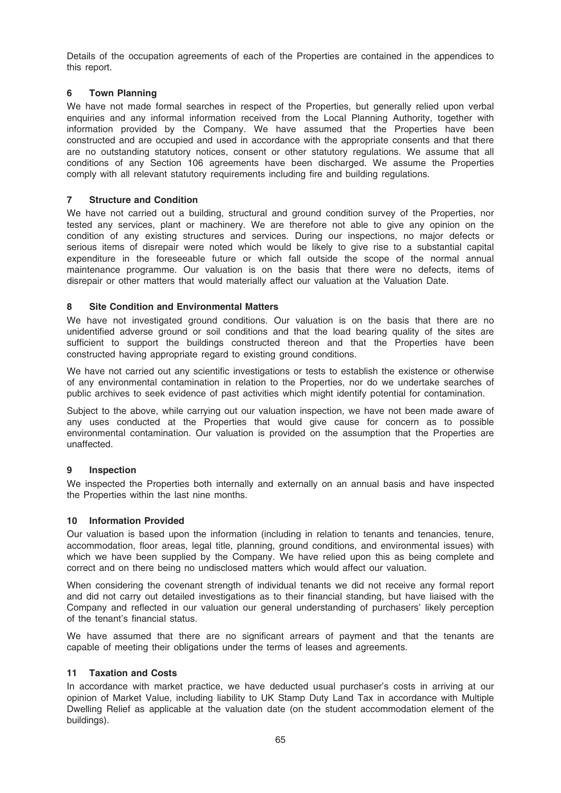Details of the occupation agreements of each of the Properties are contained in the appendices to this report.

## 6 Town Planning

We have not made formal searches in respect of the Properties, but generally relied upon verbal enquiries and any informal information received from the Local Planning Authority, together with information provided by the Company. We have assumed that the Properties have been constructed and are occupied and used in accordance with the appropriate consents and that there are no outstanding statutory notices, consent or other statutory regulations. We assume that all conditions of any Section 106 agreements have been discharged. We assume the Properties comply with all relevant statutory requirements including fire and building regulations.

## 7 Structure and Condition

We have not carried out a building, structural and ground condition survey of the Properties, nor tested any services, plant or machinery. We are therefore not able to give any opinion on the condition of any existing structures and services. During our inspections, no major defects or serious items of disrepair were noted which would be likely to give rise to a substantial capital expenditure in the foreseeable future or which fall outside the scope of the normal annual maintenance programme. Our valuation is on the basis that there were no defects, items of disrepair or other matters that would materially affect our valuation at the Valuation Date.

## 8 Site Condition and Environmental Matters

We have not investigated ground conditions. Our valuation is on the basis that there are no unidentified adverse ground or soil conditions and that the load bearing quality of the sites are sufficient to support the buildings constructed thereon and that the Properties have been constructed having appropriate regard to existing ground conditions.

We have not carried out any scientific investigations or tests to establish the existence or otherwise of any environmental contamination in relation to the Properties, nor do we undertake searches of public archives to seek evidence of past activities which might identify potential for contamination.

Subject to the above, while carrying out our valuation inspection, we have not been made aware of any uses conducted at the Properties that would give cause for concern as to possible environmental contamination. Our valuation is provided on the assumption that the Properties are unaffected.

## 9 Inspection

We inspected the Properties both internally and externally on an annual basis and have inspected the Properties within the last nine months.

## 10 Information Provided

Our valuation is based upon the information (including in relation to tenants and tenancies, tenure, accommodation, floor areas, legal title, planning, ground conditions, and environmental issues) with which we have been supplied by the Company. We have relied upon this as being complete and correct and on there being no undisclosed matters which would affect our valuation.

When considering the covenant strength of individual tenants we did not receive any formal report and did not carry out detailed investigations as to their financial standing, but have liaised with the Company and reflected in our valuation our general understanding of purchasers' likely perception of the tenant's financial status.

We have assumed that there are no significant arrears of payment and that the tenants are capable of meeting their obligations under the terms of leases and agreements.

## 11 Taxation and Costs

In accordance with market practice, we have deducted usual purchaser's costs in arriving at our opinion of Market Value, including liability to UK Stamp Duty Land Tax in accordance with Multiple Dwelling Relief as applicable at the valuation date (on the student accommodation element of the buildings).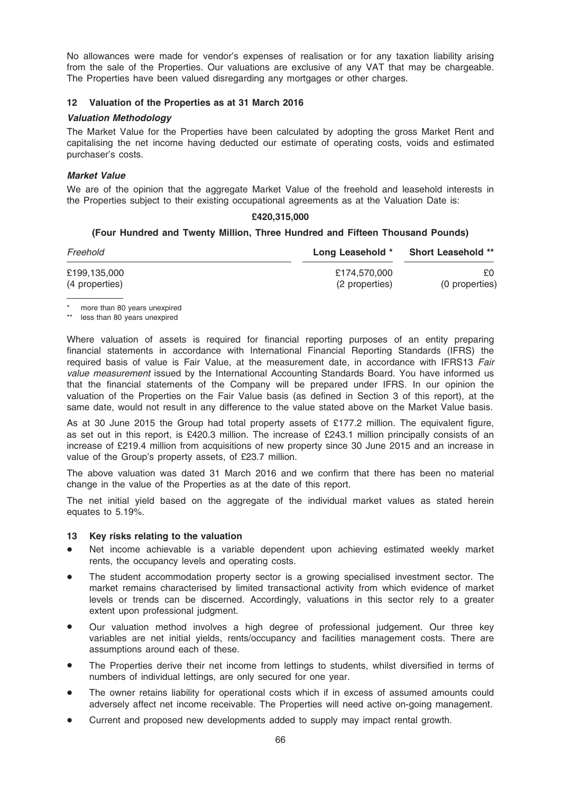No allowances were made for vendor's expenses of realisation or for any taxation liability arising from the sale of the Properties. Our valuations are exclusive of any VAT that may be chargeable. The Properties have been valued disregarding any mortgages or other charges.

## 12 Valuation of the Properties as at 31 March 2016

#### Valuation Methodology

The Market Value for the Properties have been calculated by adopting the gross Market Rent and capitalising the net income having deducted our estimate of operating costs, voids and estimated purchaser's costs.

## Market Value

We are of the opinion that the aggregate Market Value of the freehold and leasehold interests in the Properties subject to their existing occupational agreements as at the Valuation Date is:

## £420,315,000

## (Four Hundred and Twenty Million, Three Hundred and Fifteen Thousand Pounds)

| Freehold       | Long Leasehold * | <b>Short Leasehold **</b> |
|----------------|------------------|---------------------------|
| £199,135,000   | £174.570.000     | £0.                       |
| (4 properties) | (2 properties)   | (0 properties)            |

\* more than 80 years unexpired

\*\* less than 80 years unexpired

Where valuation of assets is required for financial reporting purposes of an entity preparing financial statements in accordance with International Financial Reporting Standards (IFRS) the required basis of value is Fair Value, at the measurement date, in accordance with IFRS13 Fair value measurement issued by the International Accounting Standards Board. You have informed us that the financial statements of the Company will be prepared under IFRS. In our opinion the valuation of the Properties on the Fair Value basis (as defined in Section 3 of this report), at the same date, would not result in any difference to the value stated above on the Market Value basis.

As at 30 June 2015 the Group had total property assets of £177.2 million. The equivalent figure, as set out in this report, is £420.3 million. The increase of £243.1 million principally consists of an increase of £219.4 million from acquisitions of new property since 30 June 2015 and an increase in value of the Group's property assets, of £23.7 million.

The above valuation was dated 31 March 2016 and we confirm that there has been no material change in the value of the Properties as at the date of this report.

The net initial yield based on the aggregate of the individual market values as stated herein equates to 5.19%.

#### 13 Key risks relating to the valuation

- Net income achievable is a variable dependent upon achieving estimated weekly market rents, the occupancy levels and operating costs.
- The student accommodation property sector is a growing specialised investment sector. The market remains characterised by limited transactional activity from which evidence of market levels or trends can be discerned. Accordingly, valuations in this sector rely to a greater extent upon professional judgment.
- Our valuation method involves a high degree of professional judgement. Our three key variables are net initial yields, rents/occupancy and facilities management costs. There are assumptions around each of these.
- The Properties derive their net income from lettings to students, whilst diversified in terms of numbers of individual lettings, are only secured for one year.
- The owner retains liability for operational costs which if in excess of assumed amounts could adversely affect net income receivable. The Properties will need active on-going management.
- Current and proposed new developments added to supply may impact rental growth.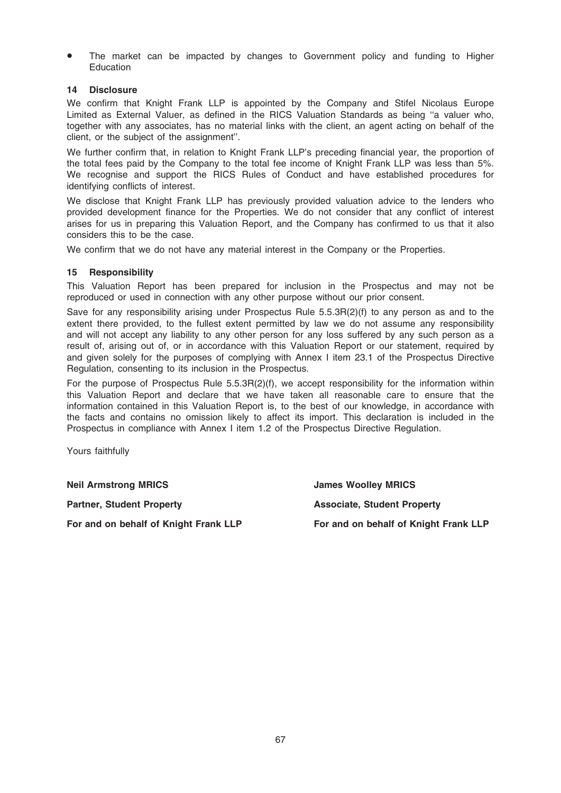The market can be impacted by changes to Government policy and funding to Higher **Education** 

## 14 Disclosure

We confirm that Knight Frank LLP is appointed by the Company and Stifel Nicolaus Europe Limited as External Valuer, as defined in the RICS Valuation Standards as being ''a valuer who, together with any associates, has no material links with the client, an agent acting on behalf of the client, or the subject of the assignment''.

We further confirm that, in relation to Knight Frank LLP's preceding financial year, the proportion of the total fees paid by the Company to the total fee income of Knight Frank LLP was less than 5%. We recognise and support the RICS Rules of Conduct and have established procedures for identifying conflicts of interest.

We disclose that Knight Frank LLP has previously provided valuation advice to the lenders who provided development finance for the Properties. We do not consider that any conflict of interest arises for us in preparing this Valuation Report, and the Company has confirmed to us that it also considers this to be the case.

We confirm that we do not have any material interest in the Company or the Properties.

#### 15 Responsibility

This Valuation Report has been prepared for inclusion in the Prospectus and may not be reproduced or used in connection with any other purpose without our prior consent.

Save for any responsibility arising under Prospectus Rule 5.5.3R(2)(f) to any person as and to the extent there provided, to the fullest extent permitted by law we do not assume any responsibility and will not accept any liability to any other person for any loss suffered by any such person as a result of, arising out of, or in accordance with this Valuation Report or our statement, required by and given solely for the purposes of complying with Annex I item 23.1 of the Prospectus Directive Regulation, consenting to its inclusion in the Prospectus.

For the purpose of Prospectus Rule 5.5.3R(2)(f), we accept responsibility for the information within this Valuation Report and declare that we have taken all reasonable care to ensure that the information contained in this Valuation Report is, to the best of our knowledge, in accordance with the facts and contains no omission likely to affect its import. This declaration is included in the Prospectus in compliance with Annex I item 1.2 of the Prospectus Directive Regulation.

Yours faithfully

Neil Armstrong MRICS James Woolley MRICS

Partner, Student Property **Associate, Student Property** For and on behalf of Knight Frank LLP For and on behalf of Knight Frank LLP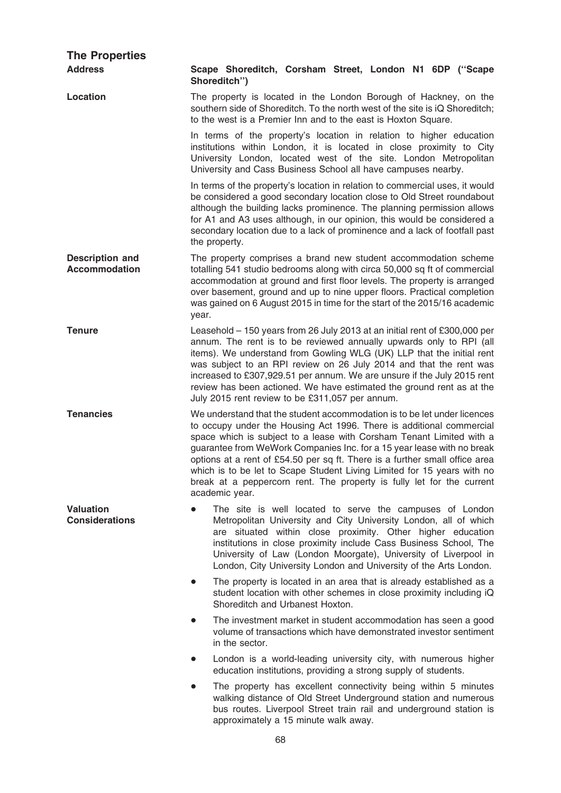| <b>The Properties</b>                          |                                                                                                                                                                                                                                                                                                                                                                                                                                                                                                                                                         |
|------------------------------------------------|---------------------------------------------------------------------------------------------------------------------------------------------------------------------------------------------------------------------------------------------------------------------------------------------------------------------------------------------------------------------------------------------------------------------------------------------------------------------------------------------------------------------------------------------------------|
| <b>Address</b>                                 | Scape Shoreditch, Corsham Street, London N1 6DP ("Scape<br>Shoreditch")                                                                                                                                                                                                                                                                                                                                                                                                                                                                                 |
| Location                                       | The property is located in the London Borough of Hackney, on the<br>southern side of Shoreditch. To the north west of the site is iQ Shoreditch;<br>to the west is a Premier Inn and to the east is Hoxton Square.                                                                                                                                                                                                                                                                                                                                      |
|                                                | In terms of the property's location in relation to higher education<br>institutions within London, it is located in close proximity to City<br>University London, located west of the site. London Metropolitan<br>University and Cass Business School all have campuses nearby.                                                                                                                                                                                                                                                                        |
|                                                | In terms of the property's location in relation to commercial uses, it would<br>be considered a good secondary location close to Old Street roundabout<br>although the building lacks prominence. The planning permission allows<br>for A1 and A3 uses although, in our opinion, this would be considered a<br>secondary location due to a lack of prominence and a lack of footfall past<br>the property.                                                                                                                                              |
| <b>Description and</b><br><b>Accommodation</b> | The property comprises a brand new student accommodation scheme<br>totalling 541 studio bedrooms along with circa 50,000 sq ft of commercial<br>accommodation at ground and first floor levels. The property is arranged<br>over basement, ground and up to nine upper floors. Practical completion<br>was gained on 6 August 2015 in time for the start of the 2015/16 academic<br>year.                                                                                                                                                               |
| <b>Tenure</b>                                  | Leasehold - 150 years from 26 July 2013 at an initial rent of £300,000 per<br>annum. The rent is to be reviewed annually upwards only to RPI (all<br>items). We understand from Gowling WLG (UK) LLP that the initial rent<br>was subject to an RPI review on 26 July 2014 and that the rent was<br>increased to £307,929.51 per annum. We are unsure if the July 2015 rent<br>review has been actioned. We have estimated the ground rent as at the<br>July 2015 rent review to be £311,057 per annum.                                                 |
| <b>Tenancies</b>                               | We understand that the student accommodation is to be let under licences<br>to occupy under the Housing Act 1996. There is additional commercial<br>space which is subject to a lease with Corsham Tenant Limited with a<br>guarantee from WeWork Companies Inc. for a 15 year lease with no break<br>options at a rent of £54.50 per sq ft. There is a further small office area<br>which is to be let to Scape Student Living Limited for 15 years with no<br>break at a peppercorn rent. The property is fully let for the current<br>academic year. |
| <b>Valuation</b><br><b>Considerations</b>      | The site is well located to serve the campuses of London<br>Metropolitan University and City University London, all of which<br>are situated within close proximity. Other higher education<br>institutions in close proximity include Cass Business School, The<br>University of Law (London Moorgate), University of Liverpool in<br>London, City University London and University of the Arts London.                                                                                                                                                |
|                                                | The property is located in an area that is already established as a<br>student location with other schemes in close proximity including iQ<br>Shoreditch and Urbanest Hoxton.                                                                                                                                                                                                                                                                                                                                                                           |
|                                                | The investment market in student accommodation has seen a good<br>$\bullet$<br>volume of transactions which have demonstrated investor sentiment<br>in the sector.                                                                                                                                                                                                                                                                                                                                                                                      |
|                                                | London is a world-leading university city, with numerous higher<br>$\bullet$<br>education institutions, providing a strong supply of students.                                                                                                                                                                                                                                                                                                                                                                                                          |
|                                                | The property has excellent connectivity being within 5 minutes<br>$\bullet$<br>walking distance of Old Street Underground station and numerous<br>bus routes. Liverpool Street train rail and underground station is<br>approximately a 15 minute walk away.                                                                                                                                                                                                                                                                                            |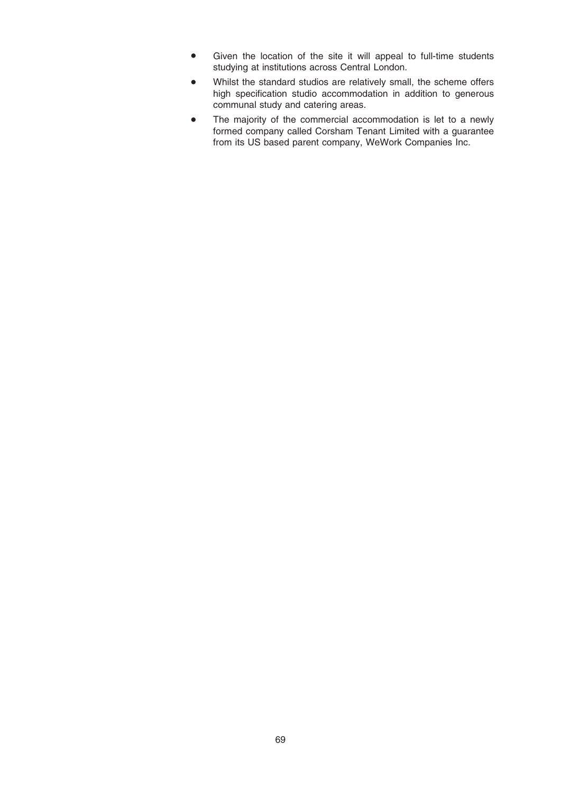- Given the location of the site it will appeal to full-time students studying at institutions across Central London.
- Whilst the standard studios are relatively small, the scheme offers high specification studio accommodation in addition to generous communal study and catering areas.
- The majority of the commercial accommodation is let to a newly formed company called Corsham Tenant Limited with a guarantee from its US based parent company, WeWork Companies Inc.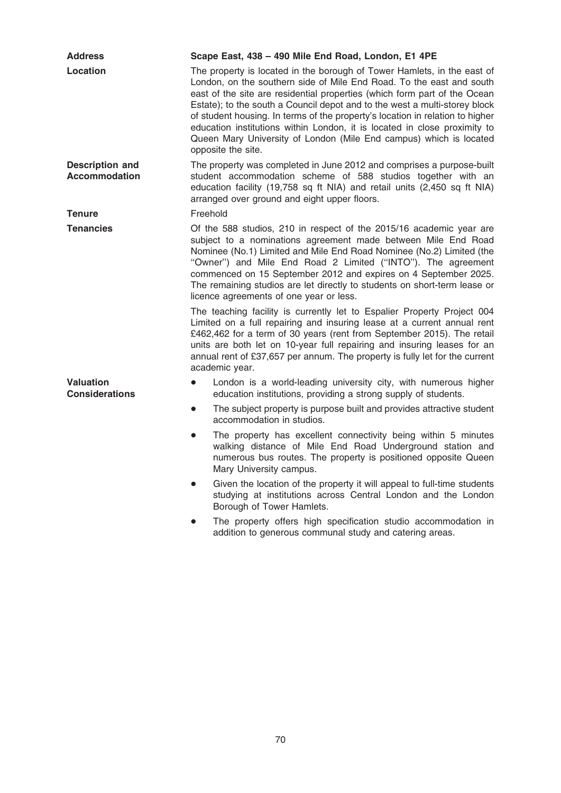| <b>Address</b>                                 | Scape East, 438 - 490 Mile End Road, London, E1 4PE                                                                                                                                                                                                                                                                                                                                                                                                                                                                                                                  |
|------------------------------------------------|----------------------------------------------------------------------------------------------------------------------------------------------------------------------------------------------------------------------------------------------------------------------------------------------------------------------------------------------------------------------------------------------------------------------------------------------------------------------------------------------------------------------------------------------------------------------|
| Location                                       | The property is located in the borough of Tower Hamlets, in the east of<br>London, on the southern side of Mile End Road. To the east and south<br>east of the site are residential properties (which form part of the Ocean<br>Estate); to the south a Council depot and to the west a multi-storey block<br>of student housing. In terms of the property's location in relation to higher<br>education institutions within London, it is located in close proximity to<br>Queen Mary University of London (Mile End campus) which is located<br>opposite the site. |
| <b>Description and</b><br><b>Accommodation</b> | The property was completed in June 2012 and comprises a purpose-built<br>student accommodation scheme of 588 studios together with an<br>education facility (19,758 sq ft NIA) and retail units (2,450 sq ft NIA)<br>arranged over ground and eight upper floors.                                                                                                                                                                                                                                                                                                    |
| <b>Tenure</b>                                  | Freehold                                                                                                                                                                                                                                                                                                                                                                                                                                                                                                                                                             |
| <b>Tenancies</b>                               | Of the 588 studios, 210 in respect of the 2015/16 academic year are<br>subject to a nominations agreement made between Mile End Road<br>Nominee (No.1) Limited and Mile End Road Nominee (No.2) Limited (the<br>"Owner") and Mile End Road 2 Limited ("INTO"). The agreement<br>commenced on 15 September 2012 and expires on 4 September 2025.<br>The remaining studios are let directly to students on short-term lease or<br>licence agreements of one year or less.                                                                                              |
|                                                | The teaching facility is currently let to Espalier Property Project 004<br>Limited on a full repairing and insuring lease at a current annual rent<br>£462,462 for a term of 30 years (rent from September 2015). The retail<br>units are both let on 10-year full repairing and insuring leases for an<br>annual rent of £37,657 per annum. The property is fully let for the current<br>academic year.                                                                                                                                                             |
| <b>Valuation</b><br><b>Considerations</b>      | London is a world-leading university city, with numerous higher<br>education institutions, providing a strong supply of students.                                                                                                                                                                                                                                                                                                                                                                                                                                    |
|                                                | The subject property is purpose built and provides attractive student<br>$\bullet$<br>accommodation in studios.                                                                                                                                                                                                                                                                                                                                                                                                                                                      |
|                                                | The property has excellent connectivity being within 5 minutes<br>$\bullet$<br>walking distance of Mile End Road Underground station and<br>numerous bus routes. The property is positioned opposite Queen<br>Mary University campus.                                                                                                                                                                                                                                                                                                                                |
|                                                | Given the location of the property it will appeal to full-time students<br>$\bullet$<br>studying at institutions across Central London and the London<br>Borough of Tower Hamlets.                                                                                                                                                                                                                                                                                                                                                                                   |
|                                                | The property offers high specification studio accommodation in<br>addition to generous communal study and catering areas.                                                                                                                                                                                                                                                                                                                                                                                                                                            |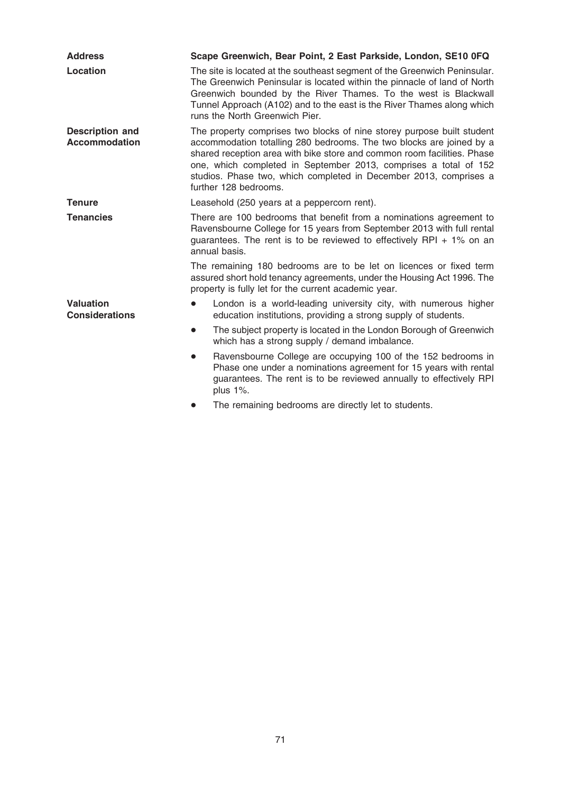| <b>Address</b>                                 | Scape Greenwich, Bear Point, 2 East Parkside, London, SE10 0FQ                                                                                                                                                                                                                                                                                                                              |
|------------------------------------------------|---------------------------------------------------------------------------------------------------------------------------------------------------------------------------------------------------------------------------------------------------------------------------------------------------------------------------------------------------------------------------------------------|
| Location                                       | The site is located at the southeast segment of the Greenwich Peninsular.<br>The Greenwich Peninsular is located within the pinnacle of land of North<br>Greenwich bounded by the River Thames. To the west is Blackwall<br>Tunnel Approach (A102) and to the east is the River Thames along which<br>runs the North Greenwich Pier.                                                        |
| <b>Description and</b><br><b>Accommodation</b> | The property comprises two blocks of nine storey purpose built student<br>accommodation totalling 280 bedrooms. The two blocks are joined by a<br>shared reception area with bike store and common room facilities. Phase<br>one, which completed in September 2013, comprises a total of 152<br>studios. Phase two, which completed in December 2013, comprises a<br>further 128 bedrooms. |
| <b>Tenure</b>                                  | Leasehold (250 years at a peppercorn rent).                                                                                                                                                                                                                                                                                                                                                 |
| <b>Tenancies</b>                               | There are 100 bedrooms that benefit from a nominations agreement to<br>Ravensbourne College for 15 years from September 2013 with full rental<br>guarantees. The rent is to be reviewed to effectively RPI $+$ 1% on an<br>annual basis.                                                                                                                                                    |
|                                                | The remaining 180 bedrooms are to be let on licences or fixed term<br>assured short hold tenancy agreements, under the Housing Act 1996. The<br>property is fully let for the current academic year.                                                                                                                                                                                        |
| <b>Valuation</b><br><b>Considerations</b>      | London is a world-leading university city, with numerous higher<br>education institutions, providing a strong supply of students.                                                                                                                                                                                                                                                           |
|                                                | The subject property is located in the London Borough of Greenwich<br>$\bullet$<br>which has a strong supply / demand imbalance.                                                                                                                                                                                                                                                            |
|                                                | Ravensbourne College are occupying 100 of the 152 bedrooms in<br>$\bullet$<br>Phase one under a nominations agreement for 15 years with rental<br>guarantees. The rent is to be reviewed annually to effectively RPI<br>plus $1\%$ .                                                                                                                                                        |
|                                                |                                                                                                                                                                                                                                                                                                                                                                                             |

• The remaining bedrooms are directly let to students.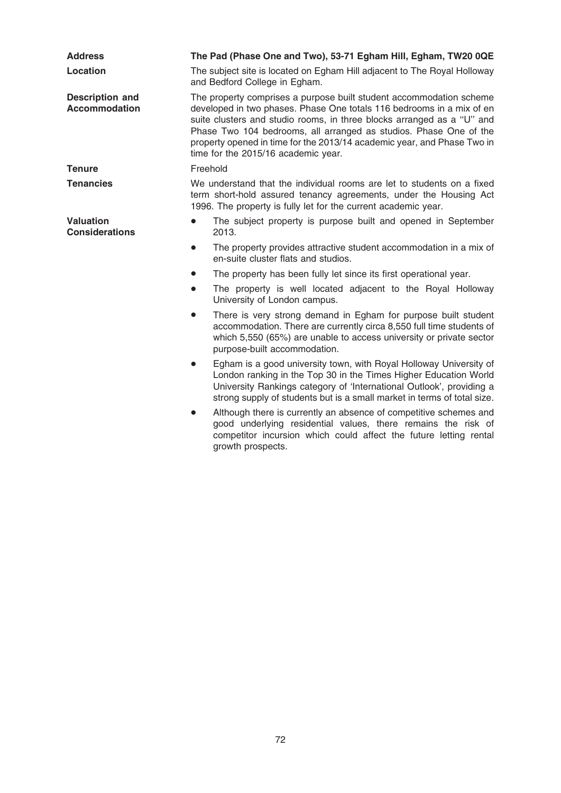| <b>Address</b>                                 | The Pad (Phase One and Two), 53-71 Egham Hill, Egham, TW20 0QE                                                                                                                                                                                                                                                                                                                                                |
|------------------------------------------------|---------------------------------------------------------------------------------------------------------------------------------------------------------------------------------------------------------------------------------------------------------------------------------------------------------------------------------------------------------------------------------------------------------------|
| Location                                       | The subject site is located on Egham Hill adjacent to The Royal Holloway<br>and Bedford College in Egham.                                                                                                                                                                                                                                                                                                     |
| <b>Description and</b><br><b>Accommodation</b> | The property comprises a purpose built student accommodation scheme<br>developed in two phases. Phase One totals 116 bedrooms in a mix of en<br>suite clusters and studio rooms, in three blocks arranged as a "U" and<br>Phase Two 104 bedrooms, all arranged as studios. Phase One of the<br>property opened in time for the 2013/14 academic year, and Phase Two in<br>time for the 2015/16 academic year. |
| <b>Tenure</b>                                  | Freehold                                                                                                                                                                                                                                                                                                                                                                                                      |
| <b>Tenancies</b>                               | We understand that the individual rooms are let to students on a fixed<br>term short-hold assured tenancy agreements, under the Housing Act<br>1996. The property is fully let for the current academic year.                                                                                                                                                                                                 |
| <b>Valuation</b><br><b>Considerations</b>      | The subject property is purpose built and opened in September<br>$\bullet$<br>2013.                                                                                                                                                                                                                                                                                                                           |
|                                                | The property provides attractive student accommodation in a mix of<br>$\bullet$<br>en-suite cluster flats and studios.                                                                                                                                                                                                                                                                                        |
|                                                | The property has been fully let since its first operational year.<br>$\bullet$                                                                                                                                                                                                                                                                                                                                |
|                                                | The property is well located adjacent to the Royal Holloway<br>$\bullet$<br>University of London campus.                                                                                                                                                                                                                                                                                                      |
|                                                | There is very strong demand in Egham for purpose built student<br>$\bullet$<br>accommodation. There are currently circa 8,550 full time students of<br>which 5,550 (65%) are unable to access university or private sector<br>purpose-built accommodation.                                                                                                                                                    |
|                                                | Egham is a good university town, with Royal Holloway University of<br>$\bullet$<br>London ranking in the Top 30 in the Times Higher Education World<br>University Rankings category of 'International Outlook', providing a<br>strong supply of students but is a small market in terms of total size.                                                                                                        |
|                                                | Although there is currently an absence of competitive schemes and<br>$\bullet$<br>good underlying residential values, there remains the risk of<br>competitor incursion which could affect the future letting rental<br>growth prospects.                                                                                                                                                                     |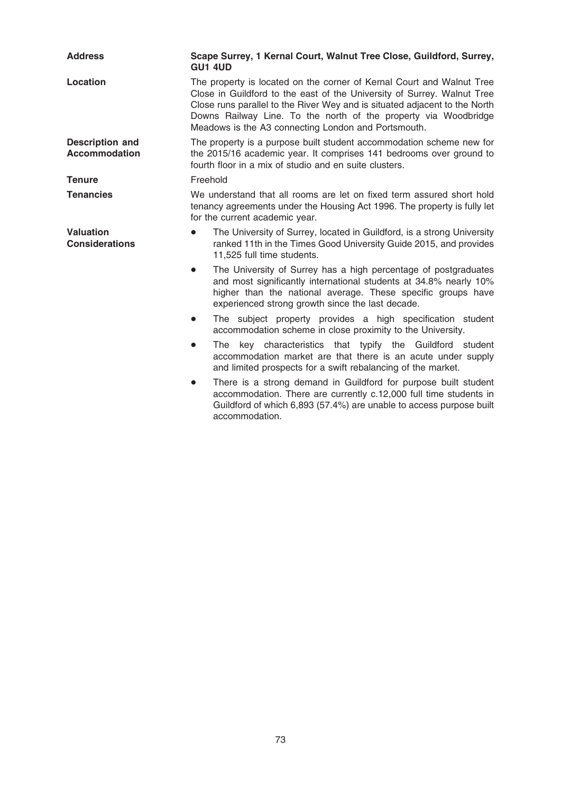| <b>Address</b>                                 | Scape Surrey, 1 Kernal Court, Walnut Tree Close, Guildford, Surrey,<br><b>GU1 4UD</b>                                                                                                                                                                                                                                                                    |
|------------------------------------------------|----------------------------------------------------------------------------------------------------------------------------------------------------------------------------------------------------------------------------------------------------------------------------------------------------------------------------------------------------------|
| <b>Location</b>                                | The property is located on the corner of Kernal Court and Walnut Tree<br>Close in Guildford to the east of the University of Surrey. Walnut Tree<br>Close runs parallel to the River Wey and is situated adjacent to the North<br>Downs Railway Line. To the north of the property via Woodbridge<br>Meadows is the A3 connecting London and Portsmouth. |
| <b>Description and</b><br><b>Accommodation</b> | The property is a purpose built student accommodation scheme new for<br>the 2015/16 academic year. It comprises 141 bedrooms over ground to<br>fourth floor in a mix of studio and en suite clusters.                                                                                                                                                    |
| <b>Tenure</b>                                  | Freehold                                                                                                                                                                                                                                                                                                                                                 |
| <b>Tenancies</b>                               | We understand that all rooms are let on fixed term assured short hold<br>tenancy agreements under the Housing Act 1996. The property is fully let<br>for the current academic year.                                                                                                                                                                      |
| <b>Valuation</b><br><b>Considerations</b>      | The University of Surrey, located in Guildford, is a strong University<br>ranked 11th in the Times Good University Guide 2015, and provides<br>11,525 full time students.                                                                                                                                                                                |
|                                                | The University of Surrey has a high percentage of postgraduates<br>$\bullet$<br>and most significantly international students at 34.8% nearly 10%<br>higher than the national average. These specific groups have<br>experienced strong growth since the last decade.                                                                                    |
|                                                | The subject property provides a high specification student<br>$\bullet$<br>accommodation scheme in close proximity to the University.                                                                                                                                                                                                                    |
|                                                | The key characteristics that typify the Guildford student<br>$\bullet$<br>accommodation market are that there is an acute under supply<br>and limited prospects for a swift rebalancing of the market.                                                                                                                                                   |
|                                                | There is a strong demand in Guildford for purpose built student<br>$\bullet$<br>accommodation. There are currently c.12,000 full time students in<br>Guildford of which 6,893 (57.4%) are unable to access purpose built<br>accommodation.                                                                                                               |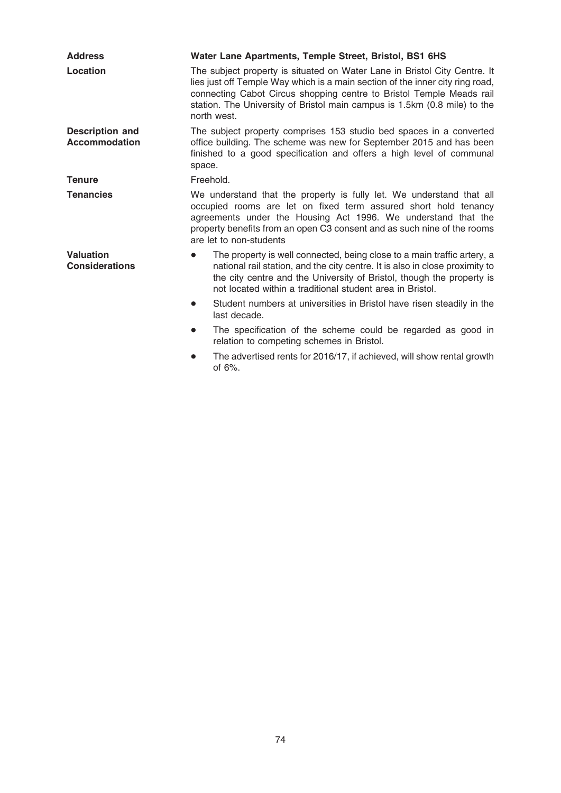| <b>Address</b>                                 | Water Lane Apartments, Temple Street, Bristol, BS1 6HS                                                                                                                                                                                                                                                                         |
|------------------------------------------------|--------------------------------------------------------------------------------------------------------------------------------------------------------------------------------------------------------------------------------------------------------------------------------------------------------------------------------|
| Location                                       | The subject property is situated on Water Lane in Bristol City Centre. It<br>lies just off Temple Way which is a main section of the inner city ring road,<br>connecting Cabot Circus shopping centre to Bristol Temple Meads rail<br>station. The University of Bristol main campus is 1.5km (0.8 mile) to the<br>north west. |
| <b>Description and</b><br><b>Accommodation</b> | The subject property comprises 153 studio bed spaces in a converted<br>office building. The scheme was new for September 2015 and has been<br>finished to a good specification and offers a high level of communal<br>space.                                                                                                   |
| <b>Tenure</b>                                  | Freehold.                                                                                                                                                                                                                                                                                                                      |
| <b>Tenancies</b>                               | We understand that the property is fully let. We understand that all<br>occupied rooms are let on fixed term assured short hold tenancy<br>agreements under the Housing Act 1996. We understand that the<br>property benefits from an open C3 consent and as such nine of the rooms<br>are let to non-students                 |
| <b>Valuation</b><br><b>Considerations</b>      | The property is well connected, being close to a main traffic artery, a<br>$\bullet$<br>national rail station, and the city centre. It is also in close proximity to<br>the city centre and the University of Bristol, though the property is<br>not located within a traditional student area in Bristol.                     |
|                                                | Student numbers at universities in Bristol have risen steadily in the<br>$\bullet$<br>last decade.                                                                                                                                                                                                                             |
|                                                | The specification of the scheme could be regarded as good in<br>$\bullet$<br>relation to competing schemes in Bristol.                                                                                                                                                                                                         |
|                                                | The advertised rents for 2016/17, if achieved, will show rental growth<br>$\bullet$<br>of $6\%$ .                                                                                                                                                                                                                              |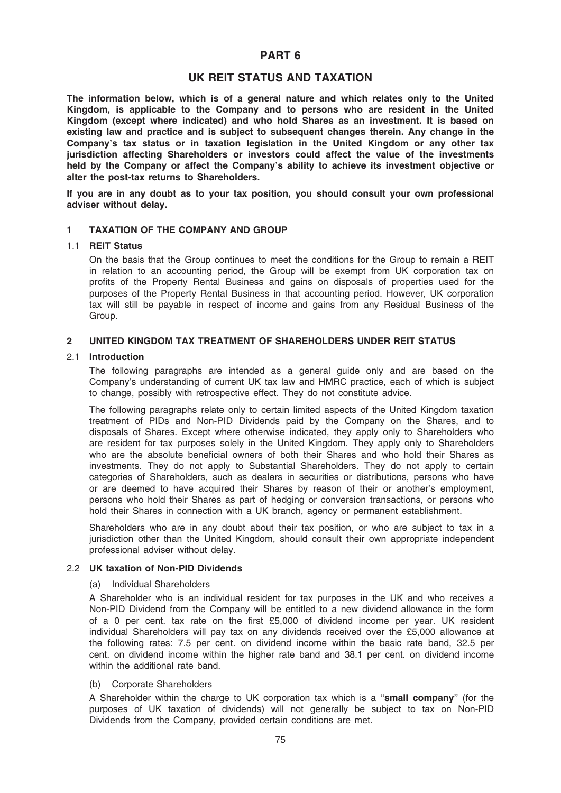# PART 6

# UK REIT STATUS AND TAXATION

The information below, which is of a general nature and which relates only to the United Kingdom, is applicable to the Company and to persons who are resident in the United Kingdom (except where indicated) and who hold Shares as an investment. It is based on existing law and practice and is subject to subsequent changes therein. Any change in the Company's tax status or in taxation legislation in the United Kingdom or any other tax jurisdiction affecting Shareholders or investors could affect the value of the investments held by the Company or affect the Company's ability to achieve its investment objective or alter the post-tax returns to Shareholders.

If you are in any doubt as to your tax position, you should consult your own professional adviser without delay.

## 1 TAXATION OF THE COMPANY AND GROUP

#### 1.1 REIT Status

On the basis that the Group continues to meet the conditions for the Group to remain a REIT in relation to an accounting period, the Group will be exempt from UK corporation tax on profits of the Property Rental Business and gains on disposals of properties used for the purposes of the Property Rental Business in that accounting period. However, UK corporation tax will still be payable in respect of income and gains from any Residual Business of the Group.

#### 2 UNITED KINGDOM TAX TREATMENT OF SHAREHOLDERS UNDER REIT STATUS

#### 2.1 Introduction

The following paragraphs are intended as a general guide only and are based on the Company's understanding of current UK tax law and HMRC practice, each of which is subject to change, possibly with retrospective effect. They do not constitute advice.

The following paragraphs relate only to certain limited aspects of the United Kingdom taxation treatment of PIDs and Non-PID Dividends paid by the Company on the Shares, and to disposals of Shares. Except where otherwise indicated, they apply only to Shareholders who are resident for tax purposes solely in the United Kingdom. They apply only to Shareholders who are the absolute beneficial owners of both their Shares and who hold their Shares as investments. They do not apply to Substantial Shareholders. They do not apply to certain categories of Shareholders, such as dealers in securities or distributions, persons who have or are deemed to have acquired their Shares by reason of their or another's employment, persons who hold their Shares as part of hedging or conversion transactions, or persons who hold their Shares in connection with a UK branch, agency or permanent establishment.

Shareholders who are in any doubt about their tax position, or who are subject to tax in a jurisdiction other than the United Kingdom, should consult their own appropriate independent professional adviser without delay.

#### 2.2 UK taxation of Non-PID Dividends

#### (a) Individual Shareholders

A Shareholder who is an individual resident for tax purposes in the UK and who receives a Non-PID Dividend from the Company will be entitled to a new dividend allowance in the form of a 0 per cent. tax rate on the first £5,000 of dividend income per year. UK resident individual Shareholders will pay tax on any dividends received over the £5,000 allowance at the following rates: 7.5 per cent. on dividend income within the basic rate band, 32.5 per cent. on dividend income within the higher rate band and 38.1 per cent. on dividend income within the additional rate band.

#### (b) Corporate Shareholders

A Shareholder within the charge to UK corporation tax which is a "small company" (for the purposes of UK taxation of dividends) will not generally be subject to tax on Non-PID Dividends from the Company, provided certain conditions are met.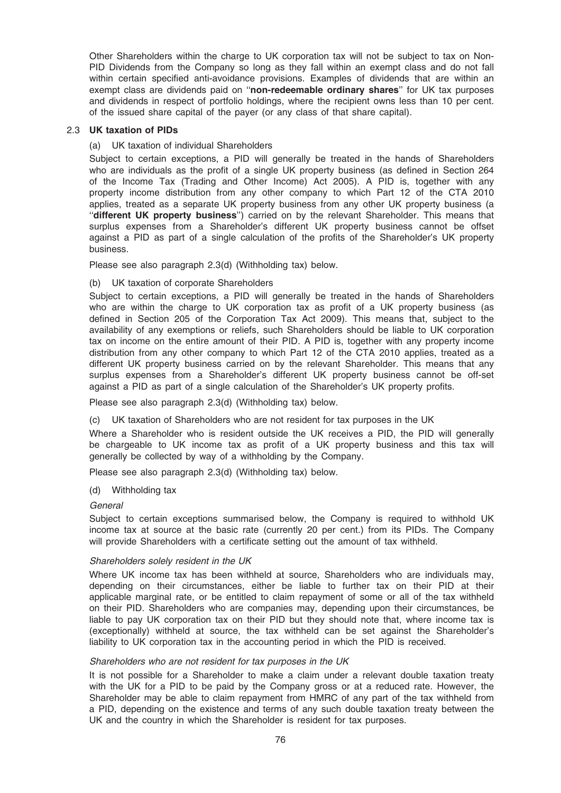Other Shareholders within the charge to UK corporation tax will not be subject to tax on Non-PID Dividends from the Company so long as they fall within an exempt class and do not fall within certain specified anti-avoidance provisions. Examples of dividends that are within an exempt class are dividends paid on "non-redeemable ordinary shares" for UK tax purposes and dividends in respect of portfolio holdings, where the recipient owns less than 10 per cent. of the issued share capital of the payer (or any class of that share capital).

#### 2.3 UK taxation of PIDs

#### (a) UK taxation of individual Shareholders

Subject to certain exceptions, a PID will generally be treated in the hands of Shareholders who are individuals as the profit of a single UK property business (as defined in Section 264 of the Income Tax (Trading and Other Income) Act 2005). A PID is, together with any property income distribution from any other company to which Part 12 of the CTA 2010 applies, treated as a separate UK property business from any other UK property business (a "different UK property business") carried on by the relevant Shareholder. This means that surplus expenses from a Shareholder's different UK property business cannot be offset against a PID as part of a single calculation of the profits of the Shareholder's UK property business.

Please see also paragraph 2.3(d) (Withholding tax) below.

#### (b) UK taxation of corporate Shareholders

Subiect to certain exceptions, a PID will generally be treated in the hands of Shareholders who are within the charge to UK corporation tax as profit of a UK property business (as defined in Section 205 of the Corporation Tax Act 2009). This means that, subject to the availability of any exemptions or reliefs, such Shareholders should be liable to UK corporation tax on income on the entire amount of their PID. A PID is, together with any property income distribution from any other company to which Part 12 of the CTA 2010 applies, treated as a different UK property business carried on by the relevant Shareholder. This means that any surplus expenses from a Shareholder's different UK property business cannot be off-set against a PID as part of a single calculation of the Shareholder's UK property profits.

Please see also paragraph 2.3(d) (Withholding tax) below.

(c) UK taxation of Shareholders who are not resident for tax purposes in the UK

Where a Shareholder who is resident outside the UK receives a PID, the PID will generally be chargeable to UK income tax as profit of a UK property business and this tax will generally be collected by way of a withholding by the Company.

Please see also paragraph 2.3(d) (Withholding tax) below.

(d) Withholding tax

#### **General**

Subject to certain exceptions summarised below, the Company is required to withhold UK income tax at source at the basic rate (currently 20 per cent.) from its PIDs. The Company will provide Shareholders with a certificate setting out the amount of tax withheld.

#### Shareholders solely resident in the UK

Where UK income tax has been withheld at source, Shareholders who are individuals may, depending on their circumstances, either be liable to further tax on their PID at their applicable marginal rate, or be entitled to claim repayment of some or all of the tax withheld on their PID. Shareholders who are companies may, depending upon their circumstances, be liable to pay UK corporation tax on their PID but they should note that, where income tax is (exceptionally) withheld at source, the tax withheld can be set against the Shareholder's liability to UK corporation tax in the accounting period in which the PID is received.

#### Shareholders who are not resident for tax purposes in the UK

It is not possible for a Shareholder to make a claim under a relevant double taxation treaty with the UK for a PID to be paid by the Company gross or at a reduced rate. However, the Shareholder may be able to claim repayment from HMRC of any part of the tax withheld from a PID, depending on the existence and terms of any such double taxation treaty between the UK and the country in which the Shareholder is resident for tax purposes.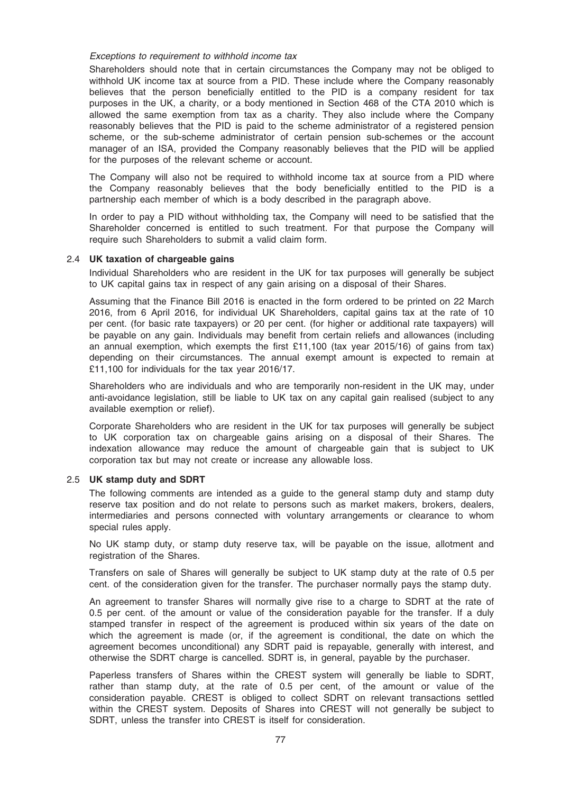#### Exceptions to requirement to withhold income tax

Shareholders should note that in certain circumstances the Company may not be obliged to withhold UK income tax at source from a PID. These include where the Company reasonably believes that the person beneficially entitled to the PID is a company resident for tax purposes in the UK, a charity, or a body mentioned in Section 468 of the CTA 2010 which is allowed the same exemption from tax as a charity. They also include where the Company reasonably believes that the PID is paid to the scheme administrator of a registered pension scheme, or the sub-scheme administrator of certain pension sub-schemes or the account manager of an ISA, provided the Company reasonably believes that the PID will be applied for the purposes of the relevant scheme or account.

The Company will also not be required to withhold income tax at source from a PID where the Company reasonably believes that the body beneficially entitled to the PID is a partnership each member of which is a body described in the paragraph above.

In order to pay a PID without withholding tax, the Company will need to be satisfied that the Shareholder concerned is entitled to such treatment. For that purpose the Company will require such Shareholders to submit a valid claim form.

## 2.4 UK taxation of chargeable gains

Individual Shareholders who are resident in the UK for tax purposes will generally be subject to UK capital gains tax in respect of any gain arising on a disposal of their Shares.

Assuming that the Finance Bill 2016 is enacted in the form ordered to be printed on 22 March 2016, from 6 April 2016, for individual UK Shareholders, capital gains tax at the rate of 10 per cent. (for basic rate taxpayers) or 20 per cent. (for higher or additional rate taxpayers) will be payable on any gain. Individuals may benefit from certain reliefs and allowances (including an annual exemption, which exempts the first £11,100 (tax year 2015/16) of gains from tax) depending on their circumstances. The annual exempt amount is expected to remain at £11,100 for individuals for the tax year 2016/17.

Shareholders who are individuals and who are temporarily non-resident in the UK may, under anti-avoidance legislation, still be liable to UK tax on any capital gain realised (subject to any available exemption or relief).

Corporate Shareholders who are resident in the UK for tax purposes will generally be subject to UK corporation tax on chargeable gains arising on a disposal of their Shares. The indexation allowance may reduce the amount of chargeable gain that is subject to UK corporation tax but may not create or increase any allowable loss.

#### 2.5 UK stamp duty and SDRT

The following comments are intended as a guide to the general stamp duty and stamp duty reserve tax position and do not relate to persons such as market makers, brokers, dealers, intermediaries and persons connected with voluntary arrangements or clearance to whom special rules apply.

No UK stamp duty, or stamp duty reserve tax, will be payable on the issue, allotment and registration of the Shares.

Transfers on sale of Shares will generally be subject to UK stamp duty at the rate of 0.5 per cent. of the consideration given for the transfer. The purchaser normally pays the stamp duty.

An agreement to transfer Shares will normally give rise to a charge to SDRT at the rate of 0.5 per cent. of the amount or value of the consideration payable for the transfer. If a duly stamped transfer in respect of the agreement is produced within six years of the date on which the agreement is made (or, if the agreement is conditional, the date on which the agreement becomes unconditional) any SDRT paid is repayable, generally with interest, and otherwise the SDRT charge is cancelled. SDRT is, in general, payable by the purchaser.

Paperless transfers of Shares within the CREST system will generally be liable to SDRT, rather than stamp duty, at the rate of 0.5 per cent, of the amount or value of the consideration payable. CREST is obliged to collect SDRT on relevant transactions settled within the CREST system. Deposits of Shares into CREST will not generally be subject to SDRT, unless the transfer into CREST is itself for consideration.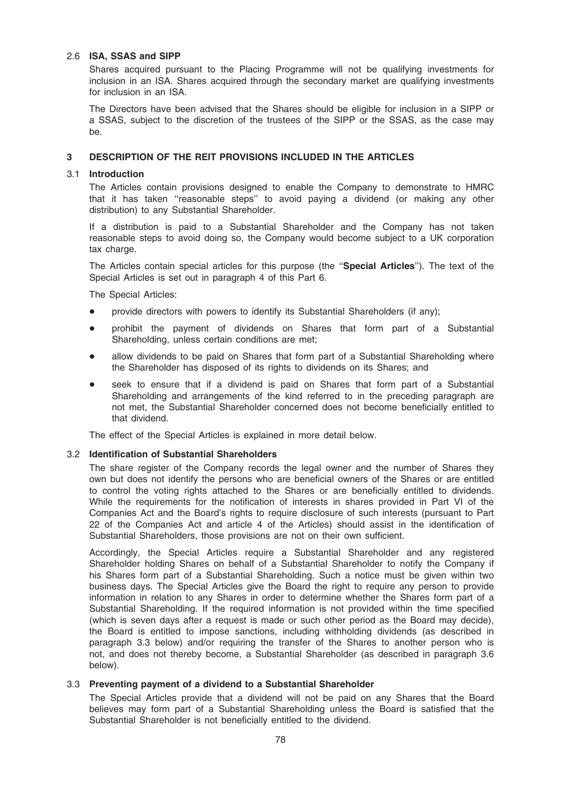## 2.6 ISA, SSAS and SIPP

Shares acquired pursuant to the Placing Programme will not be qualifying investments for inclusion in an ISA. Shares acquired through the secondary market are qualifying investments for inclusion in an ISA.

The Directors have been advised that the Shares should be eligible for inclusion in a SIPP or a SSAS, subject to the discretion of the trustees of the SIPP or the SSAS, as the case may be.

## 3 DESCRIPTION OF THE REIT PROVISIONS INCLUDED IN THE ARTICLES

## 3.1 Introduction

The Articles contain provisions designed to enable the Company to demonstrate to HMRC that it has taken ''reasonable steps'' to avoid paying a dividend (or making any other distribution) to any Substantial Shareholder.

If a distribution is paid to a Substantial Shareholder and the Company has not taken reasonable steps to avoid doing so, the Company would become subject to a UK corporation tax charge.

The Articles contain special articles for this purpose (the "Special Articles"). The text of the Special Articles is set out in paragraph 4 of this Part 6.

The Special Articles:

- provide directors with powers to identify its Substantial Shareholders (if any);
- \* prohibit the payment of dividends on Shares that form part of a Substantial Shareholding, unless certain conditions are met;
- allow dividends to be paid on Shares that form part of a Substantial Shareholding where the Shareholder has disposed of its rights to dividends on its Shares; and
- seek to ensure that if a dividend is paid on Shares that form part of a Substantial Shareholding and arrangements of the kind referred to in the preceding paragraph are not met, the Substantial Shareholder concerned does not become beneficially entitled to that dividend.

The effect of the Special Articles is explained in more detail below.

#### 3.2 Identification of Substantial Shareholders

The share register of the Company records the legal owner and the number of Shares they own but does not identify the persons who are beneficial owners of the Shares or are entitled to control the voting rights attached to the Shares or are beneficially entitled to dividends. While the requirements for the notification of interests in shares provided in Part VI of the Companies Act and the Board's rights to require disclosure of such interests (pursuant to Part 22 of the Companies Act and article 4 of the Articles) should assist in the identification of Substantial Shareholders, those provisions are not on their own sufficient.

Accordingly, the Special Articles require a Substantial Shareholder and any registered Shareholder holding Shares on behalf of a Substantial Shareholder to notify the Company if his Shares form part of a Substantial Shareholding. Such a notice must be given within two business days. The Special Articles give the Board the right to require any person to provide information in relation to any Shares in order to determine whether the Shares form part of a Substantial Shareholding. If the required information is not provided within the time specified (which is seven days after a request is made or such other period as the Board may decide), the Board is entitled to impose sanctions, including withholding dividends (as described in paragraph 3.3 below) and/or requiring the transfer of the Shares to another person who is not, and does not thereby become, a Substantial Shareholder (as described in paragraph 3.6 below).

# 3.3 Preventing payment of a dividend to a Substantial Shareholder

The Special Articles provide that a dividend will not be paid on any Shares that the Board believes may form part of a Substantial Shareholding unless the Board is satisfied that the Substantial Shareholder is not beneficially entitled to the dividend.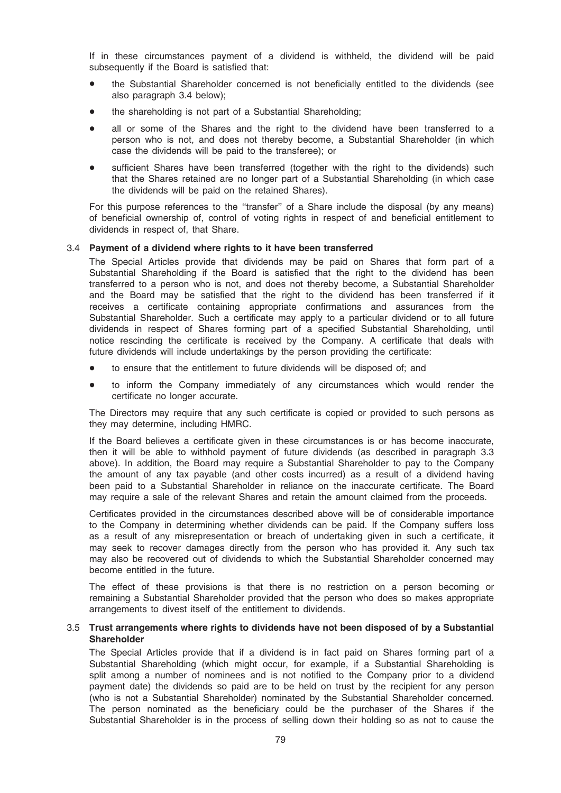If in these circumstances payment of a dividend is withheld, the dividend will be paid subsequently if the Board is satisfied that:

- the Substantial Shareholder concerned is not beneficially entitled to the dividends (see also paragraph 3.4 below);
- the shareholding is not part of a Substantial Shareholding;
- all or some of the Shares and the right to the dividend have been transferred to a person who is not, and does not thereby become, a Substantial Shareholder (in which case the dividends will be paid to the transferee); or
- sufficient Shares have been transferred (together with the right to the dividends) such that the Shares retained are no longer part of a Substantial Shareholding (in which case the dividends will be paid on the retained Shares).

For this purpose references to the ''transfer'' of a Share include the disposal (by any means) of beneficial ownership of, control of voting rights in respect of and beneficial entitlement to dividends in respect of, that Share.

## 3.4 Payment of a dividend where rights to it have been transferred

The Special Articles provide that dividends may be paid on Shares that form part of a Substantial Shareholding if the Board is satisfied that the right to the dividend has been transferred to a person who is not, and does not thereby become, a Substantial Shareholder and the Board may be satisfied that the right to the dividend has been transferred if it receives a certificate containing appropriate confirmations and assurances from the Substantial Shareholder. Such a certificate may apply to a particular dividend or to all future dividends in respect of Shares forming part of a specified Substantial Shareholding, until notice rescinding the certificate is received by the Company. A certificate that deals with future dividends will include undertakings by the person providing the certificate:

- to ensure that the entitlement to future dividends will be disposed of; and
- to inform the Company immediately of any circumstances which would render the certificate no longer accurate.

The Directors may require that any such certificate is copied or provided to such persons as they may determine, including HMRC.

If the Board believes a certificate given in these circumstances is or has become inaccurate, then it will be able to withhold payment of future dividends (as described in paragraph 3.3 above). In addition, the Board may require a Substantial Shareholder to pay to the Company the amount of any tax payable (and other costs incurred) as a result of a dividend having been paid to a Substantial Shareholder in reliance on the inaccurate certificate. The Board may require a sale of the relevant Shares and retain the amount claimed from the proceeds.

Certificates provided in the circumstances described above will be of considerable importance to the Company in determining whether dividends can be paid. If the Company suffers loss as a result of any misrepresentation or breach of undertaking given in such a certificate, it may seek to recover damages directly from the person who has provided it. Any such tax may also be recovered out of dividends to which the Substantial Shareholder concerned may become entitled in the future.

The effect of these provisions is that there is no restriction on a person becoming or remaining a Substantial Shareholder provided that the person who does so makes appropriate arrangements to divest itself of the entitlement to dividends.

## 3.5 Trust arrangements where rights to dividends have not been disposed of by a Substantial **Shareholder**

The Special Articles provide that if a dividend is in fact paid on Shares forming part of a Substantial Shareholding (which might occur, for example, if a Substantial Shareholding is split among a number of nominees and is not notified to the Company prior to a dividend payment date) the dividends so paid are to be held on trust by the recipient for any person (who is not a Substantial Shareholder) nominated by the Substantial Shareholder concerned. The person nominated as the beneficiary could be the purchaser of the Shares if the Substantial Shareholder is in the process of selling down their holding so as not to cause the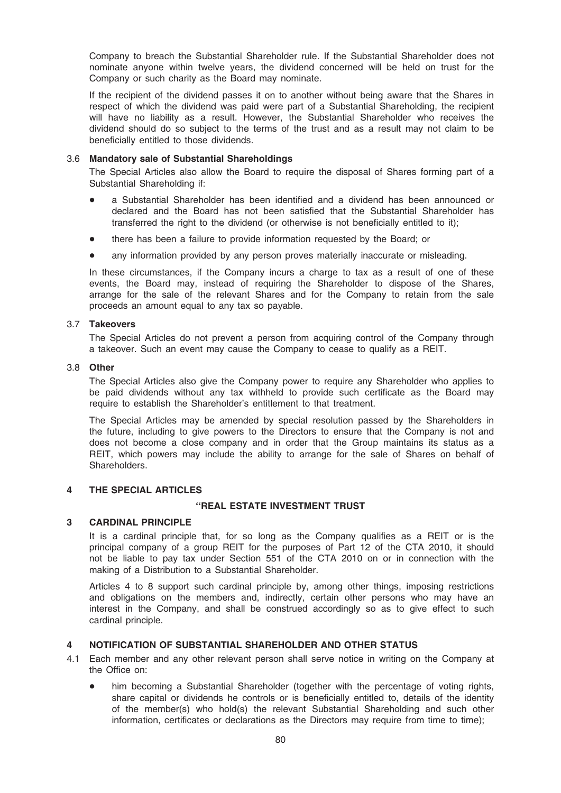Company to breach the Substantial Shareholder rule. If the Substantial Shareholder does not nominate anyone within twelve years, the dividend concerned will be held on trust for the Company or such charity as the Board may nominate.

If the recipient of the dividend passes it on to another without being aware that the Shares in respect of which the dividend was paid were part of a Substantial Shareholding, the recipient will have no liability as a result. However, the Substantial Shareholder who receives the dividend should do so subject to the terms of the trust and as a result may not claim to be beneficially entitled to those dividends.

#### 3.6 Mandatory sale of Substantial Shareholdings

The Special Articles also allow the Board to require the disposal of Shares forming part of a Substantial Shareholding if:

- a Substantial Shareholder has been identified and a dividend has been announced or declared and the Board has not been satisfied that the Substantial Shareholder has transferred the right to the dividend (or otherwise is not beneficially entitled to it);
- there has been a failure to provide information requested by the Board; or
- any information provided by any person proves materially inaccurate or misleading.

In these circumstances, if the Company incurs a charge to tax as a result of one of these events, the Board may, instead of requiring the Shareholder to dispose of the Shares, arrange for the sale of the relevant Shares and for the Company to retain from the sale proceeds an amount equal to any tax so payable.

#### 3.7 Takeovers

The Special Articles do not prevent a person from acquiring control of the Company through a takeover. Such an event may cause the Company to cease to qualify as a REIT.

#### 3.8 Other

The Special Articles also give the Company power to require any Shareholder who applies to be paid dividends without any tax withheld to provide such certificate as the Board may require to establish the Shareholder's entitlement to that treatment.

The Special Articles may be amended by special resolution passed by the Shareholders in the future, including to give powers to the Directors to ensure that the Company is not and does not become a close company and in order that the Group maintains its status as a REIT, which powers may include the ability to arrange for the sale of Shares on behalf of Shareholders.

# 4 THE SPECIAL ARTICLES

# ''REAL ESTATE INVESTMENT TRUST

# 3 CARDINAL PRINCIPLE

It is a cardinal principle that, for so long as the Company qualifies as a REIT or is the principal company of a group REIT for the purposes of Part 12 of the CTA 2010, it should not be liable to pay tax under Section 551 of the CTA 2010 on or in connection with the making of a Distribution to a Substantial Shareholder.

Articles 4 to 8 support such cardinal principle by, among other things, imposing restrictions and obligations on the members and, indirectly, certain other persons who may have an interest in the Company, and shall be construed accordingly so as to give effect to such cardinal principle.

# 4 NOTIFICATION OF SUBSTANTIAL SHAREHOLDER AND OTHER STATUS

- 4.1 Each member and any other relevant person shall serve notice in writing on the Company at the Office on:
	- him becoming a Substantial Shareholder (together with the percentage of voting rights, share capital or dividends he controls or is beneficially entitled to, details of the identity of the member(s) who hold(s) the relevant Substantial Shareholding and such other information, certificates or declarations as the Directors may require from time to time);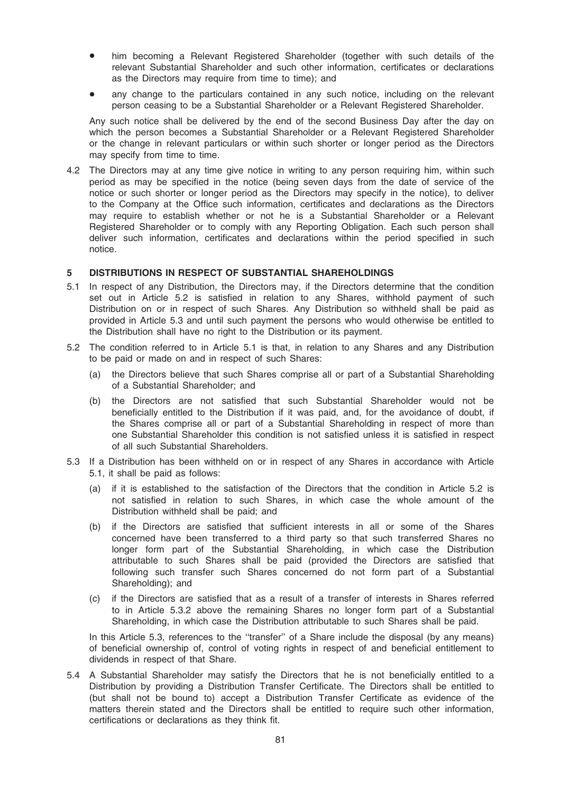- him becoming a Relevant Registered Shareholder (together with such details of the relevant Substantial Shareholder and such other information, certificates or declarations as the Directors may require from time to time); and
- any change to the particulars contained in any such notice, including on the relevant person ceasing to be a Substantial Shareholder or a Relevant Registered Shareholder.

Any such notice shall be delivered by the end of the second Business Day after the day on which the person becomes a Substantial Shareholder or a Relevant Registered Shareholder or the change in relevant particulars or within such shorter or longer period as the Directors may specify from time to time.

4.2 The Directors may at any time give notice in writing to any person requiring him, within such period as may be specified in the notice (being seven days from the date of service of the notice or such shorter or longer period as the Directors may specify in the notice), to deliver to the Company at the Office such information, certificates and declarations as the Directors may require to establish whether or not he is a Substantial Shareholder or a Relevant Registered Shareholder or to comply with any Reporting Obligation. Each such person shall deliver such information, certificates and declarations within the period specified in such notice.

## 5 DISTRIBUTIONS IN RESPECT OF SUBSTANTIAL SHAREHOLDINGS

- 5.1 In respect of any Distribution, the Directors may, if the Directors determine that the condition set out in Article 5.2 is satisfied in relation to any Shares, withhold payment of such Distribution on or in respect of such Shares. Any Distribution so withheld shall be paid as provided in Article 5.3 and until such payment the persons who would otherwise be entitled to the Distribution shall have no right to the Distribution or its payment.
- 5.2 The condition referred to in Article 5.1 is that, in relation to any Shares and any Distribution to be paid or made on and in respect of such Shares:
	- (a) the Directors believe that such Shares comprise all or part of a Substantial Shareholding of a Substantial Shareholder; and
	- (b) the Directors are not satisfied that such Substantial Shareholder would not be beneficially entitled to the Distribution if it was paid, and, for the avoidance of doubt, if the Shares comprise all or part of a Substantial Shareholding in respect of more than one Substantial Shareholder this condition is not satisfied unless it is satisfied in respect of all such Substantial Shareholders.
- 5.3 If a Distribution has been withheld on or in respect of any Shares in accordance with Article 5.1, it shall be paid as follows:
	- (a) if it is established to the satisfaction of the Directors that the condition in Article 5.2 is not satisfied in relation to such Shares, in which case the whole amount of the Distribution withheld shall be paid; and
	- (b) if the Directors are satisfied that sufficient interests in all or some of the Shares concerned have been transferred to a third party so that such transferred Shares no longer form part of the Substantial Shareholding, in which case the Distribution attributable to such Shares shall be paid (provided the Directors are satisfied that following such transfer such Shares concerned do not form part of a Substantial Shareholding); and
	- (c) if the Directors are satisfied that as a result of a transfer of interests in Shares referred to in Article 5.3.2 above the remaining Shares no longer form part of a Substantial Shareholding, in which case the Distribution attributable to such Shares shall be paid.

In this Article 5.3, references to the "transfer" of a Share include the disposal (by any means) of beneficial ownership of, control of voting rights in respect of and beneficial entitlement to dividends in respect of that Share.

5.4 A Substantial Shareholder may satisfy the Directors that he is not beneficially entitled to a Distribution by providing a Distribution Transfer Certificate. The Directors shall be entitled to (but shall not be bound to) accept a Distribution Transfer Certificate as evidence of the matters therein stated and the Directors shall be entitled to require such other information, certifications or declarations as they think fit.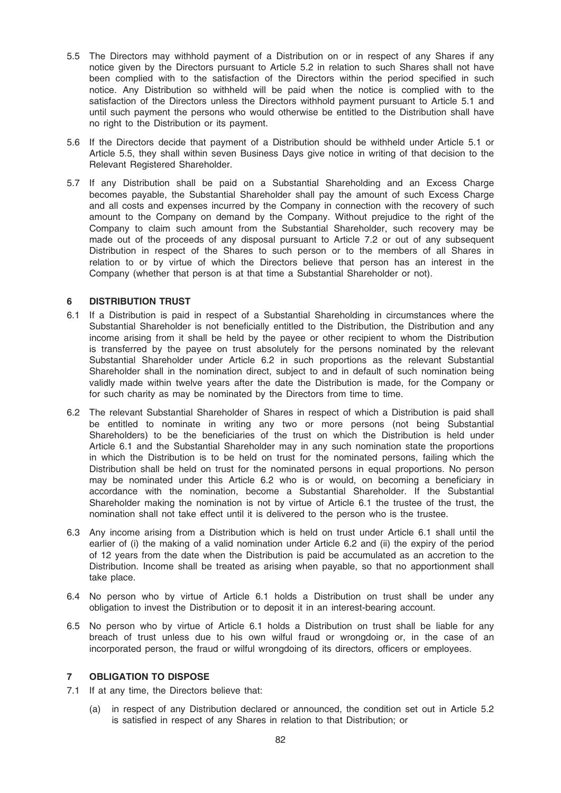- 5.5 The Directors may withhold payment of a Distribution on or in respect of any Shares if any notice given by the Directors pursuant to Article 5.2 in relation to such Shares shall not have been complied with to the satisfaction of the Directors within the period specified in such notice. Any Distribution so withheld will be paid when the notice is complied with to the satisfaction of the Directors unless the Directors withhold payment pursuant to Article 5.1 and until such payment the persons who would otherwise be entitled to the Distribution shall have no right to the Distribution or its payment.
- 5.6 If the Directors decide that payment of a Distribution should be withheld under Article 5.1 or Article 5.5, they shall within seven Business Days give notice in writing of that decision to the Relevant Registered Shareholder.
- 5.7 If any Distribution shall be paid on a Substantial Shareholding and an Excess Charge becomes payable, the Substantial Shareholder shall pay the amount of such Excess Charge and all costs and expenses incurred by the Company in connection with the recovery of such amount to the Company on demand by the Company. Without prejudice to the right of the Company to claim such amount from the Substantial Shareholder, such recovery may be made out of the proceeds of any disposal pursuant to Article 7.2 or out of any subsequent Distribution in respect of the Shares to such person or to the members of all Shares in relation to or by virtue of which the Directors believe that person has an interest in the Company (whether that person is at that time a Substantial Shareholder or not).

## 6 DISTRIBUTION TRUST

- 6.1 If a Distribution is paid in respect of a Substantial Shareholding in circumstances where the Substantial Shareholder is not beneficially entitled to the Distribution, the Distribution and any income arising from it shall be held by the payee or other recipient to whom the Distribution is transferred by the payee on trust absolutely for the persons nominated by the relevant Substantial Shareholder under Article 6.2 in such proportions as the relevant Substantial Shareholder shall in the nomination direct, subject to and in default of such nomination being validly made within twelve years after the date the Distribution is made, for the Company or for such charity as may be nominated by the Directors from time to time.
- 6.2 The relevant Substantial Shareholder of Shares in respect of which a Distribution is paid shall be entitled to nominate in writing any two or more persons (not being Substantial Shareholders) to be the beneficiaries of the trust on which the Distribution is held under Article 6.1 and the Substantial Shareholder may in any such nomination state the proportions in which the Distribution is to be held on trust for the nominated persons, failing which the Distribution shall be held on trust for the nominated persons in equal proportions. No person may be nominated under this Article 6.2 who is or would, on becoming a beneficiary in accordance with the nomination, become a Substantial Shareholder. If the Substantial Shareholder making the nomination is not by virtue of Article 6.1 the trustee of the trust, the nomination shall not take effect until it is delivered to the person who is the trustee.
- 6.3 Any income arising from a Distribution which is held on trust under Article 6.1 shall until the earlier of (i) the making of a valid nomination under Article 6.2 and (ii) the expiry of the period of 12 years from the date when the Distribution is paid be accumulated as an accretion to the Distribution. Income shall be treated as arising when payable, so that no apportionment shall take place.
- 6.4 No person who by virtue of Article 6.1 holds a Distribution on trust shall be under any obligation to invest the Distribution or to deposit it in an interest-bearing account.
- 6.5 No person who by virtue of Article 6.1 holds a Distribution on trust shall be liable for any breach of trust unless due to his own wilful fraud or wrongdoing or, in the case of an incorporated person, the fraud or wilful wrongdoing of its directors, officers or employees.

## 7 OBLIGATION TO DISPOSE

- 7.1 If at any time, the Directors believe that:
	- (a) in respect of any Distribution declared or announced, the condition set out in Article 5.2 is satisfied in respect of any Shares in relation to that Distribution; or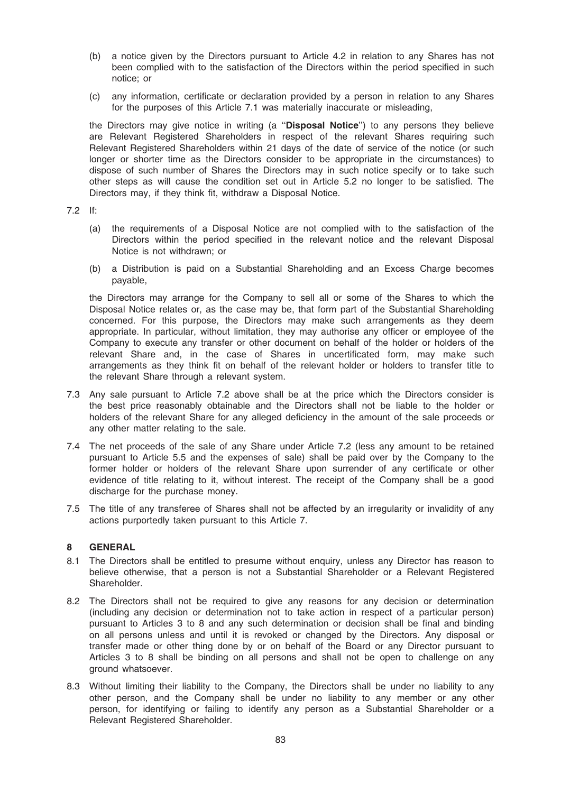- (b) a notice given by the Directors pursuant to Article 4.2 in relation to any Shares has not been complied with to the satisfaction of the Directors within the period specified in such notice; or
- (c) any information, certificate or declaration provided by a person in relation to any Shares for the purposes of this Article 7.1 was materially inaccurate or misleading,

the Directors may give notice in writing (a "Disposal Notice") to any persons they believe are Relevant Registered Shareholders in respect of the relevant Shares requiring such Relevant Registered Shareholders within 21 days of the date of service of the notice (or such longer or shorter time as the Directors consider to be appropriate in the circumstances) to dispose of such number of Shares the Directors may in such notice specify or to take such other steps as will cause the condition set out in Article 5.2 no longer to be satisfied. The Directors may, if they think fit, withdraw a Disposal Notice.

### 7.2 If:

- (a) the requirements of a Disposal Notice are not complied with to the satisfaction of the Directors within the period specified in the relevant notice and the relevant Disposal Notice is not withdrawn; or
- (b) a Distribution is paid on a Substantial Shareholding and an Excess Charge becomes payable,

the Directors may arrange for the Company to sell all or some of the Shares to which the Disposal Notice relates or, as the case may be, that form part of the Substantial Shareholding concerned. For this purpose, the Directors may make such arrangements as they deem appropriate. In particular, without limitation, they may authorise any officer or employee of the Company to execute any transfer or other document on behalf of the holder or holders of the relevant Share and, in the case of Shares in uncertificated form, may make such arrangements as they think fit on behalf of the relevant holder or holders to transfer title to the relevant Share through a relevant system.

- 7.3 Any sale pursuant to Article 7.2 above shall be at the price which the Directors consider is the best price reasonably obtainable and the Directors shall not be liable to the holder or holders of the relevant Share for any alleged deficiency in the amount of the sale proceeds or any other matter relating to the sale.
- 7.4 The net proceeds of the sale of any Share under Article 7.2 (less any amount to be retained pursuant to Article 5.5 and the expenses of sale) shall be paid over by the Company to the former holder or holders of the relevant Share upon surrender of any certificate or other evidence of title relating to it, without interest. The receipt of the Company shall be a good discharge for the purchase money.
- 7.5 The title of any transferee of Shares shall not be affected by an irregularity or invalidity of any actions purportedly taken pursuant to this Article 7.

#### 8 GENERAL

- 8.1 The Directors shall be entitled to presume without enquiry, unless any Director has reason to believe otherwise, that a person is not a Substantial Shareholder or a Relevant Registered Shareholder.
- 8.2 The Directors shall not be required to give any reasons for any decision or determination (including any decision or determination not to take action in respect of a particular person) pursuant to Articles 3 to 8 and any such determination or decision shall be final and binding on all persons unless and until it is revoked or changed by the Directors. Any disposal or transfer made or other thing done by or on behalf of the Board or any Director pursuant to Articles 3 to 8 shall be binding on all persons and shall not be open to challenge on any ground whatsoever.
- 8.3 Without limiting their liability to the Company, the Directors shall be under no liability to any other person, and the Company shall be under no liability to any member or any other person, for identifying or failing to identify any person as a Substantial Shareholder or a Relevant Registered Shareholder.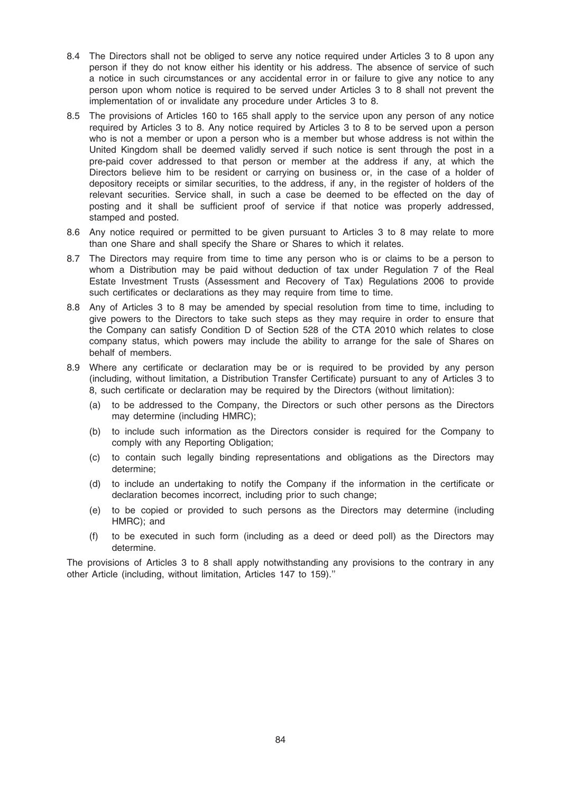- 8.4 The Directors shall not be obliged to serve any notice required under Articles 3 to 8 upon any person if they do not know either his identity or his address. The absence of service of such a notice in such circumstances or any accidental error in or failure to give any notice to any person upon whom notice is required to be served under Articles 3 to 8 shall not prevent the implementation of or invalidate any procedure under Articles 3 to 8.
- 8.5 The provisions of Articles 160 to 165 shall apply to the service upon any person of any notice required by Articles 3 to 8. Any notice required by Articles 3 to 8 to be served upon a person who is not a member or upon a person who is a member but whose address is not within the United Kingdom shall be deemed validly served if such notice is sent through the post in a pre-paid cover addressed to that person or member at the address if any, at which the Directors believe him to be resident or carrying on business or, in the case of a holder of depository receipts or similar securities, to the address, if any, in the register of holders of the relevant securities. Service shall, in such a case be deemed to be effected on the day of posting and it shall be sufficient proof of service if that notice was properly addressed, stamped and posted.
- 8.6 Any notice required or permitted to be given pursuant to Articles 3 to 8 may relate to more than one Share and shall specify the Share or Shares to which it relates.
- 8.7 The Directors may require from time to time any person who is or claims to be a person to whom a Distribution may be paid without deduction of tax under Regulation 7 of the Real Estate Investment Trusts (Assessment and Recovery of Tax) Regulations 2006 to provide such certificates or declarations as they may require from time to time.
- 8.8 Any of Articles 3 to 8 may be amended by special resolution from time to time, including to give powers to the Directors to take such steps as they may require in order to ensure that the Company can satisfy Condition D of Section 528 of the CTA 2010 which relates to close company status, which powers may include the ability to arrange for the sale of Shares on behalf of members.
- 8.9 Where any certificate or declaration may be or is required to be provided by any person (including, without limitation, a Distribution Transfer Certificate) pursuant to any of Articles 3 to 8, such certificate or declaration may be required by the Directors (without limitation):
	- (a) to be addressed to the Company, the Directors or such other persons as the Directors may determine (including HMRC);
	- (b) to include such information as the Directors consider is required for the Company to comply with any Reporting Obligation;
	- (c) to contain such legally binding representations and obligations as the Directors may determine;
	- (d) to include an undertaking to notify the Company if the information in the certificate or declaration becomes incorrect, including prior to such change;
	- (e) to be copied or provided to such persons as the Directors may determine (including HMRC); and
	- (f) to be executed in such form (including as a deed or deed poll) as the Directors may determine.

The provisions of Articles 3 to 8 shall apply notwithstanding any provisions to the contrary in any other Article (including, without limitation, Articles 147 to 159).''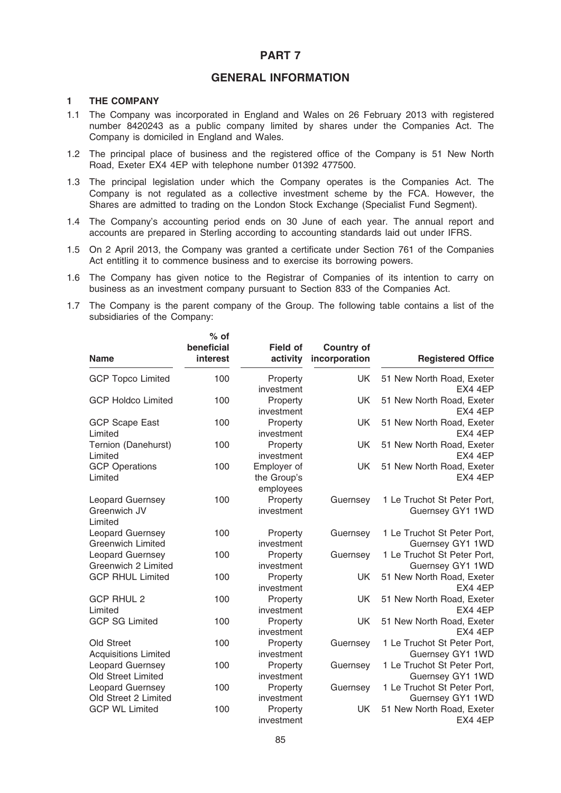# PART 7

# GENERAL INFORMATION

## 1 THE COMPANY

- 1.1 The Company was incorporated in England and Wales on 26 February 2013 with registered number 8420243 as a public company limited by shares under the Companies Act. The Company is domiciled in England and Wales.
- 1.2 The principal place of business and the registered office of the Company is 51 New North Road, Exeter EX4 4EP with telephone number 01392 477500.
- 1.3 The principal legislation under which the Company operates is the Companies Act. The Company is not regulated as a collective investment scheme by the FCA. However, the Shares are admitted to trading on the London Stock Exchange (Specialist Fund Segment).
- 1.4 The Company's accounting period ends on 30 June of each year. The annual report and accounts are prepared in Sterling according to accounting standards laid out under IFRS.
- 1.5 On 2 April 2013, the Company was granted a certificate under Section 761 of the Companies Act entitling it to commence business and to exercise its borrowing powers.
- 1.6 The Company has given notice to the Registrar of Companies of its intention to carry on business as an investment company pursuant to Section 833 of the Companies Act.
- 1.7 The Company is the parent company of the Group. The following table contains a list of the subsidiaries of the Company:

| <b>Name</b>                                         | $%$ of<br>beneficial<br>interest | <b>Field of</b><br>activity             | <b>Country of</b><br>incorporation | <b>Registered Office</b>                        |
|-----------------------------------------------------|----------------------------------|-----------------------------------------|------------------------------------|-------------------------------------------------|
| <b>GCP Topco Limited</b>                            | 100                              | Property<br>investment                  | <b>UK</b>                          | 51 New North Road, Exeter<br>EX4 4EP            |
| <b>GCP Holdco Limited</b>                           | 100                              | Property<br>investment                  | <b>UK</b>                          | 51 New North Road, Exeter<br>EX4 4EP            |
| <b>GCP Scape East</b><br>Limited                    | 100                              | Property<br>investment                  | UK.                                | 51 New North Road, Exeter<br>EX4 4EP            |
| Ternion (Danehurst)<br>Limited                      | 100                              | Property<br>investment                  | UK.                                | 51 New North Road, Exeter<br>EX4 4EP            |
| <b>GCP Operations</b><br>Limited                    | 100                              | Employer of<br>the Group's<br>employees | UK                                 | 51 New North Road, Exeter<br>EX4 4EP            |
| <b>Leopard Guernsey</b><br>Greenwich JV<br>Limited  | 100                              | Property<br>investment                  | Guernsey                           | 1 Le Truchot St Peter Port,<br>Guernsey GY1 1WD |
| <b>Leopard Guernsey</b><br><b>Greenwich Limited</b> | 100                              | Property<br>investment                  | Guernsey                           | 1 Le Truchot St Peter Port,<br>Guernsey GY1 1WD |
| Leopard Guernsey<br>Greenwich 2 Limited             | 100                              | Property<br>investment                  | Guernsey                           | 1 Le Truchot St Peter Port,<br>Guernsey GY1 1WD |
| <b>GCP RHUL Limited</b>                             | 100                              | Property<br>investment                  | <b>UK</b>                          | 51 New North Road, Exeter<br>EX4 4EP            |
| <b>GCP RHUL 2</b><br>Limited                        | 100                              | Property<br>investment                  | <b>UK</b>                          | 51 New North Road, Exeter<br>EX4 4EP            |
| <b>GCP SG Limited</b>                               | 100                              | Property<br>investment                  | UK                                 | 51 New North Road, Exeter<br>EX4 4EP            |
| Old Street<br><b>Acquisitions Limited</b>           | 100                              | Property<br>investment                  | Guernsey                           | 1 Le Truchot St Peter Port,<br>Guernsey GY1 1WD |
| Leopard Guernsey<br>Old Street Limited              | 100                              | Property<br>investment                  | Guernsey                           | 1 Le Truchot St Peter Port,<br>Guernsey GY1 1WD |
| Leopard Guernsey<br>Old Street 2 Limited            | 100                              | Property<br>investment                  | Guernsey                           | 1 Le Truchot St Peter Port,<br>Guernsey GY1 1WD |
| <b>GCP WL Limited</b>                               | 100                              | Property<br>investment                  | UK.                                | 51 New North Road, Exeter<br>EX4 4EP            |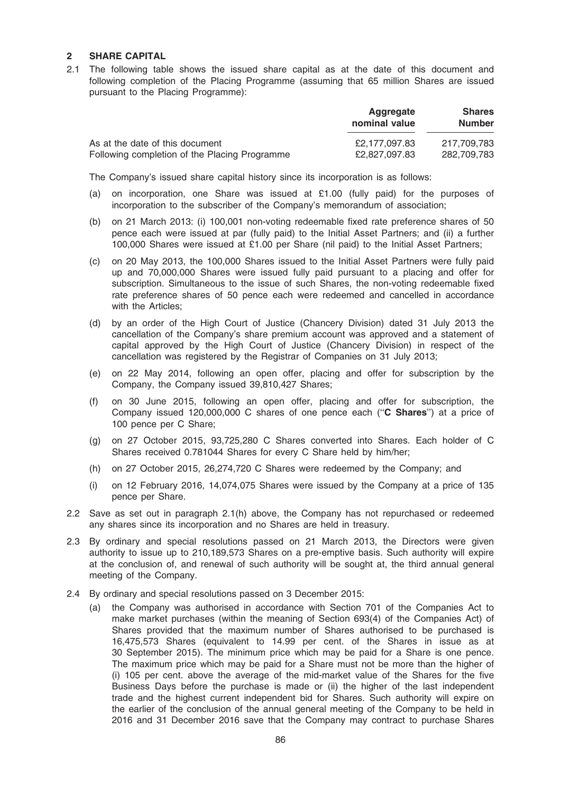## 2 SHARE CAPITAL

2.1 The following table shows the issued share capital as at the date of this document and following completion of the Placing Programme (assuming that 65 million Shares are issued pursuant to the Placing Programme):

|                                               | Aggregate<br>nominal value | <b>Shares</b><br><b>Number</b> |
|-----------------------------------------------|----------------------------|--------------------------------|
| As at the date of this document               | £2.177.097.83              | 217.709.783                    |
| Following completion of the Placing Programme | £2,827,097.83              | 282.709.783                    |

The Company's issued share capital history since its incorporation is as follows:

- (a) on incorporation, one Share was issued at £1.00 (fully paid) for the purposes of incorporation to the subscriber of the Company's memorandum of association;
- (b) on 21 March 2013: (i) 100,001 non-voting redeemable fixed rate preference shares of 50 pence each were issued at par (fully paid) to the Initial Asset Partners; and (ii) a further 100,000 Shares were issued at £1.00 per Share (nil paid) to the Initial Asset Partners;
- (c) on 20 May 2013, the 100,000 Shares issued to the Initial Asset Partners were fully paid up and 70,000,000 Shares were issued fully paid pursuant to a placing and offer for subscription. Simultaneous to the issue of such Shares, the non-voting redeemable fixed rate preference shares of 50 pence each were redeemed and cancelled in accordance with the Articles;
- (d) by an order of the High Court of Justice (Chancery Division) dated 31 July 2013 the cancellation of the Company's share premium account was approved and a statement of capital approved by the High Court of Justice (Chancery Division) in respect of the cancellation was registered by the Registrar of Companies on 31 July 2013;
- (e) on 22 May 2014, following an open offer, placing and offer for subscription by the Company, the Company issued 39,810,427 Shares;
- (f) on 30 June 2015, following an open offer, placing and offer for subscription, the Company issued 120,000,000 C shares of one pence each (''C Shares'') at a price of 100 pence per C Share;
- (g) on 27 October 2015, 93,725,280 C Shares converted into Shares. Each holder of C Shares received 0.781044 Shares for every C Share held by him/her;
- (h) on 27 October 2015, 26,274,720 C Shares were redeemed by the Company; and
- (i) on 12 February 2016, 14,074,075 Shares were issued by the Company at a price of 135 pence per Share.
- 2.2 Save as set out in paragraph 2.1(h) above, the Company has not repurchased or redeemed any shares since its incorporation and no Shares are held in treasury.
- 2.3 By ordinary and special resolutions passed on 21 March 2013, the Directors were given authority to issue up to 210,189,573 Shares on a pre-emptive basis. Such authority will expire at the conclusion of, and renewal of such authority will be sought at, the third annual general meeting of the Company.
- 2.4 By ordinary and special resolutions passed on 3 December 2015:
	- (a) the Company was authorised in accordance with Section 701 of the Companies Act to make market purchases (within the meaning of Section 693(4) of the Companies Act) of Shares provided that the maximum number of Shares authorised to be purchased is 16,475,573 Shares (equivalent to 14.99 per cent. of the Shares in issue as at 30 September 2015). The minimum price which may be paid for a Share is one pence. The maximum price which may be paid for a Share must not be more than the higher of (i) 105 per cent. above the average of the mid-market value of the Shares for the five Business Days before the purchase is made or (ii) the higher of the last independent trade and the highest current independent bid for Shares. Such authority will expire on the earlier of the conclusion of the annual general meeting of the Company to be held in 2016 and 31 December 2016 save that the Company may contract to purchase Shares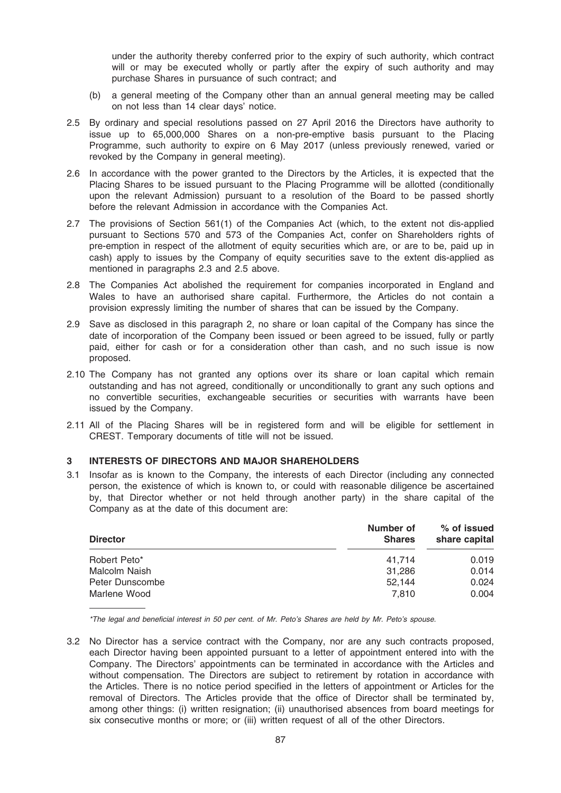under the authority thereby conferred prior to the expiry of such authority, which contract will or may be executed wholly or partly after the expiry of such authority and may purchase Shares in pursuance of such contract; and

- (b) a general meeting of the Company other than an annual general meeting may be called on not less than 14 clear days' notice.
- 2.5 By ordinary and special resolutions passed on 27 April 2016 the Directors have authority to issue up to 65,000,000 Shares on a non-pre-emptive basis pursuant to the Placing Programme, such authority to expire on 6 May 2017 (unless previously renewed, varied or revoked by the Company in general meeting).
- 2.6 In accordance with the power granted to the Directors by the Articles, it is expected that the Placing Shares to be issued pursuant to the Placing Programme will be allotted (conditionally upon the relevant Admission) pursuant to a resolution of the Board to be passed shortly before the relevant Admission in accordance with the Companies Act.
- 2.7 The provisions of Section 561(1) of the Companies Act (which, to the extent not dis-applied pursuant to Sections 570 and 573 of the Companies Act, confer on Shareholders rights of pre-emption in respect of the allotment of equity securities which are, or are to be, paid up in cash) apply to issues by the Company of equity securities save to the extent dis-applied as mentioned in paragraphs 2.3 and 2.5 above.
- 2.8 The Companies Act abolished the requirement for companies incorporated in England and Wales to have an authorised share capital. Furthermore, the Articles do not contain a provision expressly limiting the number of shares that can be issued by the Company.
- 2.9 Save as disclosed in this paragraph 2, no share or loan capital of the Company has since the date of incorporation of the Company been issued or been agreed to be issued, fully or partly paid, either for cash or for a consideration other than cash, and no such issue is now proposed.
- 2.10 The Company has not granted any options over its share or loan capital which remain outstanding and has not agreed, conditionally or unconditionally to grant any such options and no convertible securities, exchangeable securities or securities with warrants have been issued by the Company.
- 2.11 All of the Placing Shares will be in registered form and will be eligible for settlement in CREST. Temporary documents of title will not be issued.

# 3 INTERESTS OF DIRECTORS AND MAJOR SHAREHOLDERS

3.1 Insofar as is known to the Company, the interests of each Director (including any connected person, the existence of which is known to, or could with reasonable diligence be ascertained by, that Director whether or not held through another party) in the share capital of the Company as at the date of this document are:

| <b>Director</b> | Number of<br><b>Shares</b> | % of issued<br>share capital |
|-----------------|----------------------------|------------------------------|
| Robert Peto*    | 41.714                     | 0.019                        |
| Malcolm Naish   | 31.286                     | 0.014                        |
| Peter Dunscombe | 52.144                     | 0.024                        |
| Marlene Wood    | 7.810                      | 0.004                        |

\*The legal and beneficial interest in 50 per cent. of Mr. Peto's Shares are held by Mr. Peto's spouse.

3.2 No Director has a service contract with the Company, nor are any such contracts proposed, each Director having been appointed pursuant to a letter of appointment entered into with the Company. The Directors' appointments can be terminated in accordance with the Articles and without compensation. The Directors are subject to retirement by rotation in accordance with the Articles. There is no notice period specified in the letters of appointment or Articles for the removal of Directors. The Articles provide that the office of Director shall be terminated by, among other things: (i) written resignation; (ii) unauthorised absences from board meetings for six consecutive months or more; or (iii) written request of all of the other Directors.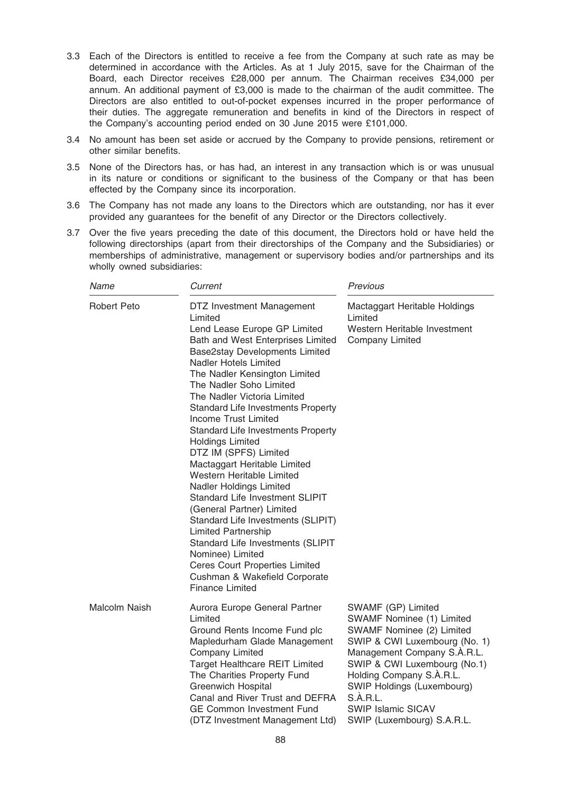- 3.3 Each of the Directors is entitled to receive a fee from the Company at such rate as may be determined in accordance with the Articles. As at 1 July 2015, save for the Chairman of the Board, each Director receives £28,000 per annum. The Chairman receives £34,000 per annum. An additional payment of £3,000 is made to the chairman of the audit committee. The Directors are also entitled to out-of-pocket expenses incurred in the proper performance of their duties. The aggregate remuneration and benefits in kind of the Directors in respect of the Company's accounting period ended on 30 June 2015 were £101,000.
- 3.4 No amount has been set aside or accrued by the Company to provide pensions, retirement or other similar benefits.
- 3.5 None of the Directors has, or has had, an interest in any transaction which is or was unusual in its nature or conditions or significant to the business of the Company or that has been effected by the Company since its incorporation.
- 3.6 The Company has not made any loans to the Directors which are outstanding, nor has it ever provided any guarantees for the benefit of any Director or the Directors collectively.
- 3.7 Over the five years preceding the date of this document, the Directors hold or have held the following directorships (apart from their directorships of the Company and the Subsidiaries) or memberships of administrative, management or supervisory bodies and/or partnerships and its wholly owned subsidiaries:

| Name          | Current                                                                                                                                                                                                                                                                                                                                                                                                                                                                                                                                                                                                                                                                                                                                                                                                                               | Previous                                                                                                                                                                                                                                                                                                      |
|---------------|---------------------------------------------------------------------------------------------------------------------------------------------------------------------------------------------------------------------------------------------------------------------------------------------------------------------------------------------------------------------------------------------------------------------------------------------------------------------------------------------------------------------------------------------------------------------------------------------------------------------------------------------------------------------------------------------------------------------------------------------------------------------------------------------------------------------------------------|---------------------------------------------------------------------------------------------------------------------------------------------------------------------------------------------------------------------------------------------------------------------------------------------------------------|
| Robert Peto   | DTZ Investment Management<br>Limited<br>Lend Lease Europe GP Limited<br>Bath and West Enterprises Limited<br>Base2stay Developments Limited<br>Nadler Hotels Limited<br>The Nadler Kensington Limited<br>The Nadler Soho Limited<br>The Nadler Victoria Limited<br><b>Standard Life Investments Property</b><br><b>Income Trust Limited</b><br><b>Standard Life Investments Property</b><br><b>Holdings Limited</b><br>DTZ IM (SPFS) Limited<br>Mactaggart Heritable Limited<br>Western Heritable Limited<br>Nadler Holdings Limited<br>Standard Life Investment SLIPIT<br>(General Partner) Limited<br>Standard Life Investments (SLIPIT)<br><b>Limited Partnership</b><br>Standard Life Investments (SLIPIT<br>Nominee) Limited<br><b>Ceres Court Properties Limited</b><br>Cushman & Wakefield Corporate<br><b>Finance Limited</b> | Mactaggart Heritable Holdings<br>Limited<br>Western Heritable Investment<br>Company Limited                                                                                                                                                                                                                   |
| Malcolm Naish | Aurora Europe General Partner<br>Limited<br>Ground Rents Income Fund plc<br>Mapledurham Glade Management<br><b>Company Limited</b><br><b>Target Healthcare REIT Limited</b><br>The Charities Property Fund<br><b>Greenwich Hospital</b><br>Canal and River Trust and DEFRA<br><b>GE Common Investment Fund</b><br>(DTZ Investment Management Ltd)                                                                                                                                                                                                                                                                                                                                                                                                                                                                                     | SWAMF (GP) Limited<br>SWAMF Nominee (1) Limited<br>SWAMF Nominee (2) Limited<br>SWIP & CWI Luxembourg (No. 1)<br>Management Company S.A.R.L.<br>SWIP & CWI Luxembourg (No.1)<br>Holding Company S.A.R.L.<br>SWIP Holdings (Luxembourg)<br>S.A.R.L.<br><b>SWIP Islamic SICAV</b><br>SWIP (Luxembourg) S.A.R.L. |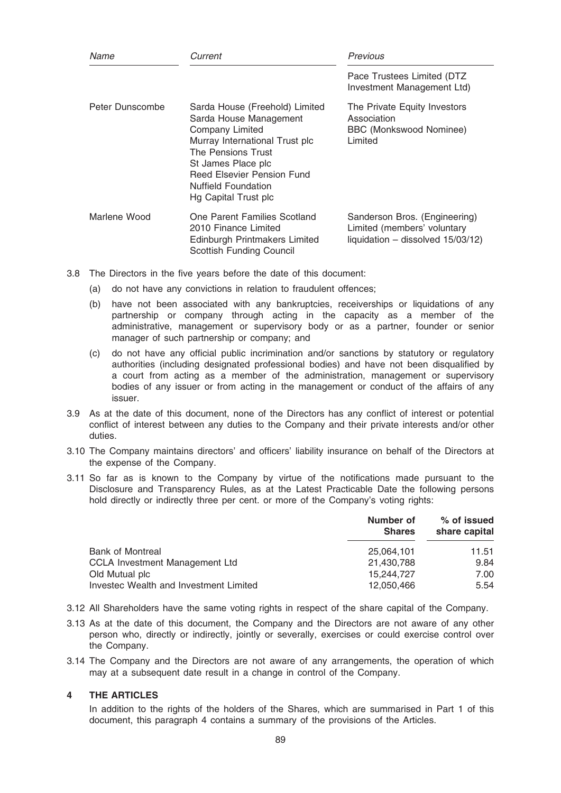| Name            | Current                                                                                                                                                                                                                                                     | Previous                                                                                            |
|-----------------|-------------------------------------------------------------------------------------------------------------------------------------------------------------------------------------------------------------------------------------------------------------|-----------------------------------------------------------------------------------------------------|
|                 |                                                                                                                                                                                                                                                             | Pace Trustees Limited (DTZ<br>Investment Management Ltd)                                            |
| Peter Dunscombe | Sarda House (Freehold) Limited<br>Sarda House Management<br><b>Company Limited</b><br>Murray International Trust plc<br>The Pensions Trust<br>St James Place plc<br><b>Reed Elsevier Pension Fund</b><br><b>Nuffield Foundation</b><br>Hg Capital Trust plc | The Private Equity Investors<br>Association<br>BBC (Monkswood Nominee)<br>Limited                   |
| Marlene Wood    | One Parent Families Scotland<br>2010 Finance Limited<br>Edinburgh Printmakers Limited<br><b>Scottish Funding Council</b>                                                                                                                                    | Sanderson Bros. (Engineering)<br>Limited (members' voluntary<br>liquidation $-$ dissolved 15/03/12) |

- 3.8 The Directors in the five years before the date of this document:
	- (a) do not have any convictions in relation to fraudulent offences;
	- (b) have not been associated with any bankruptcies, receiverships or liquidations of any partnership or company through acting in the capacity as a member of the administrative, management or supervisory body or as a partner, founder or senior manager of such partnership or company; and
	- (c) do not have any official public incrimination and/or sanctions by statutory or regulatory authorities (including designated professional bodies) and have not been disqualified by a court from acting as a member of the administration, management or supervisory bodies of any issuer or from acting in the management or conduct of the affairs of any issuer.
- 3.9 As at the date of this document, none of the Directors has any conflict of interest or potential conflict of interest between any duties to the Company and their private interests and/or other duties.
- 3.10 The Company maintains directors' and officers' liability insurance on behalf of the Directors at the expense of the Company.
- 3.11 So far as is known to the Company by virtue of the notifications made pursuant to the Disclosure and Transparency Rules, as at the Latest Practicable Date the following persons hold directly or indirectly three per cent, or more of the Company's voting rights:

|                                        | Number of<br><b>Shares</b> | % of issued<br>share capital |
|----------------------------------------|----------------------------|------------------------------|
| <b>Bank of Montreal</b>                | 25.064.101                 | 11.51                        |
| <b>CCLA Investment Management Ltd</b>  | 21,430,788                 | 9.84                         |
| Old Mutual plc                         | 15.244.727                 | 7.00                         |
| Investec Wealth and Investment Limited | 12,050,466                 | 5.54                         |

- 3.12 All Shareholders have the same voting rights in respect of the share capital of the Company.
- 3.13 As at the date of this document, the Company and the Directors are not aware of any other person who, directly or indirectly, jointly or severally, exercises or could exercise control over the Company.
- 3.14 The Company and the Directors are not aware of any arrangements, the operation of which may at a subsequent date result in a change in control of the Company.

# 4 THE ARTICLES

In addition to the rights of the holders of the Shares, which are summarised in Part 1 of this document, this paragraph 4 contains a summary of the provisions of the Articles.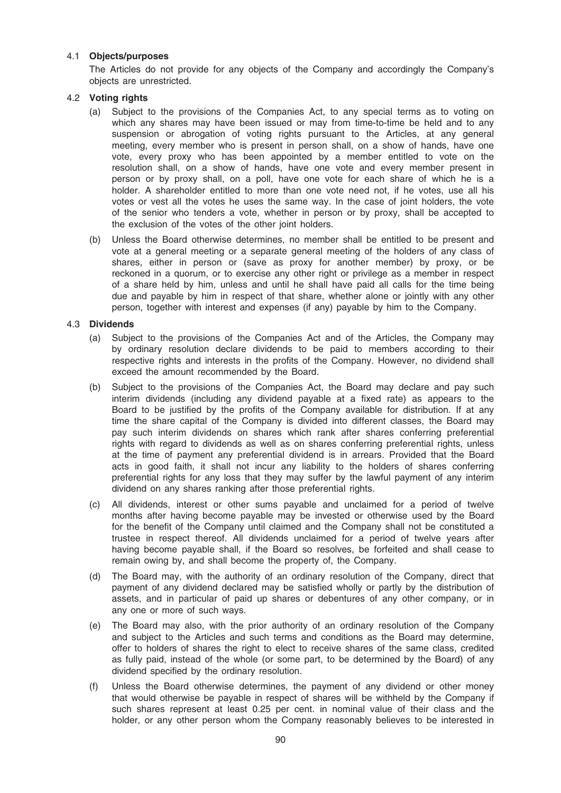## 4.1 Objects/purposes

The Articles do not provide for any objects of the Company and accordingly the Company's objects are unrestricted.

## 4.2 Voting rights

- (a) Subject to the provisions of the Companies Act, to any special terms as to voting on which any shares may have been issued or may from time-to-time be held and to any suspension or abrogation of voting rights pursuant to the Articles, at any general meeting, every member who is present in person shall, on a show of hands, have one vote, every proxy who has been appointed by a member entitled to vote on the resolution shall, on a show of hands, have one vote and every member present in person or by proxy shall, on a poll, have one vote for each share of which he is a holder. A shareholder entitled to more than one vote need not, if he votes, use all his votes or vest all the votes he uses the same way. In the case of joint holders, the vote of the senior who tenders a vote, whether in person or by proxy, shall be accepted to the exclusion of the votes of the other joint holders.
- (b) Unless the Board otherwise determines, no member shall be entitled to be present and vote at a general meeting or a separate general meeting of the holders of any class of shares, either in person or (save as proxy for another member) by proxy, or be reckoned in a quorum, or to exercise any other right or privilege as a member in respect of a share held by him, unless and until he shall have paid all calls for the time being due and payable by him in respect of that share, whether alone or jointly with any other person, together with interest and expenses (if any) payable by him to the Company.

## 4.3 Dividends

- (a) Subject to the provisions of the Companies Act and of the Articles, the Company may by ordinary resolution declare dividends to be paid to members according to their respective rights and interests in the profits of the Company. However, no dividend shall exceed the amount recommended by the Board.
- (b) Subject to the provisions of the Companies Act, the Board may declare and pay such interim dividends (including any dividend payable at a fixed rate) as appears to the Board to be justified by the profits of the Company available for distribution. If at any time the share capital of the Company is divided into different classes, the Board may pay such interim dividends on shares which rank after shares conferring preferential rights with regard to dividends as well as on shares conferring preferential rights, unless at the time of payment any preferential dividend is in arrears. Provided that the Board acts in good faith, it shall not incur any liability to the holders of shares conferring preferential rights for any loss that they may suffer by the lawful payment of any interim dividend on any shares ranking after those preferential rights.
- (c) All dividends, interest or other sums payable and unclaimed for a period of twelve months after having become payable may be invested or otherwise used by the Board for the benefit of the Company until claimed and the Company shall not be constituted a trustee in respect thereof. All dividends unclaimed for a period of twelve years after having become payable shall, if the Board so resolves, be forfeited and shall cease to remain owing by, and shall become the property of, the Company.
- (d) The Board may, with the authority of an ordinary resolution of the Company, direct that payment of any dividend declared may be satisfied wholly or partly by the distribution of assets, and in particular of paid up shares or debentures of any other company, or in any one or more of such ways.
- (e) The Board may also, with the prior authority of an ordinary resolution of the Company and subject to the Articles and such terms and conditions as the Board may determine, offer to holders of shares the right to elect to receive shares of the same class, credited as fully paid, instead of the whole (or some part, to be determined by the Board) of any dividend specified by the ordinary resolution.
- (f) Unless the Board otherwise determines, the payment of any dividend or other money that would otherwise be payable in respect of shares will be withheld by the Company if such shares represent at least 0.25 per cent. in nominal value of their class and the holder, or any other person whom the Company reasonably believes to be interested in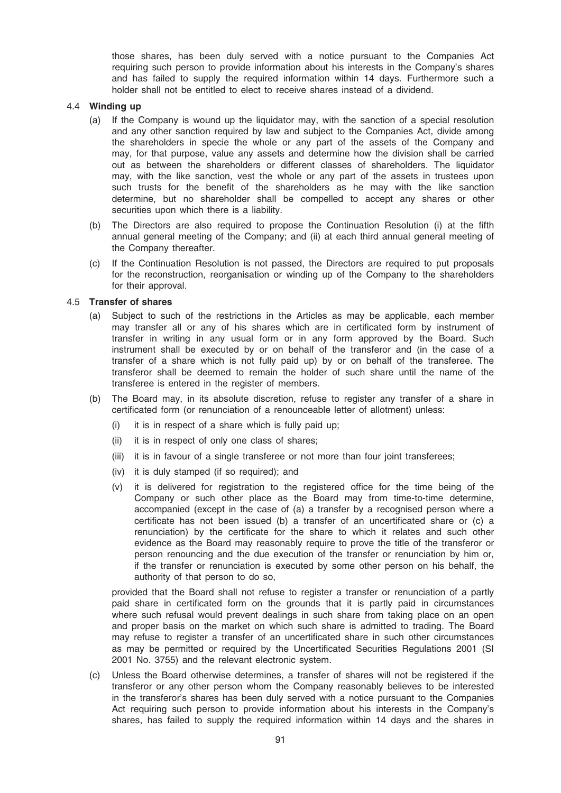those shares, has been duly served with a notice pursuant to the Companies Act requiring such person to provide information about his interests in the Company's shares and has failed to supply the required information within 14 days. Furthermore such a holder shall not be entitled to elect to receive shares instead of a dividend.

## 4.4 Winding up

- (a) If the Company is wound up the liquidator may, with the sanction of a special resolution and any other sanction required by law and subject to the Companies Act, divide among the shareholders in specie the whole or any part of the assets of the Company and may, for that purpose, value any assets and determine how the division shall be carried out as between the shareholders or different classes of shareholders. The liquidator may, with the like sanction, vest the whole or any part of the assets in trustees upon such trusts for the benefit of the shareholders as he may with the like sanction determine, but no shareholder shall be compelled to accept any shares or other securities upon which there is a liability.
- (b) The Directors are also required to propose the Continuation Resolution (i) at the fifth annual general meeting of the Company; and (ii) at each third annual general meeting of the Company thereafter.
- (c) If the Continuation Resolution is not passed, the Directors are required to put proposals for the reconstruction, reorganisation or winding up of the Company to the shareholders for their approval.

# 4.5 Transfer of shares

- (a) Subject to such of the restrictions in the Articles as may be applicable, each member may transfer all or any of his shares which are in certificated form by instrument of transfer in writing in any usual form or in any form approved by the Board. Such instrument shall be executed by or on behalf of the transferor and (in the case of a transfer of a share which is not fully paid up) by or on behalf of the transferee. The transferor shall be deemed to remain the holder of such share until the name of the transferee is entered in the register of members.
- (b) The Board may, in its absolute discretion, refuse to register any transfer of a share in certificated form (or renunciation of a renounceable letter of allotment) unless:
	- (i) it is in respect of a share which is fully paid up;
	- (ii) it is in respect of only one class of shares;
	- (iii) it is in favour of a single transferee or not more than four joint transferees;
	- (iv) it is duly stamped (if so required); and
	- (v) it is delivered for registration to the registered office for the time being of the Company or such other place as the Board may from time-to-time determine, accompanied (except in the case of (a) a transfer by a recognised person where a certificate has not been issued (b) a transfer of an uncertificated share or (c) a renunciation) by the certificate for the share to which it relates and such other evidence as the Board may reasonably require to prove the title of the transferor or person renouncing and the due execution of the transfer or renunciation by him or, if the transfer or renunciation is executed by some other person on his behalf, the authority of that person to do so,

provided that the Board shall not refuse to register a transfer or renunciation of a partly paid share in certificated form on the grounds that it is partly paid in circumstances where such refusal would prevent dealings in such share from taking place on an open and proper basis on the market on which such share is admitted to trading. The Board may refuse to register a transfer of an uncertificated share in such other circumstances as may be permitted or required by the Uncertificated Securities Regulations 2001 (SI 2001 No. 3755) and the relevant electronic system.

(c) Unless the Board otherwise determines, a transfer of shares will not be registered if the transferor or any other person whom the Company reasonably believes to be interested in the transferor's shares has been duly served with a notice pursuant to the Companies Act requiring such person to provide information about his interests in the Company's shares, has failed to supply the required information within 14 days and the shares in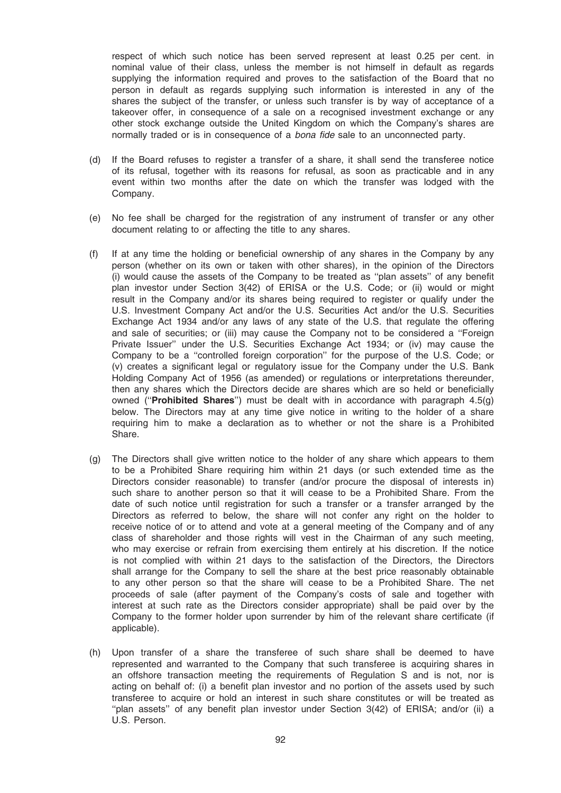respect of which such notice has been served represent at least 0.25 per cent. in nominal value of their class, unless the member is not himself in default as regards supplying the information required and proves to the satisfaction of the Board that no person in default as regards supplying such information is interested in any of the shares the subject of the transfer, or unless such transfer is by way of acceptance of a takeover offer, in consequence of a sale on a recognised investment exchange or any other stock exchange outside the United Kingdom on which the Company's shares are normally traded or is in consequence of a bona fide sale to an unconnected party.

- (d) If the Board refuses to register a transfer of a share, it shall send the transferee notice of its refusal, together with its reasons for refusal, as soon as practicable and in any event within two months after the date on which the transfer was lodged with the Company.
- (e) No fee shall be charged for the registration of any instrument of transfer or any other document relating to or affecting the title to any shares.
- (f) If at any time the holding or beneficial ownership of any shares in the Company by any person (whether on its own or taken with other shares), in the opinion of the Directors (i) would cause the assets of the Company to be treated as ''plan assets'' of any benefit plan investor under Section 3(42) of ERISA or the U.S. Code; or (ii) would or might result in the Company and/or its shares being required to register or qualify under the U.S. Investment Company Act and/or the U.S. Securities Act and/or the U.S. Securities Exchange Act 1934 and/or any laws of any state of the U.S. that regulate the offering and sale of securities; or (iii) may cause the Company not to be considered a ''Foreign Private Issuer'' under the U.S. Securities Exchange Act 1934; or (iv) may cause the Company to be a ''controlled foreign corporation'' for the purpose of the U.S. Code; or (v) creates a significant legal or regulatory issue for the Company under the U.S. Bank Holding Company Act of 1956 (as amended) or regulations or interpretations thereunder, then any shares which the Directors decide are shares which are so held or beneficially owned ("**Prohibited Shares**") must be dealt with in accordance with paragraph  $4.5(q)$ below. The Directors may at any time give notice in writing to the holder of a share requiring him to make a declaration as to whether or not the share is a Prohibited Share.
- (g) The Directors shall give written notice to the holder of any share which appears to them to be a Prohibited Share requiring him within 21 days (or such extended time as the Directors consider reasonable) to transfer (and/or procure the disposal of interests in) such share to another person so that it will cease to be a Prohibited Share. From the date of such notice until registration for such a transfer or a transfer arranged by the Directors as referred to below, the share will not confer any right on the holder to receive notice of or to attend and vote at a general meeting of the Company and of any class of shareholder and those rights will vest in the Chairman of any such meeting, who may exercise or refrain from exercising them entirely at his discretion. If the notice is not complied with within 21 days to the satisfaction of the Directors, the Directors shall arrange for the Company to sell the share at the best price reasonably obtainable to any other person so that the share will cease to be a Prohibited Share. The net proceeds of sale (after payment of the Company's costs of sale and together with interest at such rate as the Directors consider appropriate) shall be paid over by the Company to the former holder upon surrender by him of the relevant share certificate (if applicable).
- (h) Upon transfer of a share the transferee of such share shall be deemed to have represented and warranted to the Company that such transferee is acquiring shares in an offshore transaction meeting the requirements of Regulation S and is not, nor is acting on behalf of: (i) a benefit plan investor and no portion of the assets used by such transferee to acquire or hold an interest in such share constitutes or will be treated as "plan assets" of any benefit plan investor under Section 3(42) of ERISA; and/or (ii) a U.S. Person.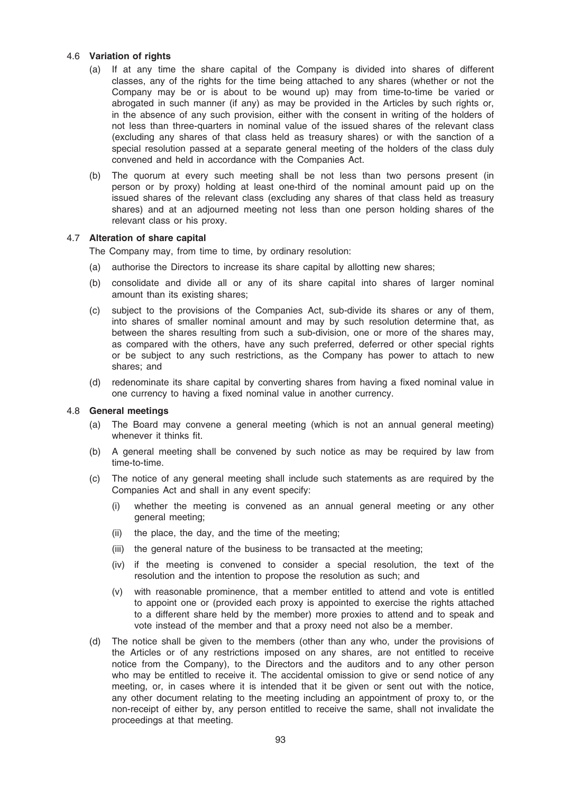## 4.6 Variation of rights

- (a) If at any time the share capital of the Company is divided into shares of different classes, any of the rights for the time being attached to any shares (whether or not the Company may be or is about to be wound up) may from time-to-time be varied or abrogated in such manner (if any) as may be provided in the Articles by such rights or, in the absence of any such provision, either with the consent in writing of the holders of not less than three-quarters in nominal value of the issued shares of the relevant class (excluding any shares of that class held as treasury shares) or with the sanction of a special resolution passed at a separate general meeting of the holders of the class duly convened and held in accordance with the Companies Act.
- (b) The quorum at every such meeting shall be not less than two persons present (in person or by proxy) holding at least one-third of the nominal amount paid up on the issued shares of the relevant class (excluding any shares of that class held as treasury shares) and at an adjourned meeting not less than one person holding shares of the relevant class or his proxy.

## 4.7 Alteration of share capital

The Company may, from time to time, by ordinary resolution:

- (a) authorise the Directors to increase its share capital by allotting new shares;
- (b) consolidate and divide all or any of its share capital into shares of larger nominal amount than its existing shares;
- (c) subject to the provisions of the Companies Act, sub-divide its shares or any of them, into shares of smaller nominal amount and may by such resolution determine that, as between the shares resulting from such a sub-division, one or more of the shares may, as compared with the others, have any such preferred, deferred or other special rights or be subject to any such restrictions, as the Company has power to attach to new shares; and
- (d) redenominate its share capital by converting shares from having a fixed nominal value in one currency to having a fixed nominal value in another currency.

## 4.8 General meetings

- (a) The Board may convene a general meeting (which is not an annual general meeting) whenever it thinks fit.
- (b) A general meeting shall be convened by such notice as may be required by law from time-to-time.
- (c) The notice of any general meeting shall include such statements as are required by the Companies Act and shall in any event specify:
	- (i) whether the meeting is convened as an annual general meeting or any other general meeting;
	- (ii) the place, the day, and the time of the meeting;
	- (iii) the general nature of the business to be transacted at the meeting;
	- (iv) if the meeting is convened to consider a special resolution, the text of the resolution and the intention to propose the resolution as such; and
	- (v) with reasonable prominence, that a member entitled to attend and vote is entitled to appoint one or (provided each proxy is appointed to exercise the rights attached to a different share held by the member) more proxies to attend and to speak and vote instead of the member and that a proxy need not also be a member.
- (d) The notice shall be given to the members (other than any who, under the provisions of the Articles or of any restrictions imposed on any shares, are not entitled to receive notice from the Company), to the Directors and the auditors and to any other person who may be entitled to receive it. The accidental omission to give or send notice of any meeting, or, in cases where it is intended that it be given or sent out with the notice, any other document relating to the meeting including an appointment of proxy to, or the non-receipt of either by, any person entitled to receive the same, shall not invalidate the proceedings at that meeting.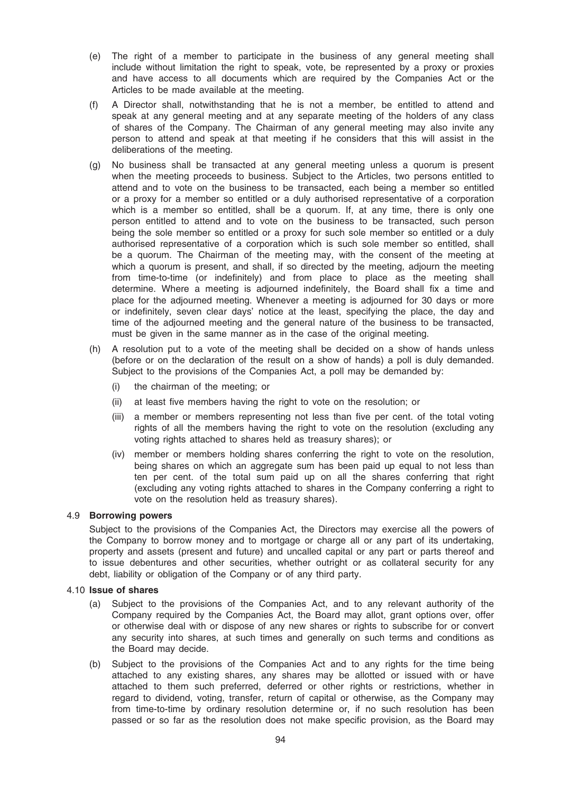- (e) The right of a member to participate in the business of any general meeting shall include without limitation the right to speak, vote, be represented by a proxy or proxies and have access to all documents which are required by the Companies Act or the Articles to be made available at the meeting.
- (f) A Director shall, notwithstanding that he is not a member, be entitled to attend and speak at any general meeting and at any separate meeting of the holders of any class of shares of the Company. The Chairman of any general meeting may also invite any person to attend and speak at that meeting if he considers that this will assist in the deliberations of the meeting.
- (g) No business shall be transacted at any general meeting unless a quorum is present when the meeting proceeds to business. Subject to the Articles, two persons entitled to attend and to vote on the business to be transacted, each being a member so entitled or a proxy for a member so entitled or a duly authorised representative of a corporation which is a member so entitled, shall be a quorum. If, at any time, there is only one person entitled to attend and to vote on the business to be transacted, such person being the sole member so entitled or a proxy for such sole member so entitled or a duly authorised representative of a corporation which is such sole member so entitled, shall be a quorum. The Chairman of the meeting may, with the consent of the meeting at which a quorum is present, and shall, if so directed by the meeting, adjourn the meeting from time-to-time (or indefinitely) and from place to place as the meeting shall determine. Where a meeting is adjourned indefinitely, the Board shall fix a time and place for the adjourned meeting. Whenever a meeting is adjourned for 30 days or more or indefinitely, seven clear days' notice at the least, specifying the place, the day and time of the adjourned meeting and the general nature of the business to be transacted, must be given in the same manner as in the case of the original meeting.
- (h) A resolution put to a vote of the meeting shall be decided on a show of hands unless (before or on the declaration of the result on a show of hands) a poll is duly demanded. Subject to the provisions of the Companies Act, a poll may be demanded by:
	- (i) the chairman of the meeting; or
	- (ii) at least five members having the right to vote on the resolution; or
	- (iii) a member or members representing not less than five per cent. of the total voting rights of all the members having the right to vote on the resolution (excluding any voting rights attached to shares held as treasury shares); or
	- (iv) member or members holding shares conferring the right to vote on the resolution, being shares on which an aggregate sum has been paid up equal to not less than ten per cent. of the total sum paid up on all the shares conferring that right (excluding any voting rights attached to shares in the Company conferring a right to vote on the resolution held as treasury shares).

## 4.9 Borrowing powers

Subject to the provisions of the Companies Act, the Directors may exercise all the powers of the Company to borrow money and to mortgage or charge all or any part of its undertaking, property and assets (present and future) and uncalled capital or any part or parts thereof and to issue debentures and other securities, whether outright or as collateral security for any debt, liability or obligation of the Company or of any third party.

#### 4.10 Issue of shares

- (a) Subject to the provisions of the Companies Act, and to any relevant authority of the Company required by the Companies Act, the Board may allot, grant options over, offer or otherwise deal with or dispose of any new shares or rights to subscribe for or convert any security into shares, at such times and generally on such terms and conditions as the Board may decide.
- (b) Subject to the provisions of the Companies Act and to any rights for the time being attached to any existing shares, any shares may be allotted or issued with or have attached to them such preferred, deferred or other rights or restrictions, whether in regard to dividend, voting, transfer, return of capital or otherwise, as the Company may from time-to-time by ordinary resolution determine or, if no such resolution has been passed or so far as the resolution does not make specific provision, as the Board may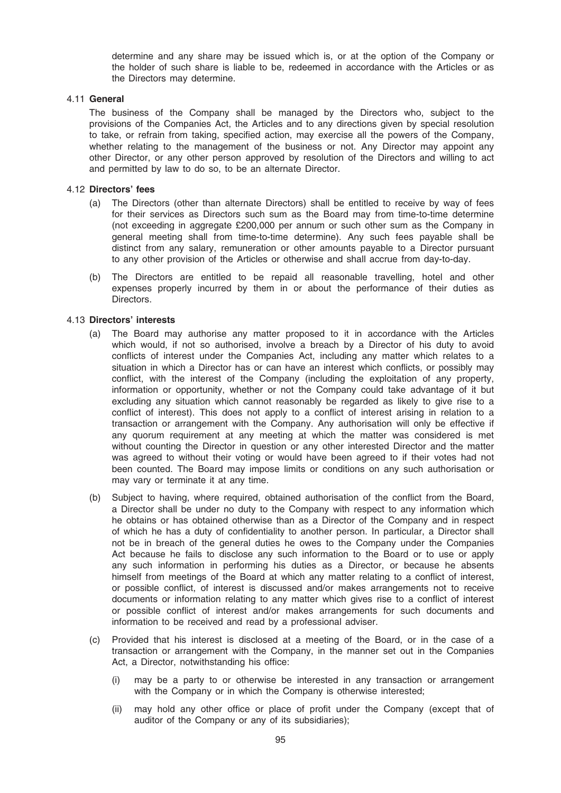determine and any share may be issued which is, or at the option of the Company or the holder of such share is liable to be, redeemed in accordance with the Articles or as the Directors may determine.

## 4.11 General

The business of the Company shall be managed by the Directors who, subject to the provisions of the Companies Act, the Articles and to any directions given by special resolution to take, or refrain from taking, specified action, may exercise all the powers of the Company, whether relating to the management of the business or not. Any Director may appoint any other Director, or any other person approved by resolution of the Directors and willing to act and permitted by law to do so, to be an alternate Director.

## 4.12 Directors' fees

- (a) The Directors (other than alternate Directors) shall be entitled to receive by way of fees for their services as Directors such sum as the Board may from time-to-time determine (not exceeding in aggregate £200,000 per annum or such other sum as the Company in general meeting shall from time-to-time determine). Any such fees payable shall be distinct from any salary, remuneration or other amounts payable to a Director pursuant to any other provision of the Articles or otherwise and shall accrue from day-to-day.
- (b) The Directors are entitled to be repaid all reasonable travelling, hotel and other expenses properly incurred by them in or about the performance of their duties as Directors.

## 4.13 Directors' interests

- (a) The Board may authorise any matter proposed to it in accordance with the Articles which would, if not so authorised, involve a breach by a Director of his duty to avoid conflicts of interest under the Companies Act, including any matter which relates to a situation in which a Director has or can have an interest which conflicts, or possibly may conflict, with the interest of the Company (including the exploitation of any property, information or opportunity, whether or not the Company could take advantage of it but excluding any situation which cannot reasonably be regarded as likely to give rise to a conflict of interest). This does not apply to a conflict of interest arising in relation to a transaction or arrangement with the Company. Any authorisation will only be effective if any quorum requirement at any meeting at which the matter was considered is met without counting the Director in question or any other interested Director and the matter was agreed to without their voting or would have been agreed to if their votes had not been counted. The Board may impose limits or conditions on any such authorisation or may vary or terminate it at any time.
- (b) Subject to having, where required, obtained authorisation of the conflict from the Board, a Director shall be under no duty to the Company with respect to any information which he obtains or has obtained otherwise than as a Director of the Company and in respect of which he has a duty of confidentiality to another person. In particular, a Director shall not be in breach of the general duties he owes to the Company under the Companies Act because he fails to disclose any such information to the Board or to use or apply any such information in performing his duties as a Director, or because he absents himself from meetings of the Board at which any matter relating to a conflict of interest, or possible conflict, of interest is discussed and/or makes arrangements not to receive documents or information relating to any matter which gives rise to a conflict of interest or possible conflict of interest and/or makes arrangements for such documents and information to be received and read by a professional adviser.
- (c) Provided that his interest is disclosed at a meeting of the Board, or in the case of a transaction or arrangement with the Company, in the manner set out in the Companies Act, a Director, notwithstanding his office:
	- (i) may be a party to or otherwise be interested in any transaction or arrangement with the Company or in which the Company is otherwise interested;
	- (ii) may hold any other office or place of profit under the Company (except that of auditor of the Company or any of its subsidiaries);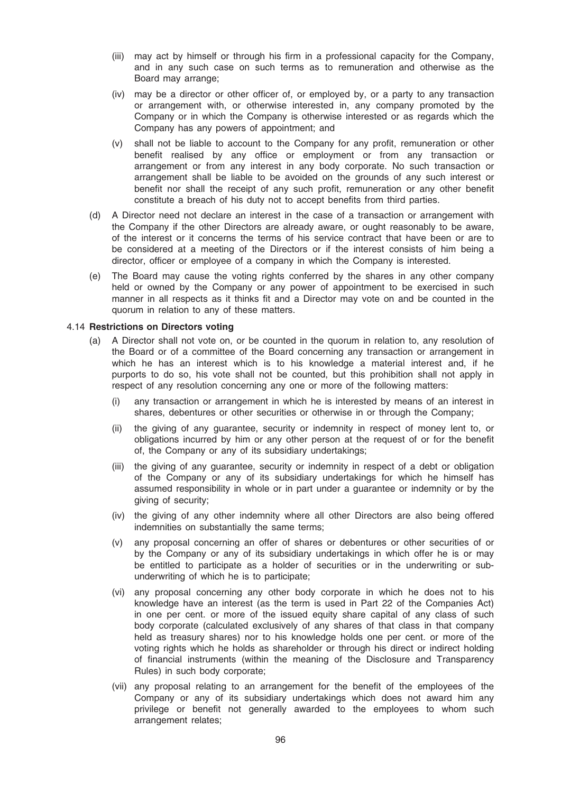- (iii) may act by himself or through his firm in a professional capacity for the Company, and in any such case on such terms as to remuneration and otherwise as the Board may arrange;
- (iv) may be a director or other officer of, or employed by, or a party to any transaction or arrangement with, or otherwise interested in, any company promoted by the Company or in which the Company is otherwise interested or as regards which the Company has any powers of appointment; and
- (v) shall not be liable to account to the Company for any profit, remuneration or other benefit realised by any office or employment or from any transaction or arrangement or from any interest in any body corporate. No such transaction or arrangement shall be liable to be avoided on the grounds of any such interest or benefit nor shall the receipt of any such profit, remuneration or any other benefit constitute a breach of his duty not to accept benefits from third parties.
- (d) A Director need not declare an interest in the case of a transaction or arrangement with the Company if the other Directors are already aware, or ought reasonably to be aware, of the interest or it concerns the terms of his service contract that have been or are to be considered at a meeting of the Directors or if the interest consists of him being a director, officer or employee of a company in which the Company is interested.
- (e) The Board may cause the voting rights conferred by the shares in any other company held or owned by the Company or any power of appointment to be exercised in such manner in all respects as it thinks fit and a Director may vote on and be counted in the quorum in relation to any of these matters.

#### 4.14 Restrictions on Directors voting

- (a) A Director shall not vote on, or be counted in the quorum in relation to, any resolution of the Board or of a committee of the Board concerning any transaction or arrangement in which he has an interest which is to his knowledge a material interest and, if he purports to do so, his vote shall not be counted, but this prohibition shall not apply in respect of any resolution concerning any one or more of the following matters:
	- (i) any transaction or arrangement in which he is interested by means of an interest in shares, debentures or other securities or otherwise in or through the Company;
	- (ii) the giving of any guarantee, security or indemnity in respect of money lent to, or obligations incurred by him or any other person at the request of or for the benefit of, the Company or any of its subsidiary undertakings;
	- (iii) the giving of any guarantee, security or indemnity in respect of a debt or obligation of the Company or any of its subsidiary undertakings for which he himself has assumed responsibility in whole or in part under a guarantee or indemnity or by the giving of security;
	- (iv) the giving of any other indemnity where all other Directors are also being offered indemnities on substantially the same terms;
	- (v) any proposal concerning an offer of shares or debentures or other securities of or by the Company or any of its subsidiary undertakings in which offer he is or may be entitled to participate as a holder of securities or in the underwriting or subunderwriting of which he is to participate;
	- (vi) any proposal concerning any other body corporate in which he does not to his knowledge have an interest (as the term is used in Part 22 of the Companies Act) in one per cent. or more of the issued equity share capital of any class of such body corporate (calculated exclusively of any shares of that class in that company held as treasury shares) nor to his knowledge holds one per cent. or more of the voting rights which he holds as shareholder or through his direct or indirect holding of financial instruments (within the meaning of the Disclosure and Transparency Rules) in such body corporate;
	- (vii) any proposal relating to an arrangement for the benefit of the employees of the Company or any of its subsidiary undertakings which does not award him any privilege or benefit not generally awarded to the employees to whom such arrangement relates;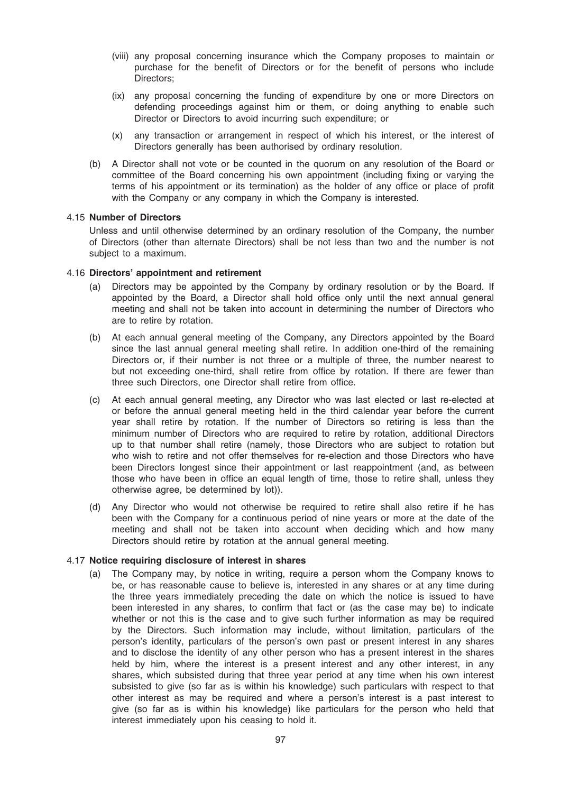- (viii) any proposal concerning insurance which the Company proposes to maintain or purchase for the benefit of Directors or for the benefit of persons who include Directors;
- (ix) any proposal concerning the funding of expenditure by one or more Directors on defending proceedings against him or them, or doing anything to enable such Director or Directors to avoid incurring such expenditure; or
- (x) any transaction or arrangement in respect of which his interest, or the interest of Directors generally has been authorised by ordinary resolution.
- (b) A Director shall not vote or be counted in the quorum on any resolution of the Board or committee of the Board concerning his own appointment (including fixing or varying the terms of his appointment or its termination) as the holder of any office or place of profit with the Company or any company in which the Company is interested.

#### 4.15 Number of Directors

Unless and until otherwise determined by an ordinary resolution of the Company, the number of Directors (other than alternate Directors) shall be not less than two and the number is not subject to a maximum.

## 4.16 Directors' appointment and retirement

- (a) Directors may be appointed by the Company by ordinary resolution or by the Board. If appointed by the Board, a Director shall hold office only until the next annual general meeting and shall not be taken into account in determining the number of Directors who are to retire by rotation.
- (b) At each annual general meeting of the Company, any Directors appointed by the Board since the last annual general meeting shall retire. In addition one-third of the remaining Directors or, if their number is not three or a multiple of three, the number nearest to but not exceeding one-third, shall retire from office by rotation. If there are fewer than three such Directors, one Director shall retire from office.
- (c) At each annual general meeting, any Director who was last elected or last re-elected at or before the annual general meeting held in the third calendar year before the current year shall retire by rotation. If the number of Directors so retiring is less than the minimum number of Directors who are required to retire by rotation, additional Directors up to that number shall retire (namely, those Directors who are subject to rotation but who wish to retire and not offer themselves for re-election and those Directors who have been Directors longest since their appointment or last reappointment (and, as between those who have been in office an equal length of time, those to retire shall, unless they otherwise agree, be determined by lot)).
- (d) Any Director who would not otherwise be required to retire shall also retire if he has been with the Company for a continuous period of nine years or more at the date of the meeting and shall not be taken into account when deciding which and how many Directors should retire by rotation at the annual general meeting.

# 4.17 Notice requiring disclosure of interest in shares

(a) The Company may, by notice in writing, require a person whom the Company knows to be, or has reasonable cause to believe is, interested in any shares or at any time during the three years immediately preceding the date on which the notice is issued to have been interested in any shares, to confirm that fact or (as the case may be) to indicate whether or not this is the case and to give such further information as may be required by the Directors. Such information may include, without limitation, particulars of the person's identity, particulars of the person's own past or present interest in any shares and to disclose the identity of any other person who has a present interest in the shares held by him, where the interest is a present interest and any other interest, in any shares, which subsisted during that three year period at any time when his own interest subsisted to give (so far as is within his knowledge) such particulars with respect to that other interest as may be required and where a person's interest is a past interest to give (so far as is within his knowledge) like particulars for the person who held that interest immediately upon his ceasing to hold it.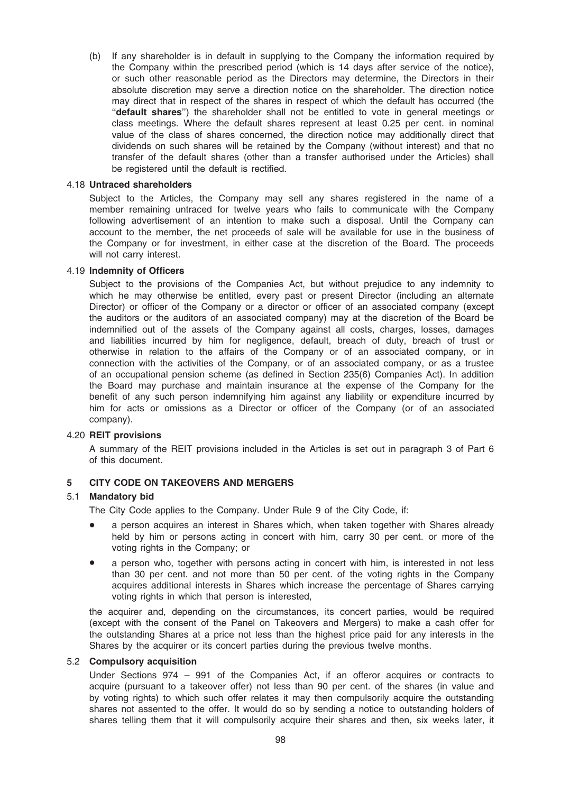(b) If any shareholder is in default in supplying to the Company the information required by the Company within the prescribed period (which is 14 days after service of the notice), or such other reasonable period as the Directors may determine, the Directors in their absolute discretion may serve a direction notice on the shareholder. The direction notice may direct that in respect of the shares in respect of which the default has occurred (the "default shares") the shareholder shall not be entitled to vote in general meetings or class meetings. Where the default shares represent at least 0.25 per cent. in nominal value of the class of shares concerned, the direction notice may additionally direct that dividends on such shares will be retained by the Company (without interest) and that no transfer of the default shares (other than a transfer authorised under the Articles) shall be registered until the default is rectified.

## 4.18 Untraced shareholders

Subject to the Articles, the Company may sell any shares registered in the name of a member remaining untraced for twelve years who fails to communicate with the Company following advertisement of an intention to make such a disposal. Until the Company can account to the member, the net proceeds of sale will be available for use in the business of the Company or for investment, in either case at the discretion of the Board. The proceeds will not carry interest.

#### 4.19 Indemnity of Officers

Subject to the provisions of the Companies Act, but without prejudice to any indemnity to which he may otherwise be entitled, every past or present Director (including an alternate Director) or officer of the Company or a director or officer of an associated company (except the auditors or the auditors of an associated company) may at the discretion of the Board be indemnified out of the assets of the Company against all costs, charges, losses, damages and liabilities incurred by him for negligence, default, breach of duty, breach of trust or otherwise in relation to the affairs of the Company or of an associated company, or in connection with the activities of the Company, or of an associated company, or as a trustee of an occupational pension scheme (as defined in Section 235(6) Companies Act). In addition the Board may purchase and maintain insurance at the expense of the Company for the benefit of any such person indemnifying him against any liability or expenditure incurred by him for acts or omissions as a Director or officer of the Company (or of an associated company).

## 4.20 REIT provisions

A summary of the REIT provisions included in the Articles is set out in paragraph 3 of Part 6 of this document.

### 5 CITY CODE ON TAKEOVERS AND MERGERS

## 5.1 Mandatory bid

The City Code applies to the Company. Under Rule 9 of the City Code, if:

- a person acquires an interest in Shares which, when taken together with Shares already held by him or persons acting in concert with him, carry 30 per cent. or more of the voting rights in the Company; or
- a person who, together with persons acting in concert with him, is interested in not less than 30 per cent. and not more than 50 per cent. of the voting rights in the Company acquires additional interests in Shares which increase the percentage of Shares carrying voting rights in which that person is interested,

the acquirer and, depending on the circumstances, its concert parties, would be required (except with the consent of the Panel on Takeovers and Mergers) to make a cash offer for the outstanding Shares at a price not less than the highest price paid for any interests in the Shares by the acquirer or its concert parties during the previous twelve months.

#### 5.2 Compulsory acquisition

Under Sections 974 – 991 of the Companies Act, if an offeror acquires or contracts to acquire (pursuant to a takeover offer) not less than 90 per cent. of the shares (in value and by voting rights) to which such offer relates it may then compulsorily acquire the outstanding shares not assented to the offer. It would do so by sending a notice to outstanding holders of shares telling them that it will compulsorily acquire their shares and then, six weeks later, it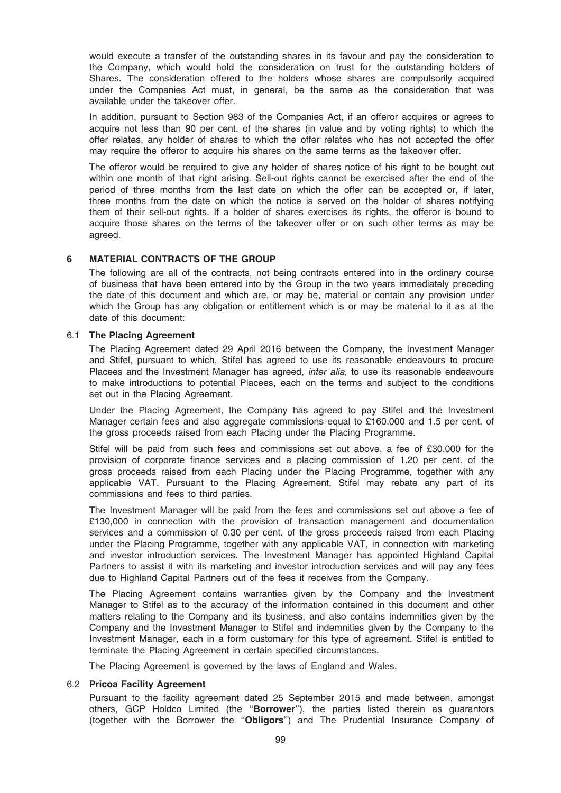would execute a transfer of the outstanding shares in its favour and pay the consideration to the Company, which would hold the consideration on trust for the outstanding holders of Shares. The consideration offered to the holders whose shares are compulsorily acquired under the Companies Act must, in general, be the same as the consideration that was available under the takeover offer.

In addition, pursuant to Section 983 of the Companies Act, if an offeror acquires or agrees to acquire not less than 90 per cent. of the shares (in value and by voting rights) to which the offer relates, any holder of shares to which the offer relates who has not accepted the offer may require the offeror to acquire his shares on the same terms as the takeover offer.

The offeror would be required to give any holder of shares notice of his right to be bought out within one month of that right arising. Sell-out rights cannot be exercised after the end of the period of three months from the last date on which the offer can be accepted or, if later, three months from the date on which the notice is served on the holder of shares notifying them of their sell-out rights. If a holder of shares exercises its rights, the offeror is bound to acquire those shares on the terms of the takeover offer or on such other terms as may be agreed.

## 6 MATERIAL CONTRACTS OF THE GROUP

The following are all of the contracts, not being contracts entered into in the ordinary course of business that have been entered into by the Group in the two years immediately preceding the date of this document and which are, or may be, material or contain any provision under which the Group has any obligation or entitlement which is or may be material to it as at the date of this document:

#### 6.1 The Placing Agreement

The Placing Agreement dated 29 April 2016 between the Company, the Investment Manager and Stifel, pursuant to which, Stifel has agreed to use its reasonable endeavours to procure Placees and the Investment Manager has agreed, *inter alia*, to use its reasonable endeavours to make introductions to potential Placees, each on the terms and subject to the conditions set out in the Placing Agreement.

Under the Placing Agreement, the Company has agreed to pay Stifel and the Investment Manager certain fees and also aggregate commissions equal to £160,000 and 1.5 per cent. of the gross proceeds raised from each Placing under the Placing Programme.

Stifel will be paid from such fees and commissions set out above, a fee of £30,000 for the provision of corporate finance services and a placing commission of 1.20 per cent. of the gross proceeds raised from each Placing under the Placing Programme, together with any applicable VAT. Pursuant to the Placing Agreement, Stifel may rebate any part of its commissions and fees to third parties.

The Investment Manager will be paid from the fees and commissions set out above a fee of £130,000 in connection with the provision of transaction management and documentation services and a commission of 0.30 per cent. of the gross proceeds raised from each Placing under the Placing Programme, together with any applicable VAT, in connection with marketing and investor introduction services. The Investment Manager has appointed Highland Capital Partners to assist it with its marketing and investor introduction services and will pay any fees due to Highland Capital Partners out of the fees it receives from the Company.

The Placing Agreement contains warranties given by the Company and the Investment Manager to Stifel as to the accuracy of the information contained in this document and other matters relating to the Company and its business, and also contains indemnities given by the Company and the Investment Manager to Stifel and indemnities given by the Company to the Investment Manager, each in a form customary for this type of agreement. Stifel is entitled to terminate the Placing Agreement in certain specified circumstances.

The Placing Agreement is governed by the laws of England and Wales.

#### 6.2 Pricoa Facility Agreement

Pursuant to the facility agreement dated 25 September 2015 and made between, amongst others, GCP Holdco Limited (the "Borrower"), the parties listed therein as guarantors (together with the Borrower the ''Obligors'') and The Prudential Insurance Company of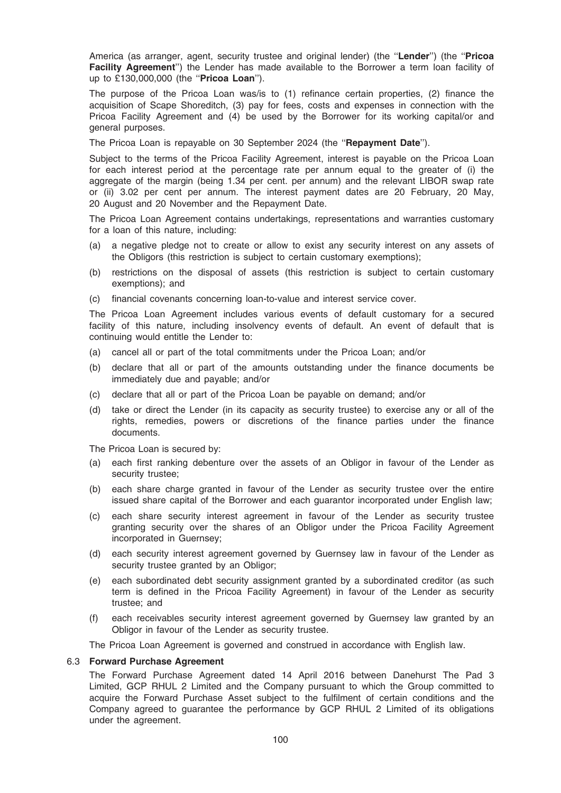America (as arranger, agent, security trustee and original lender) (the "Lender") (the "Pricoa Facility Agreement") the Lender has made available to the Borrower a term loan facility of up to £130,000,000 (the "Pricoa Loan").

The purpose of the Pricoa Loan was/is to (1) refinance certain properties, (2) finance the acquisition of Scape Shoreditch, (3) pay for fees, costs and expenses in connection with the Pricoa Facility Agreement and (4) be used by the Borrower for its working capital/or and general purposes.

The Pricoa Loan is repayable on 30 September 2024 (the "Repayment Date").

Subject to the terms of the Pricoa Facility Agreement, interest is payable on the Pricoa Loan for each interest period at the percentage rate per annum equal to the greater of (i) the aggregate of the margin (being 1.34 per cent. per annum) and the relevant LIBOR swap rate or (ii) 3.02 per cent per annum. The interest payment dates are 20 February, 20 May, 20 August and 20 November and the Repayment Date.

The Pricoa Loan Agreement contains undertakings, representations and warranties customary for a loan of this nature, including:

- (a) a negative pledge not to create or allow to exist any security interest on any assets of the Obligors (this restriction is subject to certain customary exemptions);
- (b) restrictions on the disposal of assets (this restriction is subject to certain customary exemptions); and
- (c) financial covenants concerning loan-to-value and interest service cover.

The Pricoa Loan Agreement includes various events of default customary for a secured facility of this nature, including insolvency events of default. An event of default that is continuing would entitle the Lender to:

- (a) cancel all or part of the total commitments under the Pricoa Loan; and/or
- (b) declare that all or part of the amounts outstanding under the finance documents be immediately due and payable; and/or
- (c) declare that all or part of the Pricoa Loan be payable on demand; and/or
- (d) take or direct the Lender (in its capacity as security trustee) to exercise any or all of the rights, remedies, powers or discretions of the finance parties under the finance documents.

The Pricoa Loan is secured by:

- (a) each first ranking debenture over the assets of an Obligor in favour of the Lender as security trustee;
- (b) each share charge granted in favour of the Lender as security trustee over the entire issued share capital of the Borrower and each guarantor incorporated under English law;
- (c) each share security interest agreement in favour of the Lender as security trustee granting security over the shares of an Obligor under the Pricoa Facility Agreement incorporated in Guernsey;
- (d) each security interest agreement governed by Guernsey law in favour of the Lender as security trustee granted by an Obligor;
- (e) each subordinated debt security assignment granted by a subordinated creditor (as such term is defined in the Pricoa Facility Agreement) in favour of the Lender as security trustee; and
- (f) each receivables security interest agreement governed by Guernsey law granted by an Obligor in favour of the Lender as security trustee.

The Pricoa Loan Agreement is governed and construed in accordance with English law.

#### 6.3 Forward Purchase Agreement

The Forward Purchase Agreement dated 14 April 2016 between Danehurst The Pad 3 Limited, GCP RHUL 2 Limited and the Company pursuant to which the Group committed to acquire the Forward Purchase Asset subject to the fulfilment of certain conditions and the Company agreed to guarantee the performance by GCP RHUL 2 Limited of its obligations under the agreement.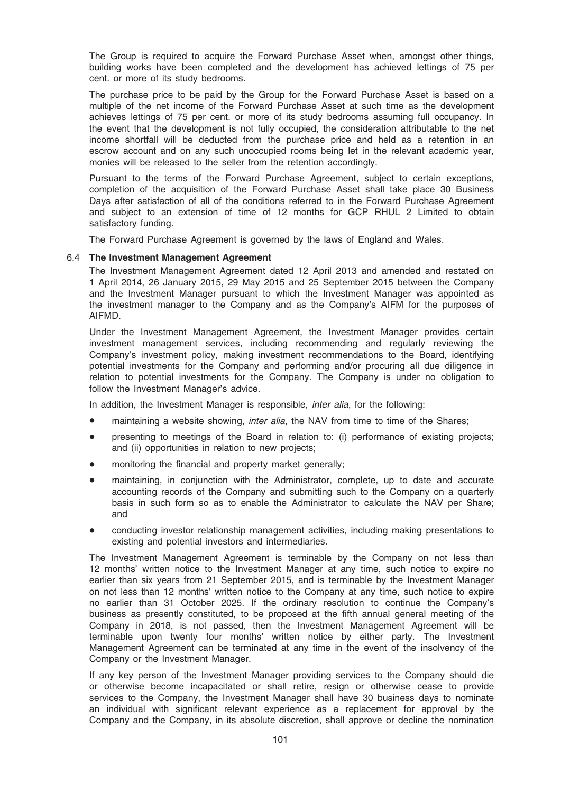The Group is required to acquire the Forward Purchase Asset when, amongst other things, building works have been completed and the development has achieved lettings of 75 per cent. or more of its study bedrooms.

The purchase price to be paid by the Group for the Forward Purchase Asset is based on a multiple of the net income of the Forward Purchase Asset at such time as the development achieves lettings of 75 per cent. or more of its study bedrooms assuming full occupancy. In the event that the development is not fully occupied, the consideration attributable to the net income shortfall will be deducted from the purchase price and held as a retention in an escrow account and on any such unoccupied rooms being let in the relevant academic year, monies will be released to the seller from the retention accordingly.

Pursuant to the terms of the Forward Purchase Agreement, subject to certain exceptions, completion of the acquisition of the Forward Purchase Asset shall take place 30 Business Days after satisfaction of all of the conditions referred to in the Forward Purchase Agreement and subject to an extension of time of 12 months for GCP RHUL 2 Limited to obtain satisfactory funding.

The Forward Purchase Agreement is governed by the laws of England and Wales.

#### 6.4 The Investment Management Agreement

The Investment Management Agreement dated 12 April 2013 and amended and restated on 1 April 2014, 26 January 2015, 29 May 2015 and 25 September 2015 between the Company and the Investment Manager pursuant to which the Investment Manager was appointed as the investment manager to the Company and as the Company's AIFM for the purposes of AIFMD.

Under the Investment Management Agreement, the Investment Manager provides certain investment management services, including recommending and regularly reviewing the Company's investment policy, making investment recommendations to the Board, identifying potential investments for the Company and performing and/or procuring all due diligence in relation to potential investments for the Company. The Company is under no obligation to follow the Investment Manager's advice.

In addition, the Investment Manager is responsible, *inter alia*, for the following:

- maintaining a website showing, *inter alia*, the NAV from time to time of the Shares;
- presenting to meetings of the Board in relation to: (i) performance of existing projects; and (ii) opportunities in relation to new projects;
- monitoring the financial and property market generally;
- maintaining, in conjunction with the Administrator, complete, up to date and accurate accounting records of the Company and submitting such to the Company on a quarterly basis in such form so as to enable the Administrator to calculate the NAV per Share; and
- conducting investor relationship management activities, including making presentations to existing and potential investors and intermediaries.

The Investment Management Agreement is terminable by the Company on not less than 12 months' written notice to the Investment Manager at any time, such notice to expire no earlier than six years from 21 September 2015, and is terminable by the Investment Manager on not less than 12 months' written notice to the Company at any time, such notice to expire no earlier than 31 October 2025. If the ordinary resolution to continue the Company's business as presently constituted, to be proposed at the fifth annual general meeting of the Company in 2018, is not passed, then the Investment Management Agreement will be terminable upon twenty four months' written notice by either party. The Investment Management Agreement can be terminated at any time in the event of the insolvency of the Company or the Investment Manager.

If any key person of the Investment Manager providing services to the Company should die or otherwise become incapacitated or shall retire, resign or otherwise cease to provide services to the Company, the Investment Manager shall have 30 business days to nominate an individual with significant relevant experience as a replacement for approval by the Company and the Company, in its absolute discretion, shall approve or decline the nomination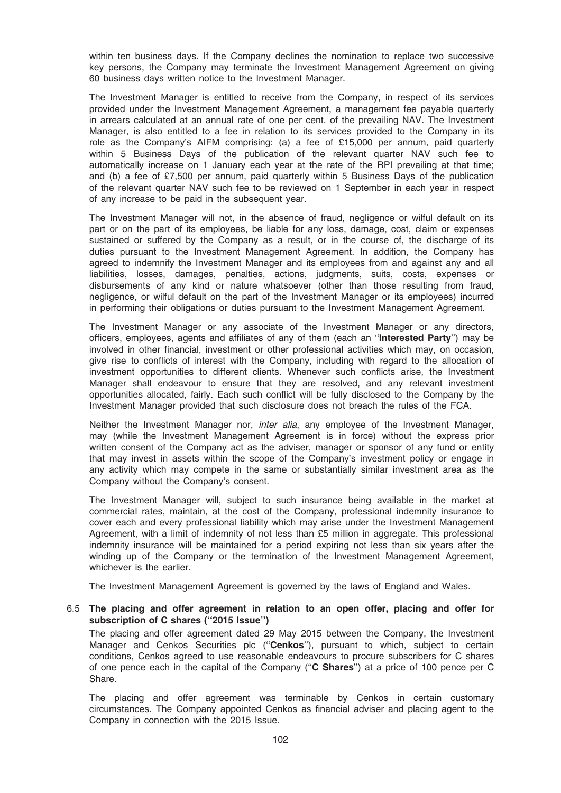within ten business days. If the Company declines the nomination to replace two successive key persons, the Company may terminate the Investment Management Agreement on giving 60 business days written notice to the Investment Manager.

The Investment Manager is entitled to receive from the Company, in respect of its services provided under the Investment Management Agreement, a management fee payable quarterly in arrears calculated at an annual rate of one per cent. of the prevailing NAV. The Investment Manager, is also entitled to a fee in relation to its services provided to the Company in its role as the Company's AIFM comprising: (a) a fee of £15,000 per annum, paid quarterly within 5 Business Days of the publication of the relevant quarter NAV such fee to automatically increase on 1 January each year at the rate of the RPI prevailing at that time; and (b) a fee of £7,500 per annum, paid quarterly within 5 Business Days of the publication of the relevant quarter NAV such fee to be reviewed on 1 September in each year in respect of any increase to be paid in the subsequent year.

The Investment Manager will not, in the absence of fraud, negligence or wilful default on its part or on the part of its employees, be liable for any loss, damage, cost, claim or expenses sustained or suffered by the Company as a result, or in the course of, the discharge of its duties pursuant to the Investment Management Agreement. In addition, the Company has agreed to indemnify the Investment Manager and its employees from and against any and all liabilities, losses, damages, penalties, actions, judgments, suits, costs, expenses or disbursements of any kind or nature whatsoever (other than those resulting from fraud, negligence, or wilful default on the part of the Investment Manager or its employees) incurred in performing their obligations or duties pursuant to the Investment Management Agreement.

The Investment Manager or any associate of the Investment Manager or any directors, officers, employees, agents and affiliates of any of them (each an ''Interested Party'') may be involved in other financial, investment or other professional activities which may, on occasion, give rise to conflicts of interest with the Company, including with regard to the allocation of investment opportunities to different clients. Whenever such conflicts arise, the Investment Manager shall endeavour to ensure that they are resolved, and any relevant investment opportunities allocated, fairly. Each such conflict will be fully disclosed to the Company by the Investment Manager provided that such disclosure does not breach the rules of the FCA.

Neither the Investment Manager nor, *inter alia*, any employee of the Investment Manager, may (while the Investment Management Agreement is in force) without the express prior written consent of the Company act as the adviser, manager or sponsor of any fund or entity that may invest in assets within the scope of the Company's investment policy or engage in any activity which may compete in the same or substantially similar investment area as the Company without the Company's consent.

The Investment Manager will, subject to such insurance being available in the market at commercial rates, maintain, at the cost of the Company, professional indemnity insurance to cover each and every professional liability which may arise under the Investment Management Agreement, with a limit of indemnity of not less than £5 million in aggregate. This professional indemnity insurance will be maintained for a period expiring not less than six years after the winding up of the Company or the termination of the Investment Management Agreement, whichever is the earlier.

The Investment Management Agreement is governed by the laws of England and Wales.

#### 6.5 The placing and offer agreement in relation to an open offer, placing and offer for subscription of C shares ("2015 Issue")

The placing and offer agreement dated 29 May 2015 between the Company, the Investment Manager and Cenkos Securities plc ("Cenkos"), pursuant to which, subject to certain conditions, Cenkos agreed to use reasonable endeavours to procure subscribers for C shares of one pence each in the capital of the Company (''C Shares'') at a price of 100 pence per C Share.

The placing and offer agreement was terminable by Cenkos in certain customary circumstances. The Company appointed Cenkos as financial adviser and placing agent to the Company in connection with the 2015 Issue.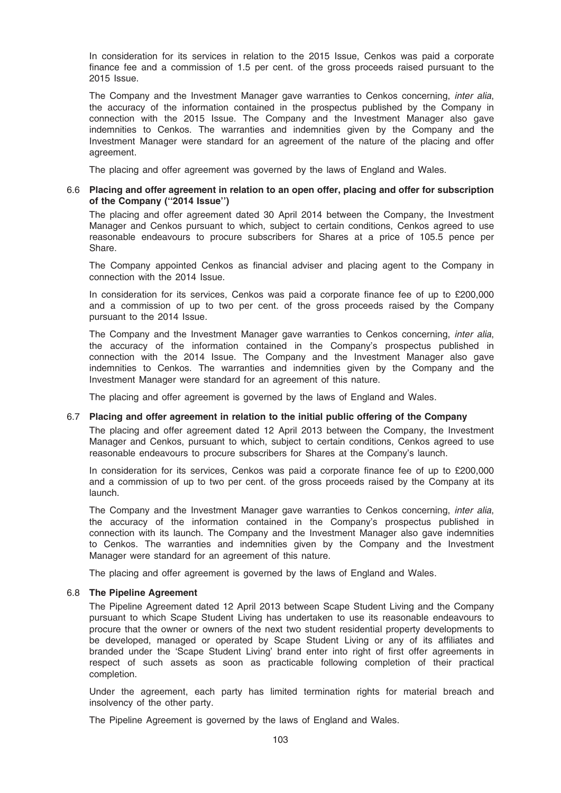In consideration for its services in relation to the 2015 Issue, Cenkos was paid a corporate finance fee and a commission of 1.5 per cent. of the gross proceeds raised pursuant to the 2015 Issue.

The Company and the Investment Manager gave warranties to Cenkos concerning, inter alia, the accuracy of the information contained in the prospectus published by the Company in connection with the 2015 Issue. The Company and the Investment Manager also gave indemnities to Cenkos. The warranties and indemnities given by the Company and the Investment Manager were standard for an agreement of the nature of the placing and offer agreement.

The placing and offer agreement was governed by the laws of England and Wales.

## 6.6 Placing and offer agreement in relation to an open offer, placing and offer for subscription of the Company (''2014 Issue'')

The placing and offer agreement dated 30 April 2014 between the Company, the Investment Manager and Cenkos pursuant to which, subject to certain conditions, Cenkos agreed to use reasonable endeavours to procure subscribers for Shares at a price of 105.5 pence per Share.

The Company appointed Cenkos as financial adviser and placing agent to the Company in connection with the 2014 Issue.

In consideration for its services, Cenkos was paid a corporate finance fee of up to £200,000 and a commission of up to two per cent. of the gross proceeds raised by the Company pursuant to the 2014 Issue.

The Company and the Investment Manager gave warranties to Cenkos concerning, *inter alia*, the accuracy of the information contained in the Company's prospectus published in connection with the 2014 Issue. The Company and the Investment Manager also gave indemnities to Cenkos. The warranties and indemnities given by the Company and the Investment Manager were standard for an agreement of this nature.

The placing and offer agreement is governed by the laws of England and Wales.

#### 6.7 Placing and offer agreement in relation to the initial public offering of the Company

The placing and offer agreement dated 12 April 2013 between the Company, the Investment Manager and Cenkos, pursuant to which, subject to certain conditions, Cenkos agreed to use reasonable endeavours to procure subscribers for Shares at the Company's launch.

In consideration for its services, Cenkos was paid a corporate finance fee of up to £200,000 and a commission of up to two per cent. of the gross proceeds raised by the Company at its launch.

The Company and the Investment Manager gave warranties to Cenkos concerning, inter alia, the accuracy of the information contained in the Company's prospectus published in connection with its launch. The Company and the Investment Manager also gave indemnities to Cenkos. The warranties and indemnities given by the Company and the Investment Manager were standard for an agreement of this nature.

The placing and offer agreement is governed by the laws of England and Wales.

## 6.8 The Pipeline Agreement

The Pipeline Agreement dated 12 April 2013 between Scape Student Living and the Company pursuant to which Scape Student Living has undertaken to use its reasonable endeavours to procure that the owner or owners of the next two student residential property developments to be developed, managed or operated by Scape Student Living or any of its affiliates and branded under the 'Scape Student Living' brand enter into right of first offer agreements in respect of such assets as soon as practicable following completion of their practical completion.

Under the agreement, each party has limited termination rights for material breach and insolvency of the other party.

The Pipeline Agreement is governed by the laws of England and Wales.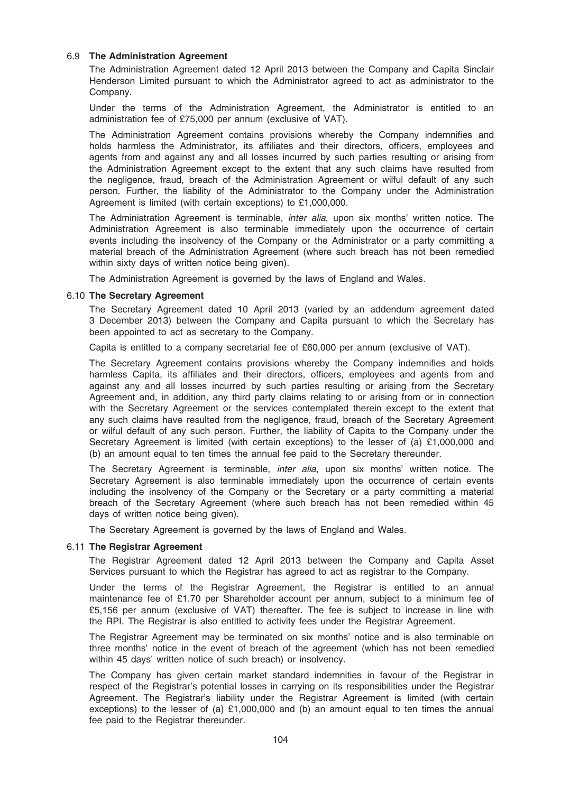## 6.9 The Administration Agreement

The Administration Agreement dated 12 April 2013 between the Company and Capita Sinclair Henderson Limited pursuant to which the Administrator agreed to act as administrator to the Company.

Under the terms of the Administration Agreement, the Administrator is entitled to an administration fee of £75,000 per annum (exclusive of VAT).

The Administration Agreement contains provisions whereby the Company indemnifies and holds harmless the Administrator, its affiliates and their directors, officers, employees and agents from and against any and all losses incurred by such parties resulting or arising from the Administration Agreement except to the extent that any such claims have resulted from the negligence, fraud, breach of the Administration Agreement or wilful default of any such person. Further, the liability of the Administrator to the Company under the Administration Agreement is limited (with certain exceptions) to £1,000,000.

The Administration Agreement is terminable, inter alia, upon six months' written notice. The Administration Agreement is also terminable immediately upon the occurrence of certain events including the insolvency of the Company or the Administrator or a party committing a material breach of the Administration Agreement (where such breach has not been remedied within sixty days of written notice being given).

The Administration Agreement is governed by the laws of England and Wales.

#### 6.10 The Secretary Agreement

The Secretary Agreement dated 10 April 2013 (varied by an addendum agreement dated 3 December 2013) between the Company and Capita pursuant to which the Secretary has been appointed to act as secretary to the Company.

Capita is entitled to a company secretarial fee of £60,000 per annum (exclusive of VAT).

The Secretary Agreement contains provisions whereby the Company indemnifies and holds harmless Capita, its affiliates and their directors, officers, employees and agents from and against any and all losses incurred by such parties resulting or arising from the Secretary Agreement and, in addition, any third party claims relating to or arising from or in connection with the Secretary Agreement or the services contemplated therein except to the extent that any such claims have resulted from the negligence, fraud, breach of the Secretary Agreement or wilful default of any such person. Further, the liability of Capita to the Company under the Secretary Agreement is limited (with certain exceptions) to the lesser of (a) £1,000,000 and (b) an amount equal to ten times the annual fee paid to the Secretary thereunder.

The Secretary Agreement is terminable, inter alia, upon six months' written notice. The Secretary Agreement is also terminable immediately upon the occurrence of certain events including the insolvency of the Company or the Secretary or a party committing a material breach of the Secretary Agreement (where such breach has not been remedied within 45 days of written notice being given).

The Secretary Agreement is governed by the laws of England and Wales.

#### 6.11 The Registrar Agreement

The Registrar Agreement dated 12 April 2013 between the Company and Capita Asset Services pursuant to which the Registrar has agreed to act as registrar to the Company.

Under the terms of the Registrar Agreement, the Registrar is entitled to an annual maintenance fee of £1.70 per Shareholder account per annum, subject to a minimum fee of £5,156 per annum (exclusive of VAT) thereafter. The fee is subject to increase in line with the RPI. The Registrar is also entitled to activity fees under the Registrar Agreement.

The Registrar Agreement may be terminated on six months' notice and is also terminable on three months' notice in the event of breach of the agreement (which has not been remedied within 45 days' written notice of such breach) or insolvency.

The Company has given certain market standard indemnities in favour of the Registrar in respect of the Registrar's potential losses in carrying on its responsibilities under the Registrar Agreement. The Registrar's liability under the Registrar Agreement is limited (with certain exceptions) to the lesser of (a)  $£1,000,000$  and (b) an amount equal to ten times the annual fee paid to the Registrar thereunder.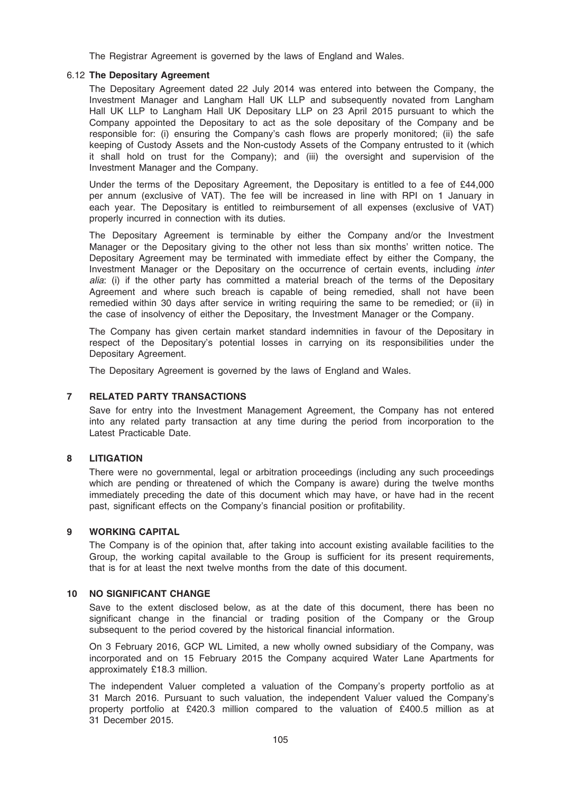The Registrar Agreement is governed by the laws of England and Wales.

## 6.12 The Depositary Agreement

The Depositary Agreement dated 22 July 2014 was entered into between the Company, the Investment Manager and Langham Hall UK LLP and subsequently novated from Langham Hall UK LLP to Langham Hall UK Depositary LLP on 23 April 2015 pursuant to which the Company appointed the Depositary to act as the sole depositary of the Company and be responsible for: (i) ensuring the Company's cash flows are properly monitored; (ii) the safe keeping of Custody Assets and the Non-custody Assets of the Company entrusted to it (which it shall hold on trust for the Company); and (iii) the oversight and supervision of the Investment Manager and the Company.

Under the terms of the Depositary Agreement, the Depositary is entitled to a fee of £44,000 per annum (exclusive of VAT). The fee will be increased in line with RPI on 1 January in each year. The Depositary is entitled to reimbursement of all expenses (exclusive of VAT) properly incurred in connection with its duties.

The Depositary Agreement is terminable by either the Company and/or the Investment Manager or the Depositary giving to the other not less than six months' written notice. The Depositary Agreement may be terminated with immediate effect by either the Company, the Investment Manager or the Depositary on the occurrence of certain events, including inter alia: (i) if the other party has committed a material breach of the terms of the Depositary Agreement and where such breach is capable of being remedied, shall not have been remedied within 30 days after service in writing requiring the same to be remedied; or (ii) in the case of insolvency of either the Depositary, the Investment Manager or the Company.

The Company has given certain market standard indemnities in favour of the Depositary in respect of the Depositary's potential losses in carrying on its responsibilities under the Depositary Agreement.

The Depositary Agreement is governed by the laws of England and Wales.

# 7 RELATED PARTY TRANSACTIONS

Save for entry into the Investment Management Agreement, the Company has not entered into any related party transaction at any time during the period from incorporation to the Latest Practicable Date.

#### 8 LITIGATION

There were no governmental, legal or arbitration proceedings (including any such proceedings which are pending or threatened of which the Company is aware) during the twelve months immediately preceding the date of this document which may have, or have had in the recent past, significant effects on the Company's financial position or profitability.

## 9 WORKING CAPITAL

The Company is of the opinion that, after taking into account existing available facilities to the Group, the working capital available to the Group is sufficient for its present requirements, that is for at least the next twelve months from the date of this document.

## 10 NO SIGNIFICANT CHANGE

Save to the extent disclosed below, as at the date of this document, there has been no significant change in the financial or trading position of the Company or the Group subsequent to the period covered by the historical financial information.

On 3 February 2016, GCP WL Limited, a new wholly owned subsidiary of the Company, was incorporated and on 15 February 2015 the Company acquired Water Lane Apartments for approximately £18.3 million.

The independent Valuer completed a valuation of the Company's property portfolio as at 31 March 2016. Pursuant to such valuation, the independent Valuer valued the Company's property portfolio at £420.3 million compared to the valuation of £400.5 million as at 31 December 2015.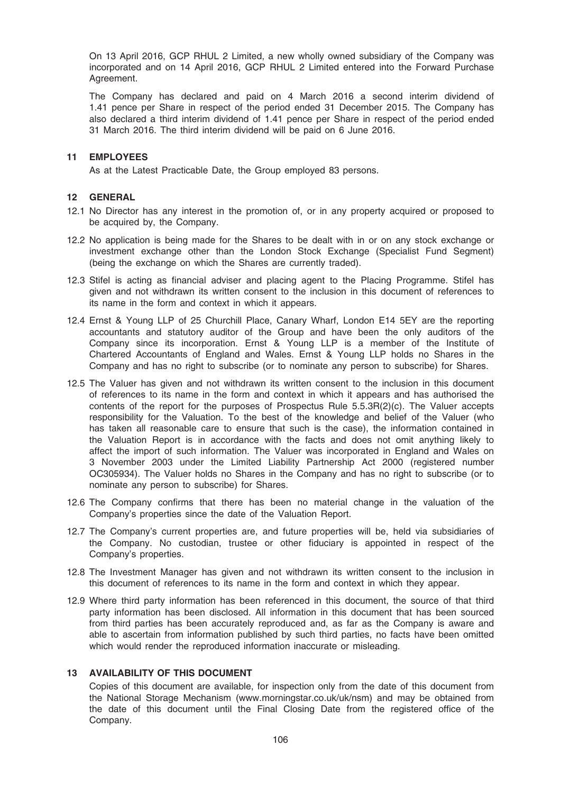On 13 April 2016, GCP RHUL 2 Limited, a new wholly owned subsidiary of the Company was incorporated and on 14 April 2016, GCP RHUL 2 Limited entered into the Forward Purchase Agreement.

The Company has declared and paid on 4 March 2016 a second interim dividend of 1.41 pence per Share in respect of the period ended 31 December 2015. The Company has also declared a third interim dividend of 1.41 pence per Share in respect of the period ended 31 March 2016. The third interim dividend will be paid on 6 June 2016.

## 11 EMPLOYEES

As at the Latest Practicable Date, the Group employed 83 persons.

## 12 GENERAL

- 12.1 No Director has any interest in the promotion of, or in any property acquired or proposed to be acquired by, the Company.
- 12.2 No application is being made for the Shares to be dealt with in or on any stock exchange or investment exchange other than the London Stock Exchange (Specialist Fund Segment) (being the exchange on which the Shares are currently traded).
- 12.3 Stifel is acting as financial adviser and placing agent to the Placing Programme. Stifel has given and not withdrawn its written consent to the inclusion in this document of references to its name in the form and context in which it appears.
- 12.4 Ernst & Young LLP of 25 Churchill Place, Canary Wharf, London E14 5EY are the reporting accountants and statutory auditor of the Group and have been the only auditors of the Company since its incorporation. Ernst & Young LLP is a member of the Institute of Chartered Accountants of England and Wales. Ernst & Young LLP holds no Shares in the Company and has no right to subscribe (or to nominate any person to subscribe) for Shares.
- 12.5 The Valuer has given and not withdrawn its written consent to the inclusion in this document of references to its name in the form and context in which it appears and has authorised the contents of the report for the purposes of Prospectus Rule 5.5.3R(2)(c). The Valuer accepts responsibility for the Valuation. To the best of the knowledge and belief of the Valuer (who has taken all reasonable care to ensure that such is the case), the information contained in the Valuation Report is in accordance with the facts and does not omit anything likely to affect the import of such information. The Valuer was incorporated in England and Wales on 3 November 2003 under the Limited Liability Partnership Act 2000 (registered number OC305934). The Valuer holds no Shares in the Company and has no right to subscribe (or to nominate any person to subscribe) for Shares.
- 12.6 The Company confirms that there has been no material change in the valuation of the Company's properties since the date of the Valuation Report.
- 12.7 The Company's current properties are, and future properties will be, held via subsidiaries of the Company. No custodian, trustee or other fiduciary is appointed in respect of the Company's properties.
- 12.8 The Investment Manager has given and not withdrawn its written consent to the inclusion in this document of references to its name in the form and context in which they appear.
- 12.9 Where third party information has been referenced in this document, the source of that third party information has been disclosed. All information in this document that has been sourced from third parties has been accurately reproduced and, as far as the Company is aware and able to ascertain from information published by such third parties, no facts have been omitted which would render the reproduced information inaccurate or misleading.

#### 13 AVAILABILITY OF THIS DOCUMENT

Copies of this document are available, for inspection only from the date of this document from the National Storage Mechanism (www.morningstar.co.uk/uk/nsm) and may be obtained from the date of this document until the Final Closing Date from the registered office of the Company.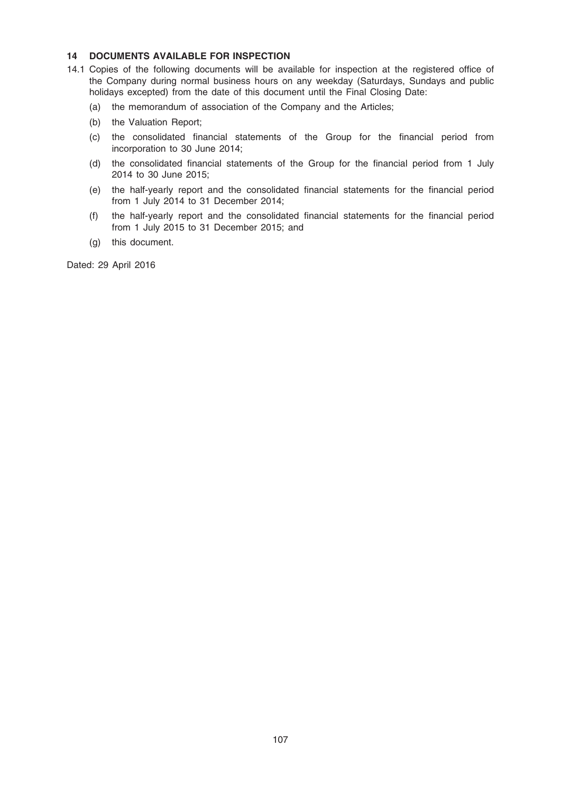## 14 DOCUMENTS AVAILABLE FOR INSPECTION

- 14.1 Copies of the following documents will be available for inspection at the registered office of the Company during normal business hours on any weekday (Saturdays, Sundays and public holidays excepted) from the date of this document until the Final Closing Date:
	- (a) the memorandum of association of the Company and the Articles;
	- (b) the Valuation Report;
	- (c) the consolidated financial statements of the Group for the financial period from incorporation to 30 June 2014;
	- (d) the consolidated financial statements of the Group for the financial period from 1 July 2014 to 30 June 2015;
	- (e) the half-yearly report and the consolidated financial statements for the financial period from 1 July 2014 to 31 December 2014;
	- (f) the half-yearly report and the consolidated financial statements for the financial period from 1 July 2015 to 31 December 2015; and
	- (g) this document.

Dated: 29 April 2016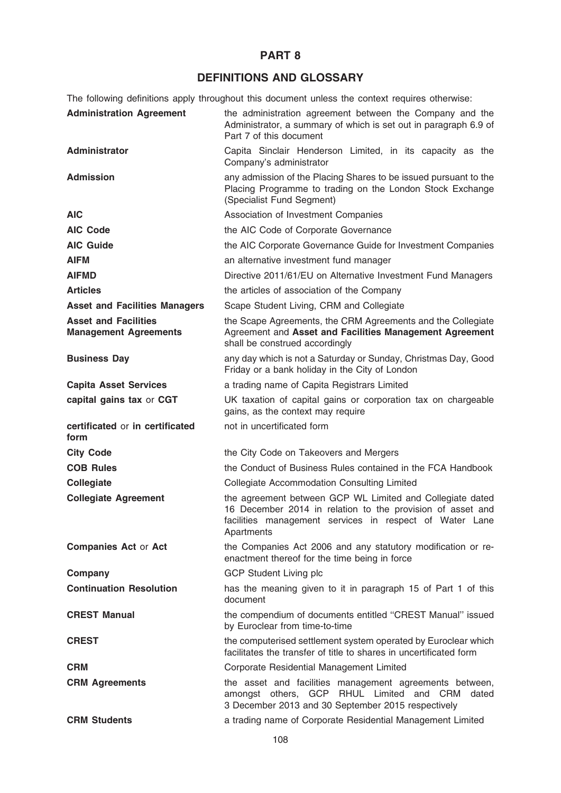# PART 8

# DEFINITIONS AND GLOSSARY

The following definitions apply throughout this document unless the context requires otherwise:

| <b>Administration Agreement</b>                             | the administration agreement between the Company and the<br>Administrator, a summary of which is set out in paragraph 6.9 of<br>Part 7 of this document                                          |
|-------------------------------------------------------------|--------------------------------------------------------------------------------------------------------------------------------------------------------------------------------------------------|
| <b>Administrator</b>                                        | Capita Sinclair Henderson Limited, in its capacity as the<br>Company's administrator                                                                                                             |
| <b>Admission</b>                                            | any admission of the Placing Shares to be issued pursuant to the<br>Placing Programme to trading on the London Stock Exchange<br>(Specialist Fund Segment)                                       |
| <b>AIC</b>                                                  | Association of Investment Companies                                                                                                                                                              |
| <b>AIC Code</b>                                             | the AIC Code of Corporate Governance                                                                                                                                                             |
| <b>AIC Guide</b>                                            | the AIC Corporate Governance Guide for Investment Companies                                                                                                                                      |
| <b>AIFM</b>                                                 | an alternative investment fund manager                                                                                                                                                           |
| <b>AIFMD</b>                                                | Directive 2011/61/EU on Alternative Investment Fund Managers                                                                                                                                     |
| <b>Articles</b>                                             | the articles of association of the Company                                                                                                                                                       |
| <b>Asset and Facilities Managers</b>                        | Scape Student Living, CRM and Collegiate                                                                                                                                                         |
| <b>Asset and Facilities</b><br><b>Management Agreements</b> | the Scape Agreements, the CRM Agreements and the Collegiate<br>Agreement and Asset and Facilities Management Agreement<br>shall be construed accordingly                                         |
| <b>Business Day</b>                                         | any day which is not a Saturday or Sunday, Christmas Day, Good<br>Friday or a bank holiday in the City of London                                                                                 |
| <b>Capita Asset Services</b>                                | a trading name of Capita Registrars Limited                                                                                                                                                      |
| capital gains tax or CGT                                    | UK taxation of capital gains or corporation tax on chargeable<br>gains, as the context may require                                                                                               |
|                                                             |                                                                                                                                                                                                  |
| certificated or in certificated<br>form                     | not in uncertificated form                                                                                                                                                                       |
| <b>City Code</b>                                            | the City Code on Takeovers and Mergers                                                                                                                                                           |
| <b>COB Rules</b>                                            | the Conduct of Business Rules contained in the FCA Handbook                                                                                                                                      |
| Collegiate                                                  | <b>Collegiate Accommodation Consulting Limited</b>                                                                                                                                               |
| <b>Collegiate Agreement</b>                                 | the agreement between GCP WL Limited and Collegiate dated<br>16 December 2014 in relation to the provision of asset and<br>facilities management services in respect of Water Lane<br>Apartments |
| <b>Companies Act or Act</b>                                 | the Companies Act 2006 and any statutory modification or re-<br>enactment thereof for the time being in force                                                                                    |
| Company                                                     | <b>GCP Student Living plc</b>                                                                                                                                                                    |
| <b>Continuation Resolution</b>                              | has the meaning given to it in paragraph 15 of Part 1 of this<br>document                                                                                                                        |
| <b>CREST Manual</b>                                         | the compendium of documents entitled "CREST Manual" issued<br>by Euroclear from time-to-time                                                                                                     |
| <b>CREST</b>                                                | the computerised settlement system operated by Euroclear which<br>facilitates the transfer of title to shares in uncertificated form                                                             |
| <b>CRM</b>                                                  | Corporate Residential Management Limited                                                                                                                                                         |
| <b>CRM Agreements</b>                                       | the asset and facilities management agreements between,<br>amongst others, GCP RHUL Limited and CRM<br>dated<br>3 December 2013 and 30 September 2015 respectively                               |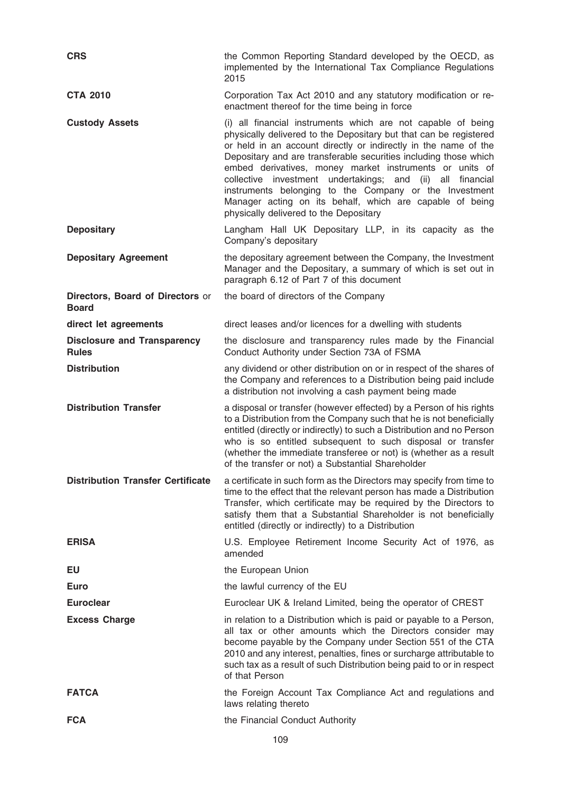| <b>CRS</b>                                         | the Common Reporting Standard developed by the OECD, as<br>implemented by the International Tax Compliance Regulations<br>2015                                                                                                                                                                                                                                                                                                                                                                                                                                          |
|----------------------------------------------------|-------------------------------------------------------------------------------------------------------------------------------------------------------------------------------------------------------------------------------------------------------------------------------------------------------------------------------------------------------------------------------------------------------------------------------------------------------------------------------------------------------------------------------------------------------------------------|
| <b>CTA 2010</b>                                    | Corporation Tax Act 2010 and any statutory modification or re-<br>enactment thereof for the time being in force                                                                                                                                                                                                                                                                                                                                                                                                                                                         |
| <b>Custody Assets</b>                              | (i) all financial instruments which are not capable of being<br>physically delivered to the Depositary but that can be registered<br>or held in an account directly or indirectly in the name of the<br>Depositary and are transferable securities including those which<br>embed derivatives, money market instruments or units of<br>collective investment undertakings; and<br>(ii)<br>all financial<br>instruments belonging to the Company or the Investment<br>Manager acting on its behalf, which are capable of being<br>physically delivered to the Depositary |
| <b>Depositary</b>                                  | Langham Hall UK Depositary LLP, in its capacity as the<br>Company's depositary                                                                                                                                                                                                                                                                                                                                                                                                                                                                                          |
| <b>Depositary Agreement</b>                        | the depositary agreement between the Company, the Investment<br>Manager and the Depositary, a summary of which is set out in<br>paragraph 6.12 of Part 7 of this document                                                                                                                                                                                                                                                                                                                                                                                               |
| Directors, Board of Directors or<br><b>Board</b>   | the board of directors of the Company                                                                                                                                                                                                                                                                                                                                                                                                                                                                                                                                   |
| direct let agreements                              | direct leases and/or licences for a dwelling with students                                                                                                                                                                                                                                                                                                                                                                                                                                                                                                              |
| <b>Disclosure and Transparency</b><br><b>Rules</b> | the disclosure and transparency rules made by the Financial<br>Conduct Authority under Section 73A of FSMA                                                                                                                                                                                                                                                                                                                                                                                                                                                              |
| <b>Distribution</b>                                | any dividend or other distribution on or in respect of the shares of<br>the Company and references to a Distribution being paid include<br>a distribution not involving a cash payment being made                                                                                                                                                                                                                                                                                                                                                                       |
| <b>Distribution Transfer</b>                       | a disposal or transfer (however effected) by a Person of his rights<br>to a Distribution from the Company such that he is not beneficially<br>entitled (directly or indirectly) to such a Distribution and no Person<br>who is so entitled subsequent to such disposal or transfer<br>(whether the immediate transferee or not) is (whether as a result<br>of the transfer or not) a Substantial Shareholder                                                                                                                                                            |
| <b>Distribution Transfer Certificate</b>           | a certificate in such form as the Directors may specify from time to<br>time to the effect that the relevant person has made a Distribution<br>Transfer, which certificate may be required by the Directors to<br>satisfy them that a Substantial Shareholder is not beneficially<br>entitled (directly or indirectly) to a Distribution                                                                                                                                                                                                                                |
| <b>ERISA</b>                                       | U.S. Employee Retirement Income Security Act of 1976, as<br>amended                                                                                                                                                                                                                                                                                                                                                                                                                                                                                                     |
| EU                                                 | the European Union                                                                                                                                                                                                                                                                                                                                                                                                                                                                                                                                                      |
| Euro                                               | the lawful currency of the EU                                                                                                                                                                                                                                                                                                                                                                                                                                                                                                                                           |
| <b>Euroclear</b>                                   | Euroclear UK & Ireland Limited, being the operator of CREST                                                                                                                                                                                                                                                                                                                                                                                                                                                                                                             |
| <b>Excess Charge</b>                               | in relation to a Distribution which is paid or payable to a Person,<br>all tax or other amounts which the Directors consider may<br>become payable by the Company under Section 551 of the CTA<br>2010 and any interest, penalties, fines or surcharge attributable to<br>such tax as a result of such Distribution being paid to or in respect<br>of that Person                                                                                                                                                                                                       |
| <b>FATCA</b>                                       | the Foreign Account Tax Compliance Act and regulations and<br>laws relating thereto                                                                                                                                                                                                                                                                                                                                                                                                                                                                                     |
| <b>FCA</b>                                         | the Financial Conduct Authority                                                                                                                                                                                                                                                                                                                                                                                                                                                                                                                                         |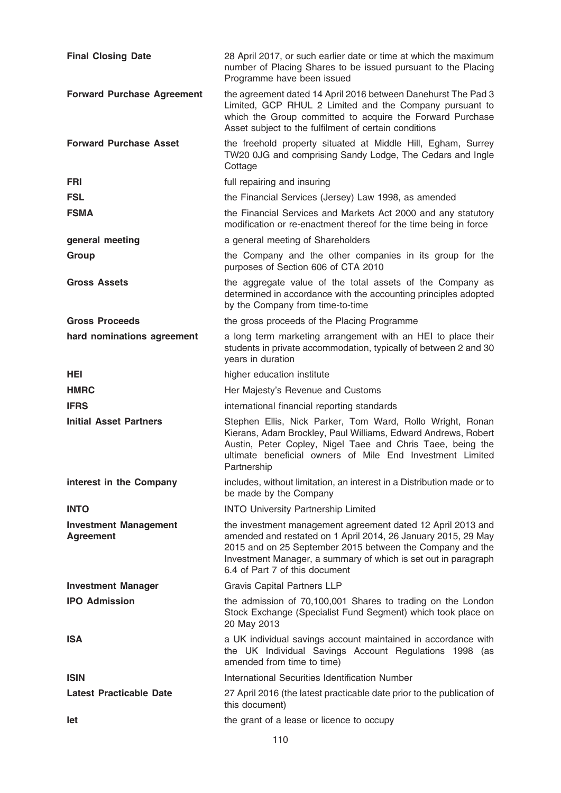| <b>Final Closing Date</b>                        | 28 April 2017, or such earlier date or time at which the maximum<br>number of Placing Shares to be issued pursuant to the Placing<br>Programme have been issued                                                                                                                               |
|--------------------------------------------------|-----------------------------------------------------------------------------------------------------------------------------------------------------------------------------------------------------------------------------------------------------------------------------------------------|
| <b>Forward Purchase Agreement</b>                | the agreement dated 14 April 2016 between Danehurst The Pad 3<br>Limited, GCP RHUL 2 Limited and the Company pursuant to<br>which the Group committed to acquire the Forward Purchase<br>Asset subject to the fulfilment of certain conditions                                                |
| <b>Forward Purchase Asset</b>                    | the freehold property situated at Middle Hill, Egham, Surrey<br>TW20 0JG and comprising Sandy Lodge, The Cedars and Ingle<br>Cottage                                                                                                                                                          |
| <b>FRI</b>                                       | full repairing and insuring                                                                                                                                                                                                                                                                   |
| <b>FSL</b>                                       | the Financial Services (Jersey) Law 1998, as amended                                                                                                                                                                                                                                          |
| <b>FSMA</b>                                      | the Financial Services and Markets Act 2000 and any statutory<br>modification or re-enactment thereof for the time being in force                                                                                                                                                             |
| general meeting                                  | a general meeting of Shareholders                                                                                                                                                                                                                                                             |
| Group                                            | the Company and the other companies in its group for the<br>purposes of Section 606 of CTA 2010                                                                                                                                                                                               |
| <b>Gross Assets</b>                              | the aggregate value of the total assets of the Company as<br>determined in accordance with the accounting principles adopted<br>by the Company from time-to-time                                                                                                                              |
| <b>Gross Proceeds</b>                            | the gross proceeds of the Placing Programme                                                                                                                                                                                                                                                   |
| hard nominations agreement                       | a long term marketing arrangement with an HEI to place their<br>students in private accommodation, typically of between 2 and 30<br>years in duration                                                                                                                                         |
| HEI.                                             | higher education institute                                                                                                                                                                                                                                                                    |
| <b>HMRC</b>                                      | Her Majesty's Revenue and Customs                                                                                                                                                                                                                                                             |
| <b>IFRS</b>                                      | international financial reporting standards                                                                                                                                                                                                                                                   |
| <b>Initial Asset Partners</b>                    | Stephen Ellis, Nick Parker, Tom Ward, Rollo Wright, Ronan<br>Kierans, Adam Brockley, Paul Williams, Edward Andrews, Robert<br>Austin, Peter Copley, Nigel Taee and Chris Taee, being the<br>ultimate beneficial owners of Mile End Investment Limited<br>Partnership                          |
| interest in the Company                          | includes, without limitation, an interest in a Distribution made or to<br>be made by the Company                                                                                                                                                                                              |
| <b>INTO</b>                                      | <b>INTO University Partnership Limited</b>                                                                                                                                                                                                                                                    |
| <b>Investment Management</b><br><b>Agreement</b> | the investment management agreement dated 12 April 2013 and<br>amended and restated on 1 April 2014, 26 January 2015, 29 May<br>2015 and on 25 September 2015 between the Company and the<br>Investment Manager, a summary of which is set out in paragraph<br>6.4 of Part 7 of this document |
| <b>Investment Manager</b>                        | <b>Gravis Capital Partners LLP</b>                                                                                                                                                                                                                                                            |
| <b>IPO Admission</b>                             | the admission of 70,100,001 Shares to trading on the London<br>Stock Exchange (Specialist Fund Segment) which took place on<br>20 May 2013                                                                                                                                                    |
| <b>ISA</b>                                       | a UK individual savings account maintained in accordance with<br>the UK Individual Savings Account Regulations 1998 (as<br>amended from time to time)                                                                                                                                         |
| <b>ISIN</b>                                      | International Securities Identification Number                                                                                                                                                                                                                                                |
| <b>Latest Practicable Date</b>                   | 27 April 2016 (the latest practicable date prior to the publication of<br>this document)                                                                                                                                                                                                      |
| let                                              | the grant of a lease or licence to occupy                                                                                                                                                                                                                                                     |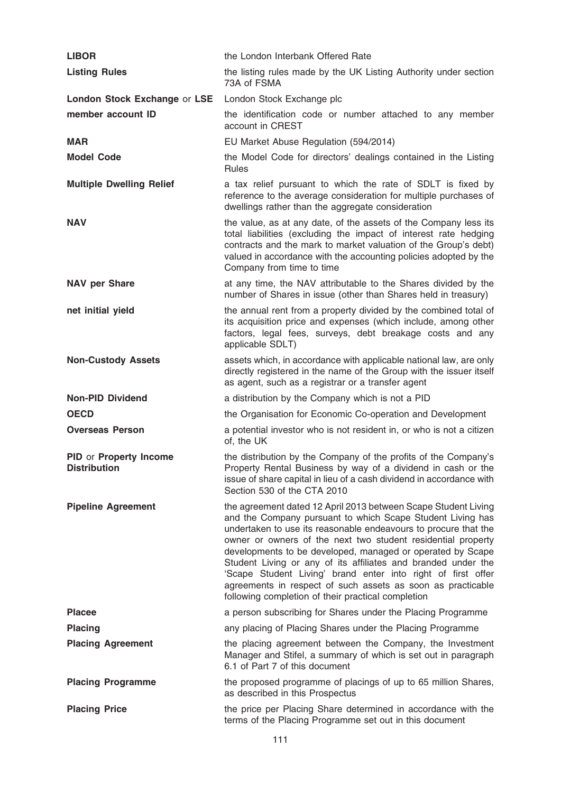| <b>LIBOR</b>                                  | the London Interbank Offered Rate                                                                                                                                                                                                                                                                                                                                                                                                                                                                                                                                                   |
|-----------------------------------------------|-------------------------------------------------------------------------------------------------------------------------------------------------------------------------------------------------------------------------------------------------------------------------------------------------------------------------------------------------------------------------------------------------------------------------------------------------------------------------------------------------------------------------------------------------------------------------------------|
| <b>Listing Rules</b>                          | the listing rules made by the UK Listing Authority under section<br>73A of FSMA                                                                                                                                                                                                                                                                                                                                                                                                                                                                                                     |
| London Stock Exchange or LSE                  | London Stock Exchange plc                                                                                                                                                                                                                                                                                                                                                                                                                                                                                                                                                           |
| member account ID                             | the identification code or number attached to any member<br>account in CREST                                                                                                                                                                                                                                                                                                                                                                                                                                                                                                        |
| <b>MAR</b>                                    | EU Market Abuse Regulation (594/2014)                                                                                                                                                                                                                                                                                                                                                                                                                                                                                                                                               |
| <b>Model Code</b>                             | the Model Code for directors' dealings contained in the Listing<br><b>Rules</b>                                                                                                                                                                                                                                                                                                                                                                                                                                                                                                     |
| <b>Multiple Dwelling Relief</b>               | a tax relief pursuant to which the rate of SDLT is fixed by<br>reference to the average consideration for multiple purchases of<br>dwellings rather than the aggregate consideration                                                                                                                                                                                                                                                                                                                                                                                                |
| <b>NAV</b>                                    | the value, as at any date, of the assets of the Company less its<br>total liabilities (excluding the impact of interest rate hedging<br>contracts and the mark to market valuation of the Group's debt)<br>valued in accordance with the accounting policies adopted by the<br>Company from time to time                                                                                                                                                                                                                                                                            |
| <b>NAV per Share</b>                          | at any time, the NAV attributable to the Shares divided by the<br>number of Shares in issue (other than Shares held in treasury)                                                                                                                                                                                                                                                                                                                                                                                                                                                    |
| net initial yield                             | the annual rent from a property divided by the combined total of<br>its acquisition price and expenses (which include, among other<br>factors, legal fees, surveys, debt breakage costs and any<br>applicable SDLT)                                                                                                                                                                                                                                                                                                                                                                 |
| <b>Non-Custody Assets</b>                     | assets which, in accordance with applicable national law, are only<br>directly registered in the name of the Group with the issuer itself<br>as agent, such as a registrar or a transfer agent                                                                                                                                                                                                                                                                                                                                                                                      |
| <b>Non-PID Dividend</b>                       | a distribution by the Company which is not a PID                                                                                                                                                                                                                                                                                                                                                                                                                                                                                                                                    |
| <b>OECD</b>                                   | the Organisation for Economic Co-operation and Development                                                                                                                                                                                                                                                                                                                                                                                                                                                                                                                          |
| <b>Overseas Person</b>                        | a potential investor who is not resident in, or who is not a citizen<br>of, the UK                                                                                                                                                                                                                                                                                                                                                                                                                                                                                                  |
| PID or Property Income<br><b>Distribution</b> | the distribution by the Company of the profits of the Company's<br>Property Rental Business by way of a dividend in cash or the<br>issue of share capital in lieu of a cash dividend in accordance with<br>Section 530 of the CTA 2010                                                                                                                                                                                                                                                                                                                                              |
| <b>Pipeline Agreement</b>                     | the agreement dated 12 April 2013 between Scape Student Living<br>and the Company pursuant to which Scape Student Living has<br>undertaken to use its reasonable endeavours to procure that the<br>owner or owners of the next two student residential property<br>developments to be developed, managed or operated by Scape<br>Student Living or any of its affiliates and branded under the<br>'Scape Student Living' brand enter into right of first offer<br>agreements in respect of such assets as soon as practicable<br>following completion of their practical completion |
| <b>Placee</b>                                 | a person subscribing for Shares under the Placing Programme                                                                                                                                                                                                                                                                                                                                                                                                                                                                                                                         |
| <b>Placing</b>                                | any placing of Placing Shares under the Placing Programme                                                                                                                                                                                                                                                                                                                                                                                                                                                                                                                           |
| <b>Placing Agreement</b>                      | the placing agreement between the Company, the Investment<br>Manager and Stifel, a summary of which is set out in paragraph<br>6.1 of Part 7 of this document                                                                                                                                                                                                                                                                                                                                                                                                                       |
| <b>Placing Programme</b>                      | the proposed programme of placings of up to 65 million Shares,<br>as described in this Prospectus                                                                                                                                                                                                                                                                                                                                                                                                                                                                                   |
| <b>Placing Price</b>                          | the price per Placing Share determined in accordance with the<br>terms of the Placing Programme set out in this document                                                                                                                                                                                                                                                                                                                                                                                                                                                            |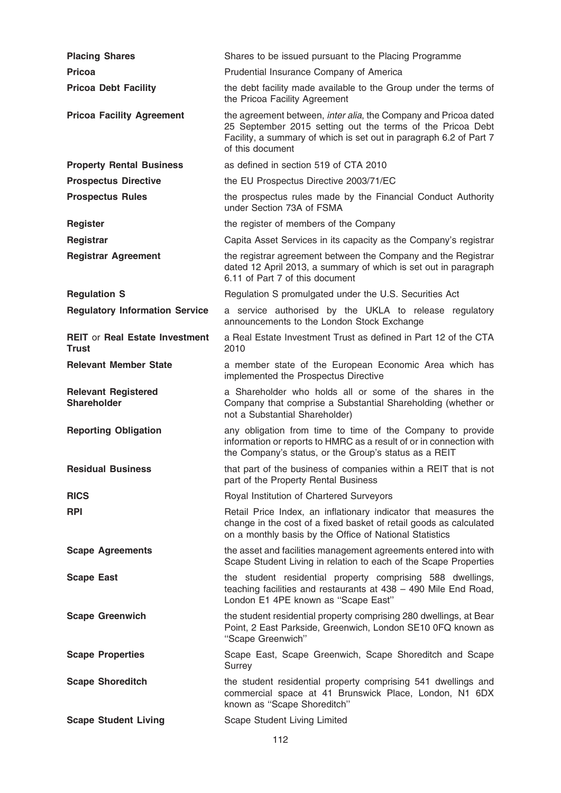| <b>Placing Shares</b>                            | Shares to be issued pursuant to the Placing Programme                                                                                                                                                                   |
|--------------------------------------------------|-------------------------------------------------------------------------------------------------------------------------------------------------------------------------------------------------------------------------|
| <b>Pricoa</b>                                    | Prudential Insurance Company of America                                                                                                                                                                                 |
| <b>Pricoa Debt Facility</b>                      | the debt facility made available to the Group under the terms of<br>the Pricoa Facility Agreement                                                                                                                       |
| <b>Pricoa Facility Agreement</b>                 | the agreement between, inter alia, the Company and Pricoa dated<br>25 September 2015 setting out the terms of the Pricoa Debt<br>Facility, a summary of which is set out in paragraph 6.2 of Part 7<br>of this document |
| <b>Property Rental Business</b>                  | as defined in section 519 of CTA 2010                                                                                                                                                                                   |
| <b>Prospectus Directive</b>                      | the EU Prospectus Directive 2003/71/EC                                                                                                                                                                                  |
| <b>Prospectus Rules</b>                          | the prospectus rules made by the Financial Conduct Authority<br>under Section 73A of FSMA                                                                                                                               |
| <b>Register</b>                                  | the register of members of the Company                                                                                                                                                                                  |
| Registrar                                        | Capita Asset Services in its capacity as the Company's registrar                                                                                                                                                        |
| <b>Registrar Agreement</b>                       | the registrar agreement between the Company and the Registrar<br>dated 12 April 2013, a summary of which is set out in paragraph<br>6.11 of Part 7 of this document                                                     |
| <b>Regulation S</b>                              | Regulation S promulgated under the U.S. Securities Act                                                                                                                                                                  |
| <b>Regulatory Information Service</b>            | a service authorised by the UKLA to release regulatory<br>announcements to the London Stock Exchange                                                                                                                    |
| <b>REIT or Real Estate Investment</b><br>Trust   | a Real Estate Investment Trust as defined in Part 12 of the CTA<br>2010                                                                                                                                                 |
| <b>Relevant Member State</b>                     | a member state of the European Economic Area which has<br>implemented the Prospectus Directive                                                                                                                          |
| <b>Relevant Registered</b><br><b>Shareholder</b> | a Shareholder who holds all or some of the shares in the<br>Company that comprise a Substantial Shareholding (whether or<br>not a Substantial Shareholder)                                                              |
| <b>Reporting Obligation</b>                      | any obligation from time to time of the Company to provide<br>information or reports to HMRC as a result of or in connection with<br>the Company's status, or the Group's status as a REIT                              |
| <b>Residual Business</b>                         | that part of the business of companies within a REIT that is not<br>part of the Property Rental Business                                                                                                                |
| <b>RICS</b>                                      | Royal Institution of Chartered Surveyors                                                                                                                                                                                |
| <b>RPI</b>                                       | Retail Price Index, an inflationary indicator that measures the<br>change in the cost of a fixed basket of retail goods as calculated<br>on a monthly basis by the Office of National Statistics                        |
| <b>Scape Agreements</b>                          | the asset and facilities management agreements entered into with<br>Scape Student Living in relation to each of the Scape Properties                                                                                    |
| <b>Scape East</b>                                | the student residential property comprising 588 dwellings,<br>teaching facilities and restaurants at 438 - 490 Mile End Road,<br>London E1 4PE known as "Scape East"                                                    |
| <b>Scape Greenwich</b>                           | the student residential property comprising 280 dwellings, at Bear<br>Point, 2 East Parkside, Greenwich, London SE10 0FQ known as<br>"Scape Greenwich"                                                                  |
| <b>Scape Properties</b>                          | Scape East, Scape Greenwich, Scape Shoreditch and Scape<br>Surrey                                                                                                                                                       |
| <b>Scape Shoreditch</b>                          | the student residential property comprising 541 dwellings and<br>commercial space at 41 Brunswick Place, London, N1 6DX<br>known as "Scape Shoreditch"                                                                  |
| <b>Scape Student Living</b>                      | Scape Student Living Limited                                                                                                                                                                                            |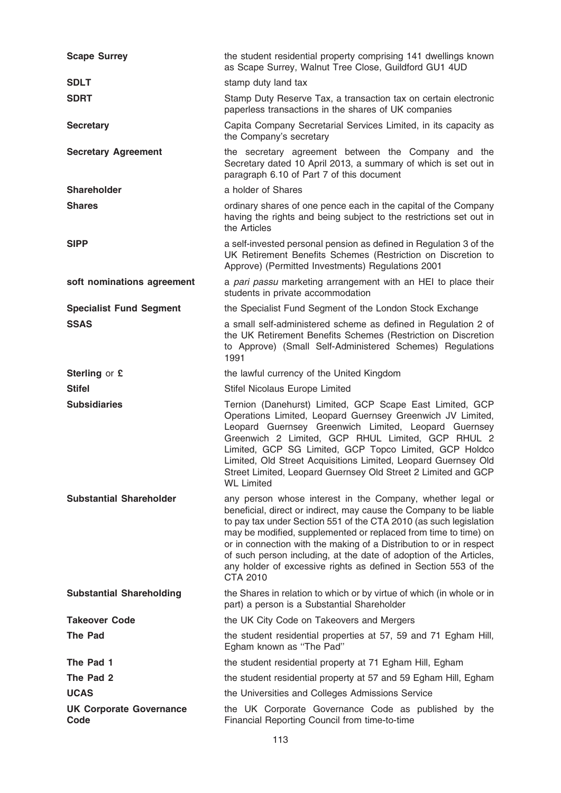| <b>Scape Surrey</b>                    | the student residential property comprising 141 dwellings known<br>as Scape Surrey, Walnut Tree Close, Guildford GU1 4UD                                                                                                                                                                                                                                                                                                                                                                                    |
|----------------------------------------|-------------------------------------------------------------------------------------------------------------------------------------------------------------------------------------------------------------------------------------------------------------------------------------------------------------------------------------------------------------------------------------------------------------------------------------------------------------------------------------------------------------|
| <b>SDLT</b>                            | stamp duty land tax                                                                                                                                                                                                                                                                                                                                                                                                                                                                                         |
| <b>SDRT</b>                            | Stamp Duty Reserve Tax, a transaction tax on certain electronic<br>paperless transactions in the shares of UK companies                                                                                                                                                                                                                                                                                                                                                                                     |
| <b>Secretary</b>                       | Capita Company Secretarial Services Limited, in its capacity as<br>the Company's secretary                                                                                                                                                                                                                                                                                                                                                                                                                  |
| <b>Secretary Agreement</b>             | the secretary agreement between the Company and the<br>Secretary dated 10 April 2013, a summary of which is set out in<br>paragraph 6.10 of Part 7 of this document                                                                                                                                                                                                                                                                                                                                         |
| <b>Shareholder</b>                     | a holder of Shares                                                                                                                                                                                                                                                                                                                                                                                                                                                                                          |
| <b>Shares</b>                          | ordinary shares of one pence each in the capital of the Company<br>having the rights and being subject to the restrictions set out in<br>the Articles                                                                                                                                                                                                                                                                                                                                                       |
| <b>SIPP</b>                            | a self-invested personal pension as defined in Regulation 3 of the<br>UK Retirement Benefits Schemes (Restriction on Discretion to<br>Approve) (Permitted Investments) Regulations 2001                                                                                                                                                                                                                                                                                                                     |
| soft nominations agreement             | a pari passu marketing arrangement with an HEI to place their<br>students in private accommodation                                                                                                                                                                                                                                                                                                                                                                                                          |
| <b>Specialist Fund Segment</b>         | the Specialist Fund Segment of the London Stock Exchange                                                                                                                                                                                                                                                                                                                                                                                                                                                    |
| <b>SSAS</b>                            | a small self-administered scheme as defined in Regulation 2 of<br>the UK Retirement Benefits Schemes (Restriction on Discretion<br>to Approve) (Small Self-Administered Schemes) Regulations<br>1991                                                                                                                                                                                                                                                                                                        |
| Sterling or £                          | the lawful currency of the United Kingdom                                                                                                                                                                                                                                                                                                                                                                                                                                                                   |
| <b>Stifel</b>                          | Stifel Nicolaus Europe Limited                                                                                                                                                                                                                                                                                                                                                                                                                                                                              |
| <b>Subsidiaries</b>                    | Ternion (Danehurst) Limited, GCP Scape East Limited, GCP<br>Operations Limited, Leopard Guernsey Greenwich JV Limited,<br>Leopard Guernsey Greenwich Limited, Leopard Guernsey<br>Greenwich 2 Limited, GCP RHUL Limited, GCP RHUL 2<br>Limited, GCP SG Limited, GCP Topco Limited, GCP Holdco<br>Limited, Old Street Acquisitions Limited, Leopard Guernsey Old<br>Street Limited, Leopard Guernsey Old Street 2 Limited and GCP<br><b>WL Limited</b>                                                       |
| <b>Substantial Shareholder</b>         | any person whose interest in the Company, whether legal or<br>beneficial, direct or indirect, may cause the Company to be liable<br>to pay tax under Section 551 of the CTA 2010 (as such legislation<br>may be modified, supplemented or replaced from time to time) on<br>or in connection with the making of a Distribution to or in respect<br>of such person including, at the date of adoption of the Articles,<br>any holder of excessive rights as defined in Section 553 of the<br><b>CTA 2010</b> |
| <b>Substantial Shareholding</b>        | the Shares in relation to which or by virtue of which (in whole or in<br>part) a person is a Substantial Shareholder                                                                                                                                                                                                                                                                                                                                                                                        |
| <b>Takeover Code</b>                   | the UK City Code on Takeovers and Mergers                                                                                                                                                                                                                                                                                                                                                                                                                                                                   |
| <b>The Pad</b>                         | the student residential properties at 57, 59 and 71 Egham Hill,<br>Egham known as "The Pad"                                                                                                                                                                                                                                                                                                                                                                                                                 |
| The Pad 1                              | the student residential property at 71 Egham Hill, Egham                                                                                                                                                                                                                                                                                                                                                                                                                                                    |
| The Pad 2                              | the student residential property at 57 and 59 Egham Hill, Egham                                                                                                                                                                                                                                                                                                                                                                                                                                             |
| <b>UCAS</b>                            | the Universities and Colleges Admissions Service                                                                                                                                                                                                                                                                                                                                                                                                                                                            |
| <b>UK Corporate Governance</b><br>Code | the UK Corporate Governance Code as published by the<br>Financial Reporting Council from time-to-time                                                                                                                                                                                                                                                                                                                                                                                                       |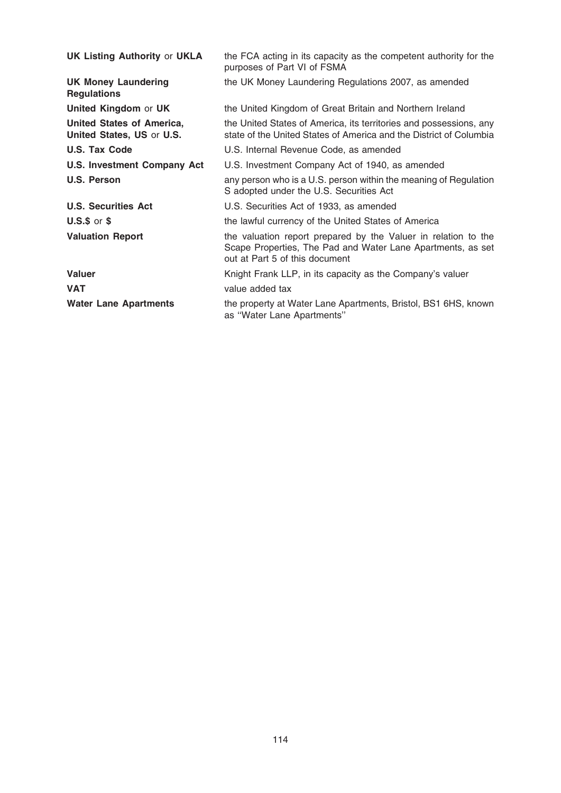| <b>UK Listing Authority or UKLA</b>                           | the FCA acting in its capacity as the competent authority for the<br>purposes of Part VI of FSMA                                                                |
|---------------------------------------------------------------|-----------------------------------------------------------------------------------------------------------------------------------------------------------------|
| <b>UK Money Laundering</b><br><b>Regulations</b>              | the UK Money Laundering Regulations 2007, as amended                                                                                                            |
| <b>United Kingdom or UK</b>                                   | the United Kingdom of Great Britain and Northern Ireland                                                                                                        |
| <b>United States of America,</b><br>United States, US or U.S. | the United States of America, its territories and possessions, any<br>state of the United States of America and the District of Columbia                        |
| <b>U.S. Tax Code</b>                                          | U.S. Internal Revenue Code, as amended                                                                                                                          |
| <b>U.S. Investment Company Act</b>                            | U.S. Investment Company Act of 1940, as amended                                                                                                                 |
| U.S. Person                                                   | any person who is a U.S. person within the meaning of Regulation<br>S adopted under the U.S. Securities Act                                                     |
| <b>U.S. Securities Act</b>                                    | U.S. Securities Act of 1933, as amended                                                                                                                         |
| $U.S.\$ \$ or \$                                              | the lawful currency of the United States of America                                                                                                             |
| <b>Valuation Report</b>                                       | the valuation report prepared by the Valuer in relation to the<br>Scape Properties, The Pad and Water Lane Apartments, as set<br>out at Part 5 of this document |
| <b>Valuer</b>                                                 | Knight Frank LLP, in its capacity as the Company's valuer                                                                                                       |
| <b>VAT</b>                                                    | value added tax                                                                                                                                                 |
| <b>Water Lane Apartments</b>                                  | the property at Water Lane Apartments, Bristol, BS1 6HS, known<br>as "Water Lane Apartments"                                                                    |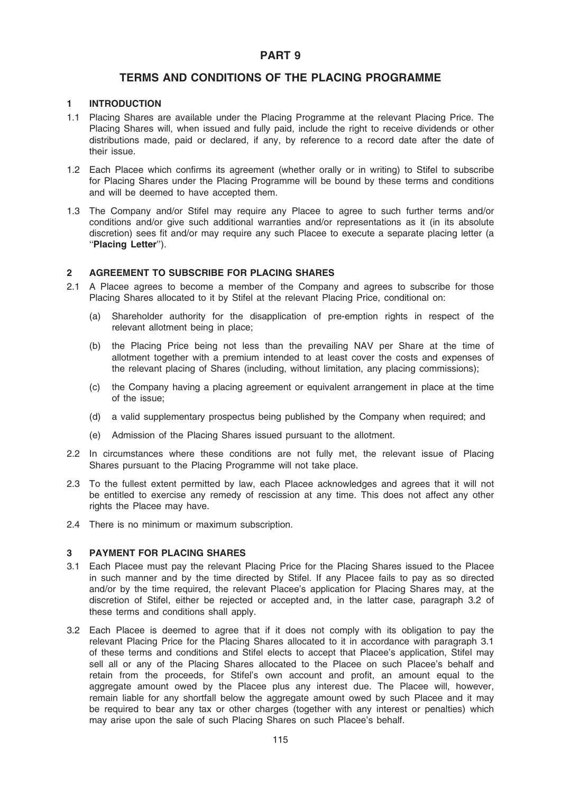# PART 9

# TERMS AND CONDITIONS OF THE PLACING PROGRAMME

## 1 INTRODUCTION

- 1.1 Placing Shares are available under the Placing Programme at the relevant Placing Price. The Placing Shares will, when issued and fully paid, include the right to receive dividends or other distributions made, paid or declared, if any, by reference to a record date after the date of their issue.
- 1.2 Each Placee which confirms its agreement (whether orally or in writing) to Stifel to subscribe for Placing Shares under the Placing Programme will be bound by these terms and conditions and will be deemed to have accepted them.
- 1.3 The Company and/or Stifel may require any Placee to agree to such further terms and/or conditions and/or give such additional warranties and/or representations as it (in its absolute discretion) sees fit and/or may require any such Placee to execute a separate placing letter (a ''Placing Letter'').

### 2 AGREEMENT TO SUBSCRIBE FOR PLACING SHARES

- 2.1 A Placee agrees to become a member of the Company and agrees to subscribe for those Placing Shares allocated to it by Stifel at the relevant Placing Price, conditional on:
	- (a) Shareholder authority for the disapplication of pre-emption rights in respect of the relevant allotment being in place;
	- (b) the Placing Price being not less than the prevailing NAV per Share at the time of allotment together with a premium intended to at least cover the costs and expenses of the relevant placing of Shares (including, without limitation, any placing commissions);
	- (c) the Company having a placing agreement or equivalent arrangement in place at the time of the issue;
	- (d) a valid supplementary prospectus being published by the Company when required; and
	- (e) Admission of the Placing Shares issued pursuant to the allotment.
- 2.2 In circumstances where these conditions are not fully met, the relevant issue of Placing Shares pursuant to the Placing Programme will not take place.
- 2.3 To the fullest extent permitted by law, each Placee acknowledges and agrees that it will not be entitled to exercise any remedy of rescission at any time. This does not affect any other rights the Placee may have.
- 2.4 There is no minimum or maximum subscription.

## 3 PAYMENT FOR PLACING SHARES

- 3.1 Each Placee must pay the relevant Placing Price for the Placing Shares issued to the Placee in such manner and by the time directed by Stifel. If any Placee fails to pay as so directed and/or by the time required, the relevant Placee's application for Placing Shares may, at the discretion of Stifel, either be rejected or accepted and, in the latter case, paragraph 3.2 of these terms and conditions shall apply.
- 3.2 Each Placee is deemed to agree that if it does not comply with its obligation to pay the relevant Placing Price for the Placing Shares allocated to it in accordance with paragraph 3.1 of these terms and conditions and Stifel elects to accept that Placee's application, Stifel may sell all or any of the Placing Shares allocated to the Placee on such Placee's behalf and retain from the proceeds, for Stifel's own account and profit, an amount equal to the aggregate amount owed by the Placee plus any interest due. The Placee will, however, remain liable for any shortfall below the aggregate amount owed by such Placee and it may be required to bear any tax or other charges (together with any interest or penalties) which may arise upon the sale of such Placing Shares on such Placee's behalf.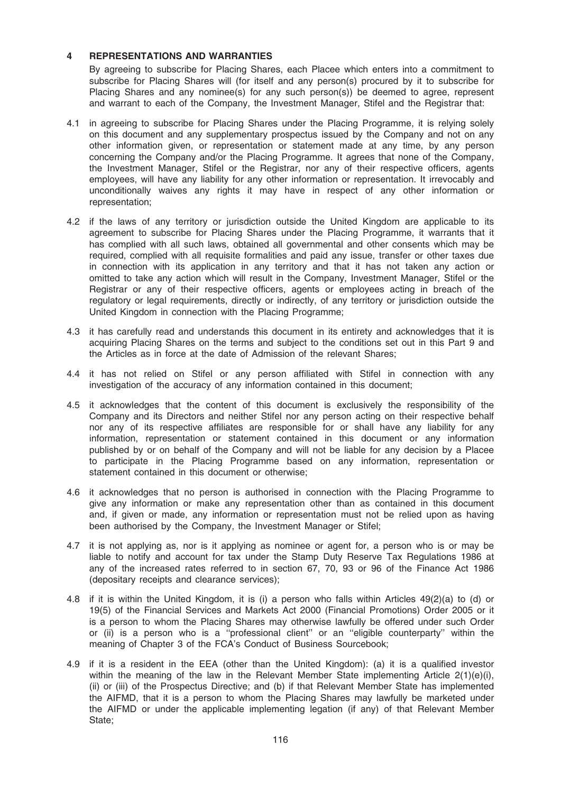### 4 REPRESENTATIONS AND WARRANTIES

By agreeing to subscribe for Placing Shares, each Placee which enters into a commitment to subscribe for Placing Shares will (for itself and any person(s) procured by it to subscribe for Placing Shares and any nominee(s) for any such person(s)) be deemed to agree, represent and warrant to each of the Company, the Investment Manager, Stifel and the Registrar that:

- 4.1 in agreeing to subscribe for Placing Shares under the Placing Programme, it is relying solely on this document and any supplementary prospectus issued by the Company and not on any other information given, or representation or statement made at any time, by any person concerning the Company and/or the Placing Programme. It agrees that none of the Company, the Investment Manager, Stifel or the Registrar, nor any of their respective officers, agents employees, will have any liability for any other information or representation. It irrevocably and unconditionally waives any rights it may have in respect of any other information or representation;
- 4.2 if the laws of any territory or jurisdiction outside the United Kingdom are applicable to its agreement to subscribe for Placing Shares under the Placing Programme, it warrants that it has complied with all such laws, obtained all governmental and other consents which may be required, complied with all requisite formalities and paid any issue, transfer or other taxes due in connection with its application in any territory and that it has not taken any action or omitted to take any action which will result in the Company, Investment Manager, Stifel or the Registrar or any of their respective officers, agents or employees acting in breach of the regulatory or legal requirements, directly or indirectly, of any territory or jurisdiction outside the United Kingdom in connection with the Placing Programme;
- 4.3 it has carefully read and understands this document in its entirety and acknowledges that it is acquiring Placing Shares on the terms and subject to the conditions set out in this Part 9 and the Articles as in force at the date of Admission of the relevant Shares;
- 4.4 it has not relied on Stifel or any person affiliated with Stifel in connection with any investigation of the accuracy of any information contained in this document;
- 4.5 it acknowledges that the content of this document is exclusively the responsibility of the Company and its Directors and neither Stifel nor any person acting on their respective behalf nor any of its respective affiliates are responsible for or shall have any liability for any information, representation or statement contained in this document or any information published by or on behalf of the Company and will not be liable for any decision by a Placee to participate in the Placing Programme based on any information, representation or statement contained in this document or otherwise;
- 4.6 it acknowledges that no person is authorised in connection with the Placing Programme to give any information or make any representation other than as contained in this document and, if given or made, any information or representation must not be relied upon as having been authorised by the Company, the Investment Manager or Stifel;
- 4.7 it is not applying as, nor is it applying as nominee or agent for, a person who is or may be liable to notify and account for tax under the Stamp Duty Reserve Tax Regulations 1986 at any of the increased rates referred to in section 67, 70, 93 or 96 of the Finance Act 1986 (depositary receipts and clearance services);
- 4.8 if it is within the United Kingdom, it is (i) a person who falls within Articles 49(2)(a) to (d) or 19(5) of the Financial Services and Markets Act 2000 (Financial Promotions) Order 2005 or it is a person to whom the Placing Shares may otherwise lawfully be offered under such Order or (ii) is a person who is a ''professional client'' or an ''eligible counterparty'' within the meaning of Chapter 3 of the FCA's Conduct of Business Sourcebook;
- 4.9 if it is a resident in the EEA (other than the United Kingdom): (a) it is a qualified investor within the meaning of the law in the Relevant Member State implementing Article  $2(1)(e)(i)$ , (ii) or (iii) of the Prospectus Directive; and (b) if that Relevant Member State has implemented the AIFMD, that it is a person to whom the Placing Shares may lawfully be marketed under the AIFMD or under the applicable implementing legation (if any) of that Relevant Member State;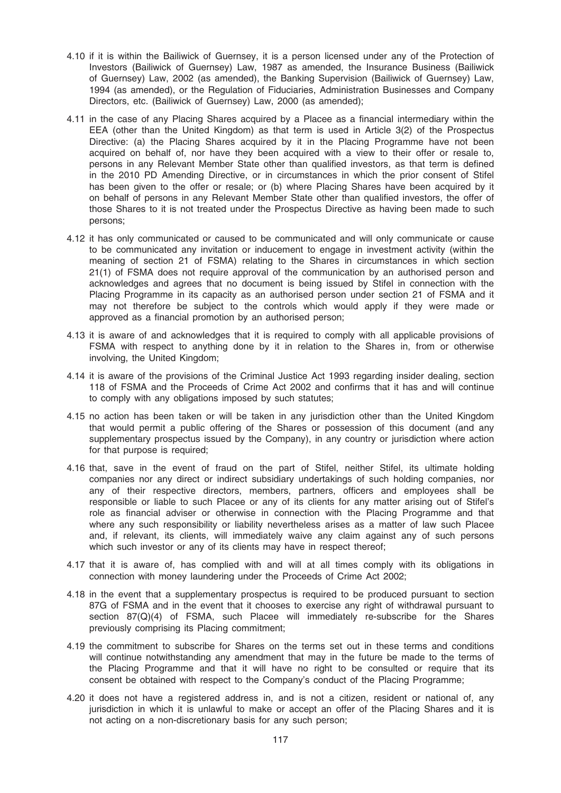- 4.10 if it is within the Bailiwick of Guernsey, it is a person licensed under any of the Protection of Investors (Bailiwick of Guernsey) Law, 1987 as amended, the Insurance Business (Bailiwick of Guernsey) Law, 2002 (as amended), the Banking Supervision (Bailiwick of Guernsey) Law, 1994 (as amended), or the Regulation of Fiduciaries, Administration Businesses and Company Directors, etc. (Bailiwick of Guernsey) Law, 2000 (as amended);
- 4.11 in the case of any Placing Shares acquired by a Placee as a financial intermediary within the EEA (other than the United Kingdom) as that term is used in Article 3(2) of the Prospectus Directive: (a) the Placing Shares acquired by it in the Placing Programme have not been acquired on behalf of, nor have they been acquired with a view to their offer or resale to, persons in any Relevant Member State other than qualified investors, as that term is defined in the 2010 PD Amending Directive, or in circumstances in which the prior consent of Stifel has been given to the offer or resale; or (b) where Placing Shares have been acquired by it on behalf of persons in any Relevant Member State other than qualified investors, the offer of those Shares to it is not treated under the Prospectus Directive as having been made to such persons;
- 4.12 it has only communicated or caused to be communicated and will only communicate or cause to be communicated any invitation or inducement to engage in investment activity (within the meaning of section 21 of FSMA) relating to the Shares in circumstances in which section 21(1) of FSMA does not require approval of the communication by an authorised person and acknowledges and agrees that no document is being issued by Stifel in connection with the Placing Programme in its capacity as an authorised person under section 21 of FSMA and it may not therefore be subject to the controls which would apply if they were made or approved as a financial promotion by an authorised person;
- 4.13 it is aware of and acknowledges that it is required to comply with all applicable provisions of FSMA with respect to anything done by it in relation to the Shares in, from or otherwise involving, the United Kingdom;
- 4.14 it is aware of the provisions of the Criminal Justice Act 1993 regarding insider dealing, section 118 of FSMA and the Proceeds of Crime Act 2002 and confirms that it has and will continue to comply with any obligations imposed by such statutes;
- 4.15 no action has been taken or will be taken in any jurisdiction other than the United Kingdom that would permit a public offering of the Shares or possession of this document (and any supplementary prospectus issued by the Company), in any country or jurisdiction where action for that purpose is required;
- 4.16 that, save in the event of fraud on the part of Stifel, neither Stifel, its ultimate holding companies nor any direct or indirect subsidiary undertakings of such holding companies, nor any of their respective directors, members, partners, officers and employees shall be responsible or liable to such Placee or any of its clients for any matter arising out of Stifel's role as financial adviser or otherwise in connection with the Placing Programme and that where any such responsibility or liability nevertheless arises as a matter of law such Placee and, if relevant, its clients, will immediately waive any claim against any of such persons which such investor or any of its clients may have in respect thereof;
- 4.17 that it is aware of, has complied with and will at all times comply with its obligations in connection with money laundering under the Proceeds of Crime Act 2002;
- 4.18 in the event that a supplementary prospectus is required to be produced pursuant to section 87G of FSMA and in the event that it chooses to exercise any right of withdrawal pursuant to section 87(Q)(4) of FSMA, such Placee will immediately re-subscribe for the Shares previously comprising its Placing commitment;
- 4.19 the commitment to subscribe for Shares on the terms set out in these terms and conditions will continue notwithstanding any amendment that may in the future be made to the terms of the Placing Programme and that it will have no right to be consulted or require that its consent be obtained with respect to the Company's conduct of the Placing Programme;
- 4.20 it does not have a registered address in, and is not a citizen, resident or national of, any jurisdiction in which it is unlawful to make or accept an offer of the Placing Shares and it is not acting on a non-discretionary basis for any such person;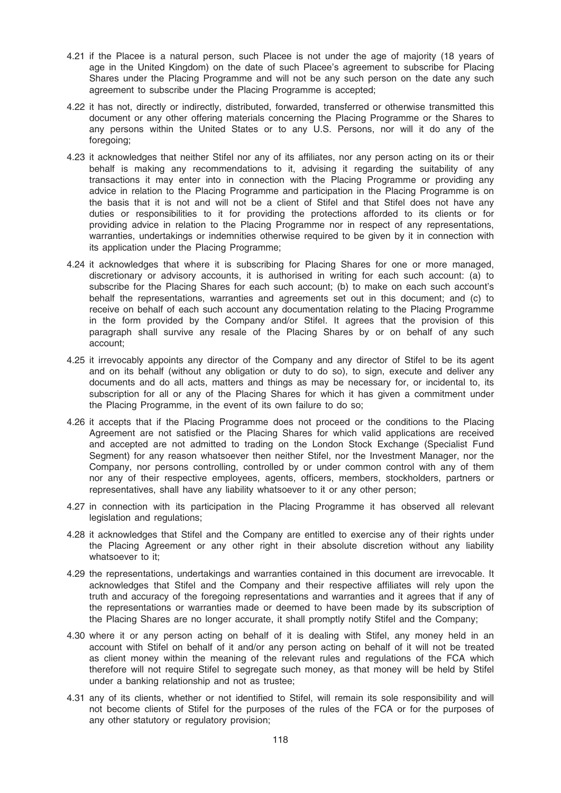- 4.21 if the Placee is a natural person, such Placee is not under the age of majority (18 years of age in the United Kingdom) on the date of such Placee's agreement to subscribe for Placing Shares under the Placing Programme and will not be any such person on the date any such agreement to subscribe under the Placing Programme is accepted;
- 4.22 it has not, directly or indirectly, distributed, forwarded, transferred or otherwise transmitted this document or any other offering materials concerning the Placing Programme or the Shares to any persons within the United States or to any U.S. Persons, nor will it do any of the foregoing;
- 4.23 it acknowledges that neither Stifel nor any of its affiliates, nor any person acting on its or their behalf is making any recommendations to it, advising it regarding the suitability of any transactions it may enter into in connection with the Placing Programme or providing any advice in relation to the Placing Programme and participation in the Placing Programme is on the basis that it is not and will not be a client of Stifel and that Stifel does not have any duties or responsibilities to it for providing the protections afforded to its clients or for providing advice in relation to the Placing Programme nor in respect of any representations, warranties, undertakings or indemnities otherwise required to be given by it in connection with its application under the Placing Programme;
- 4.24 it acknowledges that where it is subscribing for Placing Shares for one or more managed, discretionary or advisory accounts, it is authorised in writing for each such account: (a) to subscribe for the Placing Shares for each such account; (b) to make on each such account's behalf the representations, warranties and agreements set out in this document; and (c) to receive on behalf of each such account any documentation relating to the Placing Programme in the form provided by the Company and/or Stifel. It agrees that the provision of this paragraph shall survive any resale of the Placing Shares by or on behalf of any such account;
- 4.25 it irrevocably appoints any director of the Company and any director of Stifel to be its agent and on its behalf (without any obligation or duty to do so), to sign, execute and deliver any documents and do all acts, matters and things as may be necessary for, or incidental to, its subscription for all or any of the Placing Shares for which it has given a commitment under the Placing Programme, in the event of its own failure to do so;
- 4.26 it accepts that if the Placing Programme does not proceed or the conditions to the Placing Agreement are not satisfied or the Placing Shares for which valid applications are received and accepted are not admitted to trading on the London Stock Exchange (Specialist Fund Segment) for any reason whatsoever then neither Stifel, nor the Investment Manager, nor the Company, nor persons controlling, controlled by or under common control with any of them nor any of their respective employees, agents, officers, members, stockholders, partners or representatives, shall have any liability whatsoever to it or any other person;
- 4.27 in connection with its participation in the Placing Programme it has observed all relevant legislation and regulations;
- 4.28 it acknowledges that Stifel and the Company are entitled to exercise any of their rights under the Placing Agreement or any other right in their absolute discretion without any liability whatsoever to it:
- 4.29 the representations, undertakings and warranties contained in this document are irrevocable. It acknowledges that Stifel and the Company and their respective affiliates will rely upon the truth and accuracy of the foregoing representations and warranties and it agrees that if any of the representations or warranties made or deemed to have been made by its subscription of the Placing Shares are no longer accurate, it shall promptly notify Stifel and the Company;
- 4.30 where it or any person acting on behalf of it is dealing with Stifel, any money held in an account with Stifel on behalf of it and/or any person acting on behalf of it will not be treated as client money within the meaning of the relevant rules and regulations of the FCA which therefore will not require Stifel to segregate such money, as that money will be held by Stifel under a banking relationship and not as trustee;
- 4.31 any of its clients, whether or not identified to Stifel, will remain its sole responsibility and will not become clients of Stifel for the purposes of the rules of the FCA or for the purposes of any other statutory or regulatory provision;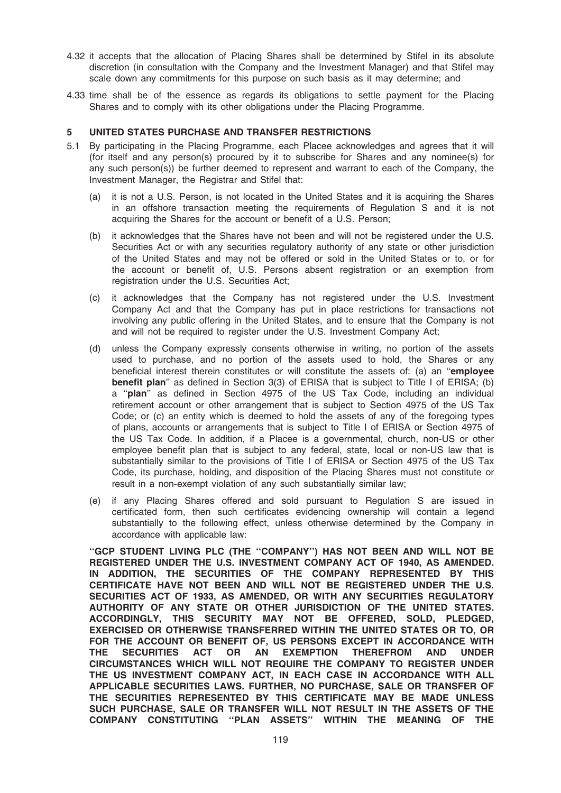- 4.32 it accepts that the allocation of Placing Shares shall be determined by Stifel in its absolute discretion (in consultation with the Company and the Investment Manager) and that Stifel may scale down any commitments for this purpose on such basis as it may determine; and
- 4.33 time shall be of the essence as regards its obligations to settle payment for the Placing Shares and to comply with its other obligations under the Placing Programme.

### 5 UNITED STATES PURCHASE AND TRANSFER RESTRICTIONS

- 5.1 By participating in the Placing Programme, each Placee acknowledges and agrees that it will (for itself and any person(s) procured by it to subscribe for Shares and any nominee(s) for any such person(s)) be further deemed to represent and warrant to each of the Company, the Investment Manager, the Registrar and Stifel that:
	- (a) it is not a U.S. Person, is not located in the United States and it is acquiring the Shares in an offshore transaction meeting the requirements of Regulation S and it is not acquiring the Shares for the account or benefit of a U.S. Person;
	- (b) it acknowledges that the Shares have not been and will not be registered under the U.S. Securities Act or with any securities regulatory authority of any state or other jurisdiction of the United States and may not be offered or sold in the United States or to, or for the account or benefit of, U.S. Persons absent registration or an exemption from registration under the U.S. Securities Act;
	- (c) it acknowledges that the Company has not registered under the U.S. Investment Company Act and that the Company has put in place restrictions for transactions not involving any public offering in the United States, and to ensure that the Company is not and will not be required to register under the U.S. Investment Company Act;
	- (d) unless the Company expressly consents otherwise in writing, no portion of the assets used to purchase, and no portion of the assets used to hold, the Shares or any beneficial interest therein constitutes or will constitute the assets of: (a) an "employee benefit plan'' as defined in Section 3(3) of ERISA that is subject to Title I of ERISA; (b) a ''plan'' as defined in Section 4975 of the US Tax Code, including an individual retirement account or other arrangement that is subject to Section 4975 of the US Tax Code; or (c) an entity which is deemed to hold the assets of any of the foregoing types of plans, accounts or arrangements that is subject to Title I of ERISA or Section 4975 of the US Tax Code. In addition, if a Placee is a governmental, church, non-US or other employee benefit plan that is subject to any federal, state, local or non-US law that is substantially similar to the provisions of Title I of ERISA or Section 4975 of the US Tax Code, its purchase, holding, and disposition of the Placing Shares must not constitute or result in a non-exempt violation of any such substantially similar law;
	- (e) if any Placing Shares offered and sold pursuant to Regulation S are issued in certificated form, then such certificates evidencing ownership will contain a legend substantially to the following effect, unless otherwise determined by the Company in accordance with applicable law:

''GCP STUDENT LIVING PLC (THE ''COMPANY'') HAS NOT BEEN AND WILL NOT BE REGISTERED UNDER THE U.S. INVESTMENT COMPANY ACT OF 1940, AS AMENDED. IN ADDITION, THE SECURITIES OF THE COMPANY REPRESENTED BY THIS CERTIFICATE HAVE NOT BEEN AND WILL NOT BE REGISTERED UNDER THE U.S. SECURITIES ACT OF 1933, AS AMENDED, OR WITH ANY SECURITIES REGULATORY AUTHORITY OF ANY STATE OR OTHER JURISDICTION OF THE UNITED STATES. ACCORDINGLY, THIS SECURITY MAY NOT BE OFFERED, SOLD, PLEDGED, EXERCISED OR OTHERWISE TRANSFERRED WITHIN THE UNITED STATES OR TO, OR FOR THE ACCOUNT OR BENEFIT OF, US PERSONS EXCEPT IN ACCORDANCE WITH THE SECURITIES ACT OR AN EXEMPTION THEREFROM AND UNDER CIRCUMSTANCES WHICH WILL NOT REQUIRE THE COMPANY TO REGISTER UNDER THE US INVESTMENT COMPANY ACT, IN EACH CASE IN ACCORDANCE WITH ALL APPLICABLE SECURITIES LAWS. FURTHER, NO PURCHASE, SALE OR TRANSFER OF THE SECURITIES REPRESENTED BY THIS CERTIFICATE MAY BE MADE UNLESS SUCH PURCHASE, SALE OR TRANSFER WILL NOT RESULT IN THE ASSETS OF THE COMPANY CONSTITUTING ''PLAN ASSETS'' WITHIN THE MEANING OF THE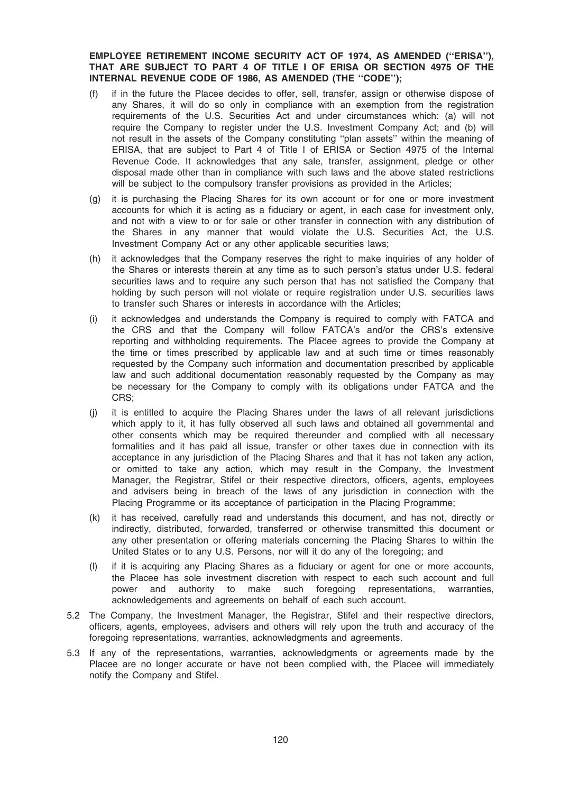EMPLOYEE RETIREMENT INCOME SECURITY ACT OF 1974, AS AMENDED (''ERISA''), THAT ARE SUBJECT TO PART 4 OF TITLE I OF ERISA OR SECTION 4975 OF THE INTERNAL REVENUE CODE OF 1986, AS AMENDED (THE ''CODE'');

- (f) if in the future the Placee decides to offer, sell, transfer, assign or otherwise dispose of any Shares, it will do so only in compliance with an exemption from the registration requirements of the U.S. Securities Act and under circumstances which: (a) will not require the Company to register under the U.S. Investment Company Act; and (b) will not result in the assets of the Company constituting ''plan assets'' within the meaning of ERISA, that are subject to Part 4 of Title I of ERISA or Section 4975 of the Internal Revenue Code. It acknowledges that any sale, transfer, assignment, pledge or other disposal made other than in compliance with such laws and the above stated restrictions will be subject to the compulsory transfer provisions as provided in the Articles;
- (g) it is purchasing the Placing Shares for its own account or for one or more investment accounts for which it is acting as a fiduciary or agent, in each case for investment only, and not with a view to or for sale or other transfer in connection with any distribution of the Shares in any manner that would violate the U.S. Securities Act, the U.S. Investment Company Act or any other applicable securities laws;
- (h) it acknowledges that the Company reserves the right to make inquiries of any holder of the Shares or interests therein at any time as to such person's status under U.S. federal securities laws and to require any such person that has not satisfied the Company that holding by such person will not violate or require registration under U.S. securities laws to transfer such Shares or interests in accordance with the Articles;
- (i) it acknowledges and understands the Company is required to comply with FATCA and the CRS and that the Company will follow FATCA's and/or the CRS's extensive reporting and withholding requirements. The Placee agrees to provide the Company at the time or times prescribed by applicable law and at such time or times reasonably requested by the Company such information and documentation prescribed by applicable law and such additional documentation reasonably requested by the Company as may be necessary for the Company to comply with its obligations under FATCA and the CRS;
- (j) it is entitled to acquire the Placing Shares under the laws of all relevant jurisdictions which apply to it, it has fully observed all such laws and obtained all governmental and other consents which may be required thereunder and complied with all necessary formalities and it has paid all issue, transfer or other taxes due in connection with its acceptance in any jurisdiction of the Placing Shares and that it has not taken any action, or omitted to take any action, which may result in the Company, the Investment Manager, the Registrar, Stifel or their respective directors, officers, agents, employees and advisers being in breach of the laws of any jurisdiction in connection with the Placing Programme or its acceptance of participation in the Placing Programme;
- (k) it has received, carefully read and understands this document, and has not, directly or indirectly, distributed, forwarded, transferred or otherwise transmitted this document or any other presentation or offering materials concerning the Placing Shares to within the United States or to any U.S. Persons, nor will it do any of the foregoing; and
- (l) if it is acquiring any Placing Shares as a fiduciary or agent for one or more accounts, the Placee has sole investment discretion with respect to each such account and full power and authority to make such foregoing representations, warranties, acknowledgements and agreements on behalf of each such account.
- 5.2 The Company, the Investment Manager, the Registrar, Stifel and their respective directors, officers, agents, employees, advisers and others will rely upon the truth and accuracy of the foregoing representations, warranties, acknowledgments and agreements.
- 5.3 If any of the representations, warranties, acknowledgments or agreements made by the Placee are no longer accurate or have not been complied with, the Placee will immediately notify the Company and Stifel.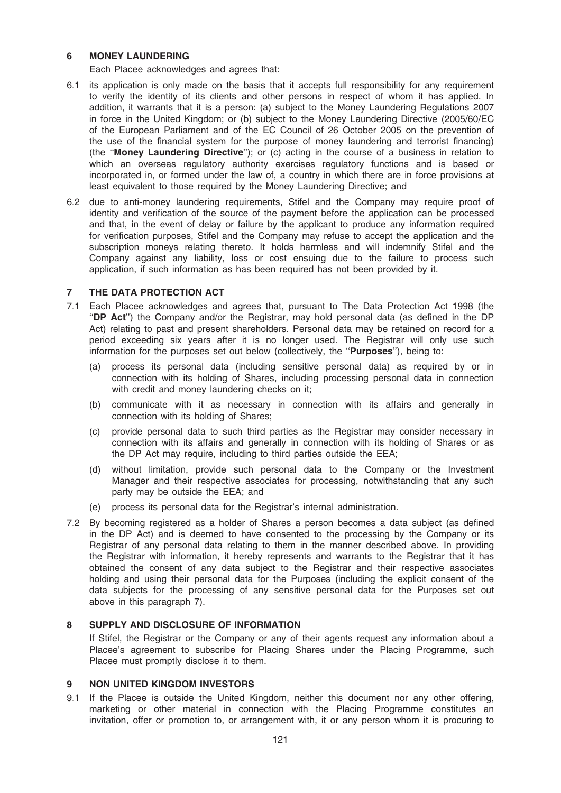### 6 MONEY LAUNDERING

Each Placee acknowledges and agrees that:

- 6.1 its application is only made on the basis that it accepts full responsibility for any requirement to verify the identity of its clients and other persons in respect of whom it has applied. In addition, it warrants that it is a person: (a) subject to the Money Laundering Regulations 2007 in force in the United Kingdom; or (b) subject to the Money Laundering Directive (2005/60/EC of the European Parliament and of the EC Council of 26 October 2005 on the prevention of the use of the financial system for the purpose of money laundering and terrorist financing) (the ''Money Laundering Directive''); or (c) acting in the course of a business in relation to which an overseas regulatory authority exercises regulatory functions and is based or incorporated in, or formed under the law of, a country in which there are in force provisions at least equivalent to those required by the Money Laundering Directive; and
- 6.2 due to anti-money laundering requirements, Stifel and the Company may require proof of identity and verification of the source of the payment before the application can be processed and that, in the event of delay or failure by the applicant to produce any information required for verification purposes, Stifel and the Company may refuse to accept the application and the subscription moneys relating thereto. It holds harmless and will indemnify Stifel and the Company against any liability, loss or cost ensuing due to the failure to process such application, if such information as has been required has not been provided by it.

## 7 THE DATA PROTECTION ACT

- 7.1 Each Placee acknowledges and agrees that, pursuant to The Data Protection Act 1998 (the ''DP Act'') the Company and/or the Registrar, may hold personal data (as defined in the DP Act) relating to past and present shareholders. Personal data may be retained on record for a period exceeding six years after it is no longer used. The Registrar will only use such information for the purposes set out below (collectively, the "**Purposes**"), being to:
	- (a) process its personal data (including sensitive personal data) as required by or in connection with its holding of Shares, including processing personal data in connection with credit and money laundering checks on it;
	- (b) communicate with it as necessary in connection with its affairs and generally in connection with its holding of Shares;
	- (c) provide personal data to such third parties as the Registrar may consider necessary in connection with its affairs and generally in connection with its holding of Shares or as the DP Act may require, including to third parties outside the EEA;
	- (d) without limitation, provide such personal data to the Company or the Investment Manager and their respective associates for processing, notwithstanding that any such party may be outside the EEA; and
	- (e) process its personal data for the Registrar's internal administration.
- 7.2 By becoming registered as a holder of Shares a person becomes a data subject (as defined in the DP Act) and is deemed to have consented to the processing by the Company or its Registrar of any personal data relating to them in the manner described above. In providing the Registrar with information, it hereby represents and warrants to the Registrar that it has obtained the consent of any data subject to the Registrar and their respective associates holding and using their personal data for the Purposes (including the explicit consent of the data subjects for the processing of any sensitive personal data for the Purposes set out above in this paragraph 7).

## 8 SUPPLY AND DISCLOSURE OF INFORMATION

If Stifel, the Registrar or the Company or any of their agents request any information about a Placee's agreement to subscribe for Placing Shares under the Placing Programme, such Placee must promptly disclose it to them.

#### 9 NON UNITED KINGDOM INVESTORS

9.1 If the Placee is outside the United Kingdom, neither this document nor any other offering, marketing or other material in connection with the Placing Programme constitutes an invitation, offer or promotion to, or arrangement with, it or any person whom it is procuring to